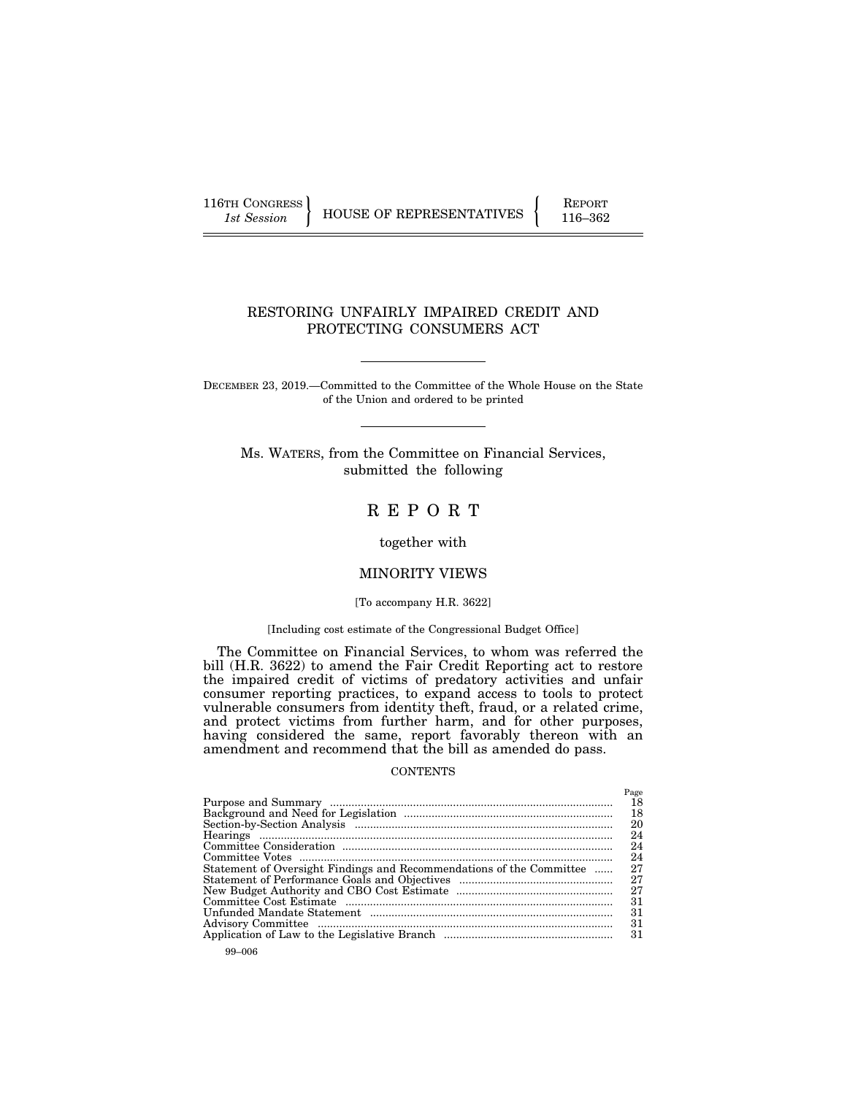116TH CONGRESS HOUSE OF REPRESENTATIVES FEPORT 116–362

 $D_{\alpha\alpha\alpha}$ 

## RESTORING UNFAIRLY IMPAIRED CREDIT AND PROTECTING CONSUMERS ACT

DECEMBER 23, 2019.—Committed to the Committee of the Whole House on the State of the Union and ordered to be printed

Ms. WATERS, from the Committee on Financial Services, submitted the following

## R E P O R T

#### together with

## MINORITY VIEWS

## [To accompany H.R. 3622]

## [Including cost estimate of the Congressional Budget Office]

The Committee on Financial Services, to whom was referred the bill (H.R. 3622) to amend the Fair Credit Reporting act to restore the impaired credit of victims of predatory activities and unfair consumer reporting practices, to expand access to tools to protect vulnerable consumers from identity theft, fraud, or a related crime, and protect victims from further harm, and for other purposes, having considered the same, report favorably thereon with an amendment and recommend that the bill as amended do pass.

#### **CONTENTS**

|                                                                      | 1 age |
|----------------------------------------------------------------------|-------|
|                                                                      | 18    |
|                                                                      | 18    |
|                                                                      | 20    |
|                                                                      | 24    |
|                                                                      | 24    |
|                                                                      | 24    |
| Statement of Oversight Findings and Recommendations of the Committee | 27    |
|                                                                      | 27    |
|                                                                      | 27    |
|                                                                      | 31    |
|                                                                      | 31    |
|                                                                      | 31    |
|                                                                      | 31    |
|                                                                      |       |

99–006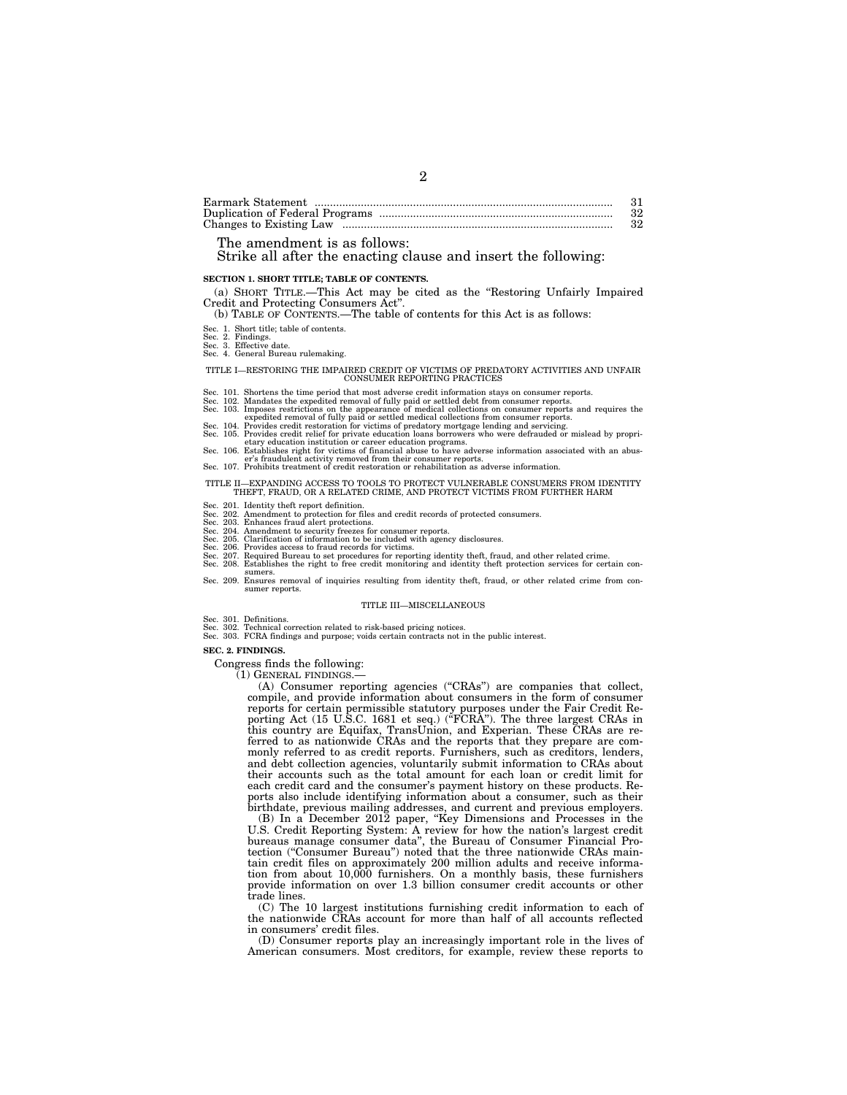| 32 |
|----|
| 32 |

#### The amendment is as follows: Strike all after the enacting clause and insert the following:

#### **SECTION 1. SHORT TITLE; TABLE OF CONTENTS.**

(b) TABLE OF CONTENTS.—The table of contents for this Act is as follows:

Sec. 1. Short title; table of contents. Sec. 2. Findings. Sec. 3. Effective date.

Sec. 4. General Bureau rulemaking.

#### TITLE I—RESTORING THE IMPAIRED CREDIT OF VICTIMS OF PREDATORY ACTIVITIES AND UNFAIR CONSUMER REPORTING PRACTICES

- 
- 
- Sec. 101. Shortens the time period that most adverse credit information stays on consumer reports.<br>Sec. 102. Mandates the expedited removal of fully paid or settled debt from consumer reports.<br>Sec. 102. Imposes restriction
- 
- 
- 

#### TITLE II—EXPANDING ACCESS TO TOOLS TO PROTECT VULNERABLE CONSUMERS FROM IDENTITY THEFT, FRAUD, OR A RELATED CRIME, AND PROTECT VICTIMS FROM FURTHER HARM

- 
- 
- 
- 
- 
- Sec. 201. Identity theft report definition.<br>Sec. 202. Amendment to protection for files and credit records of protected consumers.<br>Sec. 203. Enhances fraud alert protections.<br>Sec. 204. Amendment to security freezes for con
- 
- sumers.<br>Sec. 209. Ensures removal of inquiries resulting from identity theft, fraud, or other related crime from consumer reports.

#### TITLE III—MISCELLANEOUS

- 
- Sec. 301. Definitions. Sec. 302. Technical correction related to risk-based pricing notices. Sec. 303. FCRA findings and purpose; voids certain contracts not in the public interest.

#### **SEC. 2. FINDINGS.**

Congress finds the following:

(1) GENERAL FINDINGS.—

(A) Consumer reporting agencies (''CRAs'') are companies that collect, compile, and provide information about consumers in the form of consumer reports for certain permissible statutory purposes under the Fair Credit Reporting Act (15 U.S.C. 1681 et seq.) ("FCRA"). The three largest CRAs in this country are Equifax, TransUnion, and Experian. These CRAs are referred to as nationwide CRAs and the reports that they prepare are commonly referred to as credit reports. Furnishers, such as creditors, lenders, and debt collection agencies, voluntarily submit information to CRAs about their accounts such as the total amount for each loan or credit limit for each credit card and the consumer's payment history on these products. Reports also include identifying information about a consumer, such as their birthdate, previous mailing addresses, and current and previous employers.

(B) In a December 2012 paper, ''Key Dimensions and Processes in the U.S. Credit Reporting System: A review for how the nation's largest credit bureaus manage consumer data'', the Bureau of Consumer Financial Protection (''Consumer Bureau'') noted that the three nationwide CRAs maintain credit files on approximately 200 million adults and receive information from about 10,000 furnishers. On a monthly basis, these furnishers provide information on over 1.3 billion consumer credit accounts or other trade lines.

(C) The 10 largest institutions furnishing credit information to each of the nationwide CRAs account for more than half of all accounts reflected in consumers' credit files.

(D) Consumer reports play an increasingly important role in the lives of American consumers. Most creditors, for example, review these reports to

<sup>(</sup>a) SHORT TITLE.—This Act may be cited as the ''Restoring Unfairly Impaired Credit and Protecting Consumers Act''.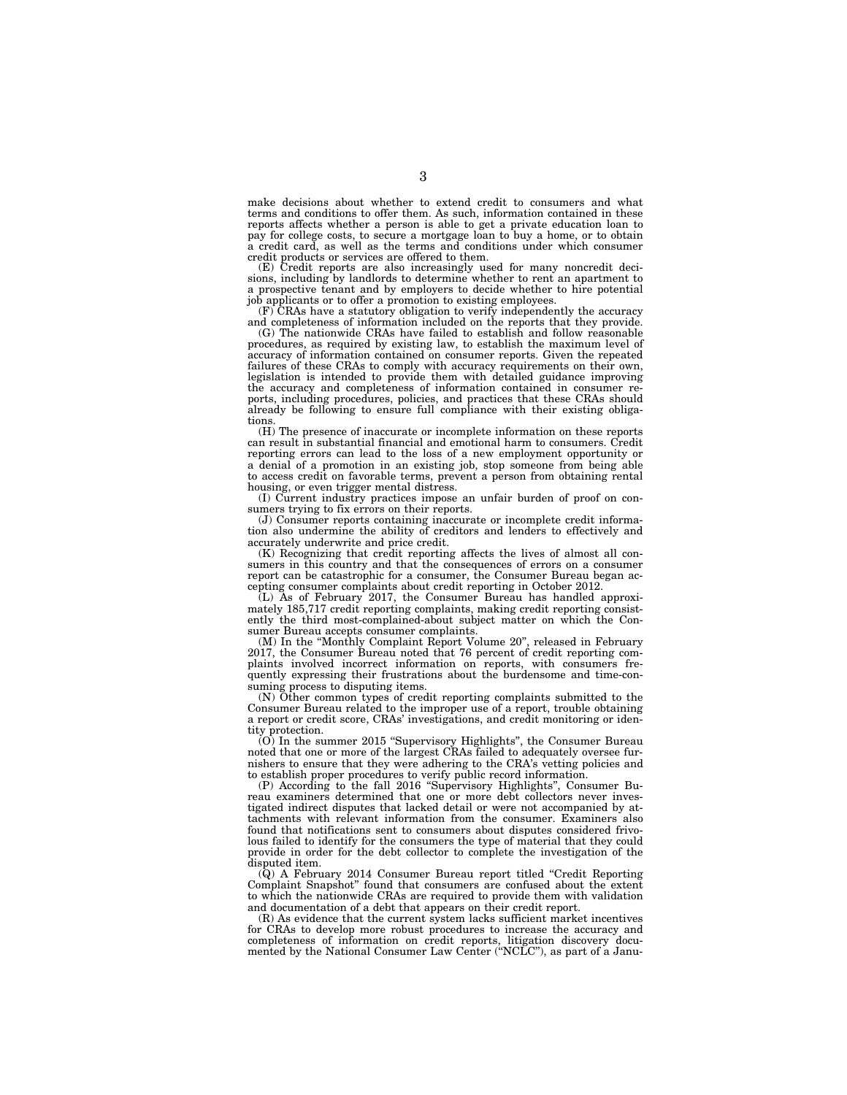make decisions about whether to extend credit to consumers and what terms and conditions to offer them. As such, information contained in these reports affects whether a person is able to get a private education loan to pay for college costs, to secure a mortgage loan to buy a home, or to obtain a credit card, as well as the terms and conditions under which consumer credit products or services are offered to them.

(E) Credit reports are also increasingly used for many noncredit decisions, including by landlords to determine whether to rent an apartment to a prospective tenant and by employers to decide whether to hire potential job applicants or to offer a promotion to existing employees.

(F) CRAs have a statutory obligation to verify independently the accuracy and completeness of information included on the reports that they provide. (G) The nationwide CRAs have failed to establish and follow reasonable

procedures, as required by existing law, to establish the maximum level of accuracy of information contained on consumer reports. Given the repeated failures of these CRAs to comply with accuracy requirements on their own, legislation is intended to provide them with detailed guidance improving the accuracy and completeness of information contained in consumer re-ports, including procedures, policies, and practices that these CRAs should already be following to ensure full compliance with their existing obligations.

(H) The presence of inaccurate or incomplete information on these reports can result in substantial financial and emotional harm to consumers. Credit reporting errors can lead to the loss of a new employment opportunity or a denial of a promotion in an existing job, stop someone from being able to access credit on favorable terms, prevent a person from obtaining rental housing, or even trigger mental distress.

(I) Current industry practices impose an unfair burden of proof on consumers trying to fix errors on their reports.

(J) Consumer reports containing inaccurate or incomplete credit information also undermine the ability of creditors and lenders to effectively and accurately underwrite and price credit.

(K) Recognizing that credit reporting affects the lives of almost all consumers in this country and that the consequences of errors on a consumer report can be catastrophic for a consumer, the Consumer Bureau began accepting consumer complaints about credit reporting in October 2012.

(L) As of February 2017, the Consumer Bureau has handled approximately 185,717 credit reporting complaints, making credit reporting consistently the third most-complained-about subject matter on which the Consumer Bureau accepts consumer complaints.

(M) In the ''Monthly Complaint Report Volume 20'', released in February 2017, the Consumer Bureau noted that 76 percent of credit reporting complaints involved incorrect information on reports, with consumers frequently expressing their frustrations about the burdensome and time-consuming process to disputing items.

(N) Other common types of credit reporting complaints submitted to the Consumer Bureau related to the improper use of a report, trouble obtaining a report or credit score, CRAs' investigations, and credit monitoring or identity protection.

(O) In the summer 2015 ''Supervisory Highlights'', the Consumer Bureau noted that one or more of the largest CRAs failed to adequately oversee furnishers to ensure that they were adhering to the CRA's vetting policies and to establish proper procedures to verify public record information.

(P) According to the fall 2016 ''Supervisory Highlights'', Consumer Bureau examiners determined that one or more debt collectors never investigated indirect disputes that lacked detail or were not accompanied by attachments with relevant information from the consumer. Examiners also found that notifications sent to consumers about disputes considered frivolous failed to identify for the consumers the type of material that they could provide in order for the debt collector to complete the investigation of the disputed item.

(Q) A February 2014 Consumer Bureau report titled ''Credit Reporting Complaint Snapshot'' found that consumers are confused about the extent to which the nationwide CRAs are required to provide them with validation and documentation of a debt that appears on their credit report.

(R) As evidence that the current system lacks sufficient market incentives for CRAs to develop more robust procedures to increase the accuracy and completeness of information on credit reports, litigation discovery documented by the National Consumer Law Center (''NCLC''), as part of a Janu-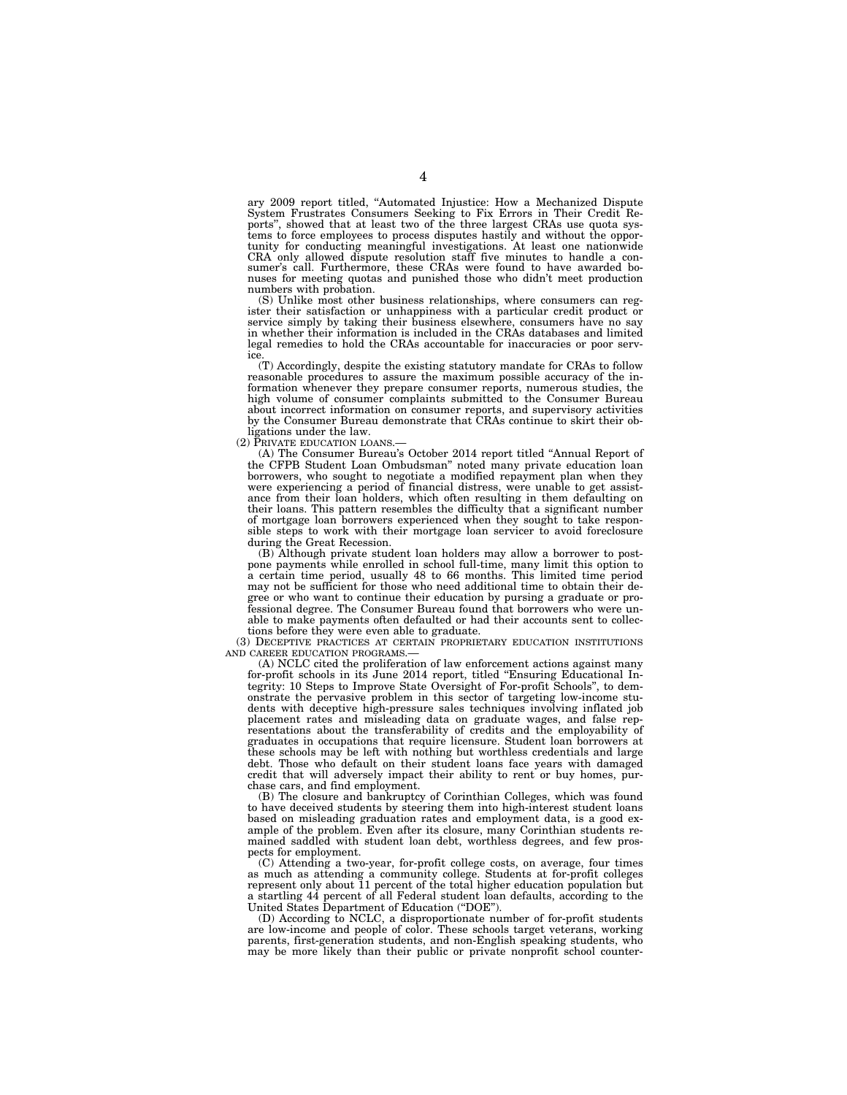ary 2009 report titled, ''Automated Injustice: How a Mechanized Dispute System Frustrates Consumers Seeking to Fix Errors in Their Credit Re-ports'', showed that at least two of the three largest CRAs use quota systems to force employees to process disputes hastily and without the opportunity for conducting meaningful investigations. At least one nationwide CRA only allowed dispute resolution staff five minutes to handle a consumer's call. Furthermore, these CRAs were found to have awarded bo-nuses for meeting quotas and punished those who didn't meet production numbers with probation.

(S) Unlike most other business relationships, where consumers can register their satisfaction or unhappiness with a particular credit product or service simply by taking their business elsewhere, consumers have no say in whether their information is included in the CRAs databases and limited legal remedies to hold the CRAs accountable for inaccuracies or poor service.

(T) Accordingly, despite the existing statutory mandate for CRAs to follow reasonable procedures to assure the maximum possible accuracy of the information whenever they prepare consumer reports, numerous studies, the high volume of consumer complaints submitted to the Consumer Bureau about incorrect information on consumer reports, and supervisory activities by the Consumer Bureau demonstrate that CRAs continue to skirt their obligations under the law.

(2) PRIVATE EDUCATION LOANS.—

(A) The Consumer Bureau's October 2014 report titled ''Annual Report of the CFPB Student Loan Ombudsman'' noted many private education loan borrowers, who sought to negotiate a modified repayment plan when they were experiencing a period of financial distress, were unable to get assistance from their loan holders, which often resulting in them defaulting on their loans. This pattern resembles the difficulty that a significant number of mortgage loan borrowers experienced when they sought to take responsible steps to work with their mortgage loan servicer to avoid foreclosure during the Great Recession.

(B) Although private student loan holders may allow a borrower to postpone payments while enrolled in school full-time, many limit this option to a certain time period, usually 48 to 66 months. This limited time period may not be sufficient for those who need additional time to obtain their degree or who want to continue their education by pursing a graduate or professional degree. The Consumer Bureau found that borrowers who were unable to make payments often defaulted or had their accounts sent to collections before they were even able to graduate.

(3) DECEPTIVE PRACTICES AT CERTAIN PROPRIETARY EDUCATION INSTITUTIONS AND CAREER EDUCATION PROGRAMS.—

(A) NCLC cited the proliferation of law enforcement actions against many for-profit schools in its June 2014 report, titled ''Ensuring Educational Integrity: 10 Steps to Improve State Oversight of For-profit Schools'', to demonstrate the pervasive problem in this sector of targeting low-income students with deceptive high-pressure sales techniques involving inflated job placement rates and misleading data on graduate wages, and false representations about the transferability of credits and the employability of graduates in occupations that require licensure. Student loan borrowers at these schools may be left with nothing but worthless credentials and large debt. Those who default on their student loans face years with damaged credit that will adversely impact their ability to rent or buy homes, purchase cars, and find employment.

(B) The closure and bankruptcy of Corinthian Colleges, which was found to have deceived students by steering them into high-interest student loans based on misleading graduation rates and employment data, is a good example of the problem. Even after its closure, many Corinthian students remained saddled with student loan debt, worthless degrees, and few prospects for employment.

(C) Attending a two-year, for-profit college costs, on average, four times as much as attending a community college. Students at for-profit colleges represent only about 11 percent of the total higher education population but a startling 44 percent of all Federal student loan defaults, according to the United States Department of Education (''DOE'').

(D) According to NCLC, a disproportionate number of for-profit students are low-income and people of color. These schools target veterans, working parents, first-generation students, and non-English speaking students, who may be more likely than their public or private nonprofit school counter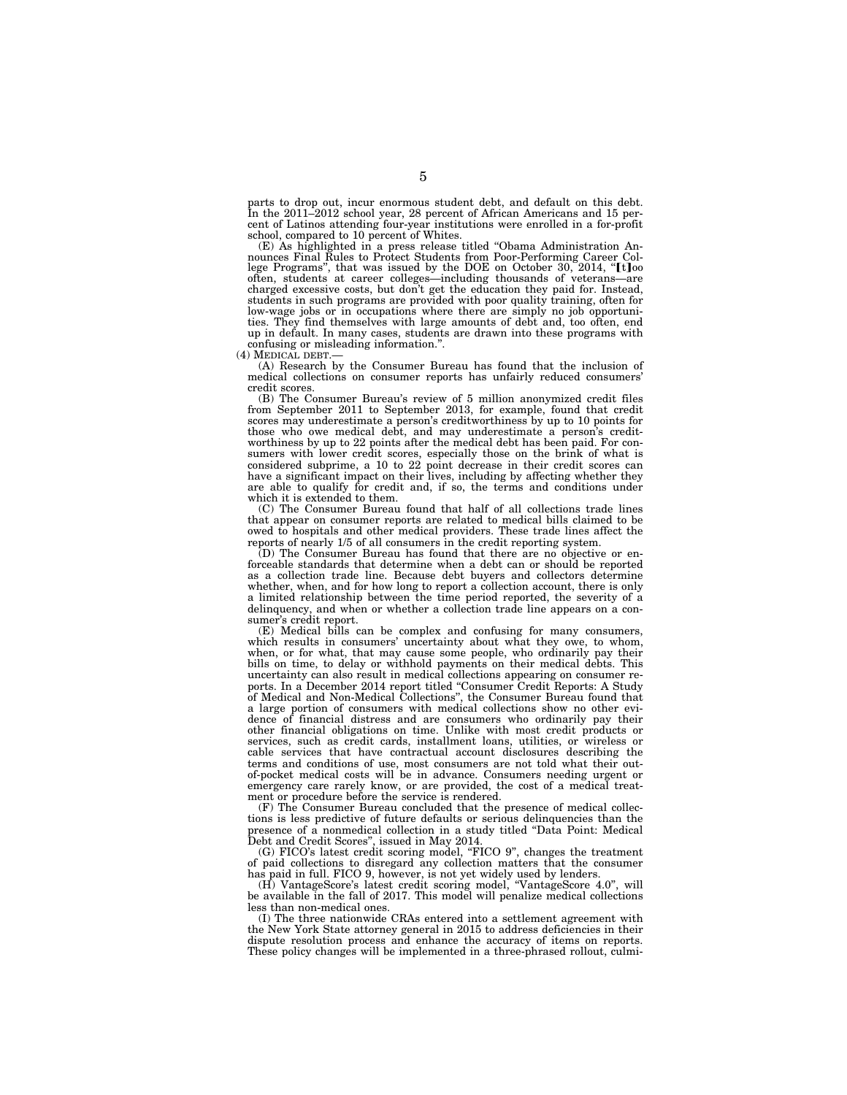parts to drop out, incur enormous student debt, and default on this debt. In the 2011–2012 school year, 28 percent of African Americans and 15 percent of Latinos attending four-year institutions were enrolled in a for-profit school, compared to 10 percent of Whites.

(E) As highlighted in a press release titled ''Obama Administration Announces Final Rules to Protect Students from Poor-Performing Career College Programs", that was issued by the DOE on October 30, 2014, "[t]oo lege Programs", that was issued by the DOE on October 30, 2014, "[t]oo often, students at career colleges—including thousands of veterans—are charged excessive costs, but don't get the education they paid for. Instead, students in such programs are provided with poor quality training, often for low-wage jobs or in occupations where there are simply no job opportunities. They find themselves with large amounts of debt and, too often, end up in default. In many cases, students are drawn into these programs with confusing or misleading information.".<br>(4) MEDICAL DEBT.—

(A) Research by the Consumer Bureau has found that the inclusion of medical collections on consumer reports has unfairly reduced consumers' credit scores.

(B) The Consumer Bureau's review of 5 million anonymized credit files from September 2011 to September 2013, for example, found that credit scores may underestimate a person's creditworthiness by up to 10 points for those who owe medical debt, and may underestimate a person's creditworthiness by up to 22 points after the medical debt has been paid. For consumers with lower credit scores, especially those on the brink of what is considered subprime, a 10 to 22 point decrease in their credit scores can have a significant impact on their lives, including by affecting whether they are able to qualify for credit and, if so, the terms and conditions under which it is extended to them.

(C) The Consumer Bureau found that half of all collections trade lines that appear on consumer reports are related to medical bills claimed to be owed to hospitals and other medical providers. These trade lines affect the reports of nearly 1/5 of all consumers in the credit reporting system.

(D) The Consumer Bureau has found that there are no objective or enforceable standards that determine when a debt can or should be reported as a collection trade line. Because debt buyers and collectors determine whether, when, and for how long to report a collection account, there is only a limited relationship between the time period reported, the severity of a delinquency, and when or whether a collection trade line appears on a consumer's credit report.

(E) Medical bills can be complex and confusing for many consumers, which results in consumers' uncertainty about what they owe, to whom, when, or for what, that may cause some people, who ordinarily pay their bills on time, to delay or withhold payments on their medical debts. This uncertainty can also result in medical collections appearing on consumer reports. In a December 2014 report titled ''Consumer Credit Reports: A Study of Medical and Non-Medical Collections'', the Consumer Bureau found that a large portion of consumers with medical collections show no other evidence of financial distress and are consumers who ordinarily pay their other financial obligations on time. Unlike with most credit products or services, such as credit cards, installment loans, utilities, or wireless or cable services that have contractual account disclosures describing the terms and conditions of use, most consumers are not told what their outof-pocket medical costs will be in advance. Consumers needing urgent or emergency care rarely know, or are provided, the cost of a medical treatment or procedure before the service is rendered.

(F) The Consumer Bureau concluded that the presence of medical collections is less predictive of future defaults or serious delinquencies than the presence of a nonmedical collection in a study titled ''Data Point: Medical Debt and Credit Scores'', issued in May 2014.

(G) FICO's latest credit scoring model, ''FICO 9'', changes the treatment of paid collections to disregard any collection matters that the consumer has paid in full. FICO 9, however, is not yet widely used by lenders.

(H) VantageScore's latest credit scoring model, ''VantageScore 4.0'', will be available in the fall of 2017. This model will penalize medical collections less than non-medical ones.

(I) The three nationwide CRAs entered into a settlement agreement with the New York State attorney general in 2015 to address deficiencies in their dispute resolution process and enhance the accuracy of items on reports. These policy changes will be implemented in a three-phrased rollout, culmi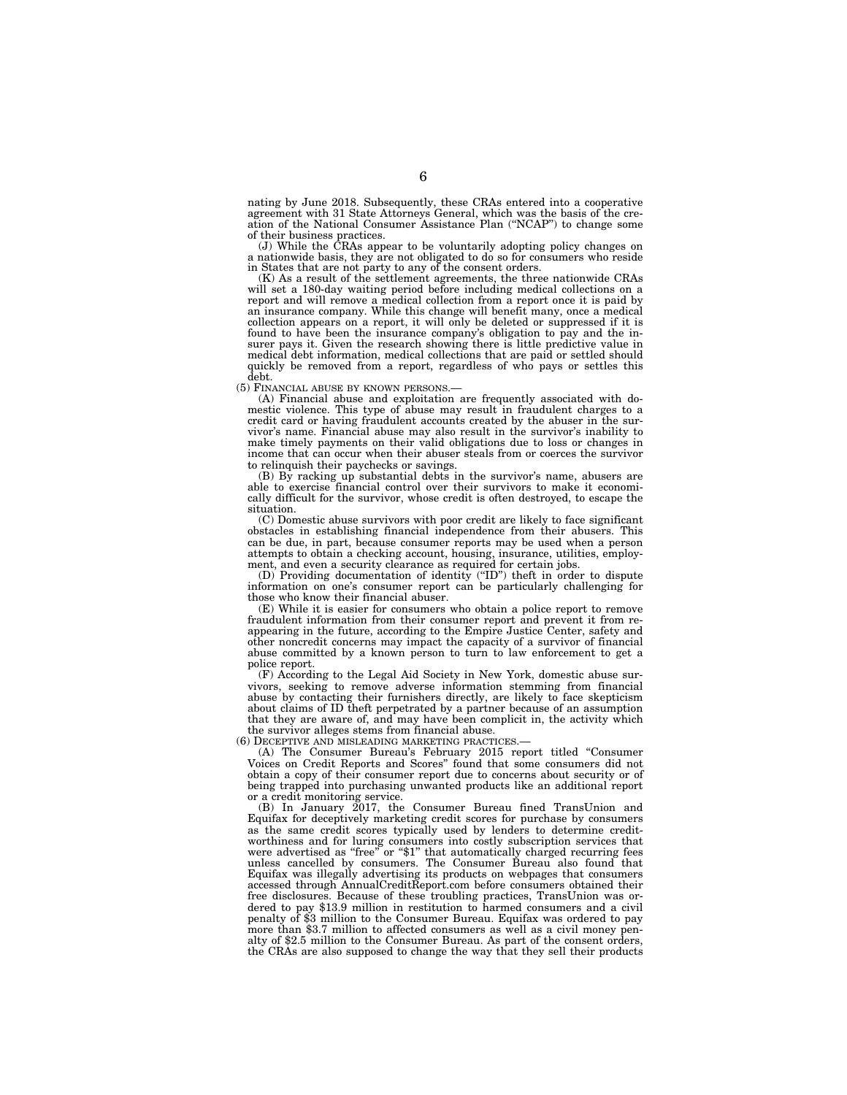nating by June 2018. Subsequently, these CRAs entered into a cooperative agreement with 31 State Attorneys General, which was the basis of the creation of the National Consumer Assistance Plan (''NCAP'') to change some of their business practices. (J) While the CRAs appear to be voluntarily adopting policy changes on

a nationwide basis, they are not obligated to do so for consumers who reside in States that are not party to any of the consent orders.

(K) As a result of the settlement agreements, the three nationwide CRAs will set a 180-day waiting period before including medical collections on a report and will remove a medical collection from a report once it is paid by an insurance company. While this change will benefit many, once a medical collection appears on a report, it will only be deleted or suppressed if it is found to have been the insurance company's obligation to pay and the insurer pays it. Given the research showing there is little predictive value in medical debt information, medical collections that are paid or settled should quickly be removed from a report, regardless of who pays or settles this debt.<br>(5) FINANCIAL ABUSE BY KNOWN PERSONS.—

(A) Financial abuse and exploitation are frequently associated with domestic violence. This type of abuse may result in fraudulent charges to a credit card or having fraudulent accounts created by the abuser in the survivor's name. Financial abuse may also result in the survivor's inability to make timely payments on their valid obligations due to loss or changes in income that can occur when their abuser steals from or coerces the survivor to relinquish their paychecks or savings.

(B) By racking up substantial debts in the survivor's name, abusers are able to exercise financial control over their survivors to make it economically difficult for the survivor, whose credit is often destroyed, to escape the situation.

(C) Domestic abuse survivors with poor credit are likely to face significant obstacles in establishing financial independence from their abusers. This can be due, in part, because consumer reports may be used when a person attempts to obtain a checking account, housing, insurance, utilities, employment, and even a security clearance as required for certain jobs.

(D) Providing documentation of identity (''ID'') theft in order to dispute information on one's consumer report can be particularly challenging for those who know their financial abuser.

(E) While it is easier for consumers who obtain a police report to remove fraudulent information from their consumer report and prevent it from reappearing in the future, according to the Empire Justice Center, safety and other noncredit concerns may impact the capacity of a survivor of financial abuse committed by a known person to turn to law enforcement to get a police report.

(F) According to the Legal Aid Society in New York, domestic abuse survivors, seeking to remove adverse information stemming from financial abuse by contacting their furnishers directly, are likely to face skepticism about claims of ID theft perpetrated by a partner because of an assumption that they are aware of, and may have been complicit in, the activity which the survivor alleges stems from financial abuse.

(6) DECEPTIVE AND MISLEADING MARKETING PRACTICES.—

(A) The Consumer Bureau's February 2015 report titled ''Consumer Voices on Credit Reports and Scores'' found that some consumers did not obtain a copy of their consumer report due to concerns about security or of being trapped into purchasing unwanted products like an additional report or a credit monitoring service.

(B) In January 2017, the Consumer Bureau fined TransUnion and Equifax for deceptively marketing credit scores for purchase by consumers as the same credit scores typically used by lenders to determine creditworthiness and for luring consumers into costly subscription services that were advertised as "free" or "\$1" that automatically charged recurring fees unless cancelled by consumers. The Consumer Bureau also found that Equifax was illegally advertising its products on webpages that consumers accessed through AnnualCreditReport.com before consumers obtained their free disclosures. Because of these troubling practices, TransUnion was ordered to pay \$13.9 million in restitution to harmed consumers and a civil penalty of \$3 million to the Consumer Bureau. Equifax was ordered to pay more than \$3.7 million to affected consumers as well as a civil money penalty of \$2.5 million to the Consumer Bureau. As part of the consent orders, the CRAs are also supposed to change the way that they sell their products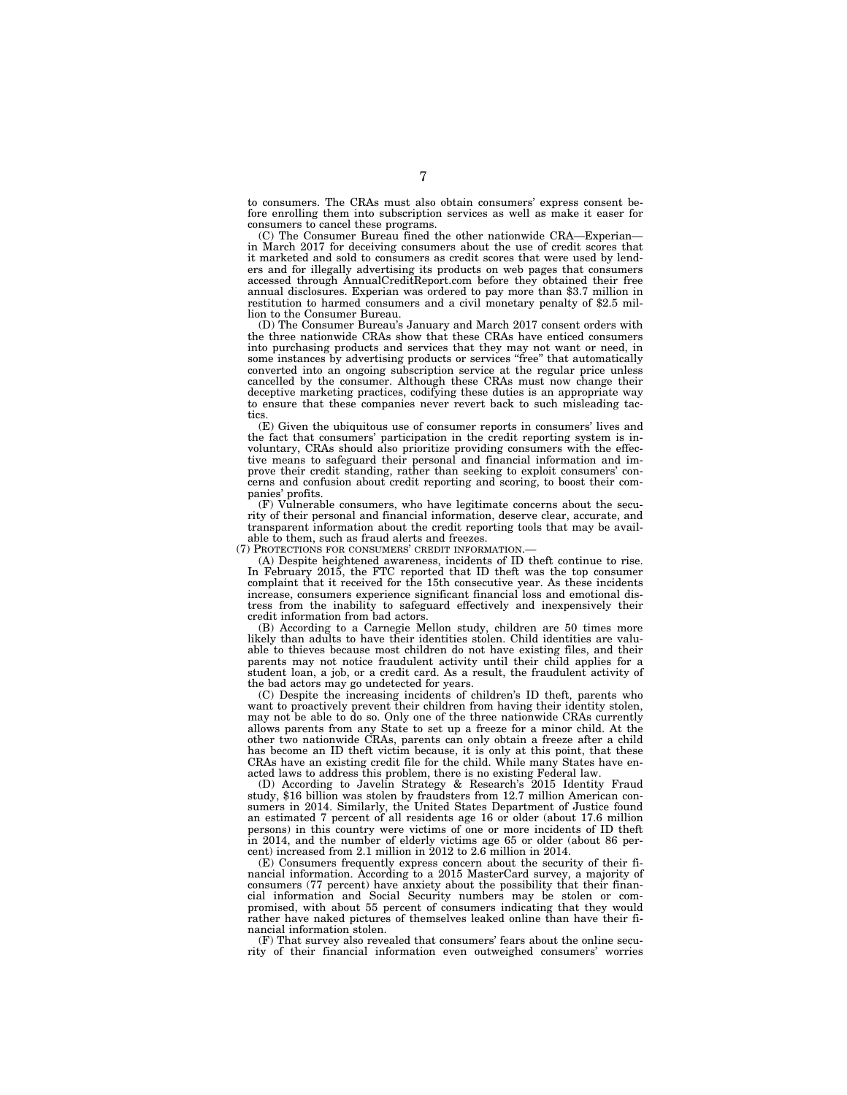to consumers. The CRAs must also obtain consumers' express consent before enrolling them into subscription services as well as make it easer for consumers to cancel these programs.

(C) The Consumer Bureau fined the other nationwide CRA—Experian in March 2017 for deceiving consumers about the use of credit scores that it marketed and sold to consumers as credit scores that were used by lenders and for illegally advertising its products on web pages that consumers accessed through AnnualCreditReport.com before they obtained their free annual disclosures. Experian was ordered to pay more than \$3.7 million in restitution to harmed consumers and a civil monetary penalty of \$2.5 million to the Consumer Bureau.

(D) The Consumer Bureau's January and March 2017 consent orders with the three nationwide CRAs show that these CRAs have enticed consumers into purchasing products and services that they may not want or need, in some instances by advertising products or services "free" that automatically converted into an ongoing subscription service at the regular price unless cancelled by the consumer. Although these CRAs must now change their deceptive marketing practices, codifying these duties is an appropriate way to ensure that these companies never revert back to such misleading tactics.

(E) Given the ubiquitous use of consumer reports in consumers' lives and the fact that consumers' participation in the credit reporting system is involuntary, CRAs should also prioritize providing consumers with the effective means to safeguard their personal and financial information and improve their credit standing, rather than seeking to exploit consumers' concerns and confusion about credit reporting and scoring, to boost their companies' profits.

(F) Vulnerable consumers, who have legitimate concerns about the security of their personal and financial information, deserve clear, accurate, and transparent information about the credit reporting tools that may be available to them, such as fraud alerts and freezes.

(7) PROTECTIONS FOR CONSUMERS' CREDIT INFORMATION.—

(A) Despite heightened awareness, incidents of ID theft continue to rise. In February 2015, the FTC reported that ID theft was the top consumer complaint that it received for the 15th consecutive year. As these incidents increase, consumers experience significant financial loss and emotional distress from the inability to safeguard effectively and inexpensively their credit information from bad actors.

(B) According to a Carnegie Mellon study, children are 50 times more likely than adults to have their identities stolen. Child identities are valuable to thieves because most children do not have existing files, and their parents may not notice fraudulent activity until their child applies for a student loan, a job, or a credit card. As a result, the fraudulent activity of the bad actors may go undetected for years.

(C) Despite the increasing incidents of children's ID theft, parents who want to proactively prevent their children from having their identity stolen, may not be able to do so. Only one of the three nationwide CRAs currently allows parents from any State to set up a freeze for a minor child. At the other two nationwide CRAs, parents can only obtain a freeze after a child has become an ID theft victim because, it is only at this point, that these CRAs have an existing credit file for the child. While many States have enacted laws to address this problem, there is no existing Federal law.

(D) According to Javelin Strategy & Research's 2015 Identity Fraud study, \$16 billion was stolen by fraudsters from 12.7 million American consumers in 2014. Similarly, the United States Department of Justice found an estimated 7 percent of all residents age 16 or older (about 17.6 million persons) in this country were victims of one or more incidents of ID theft in 2014, and the number of elderly victims age 65 or older (about 86 percent) increased from  $2.1$  million in  $2012$  to  $2.6$  million in  $2014$ .

(E) Consumers frequently express concern about the security of their financial information. According to a 2015 MasterCard survey, a majority of consumers (77 percent) have anxiety about the possibility that their financial information and Social Security numbers may be stolen or compromised, with about 55 percent of consumers indicating that they would rather have naked pictures of themselves leaked online than have their financial information stolen.

(F) That survey also revealed that consumers' fears about the online security of their financial information even outweighed consumers' worries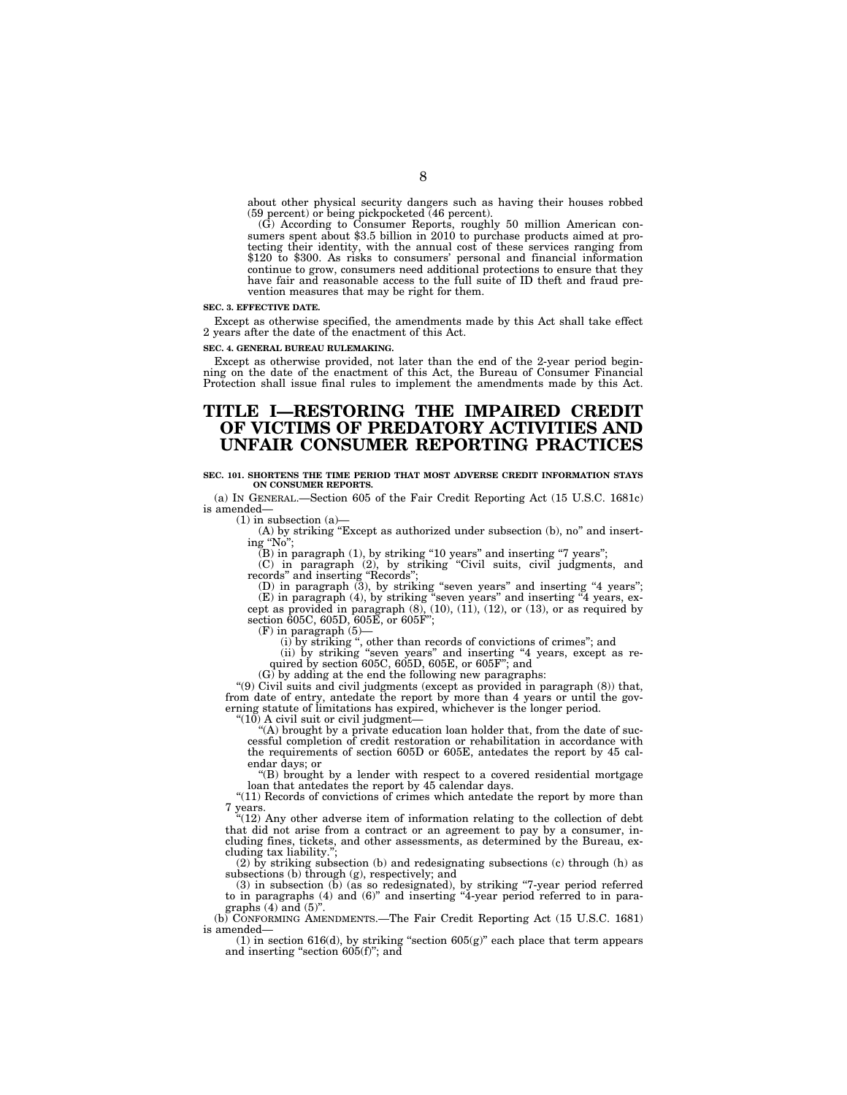about other physical security dangers such as having their houses robbed (59 percent) or being pickpocketed (46 percent).

(G) According to Consumer Reports, roughly 50 million American consumers spent about \$3.5 billion in 2010 to purchase products aimed at protecting their identity, with the annual cost of these services ranging from \$120 to \$300. As risks to consumers' personal and financial information continue to grow, consumers need additional protections to ensure that they have fair and reasonable access to the full suite of ID theft and fraud prevention measures that may be right for them.

#### **SEC. 3. EFFECTIVE DATE.**

Except as otherwise specified, the amendments made by this Act shall take effect 2 years after the date of the enactment of this Act.

#### **SEC. 4. GENERAL BUREAU RULEMAKING.**

Except as otherwise provided, not later than the end of the 2-year period beginning on the date of the enactment of this Act, the Bureau of Consumer Financial Protection shall issue final rules to implement the amendments made by this Act.

## **TITLE I—RESTORING THE IMPAIRED CREDIT OF VICTIMS OF PREDATORY ACTIVITIES AND UNFAIR CONSUMER REPORTING PRACTICES**

#### **SEC. 101. SHORTENS THE TIME PERIOD THAT MOST ADVERSE CREDIT INFORMATION STAYS ON CONSUMER REPORTS.**

(a) IN GENERAL.—Section 605 of the Fair Credit Reporting Act (15 U.S.C. 1681c) is amended—

 $(1)$  in subsection  $(a)$ —

(A) by striking ''Except as authorized under subsection (b), no'' and inserting "No";

 $(B)$  in paragraph  $(1)$ , by striking "10 years" and inserting "7 years";

(C) in paragraph (2), by striking ''Civil suits, civil judgments, and records'' and inserting ''Records'';

(D) in paragraph (3), by striking "seven years" and inserting "4 years"; (E) in paragraph (4), by striking ''seven years'' and inserting ''4 years, except as provided in paragraph  $(8)$ ,  $(10)$ ,  $(11)$ ,  $(12)$ , or  $(13)$ , or as required by section 605C, 605D, 605E, or 605F'';

 $(F)$  in paragraph  $(5)$ -

(i) by striking '', other than records of convictions of crimes''; and

(ii) by striking ''seven years'' and inserting ''4 years, except as required by section 605C, 605D, 605E, or 605F''; and

 $(G)$  by adding at the end the following new paragraphs:

"(9) Civil suits and civil judgments (except as provided in paragraph  $(8)$ ) that, from date of entry, antedate the report by more than 4 years or until the governing statute of limitations has expired, whichever is the longer period. " $(10)$  A civil suit or civil judgment—

''(A) brought by a private education loan holder that, from the date of successful completion of credit restoration or rehabilitation in accordance with the requirements of section 605D or 605E, antedates the report by 45 calendar days; or

''(B) brought by a lender with respect to a covered residential mortgage loan that antedates the report by 45 calendar days.

"(11) Records of convictions of crimes which antedate the report by more than 7 years.

"(12) Any other adverse item of information relating to the collection of debt that did not arise from a contract or an agreement to pay by a consumer, including fines, tickets, and other assessments, as determined by the Bureau, excluding tax liability.

(2) by striking subsection (b) and redesignating subsections (c) through (h) as subsections (b) through (g), respectively; and

(3) in subsection (b) (as so redesignated), by striking ''7-year period referred to in paragraphs (4) and (6)'' and inserting ''4-year period referred to in paragraphs  $(4)$  and  $(5)$ ".

(b) CONFORMING AMENDMENTS.—The Fair Credit Reporting Act (15 U.S.C. 1681) is amended—

 $(1)$  in section 616(d), by striking "section 605(g)" each place that term appears and inserting ''section 605(f)''; and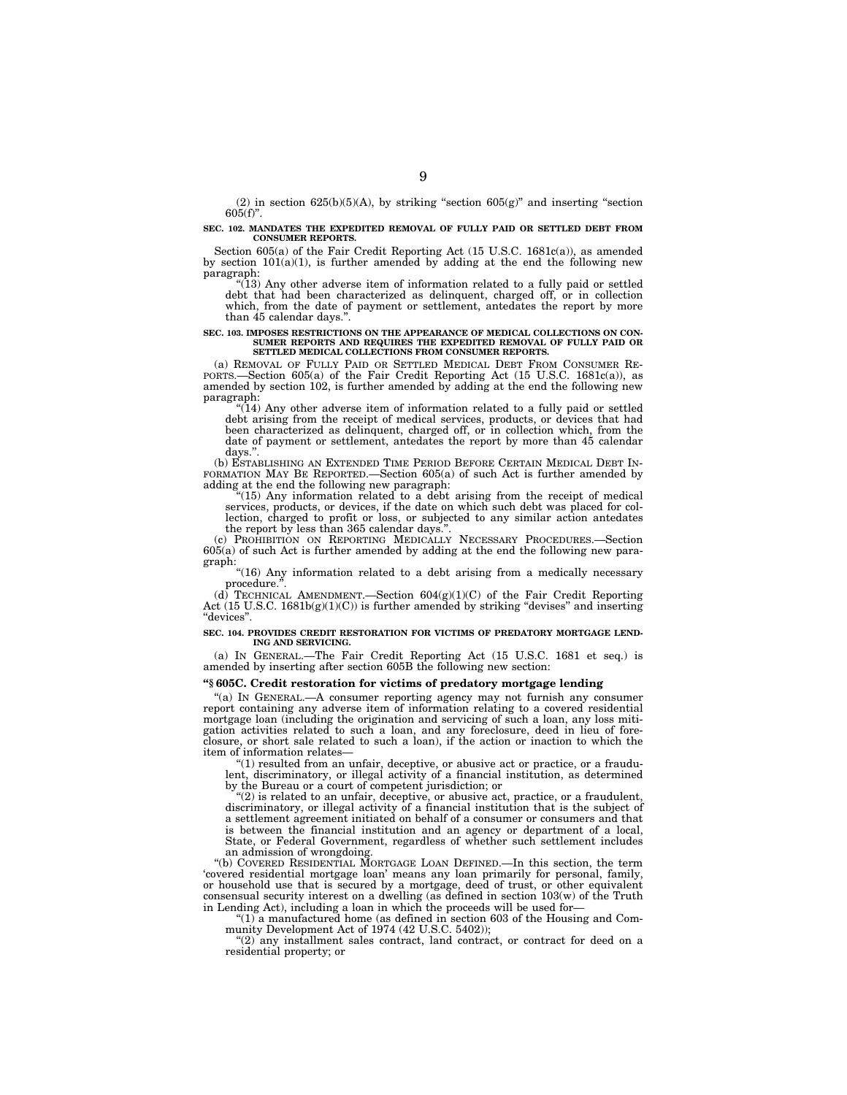(2) in section  $625(b)(5)(A)$ , by striking "section  $605(g)$ " and inserting "section 605(f)''.

#### **SEC. 102. MANDATES THE EXPEDITED REMOVAL OF FULLY PAID OR SETTLED DEBT FROM CONSUMER REPORTS.**

Section 605(a) of the Fair Credit Reporting Act (15 U.S.C. 1681c(a)), as amended by section  $101(a)(1)$ , is further amended by adding at the end the following new paragraph:

 $^{\circ}(13)$  Any other adverse item of information related to a fully paid or settled debt that had been characterized as delinquent, charged off, or in collection which, from the date of payment or settlement, antedates the report by more than 45 calendar days.''.

## **SEC. 103. IMPOSES RESTRICTIONS ON THE APPEARANCE OF MEDICAL COLLECTIONS ON CON-SUMER REPORTS AND REQUIRES THE EXPEDITED REMOVAL OF FULLY PAID OR SETTLED MEDICAL COLLECTIONS FROM CONSUMER REPORTS.**

(a) REMOVAL OF FULLY PAID OR SETTLED MEDICAL DEBT FROM CONSUMER RE-PORTS.—Section 605(a) of the Fair Credit Reporting Act (15 U.S.C. 1681c(a)), as amended by section 102, is further amended by adding at the end the following new paragraph:

 $(14)$  Any other adverse item of information related to a fully paid or settled debt arising from the receipt of medical services, products, or devices that had been characterized as delinquent, charged off, or in collection which, from the date of payment or settlement, antedates the report by more than 45 calendar days.'

(b) ESTABLISHING AN EXTENDED TIME PERIOD BEFORE CERTAIN MEDICAL DEBT IN-FORMATION MAY BE REPORTED.—Section 605(a) of such Act is further amended by adding at the end the following new paragraph:

 $(15)$  Any information related to a debt arising from the receipt of medical services, products, or devices, if the date on which such debt was placed for collection, charged to profit or loss, or subjected to any similar action antedates the report by less than 365 calendar days.

(c) PROHIBITION ON REPORTING MEDICALLY NECESSARY PROCEDURES.—Section 605(a) of such Act is further amended by adding at the end the following new paragraph:

"(16) Any information related to a debt arising from a medically necessary  $_{\rm procedure.}$ 

(d) TECHNICAL AMENDMENT.—Section  $604(g)(1)(C)$  of the Fair Credit Reporting Act (15 U.S.C. 1681b $(g(1)(C))$ ) is further amended by striking "devises" and inserting ''devices''.

#### **SEC. 104. PROVIDES CREDIT RESTORATION FOR VICTIMS OF PREDATORY MORTGAGE LEND-ING AND SERVICING.**

(a) IN GENERAL.—The Fair Credit Reporting Act (15 U.S.C. 1681 et seq.) is amended by inserting after section 605B the following new section:

## **''§ 605C. Credit restoration for victims of predatory mortgage lending**

''(a) IN GENERAL.—A consumer reporting agency may not furnish any consumer report containing any adverse item of information relating to a covered residential mortgage loan (including the origination and servicing of such a loan, any loss mitigation activities related to such a loan, and any foreclosure, deed in lieu of foreclosure, or short sale related to such a loan), if the action or inaction to which the item of information relates—

''(1) resulted from an unfair, deceptive, or abusive act or practice, or a fraudulent, discriminatory, or illegal activity of a financial institution, as determined by the Bureau or a court of competent jurisdiction; or

''(2) is related to an unfair, deceptive, or abusive act, practice, or a fraudulent, discriminatory, or illegal activity of a financial institution that is the subject of a settlement agreement initiated on behalf of a consumer or consumers and that is between the financial institution and an agency or department of a local, State, or Federal Government, regardless of whether such settlement includes an admission of wrongdoing.

''(b) COVERED RESIDENTIAL MORTGAGE LOAN DEFINED.—In this section, the term 'covered residential mortgage loan' means any loan primarily for personal, family, or household use that is secured by a mortgage, deed of trust, or other equivalent consensual security interest on a dwelling (as defined in section 103(w) of the Truth in Lending Act), including a loan in which the proceeds will be used for—

 $(1)$  a manufactured home (as defined in section 603 of the Housing and Community Development Act of 1974 (42 U.S.C. 5402));

"(2) any installment sales contract, land contract, or contract for deed on a residential property; or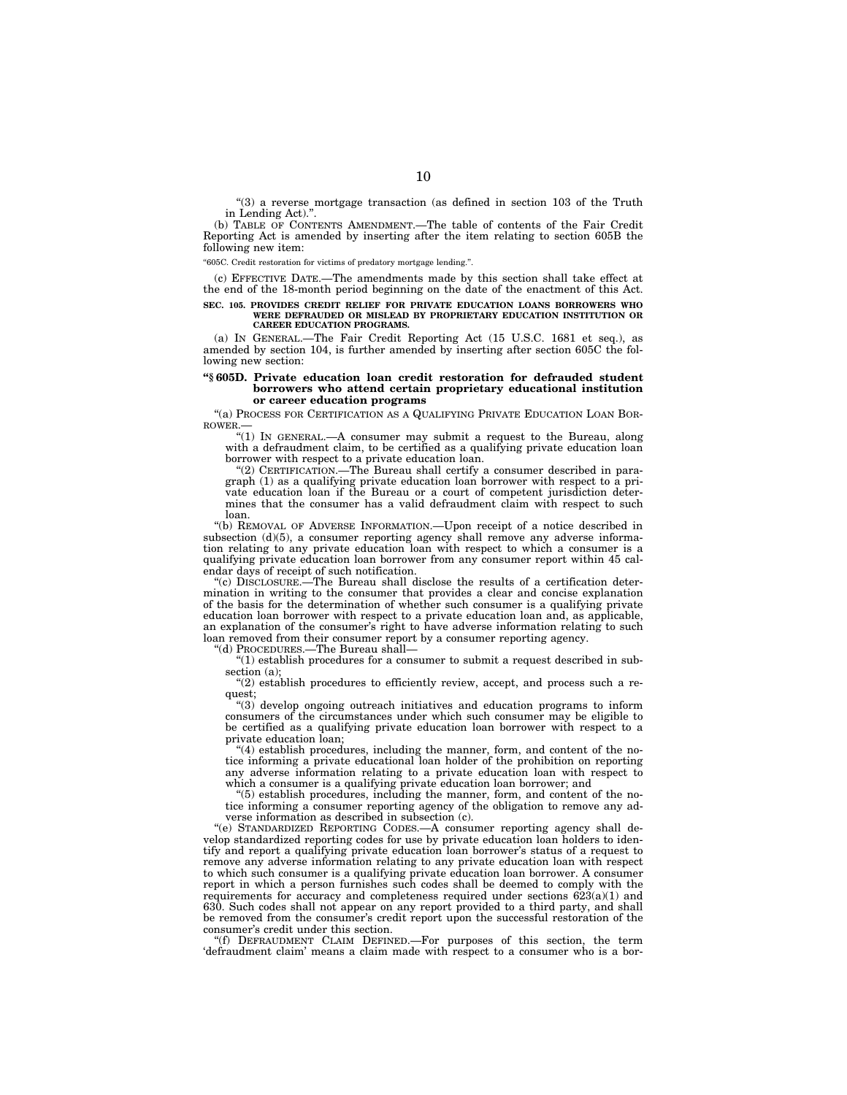''(3) a reverse mortgage transaction (as defined in section 103 of the Truth in Lending Act).''.

(b) TABLE OF CONTENTS AMENDMENT.—The table of contents of the Fair Credit Reporting Act is amended by inserting after the item relating to section 605B the following new item:

#### ''605C. Credit restoration for victims of predatory mortgage lending.''.

(c) EFFECTIVE DATE.—The amendments made by this section shall take effect at the end of the 18-month period beginning on the date of the enactment of this Act.

**SEC. 105. PROVIDES CREDIT RELIEF FOR PRIVATE EDUCATION LOANS BORROWERS WHO WERE DEFRAUDED OR MISLEAD BY PROPRIETARY EDUCATION INSTITUTION OR CAREER EDUCATION PROGRAMS.** 

(a) IN GENERAL.—The Fair Credit Reporting Act (15 U.S.C. 1681 et seq.), as amended by section 104, is further amended by inserting after section 605C the following new section:

#### **''§ 605D. Private education loan credit restoration for defrauded student borrowers who attend certain proprietary educational institution or career education programs**

"(a) PROCESS FOR CERTIFICATION AS A QUALIFYING PRIVATE EDUCATION LOAN BOR-ROWER.—

''(1) IN GENERAL.—A consumer may submit a request to the Bureau, along with a defraudment claim, to be certified as a qualifying private education loan borrower with respect to a private education loan.

"(2) CERTIFICATION.—The Bureau shall certify a consumer described in paragraph  $(1)$  as a qualifying private education loan borrower with respect to a private education loan if the Bureau or a court of competent jurisdiction determines that the consumer has a valid defraudment claim with respect to such loan.

''(b) REMOVAL OF ADVERSE INFORMATION.—Upon receipt of a notice described in subsection (d)(5), a consumer reporting agency shall remove any adverse information relating to any private education loan with respect to which a consumer is a qualifying private education loan borrower from any consumer report within 45 calendar days of receipt of such notification.

''(c) DISCLOSURE.—The Bureau shall disclose the results of a certification determination in writing to the consumer that provides a clear and concise explanation of the basis for the determination of whether such consumer is a qualifying private education loan borrower with respect to a private education loan and, as applicable, an explanation of the consumer's right to have adverse information relating to such loan removed from their consumer report by a consumer reporting agency.

''(d) PROCEDURES.—The Bureau shall—

 $''(1)$  establish procedures for a consumer to submit a request described in subsection (a);

 $\cdot$ (2) establish procedures to efficiently review, accept, and process such a request;

''(3) develop ongoing outreach initiatives and education programs to inform consumers of the circumstances under which such consumer may be eligible to be certified as a qualifying private education loan borrower with respect to a private education loan;

"(4) establish procedures, including the manner, form, and content of the notice informing a private educational loan holder of the prohibition on reporting any adverse information relating to a private education loan with respect to which a consumer is a qualifying private education loan borrower; and

''(5) establish procedures, including the manner, form, and content of the notice informing a consumer reporting agency of the obligation to remove any adverse information as described in subsection (c).

''(e) STANDARDIZED REPORTING CODES.—A consumer reporting agency shall develop standardized reporting codes for use by private education loan holders to identify and report a qualifying private education loan borrower's status of a request to remove any adverse information relating to any private education loan with respect to which such consumer is a qualifying private education loan borrower. A consumer report in which a person furnishes such codes shall be deemed to comply with the requirements for accuracy and completeness required under sections  $623(a)(1)$  and 630. Such codes shall not appear on any report provided to a third party, and shall be removed from the consumer's credit report upon the successful restoration of the consumer's credit under this section.

''(f) DEFRAUDMENT CLAIM DEFINED.—For purposes of this section, the term 'defraudment claim' means a claim made with respect to a consumer who is a bor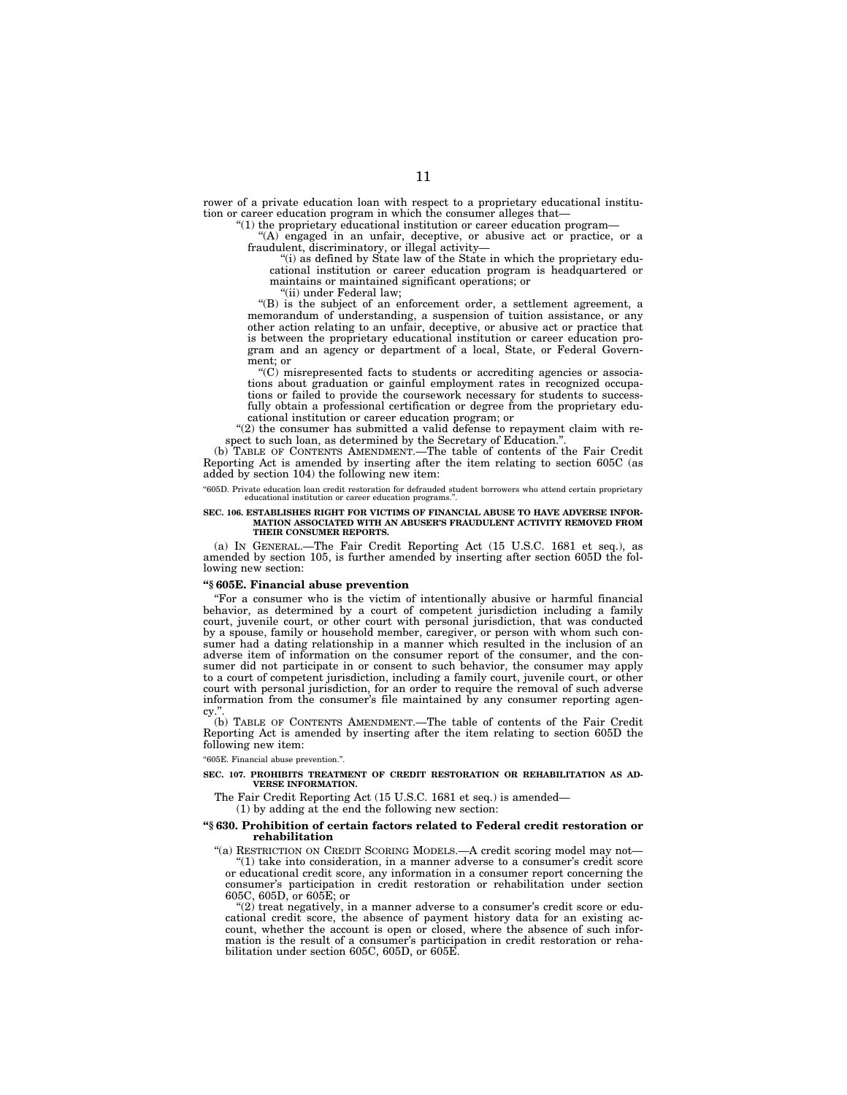rower of a private education loan with respect to a proprietary educational institution or career education program in which the consumer alleges that—

" $(1)$  the proprietary educational institution or career education program-"(A) engaged in an unfair, deceptive, or abusive act or practice, or a fraudulent, discriminatory, or illegal activity—

''(i) as defined by State law of the State in which the proprietary educational institution or career education program is headquartered or maintains or maintained significant operations; or

''(ii) under Federal law;

''(B) is the subject of an enforcement order, a settlement agreement, a memorandum of understanding, a suspension of tuition assistance, or any other action relating to an unfair, deceptive, or abusive act or practice that is between the proprietary educational institution or career education program and an agency or department of a local, State, or Federal Government; or

" $(C)$  misrepresented facts to students or accrediting agencies or associations about graduation or gainful employment rates in recognized occupations or failed to provide the coursework necessary for students to successfully obtain a professional certification or degree from the proprietary educational institution or career education program; or

"(2) the consumer has submitted a valid defense to repayment claim with respect to such loan, as determined by the Secretary of Education.'

(b) TABLE OF CONTENTS AMENDMENT.—The table of contents of the Fair Credit Reporting Act is amended by inserting after the item relating to section 605C (as added by section 104) the following new item:

''605D. Private education loan credit restoration for defrauded student borrowers who attend certain proprietary educational institution or career education programs.''.

## **SEC. 106. ESTABLISHES RIGHT FOR VICTIMS OF FINANCIAL ABUSE TO HAVE ADVERSE INFOR-MATION ASSOCIATED WITH AN ABUSER'S FRAUDULENT ACTIVITY REMOVED FROM THEIR CONSUMER REPORTS.**

(a) IN GENERAL.—The Fair Credit Reporting Act (15 U.S.C. 1681 et seq.), as amended by section 105, is further amended by inserting after section 605D the following new section:

## **''§ 605E. Financial abuse prevention**

''For a consumer who is the victim of intentionally abusive or harmful financial behavior, as determined by a court of competent jurisdiction including a family court, juvenile court, or other court with personal jurisdiction, that was conducted by a spouse, family or household member, caregiver, or person with whom such consumer had a dating relationship in a manner which resulted in the inclusion of an adverse item of information on the consumer report of the consumer, and the consumer did not participate in or consent to such behavior, the consumer may apply to a court of competent jurisdiction, including a family court, juvenile court, or other court with personal jurisdiction, for an order to require the removal of such adverse information from the consumer's file maintained by any consumer reporting agency.

(b) TABLE OF CONTENTS AMENDMENT.—The table of contents of the Fair Credit Reporting Act is amended by inserting after the item relating to section 605D the following new item:

#### ''605E. Financial abuse prevention.''.

#### **SEC. 107. PROHIBITS TREATMENT OF CREDIT RESTORATION OR REHABILITATION AS AD-VERSE INFORMATION.**

The Fair Credit Reporting Act (15 U.S.C. 1681 et seq.) is amended—

(1) by adding at the end the following new section:

#### **''§ 630. Prohibition of certain factors related to Federal credit restoration or rehabilitation**

''(a) RESTRICTION ON CREDIT SCORING MODELS.—A credit scoring model may not— ''(1) take into consideration, in a manner adverse to a consumer's credit score or educational credit score, any information in a consumer report concerning the consumer's participation in credit restoration or rehabilitation under section 605C, 605D, or 605E; or

" $(2)$  treat negatively, in a manner adverse to a consumer's credit score or educational credit score, the absence of payment history data for an existing account, whether the account is open or closed, where the absence of such information is the result of a consumer's participation in credit restoration or rehabilitation under section 605C, 605D, or 605E.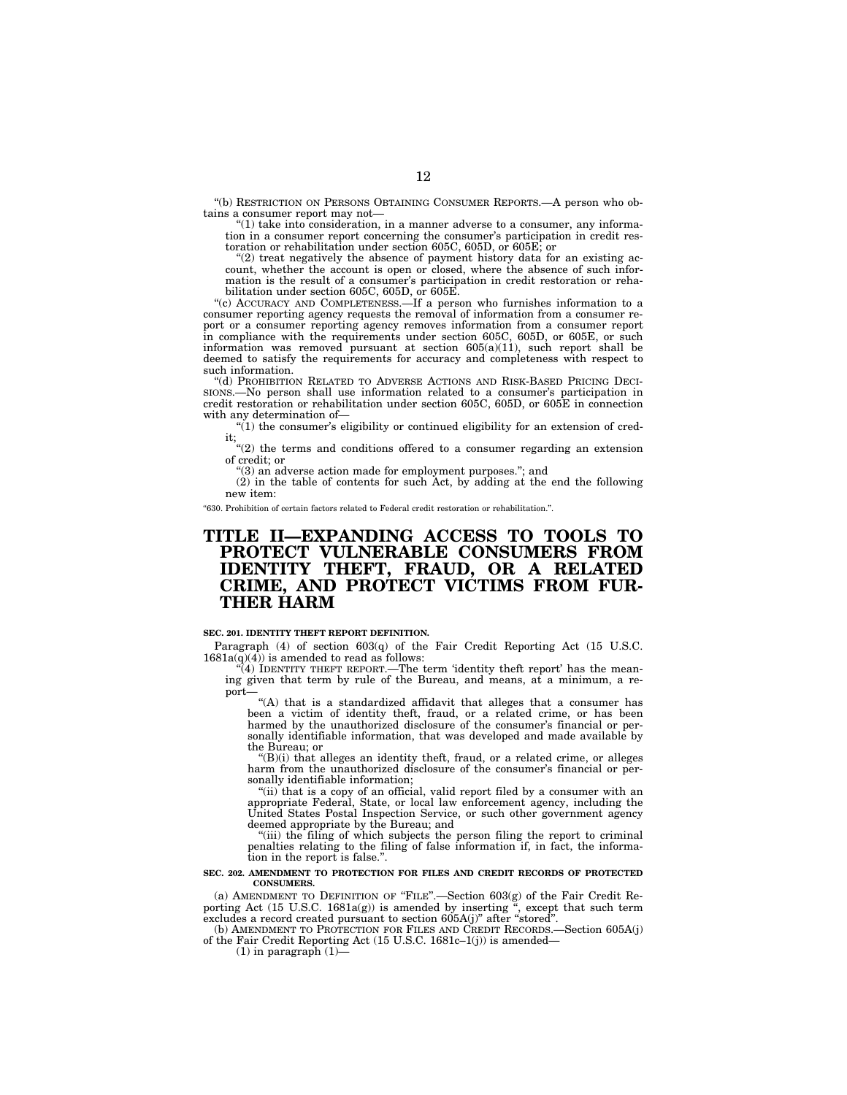''(b) RESTRICTION ON PERSONS OBTAINING CONSUMER REPORTS.—A person who obtains a consumer report may not—

"(1) take into consideration, in a manner adverse to a consumer, any information in a consumer report concerning the consumer's participation in credit restoration or rehabilitation under section 605C, 605D, or 605E; or

''(2) treat negatively the absence of payment history data for an existing account, whether the account is open or closed, where the absence of such information is the result of a consumer's participation in credit restoration or rehabilitation under section 605C, 605D, or 605E.

''(c) ACCURACY AND COMPLETENESS.—If a person who furnishes information to a consumer reporting agency requests the removal of information from a consumer report or a consumer reporting agency removes information from a consumer report in compliance with the requirements under section 605C, 605D, or 605E, or such information was removed pursuant at section  $605(a)(11)$ , such report shall be deemed to satisfy the requirements for accuracy and completeness with respect to such information.

''(d) PROHIBITION RELATED TO ADVERSE ACTIONS AND RISK-BASED PRICING DECI-SIONS.—No person shall use information related to a consumer's participation in credit restoration or rehabilitation under section 605C, 605D, or 605E in connection with any determination of—

" $(1)$  the consumer's eligibility or continued eligibility for an extension of credit;

"(2) the terms and conditions offered to a consumer regarding an extension of credit; or

''(3) an adverse action made for employment purposes.''; and

(2) in the table of contents for such Act, by adding at the end the following new item:

''630. Prohibition of certain factors related to Federal credit restoration or rehabilitation.''.

## **TITLE II—EXPANDING ACCESS TO TOOLS TO PROTECT VULNERABLE CONSUMERS FROM IDENTITY THEFT, FRAUD, OR A RELATED CRIME, AND PROTECT VICTIMS FROM FUR-THER HARM**

#### **SEC. 201. IDENTITY THEFT REPORT DEFINITION.**

Paragraph (4) of section  $603(q)$  of the Fair Credit Reporting Act (15 U.S.C.  $1681a(q)(4)$  is amended to read as follows:

"(4) IDENTITY THEFT REPORT.—The term 'identity theft report' has the meaning given that term by rule of the Bureau, and means, at a minimum, a report—

''(A) that is a standardized affidavit that alleges that a consumer has been a victim of identity theft, fraud, or a related crime, or has been harmed by the unauthorized disclosure of the consumer's financial or personally identifiable information, that was developed and made available by the Bureau; or

"(B)(i) that alleges an identity theft, fraud, or a related crime, or alleges harm from the unauthorized disclosure of the consumer's financial or personally identifiable information;

"(ii) that is a copy of an official, valid report filed by a consumer with an appropriate Federal, State, or local law enforcement agency, including the United States Postal Inspection Service, or such other government agency deemed appropriate by the Bureau; and

''(iii) the filing of which subjects the person filing the report to criminal penalties relating to the filing of false information if, in fact, the information in the report is false.''.

#### **SEC. 202. AMENDMENT TO PROTECTION FOR FILES AND CREDIT RECORDS OF PROTECTED CONSUMERS.**

(a) AMENDMENT TO DEFINITION OF "FILE".—Section  $603(g)$  of the Fair Credit Reporting Act (15 U.S.C. 1681a(g)) is amended by inserting '', except that such term excludes a record created pursuant to section 605A(j)'' after ''stored''.

(b) AMENDMENT TO PROTECTION FOR FILES AND CREDIT RECORDS.—Section 605A(j) of the Fair Credit Reporting Act (15 U.S.C. 1681c–1(j)) is amended—

 $(1)$  in paragraph  $(1)$ -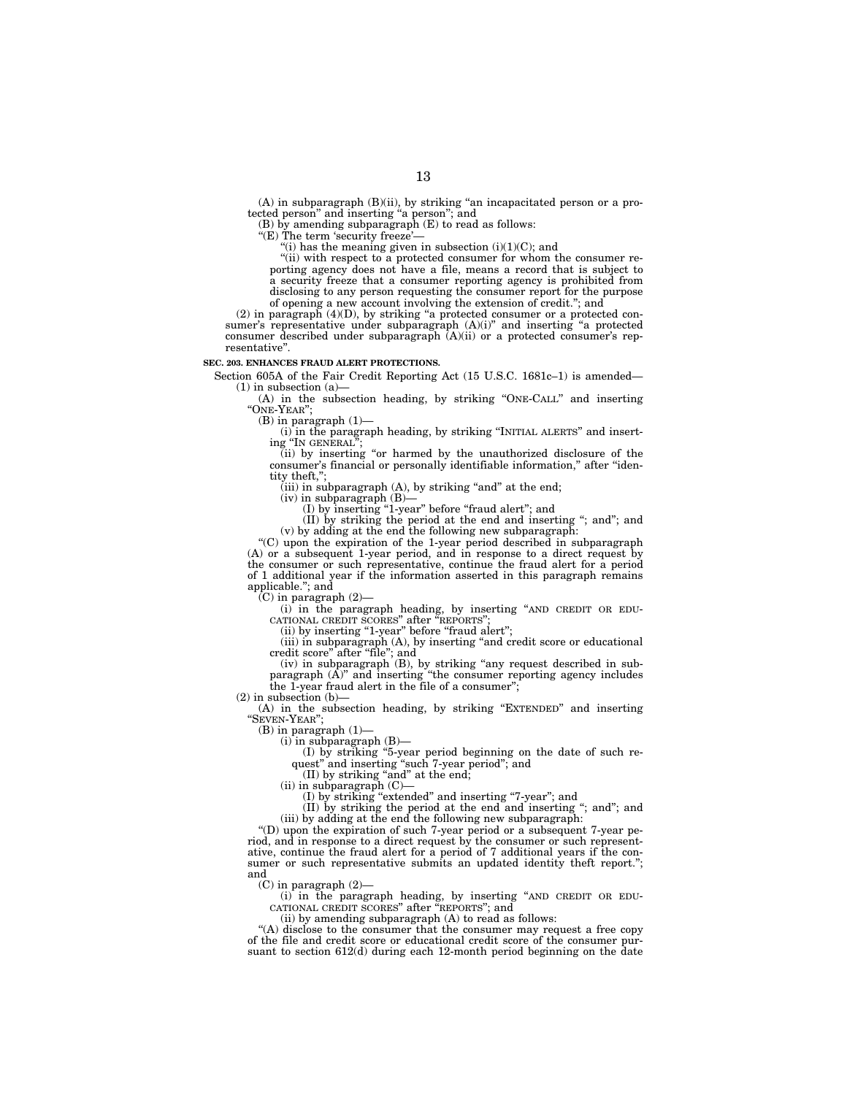(A) in subparagraph (B)(ii), by striking ''an incapacitated person or a protected person" and inserting "a person"; and

(B) by amending subparagraph (E) to read as follows:

" $(E)$  The term 'security freeze'

"(i) has the meaning given in subsection  $(i)(1)(C)$ ; and

"(ii) with respect to a protected consumer for whom the consumer reporting agency does not have a file, means a record that is subject to a security freeze that a consumer reporting agency is prohibited from disclosing to any person requesting the consumer report for the purpose of opening a new account involving the extension of credit.''; and

 $(2)$  in paragraph  $(4)(D)$ , by striking "a protected consumer or a protected consumer's representative under subparagraph  $(A)(i)$ " and inserting "a protected consumer described under subparagraph  $(A)(ii)$  or a protected consumer's representative''.

#### **SEC. 203. ENHANCES FRAUD ALERT PROTECTIONS.**

Section 605A of the Fair Credit Reporting Act (15 U.S.C. 1681c–1) is amended—  $(1)$  in subsection  $(a)$ 

(A) in the subsection heading, by striking ''ONE-CALL'' and inserting ''ONE-YEAR'';

 $(B)$  in paragraph  $(1)$ -

(i) in the paragraph heading, by striking ''INITIAL ALERTS'' and inserting "IN GENERAL"

(ii) by inserting ''or harmed by the unauthorized disclosure of the consumer's financial or personally identifiable information,'' after ''identity theft,

 $(iii)$  in subparagraph  $(A)$ , by striking "and" at the end;

(iv) in subparagraph (B)—

(I) by inserting "1-year" before "fraud alert"; and

(II) by striking the period at the end and inserting ''; and''; and (v) by adding at the end the following new subparagraph:

''(C) upon the expiration of the 1-year period described in subparagraph (A) or a subsequent 1-year period, and in response to a direct request by the consumer or such representative, continue the fraud alert for a period of 1 additional year if the information asserted in this paragraph remains applicable.''; and

 $(C)$  in paragraph  $(2)$ —

(i) in the paragraph heading, by inserting ''AND CREDIT OR EDU-CATIONAL CREDIT SCORES'' after ''REPORTS'';

(ii) by inserting "1-year" before "fraud alert";

(iii) in subparagraph (A), by inserting ''and credit score or educational credit score'' after ''file''; and

(iv) in subparagraph (B), by striking ''any request described in subparagraph (A)'' and inserting ''the consumer reporting agency includes the 1-year fraud alert in the file of a consumer'';

 $(2)$  in subsection  $(b)$ -

(A) in the subsection heading, by striking ''EXTENDED'' and inserting ''SEVEN-YEAR'';

 $(B)$  in paragraph  $(1)$ –

(i) in subparagraph (B)—

(I) by striking ''5-year period beginning on the date of such request'' and inserting ''such 7-year period''; and

(II) by striking ''and'' at the end;

(ii) in subparagraph (C)—

(I) by striking ''extended'' and inserting ''7-year''; and

(II) by striking the period at the end and inserting ''; and''; and (iii) by adding at the end the following new subparagraph:

''(D) upon the expiration of such 7-year period or a subsequent 7-year period, and in response to a direct request by the consumer or such representative, continue the fraud alert for a period of 7 additional years if the consumer or such representative submits an updated identity theft report."; and

(C) in paragraph (2)—

(i) in the paragraph heading, by inserting ''AND CREDIT OR EDU-CATIONAL CREDIT SCORES'' after ''REPORTS''; and

(ii) by amending subparagraph (A) to read as follows:

''(A) disclose to the consumer that the consumer may request a free copy of the file and credit score or educational credit score of the consumer pursuant to section 612(d) during each 12-month period beginning on the date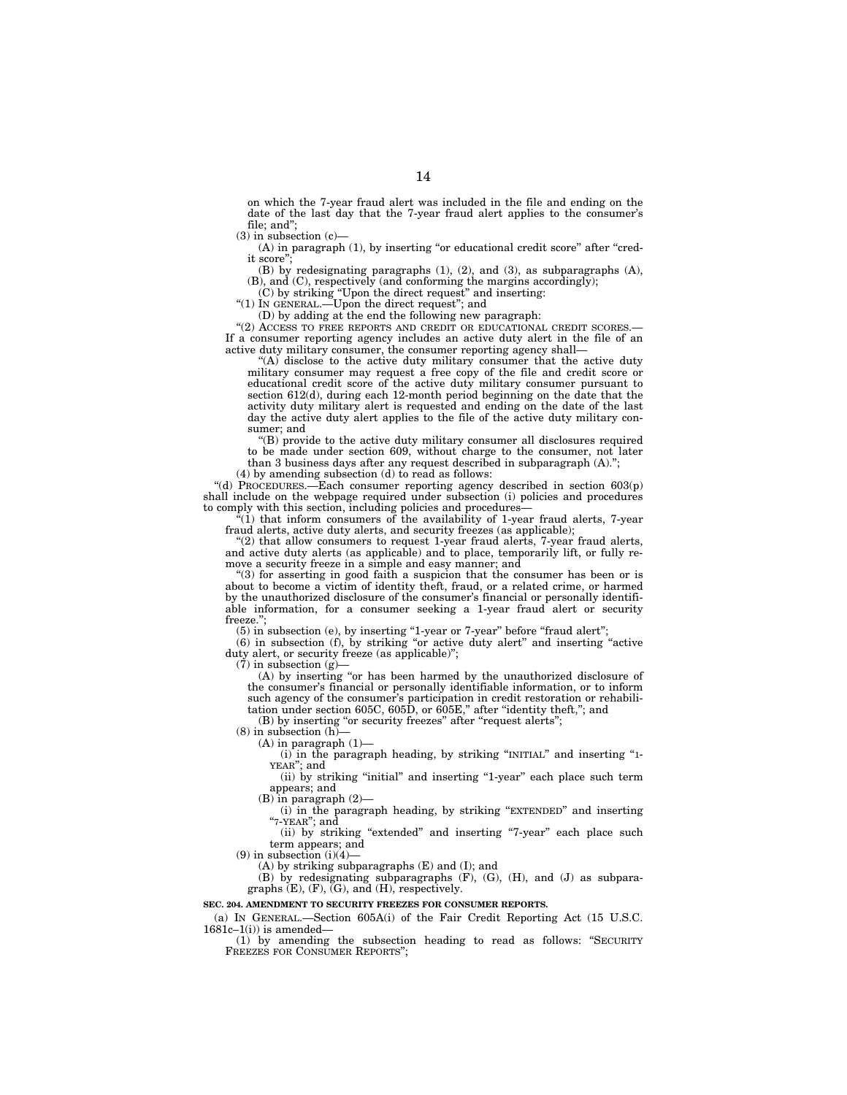on which the 7-year fraud alert was included in the file and ending on the date of the last day that the 7-year fraud alert applies to the consumer's file; and''; (3) in subsection (c)—

 $(A)$  in paragraph  $(1)$ , by inserting "or educational credit score" after "credit score'';

(B) by redesignating paragraphs (1), (2), and (3), as subparagraphs (A),  $(B)$ , and  $(C)$ , respectively (and conforming the margins accordingly);

(C) by striking ''Upon the direct request'' and inserting:

''(1) IN GENERAL.—Upon the direct request''; and

(D) by adding at the end the following new paragraph:

"(2) ACCESS TO FREE REPORTS AND CREDIT OR EDUCATIONAL CREDIT SCORES.— If a consumer reporting agency includes an active duty alert in the file of an active duty military consumer, the consumer reporting agency shall—

''(A) disclose to the active duty military consumer that the active duty military consumer may request a free copy of the file and credit score or educational credit score of the active duty military consumer pursuant to section 612(d), during each 12-month period beginning on the date that the activity duty military alert is requested and ending on the date of the last day the active duty alert applies to the file of the active duty military consumer; and

''(B) provide to the active duty military consumer all disclosures required to be made under section 609, without charge to the consumer, not later than 3 business days after any request described in subparagraph (A).'';

 $(4)$  by amending subsection  $(d)$  to read as follows:

''(d) PROCEDURES.—Each consumer reporting agency described in section 603(p) shall include on the webpage required under subsection (i) policies and procedures to comply with this section, including policies and procedures—

 $\sqrt{a(1)}$  that inform consumers of the availability of 1-year fraud alerts, 7-year fraud alerts, active duty alerts, and security freezes (as applicable);

''(2) that allow consumers to request 1-year fraud alerts, 7-year fraud alerts, and active duty alerts (as applicable) and to place, temporarily lift, or fully remove a security freeze in a simple and easy manner; and

''(3) for asserting in good faith a suspicion that the consumer has been or is about to become a victim of identity theft, fraud, or a related crime, or harmed by the unauthorized disclosure of the consumer's financial or personally identifiable information, for a consumer seeking a 1-year fraud alert or security freeze.'';

(5) in subsection (e), by inserting "1-year or 7-year" before "fraud alert";

(6) in subsection (f), by striking ''or active duty alert'' and inserting ''active duty alert, or security freeze (as applicable)'';

 $(7)$  in subsection  $(g)$ 

(A) by inserting ''or has been harmed by the unauthorized disclosure of the consumer's financial or personally identifiable information, or to inform such agency of the consumer's participation in credit restoration or rehabilitation under section 605C, 605D, or 605E,'' after ''identity theft,''; and

(B) by inserting "or security freezes" after "request alerts";

 $(8)$  in subsection  $(h)$ 

(A) in paragraph (1)—

(i) in the paragraph heading, by striking ''INITIAL'' and inserting ''1- YEAR''; and

(ii) by striking "initial" and inserting "1-year" each place such term appears; and

 $(B)$  in paragraph  $(2)$ -

(i) in the paragraph heading, by striking ''EXTENDED'' and inserting ''7-YEAR''; and

(ii) by striking "extended" and inserting "7-year" each place such term appears; and

 $(9)$  in subsection  $(i)(4)$ —

(A) by striking subparagraphs (E) and (I); and

(B) by redesignating subparagraphs (F), (G), (H), and (J) as subparagraphs  $(E)$ ,  $(F)$ ,  $(G)$ , and  $(H)$ , respectively.

**SEC. 204. AMENDMENT TO SECURITY FREEZES FOR CONSUMER REPORTS.** 

(a) IN GENERAL.—Section 605A(i) of the Fair Credit Reporting Act (15 U.S.C.  $1681c-1(i)$ ) is amended-

(1) by amending the subsection heading to read as follows: ''SECURITY FREEZES FOR CONSUMER REPORTS'';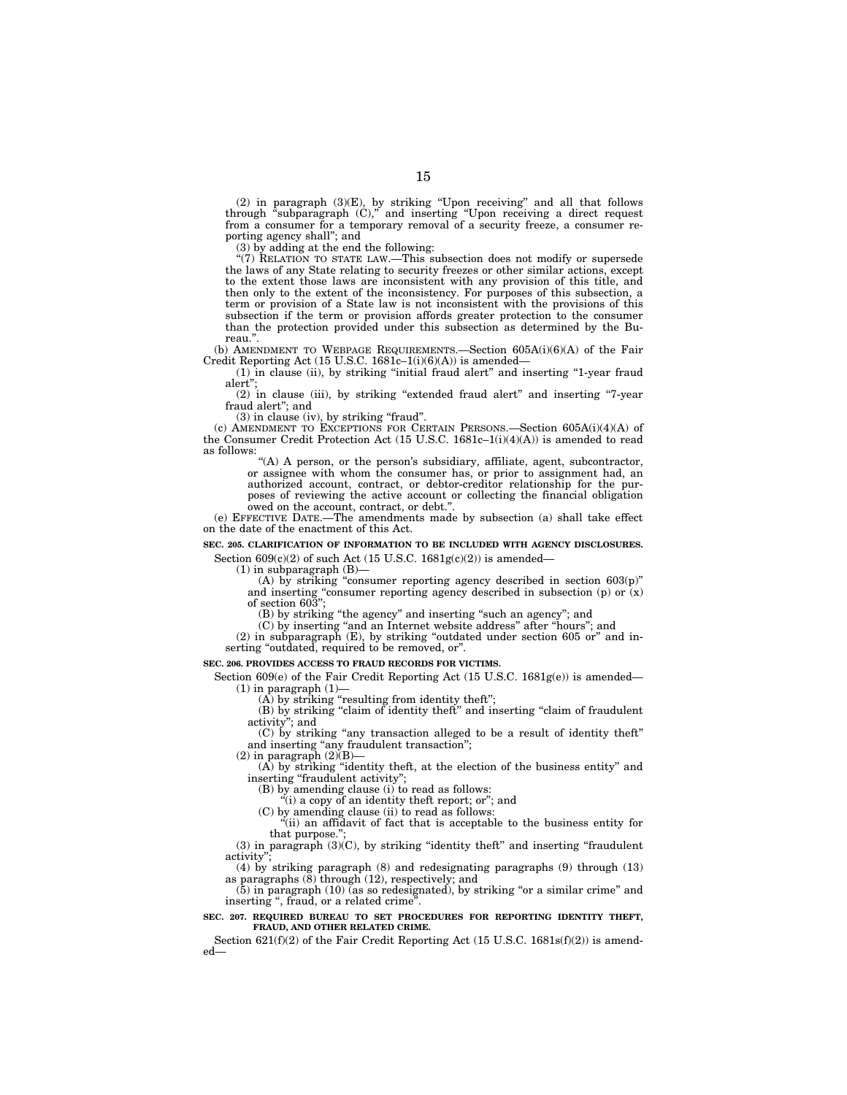(2) in paragraph (3)(E), by striking ''Upon receiving'' and all that follows through "subparagraph  $(C)$ ," and inserting "Upon receiving a direct request from a consumer for a temporary removal of a security freeze, a consumer reporting agency shall''; and

(3) by adding at the end the following:

 $\mathcal{H}(7)$  RELATION TO STATE LAW.—This subsection does not modify or supersede the laws of any State relating to security freezes or other similar actions, except to the extent those laws are inconsistent with any provision of this title, and then only to the extent of the inconsistency. For purposes of this subsection, a term or provision of a State law is not inconsistent with the provisions of this subsection if the term or provision affords greater protection to the consumer than the protection provided under this subsection as determined by the Bureau.''.

(b) AMENDMENT TO WEBPAGE REQUIREMENTS.—Section 605A(i)(6)(A) of the Fair Credit Reporting Act (15 U.S.C. 1681c–1 $(i)(6)(A)$ ) is amended-

(1) in clause (ii), by striking ''initial fraud alert'' and inserting ''1-year fraud alert'';

(2) in clause (iii), by striking ''extended fraud alert'' and inserting ''7-year fraud alert"; and

 $(3)$  in clause  $(iv)$ , by striking "fraud".

(c) AMENDMENT TO EXCEPTIONS FOR CERTAIN PERSONS.—Section  $605A(i)(4)(A)$  of the Consumer Credit Protection Act (15 U.S.C. 1681c–1(i)(4)(A)) is amended to read as follows:

''(A) A person, or the person's subsidiary, affiliate, agent, subcontractor, or assignee with whom the consumer has, or prior to assignment had, an authorized account, contract, or debtor-creditor relationship for the purposes of reviewing the active account or collecting the financial obligation owed on the account, contract, or debt."

(e) EFFECTIVE DATE.—The amendments made by subsection (a) shall take effect on the date of the enactment of this Act.

**SEC. 205. CLARIFICATION OF INFORMATION TO BE INCLUDED WITH AGENCY DISCLOSURES.**  Section  $609(c)(2)$  of such Act (15 U.S.C. 1681g(c)(2)) is amended—

 $(1)$  in subparagraph  $(B)$ –

(A) by striking "consumer reporting agency described in section  $603(p)$ " and inserting "consumer reporting agency described in subsection  $(p)$  or  $(x)$ of section 603'';

(B) by striking ''the agency'' and inserting ''such an agency''; and

(C) by inserting ''and an Internet website address'' after ''hours''; and

(2) in subparagraph (E), by striking ''outdated under section 605 or'' and inserting "outdated, required to be removed, or".

**SEC. 206. PROVIDES ACCESS TO FRAUD RECORDS FOR VICTIMS.** 

Section  $609(e)$  of the Fair Credit Reporting Act (15 U.S.C. 1681g(e)) is amended—  $(1)$  in paragraph  $(1)$ —

(A) by striking "resulting from identity theft";

(B) by striking ''claim of identity theft'' and inserting ''claim of fraudulent activity''; and

(C) by striking ''any transaction alleged to be a result of identity theft'' and inserting "any fraudulent transaction";

 $(2)$  in paragraph  $(2)(B)$ —

(A) by striking ''identity theft, at the election of the business entity'' and inserting "fraudulent activity";

(B) by amending clause  $(i)$  to read as follows:

"(i) a copy of an identity theft report; or"; and

(C) by amending clause (ii) to read as follows:

''(ii) an affidavit of fact that is acceptable to the business entity for that purpose."

 $(3)$  in paragraph  $(3)(C)$ , by striking "identity theft" and inserting "fraudulent activity'';

(4) by striking paragraph (8) and redesignating paragraphs (9) through (13) as paragraphs  $(\bar{8})$  through  $(12)$ , respectively; and

 $(5)$  in paragraph  $(10)$  (as so redesignated), by striking "or a similar crime" and inserting '', fraud, or a related crime''.

**SEC. 207. REQUIRED BUREAU TO SET PROCEDURES FOR REPORTING IDENTITY THEFT, FRAUD, AND OTHER RELATED CRIME.** 

Section 621(f)(2) of the Fair Credit Reporting Act (15 U.S.C. 1681s(f)(2)) is amended—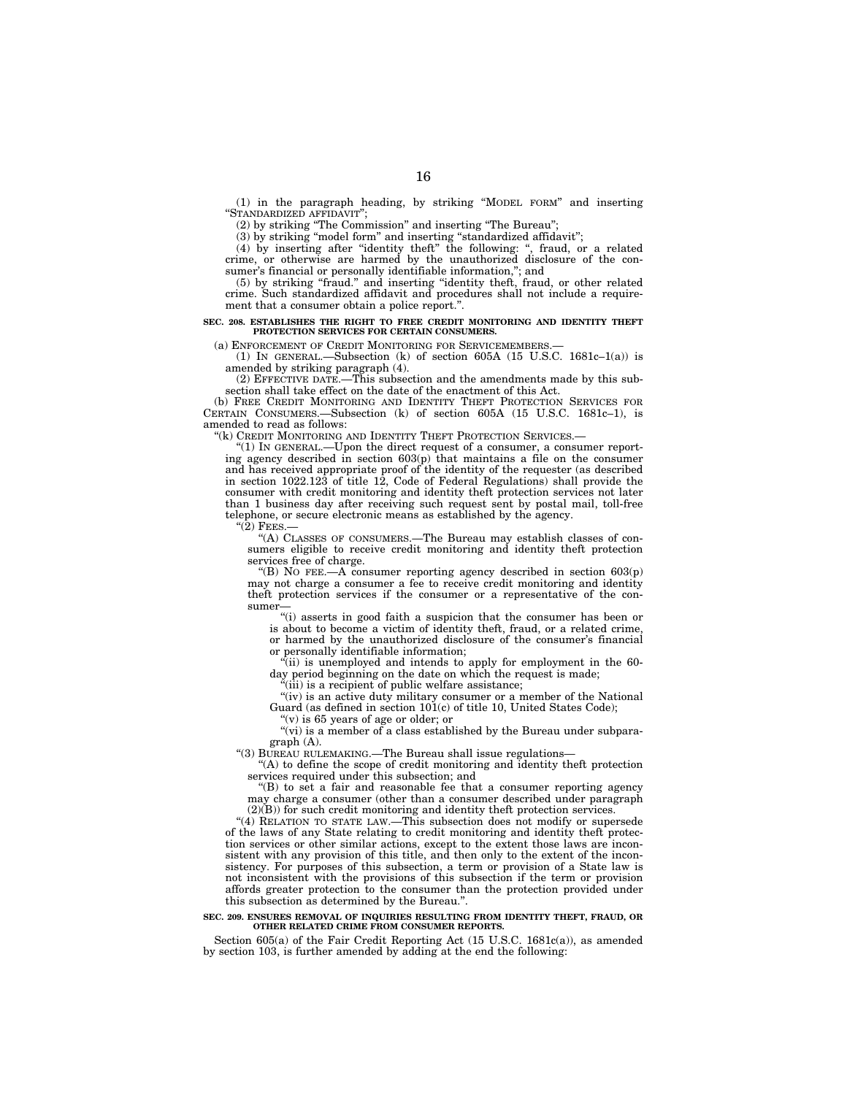(1) in the paragraph heading, by striking ''MODEL FORM'' and inserting ''STANDARDIZED AFFIDAVIT'';

(2) by striking ''The Commission'' and inserting ''The Bureau'';

(3) by striking "model form" and inserting "standardized affidavit";

(4) by inserting after ''identity theft'' the following: '', fraud, or a related crime, or otherwise are harmed by the unauthorized disclosure of the consumer's financial or personally identifiable information,''; and

(5) by striking ''fraud.'' and inserting ''identity theft, fraud, or other related crime. Such standardized affidavit and procedures shall not include a requirement that a consumer obtain a police report.''.

#### **SEC. 208. ESTABLISHES THE RIGHT TO FREE CREDIT MONITORING AND IDENTITY THEFT PROTECTION SERVICES FOR CERTAIN CONSUMERS.**

(a) ENFORCEMENT OF CREDIT MONITORING FOR SERVICEMEMBERS

(1) IN GENERAL.—Subsection (k) of section 605A (15 U.S.C. 1681c–1(a)) is amended by striking paragraph (4).

(2) EFFECTIVE DATE.—This subsection and the amendments made by this subsection shall take effect on the date of the enactment of this Act.

(b) FREE CREDIT MONITORING AND IDENTITY THEFT PROTECTION SERVICES FOR CERTAIN CONSUMERS.—Subsection (k) of section 605A (15 U.S.C. 1681c–1), is amended to read as follows:

"(k) CREDIT MONITORING AND IDENTITY THEFT PROTECTION SERVICES.-

" $(1)$  In GENERAL.—Upon the direct request of a consumer, a consumer reporting agency described in section  $603(p)$  that maintains a file on the consumer and has received appropriate proof of the identity of the requester (as described in section 1022.123 of title 12, Code of Federal Regulations) shall provide the consumer with credit monitoring and identity theft protection services not later than 1 business day after receiving such request sent by postal mail, toll-free telephone, or secure electronic means as established by the agency.

 $^{\prime\prime}(2)$  Fees.

''(A) CLASSES OF CONSUMERS.—The Bureau may establish classes of consumers eligible to receive credit monitoring and identity theft protection services free of charge.

"(B) NO FEE.—A consumer reporting agency described in section  $603(p)$ may not charge a consumer a fee to receive credit monitoring and identity theft protection services if the consumer or a representative of the consumer

''(i) asserts in good faith a suspicion that the consumer has been or is about to become a victim of identity theft, fraud, or a related crime, or harmed by the unauthorized disclosure of the consumer's financial or personally identifiable information;

''(ii) is unemployed and intends to apply for employment in the 60 day period beginning on the date on which the request is made;

(iii) is a recipient of public welfare assistance;

"(iv) is an active duty military consumer or a member of the National Guard (as defined in section  $101(c)$  of title 10, United States Code);

''(v) is 65 years of age or older; or

 $\tilde{f}(vi)$  is a member of a class established by the Bureau under subparagraph (A).

"(3) BUREAU RULEMAKING.—The Bureau shall issue regulations-

''(A) to define the scope of credit monitoring and identity theft protection services required under this subsection; and

''(B) to set a fair and reasonable fee that a consumer reporting agency may charge a consumer (other than a consumer described under paragraph  $(2)(B)$  for such credit monitoring and identity theft protection services.

"(4) RELATION TO STATE LAW.—This subsection does not modify or supersede of the laws of any State relating to credit monitoring and identity theft protection services or other similar actions, except to the extent those laws are inconsistent with any provision of this title, and then only to the extent of the inconsistency. For purposes of this subsection, a term or provision of a State law is not inconsistent with the provisions of this subsection if the term or provision affords greater protection to the consumer than the protection provided under this subsection as determined by the Bureau.''.

#### **SEC. 209. ENSURES REMOVAL OF INQUIRIES RESULTING FROM IDENTITY THEFT, FRAUD, OR OTHER RELATED CRIME FROM CONSUMER REPORTS.**

Section 605(a) of the Fair Credit Reporting Act (15 U.S.C. 1681c(a)), as amended by section 103, is further amended by adding at the end the following: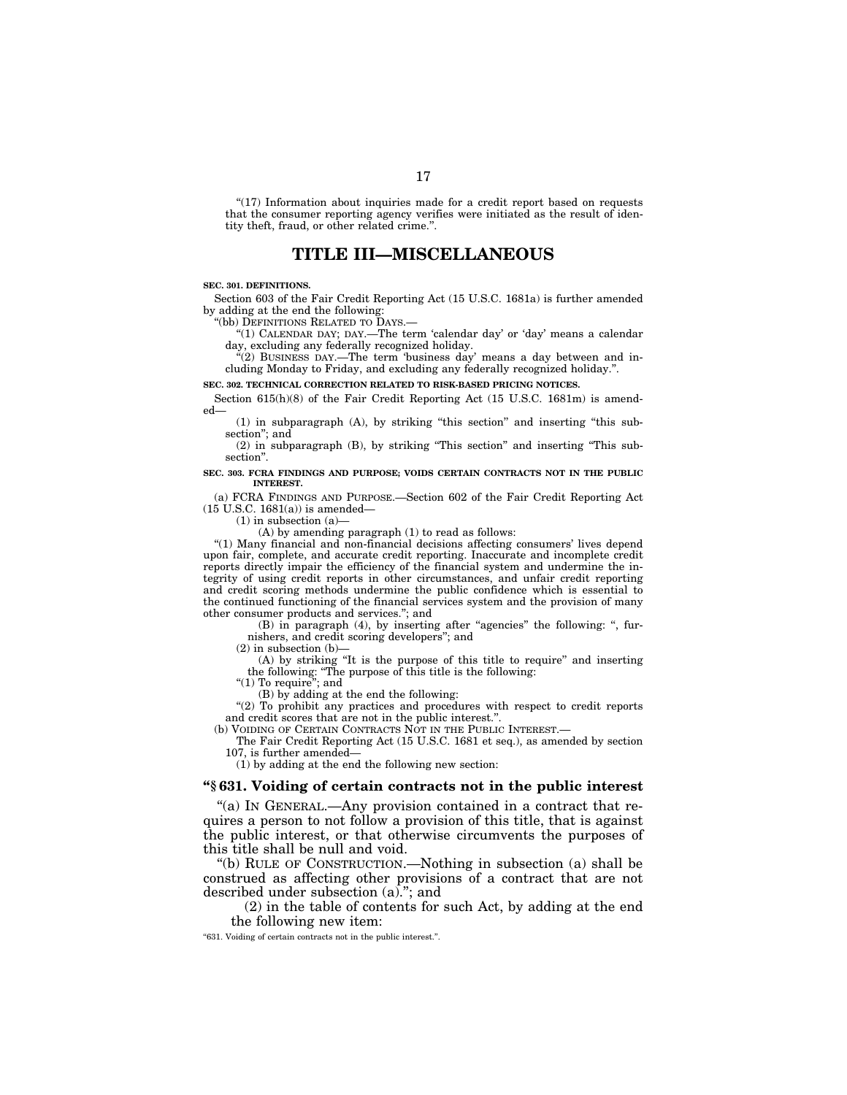" $(17)$  Information about inquiries made for a credit report based on requests that the consumer reporting agency verifies were initiated as the result of identity theft, fraud, or other related crime.''.

## **TITLE III—MISCELLANEOUS**

#### **SEC. 301. DEFINITIONS.**

Section 603 of the Fair Credit Reporting Act (15 U.S.C. 1681a) is further amended by adding at the end the following:

''(bb) DEFINITIONS RELATED TO DAYS.—

"(1) CALENDAR DAY; DAY.—The term 'calendar day' or 'day' means a calendar day, excluding any federally recognized holiday.

''(2) BUSINESS DAY.—The term 'business day' means a day between and including Monday to Friday, and excluding any federally recognized holiday.''.

**SEC. 302. TECHNICAL CORRECTION RELATED TO RISK-BASED PRICING NOTICES.** 

Section 615(h)(8) of the Fair Credit Reporting Act (15 U.S.C. 1681m) is amended—

(1) in subparagraph (A), by striking ''this section'' and inserting ''this subsection''; and

(2) in subparagraph (B), by striking ''This section'' and inserting ''This subsection''.

#### **SEC. 303. FCRA FINDINGS AND PURPOSE; VOIDS CERTAIN CONTRACTS NOT IN THE PUBLIC INTEREST.**

(a) FCRA FINDINGS AND PURPOSE.—Section 602 of the Fair Credit Reporting Act  $(15$  U.S.C.  $1681(a)$ ) is amended-

 $(1)$  in subsection  $(a)$ 

(A) by amending paragraph (1) to read as follows:

''(1) Many financial and non-financial decisions affecting consumers' lives depend upon fair, complete, and accurate credit reporting. Inaccurate and incomplete credit reports directly impair the efficiency of the financial system and undermine the integrity of using credit reports in other circumstances, and unfair credit reporting and credit scoring methods undermine the public confidence which is essential to the continued functioning of the financial services system and the provision of many other consumer products and services.''; and

 $(B)$  in paragraph  $(4)$ , by inserting after "agencies" the following: ", furnishers, and credit scoring developers''; and

 $(2)$  in subsection  $(b)$ -

 $(A)$  by striking "It is the purpose of this title to require" and inserting the following: ''The purpose of this title is the following:

" $(1)$  To require"; and

(B) by adding at the end the following:

''(2) To prohibit any practices and procedures with respect to credit reports and credit scores that are not in the public interest."

(b) VOIDING OF CERTAIN CONTRACTS NOT IN THE PUBLIC INTEREST.

The Fair Credit Reporting Act (15 U.S.C. 1681 et seq.), as amended by section 107, is further amended—

(1) by adding at the end the following new section:

## **''§ 631. Voiding of certain contracts not in the public interest**

''(a) IN GENERAL.—Any provision contained in a contract that requires a person to not follow a provision of this title, that is against the public interest, or that otherwise circumvents the purposes of this title shall be null and void.

''(b) RULE OF CONSTRUCTION.—Nothing in subsection (a) shall be construed as affecting other provisions of a contract that are not described under subsection (a).''; and

(2) in the table of contents for such Act, by adding at the end the following new item:

"631. Voiding of certain contracts not in the public interest.".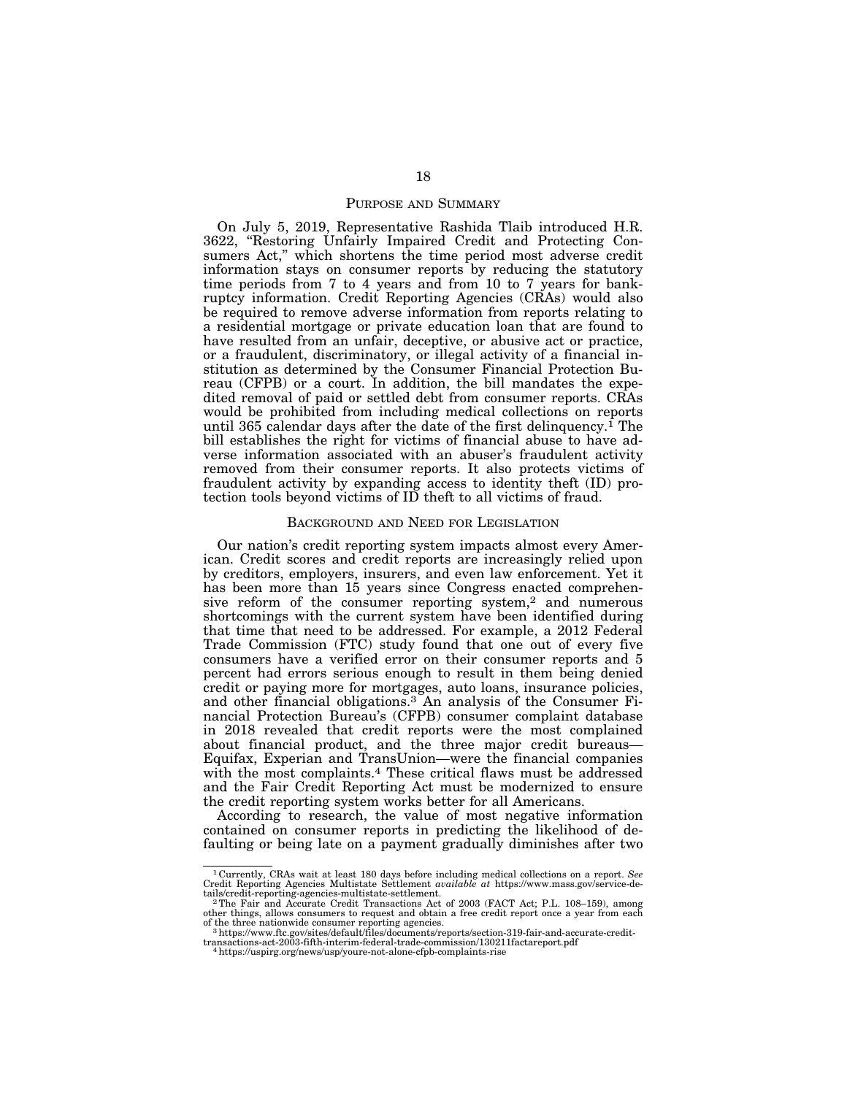#### PURPOSE AND SUMMARY

On July 5, 2019, Representative Rashida Tlaib introduced H.R. 3622, ''Restoring Unfairly Impaired Credit and Protecting Consumers Act,'' which shortens the time period most adverse credit information stays on consumer reports by reducing the statutory time periods from 7 to 4 years and from 10 to 7 years for bankruptcy information. Credit Reporting Agencies (CRAs) would also be required to remove adverse information from reports relating to a residential mortgage or private education loan that are found to have resulted from an unfair, deceptive, or abusive act or practice, or a fraudulent, discriminatory, or illegal activity of a financial institution as determined by the Consumer Financial Protection Bureau (CFPB) or a court. In addition, the bill mandates the expedited removal of paid or settled debt from consumer reports. CRAs would be prohibited from including medical collections on reports until 365 calendar days after the date of the first delinquency.1 The bill establishes the right for victims of financial abuse to have adverse information associated with an abuser's fraudulent activity removed from their consumer reports. It also protects victims of fraudulent activity by expanding access to identity theft (ID) protection tools beyond victims of ID theft to all victims of fraud.

#### BACKGROUND AND NEED FOR LEGISLATION

Our nation's credit reporting system impacts almost every American. Credit scores and credit reports are increasingly relied upon by creditors, employers, insurers, and even law enforcement. Yet it has been more than 15 years since Congress enacted comprehensive reform of the consumer reporting system,<sup>2</sup> and numerous shortcomings with the current system have been identified during that time that need to be addressed. For example, a 2012 Federal Trade Commission (FTC) study found that one out of every five consumers have a verified error on their consumer reports and 5 percent had errors serious enough to result in them being denied credit or paying more for mortgages, auto loans, insurance policies, and other financial obligations.3 An analysis of the Consumer Financial Protection Bureau's (CFPB) consumer complaint database in 2018 revealed that credit reports were the most complained about financial product, and the three major credit bureaus— Equifax, Experian and TransUnion—were the financial companies with the most complaints.<sup>4</sup> These critical flaws must be addressed and the Fair Credit Reporting Act must be modernized to ensure the credit reporting system works better for all Americans.

According to research, the value of most negative information contained on consumer reports in predicting the likelihood of defaulting or being late on a payment gradually diminishes after two

<sup>1</sup> Currently, CRAs wait at least 180 days before including medical collections on a report. *See*  Credit Reporting Agencies Multistate Settlement *available at* https://www.mass.gov/service-de-

tails/credit-reporting-agencies-multistate-settlement.<br>- 2 The Fair and Accurate Credit Transactions Act of 2003 (FACT Act; P.L. 108–159), among<br>other things, allows consumers to request and obtain a free credit report onc

of the three nationwide consumer reporting agencies.<br><sup>3</sup>https://www.ftc.gov/sites/default/files/documents/reports/section-319-fair-and-accurate-credit-<br>transactions-act-2003-fifth-interim-federal-trade-commission/130211fac

 $4$ https://uspirg.org/news/usp/youre-not-alone-cfpb-complaints-rise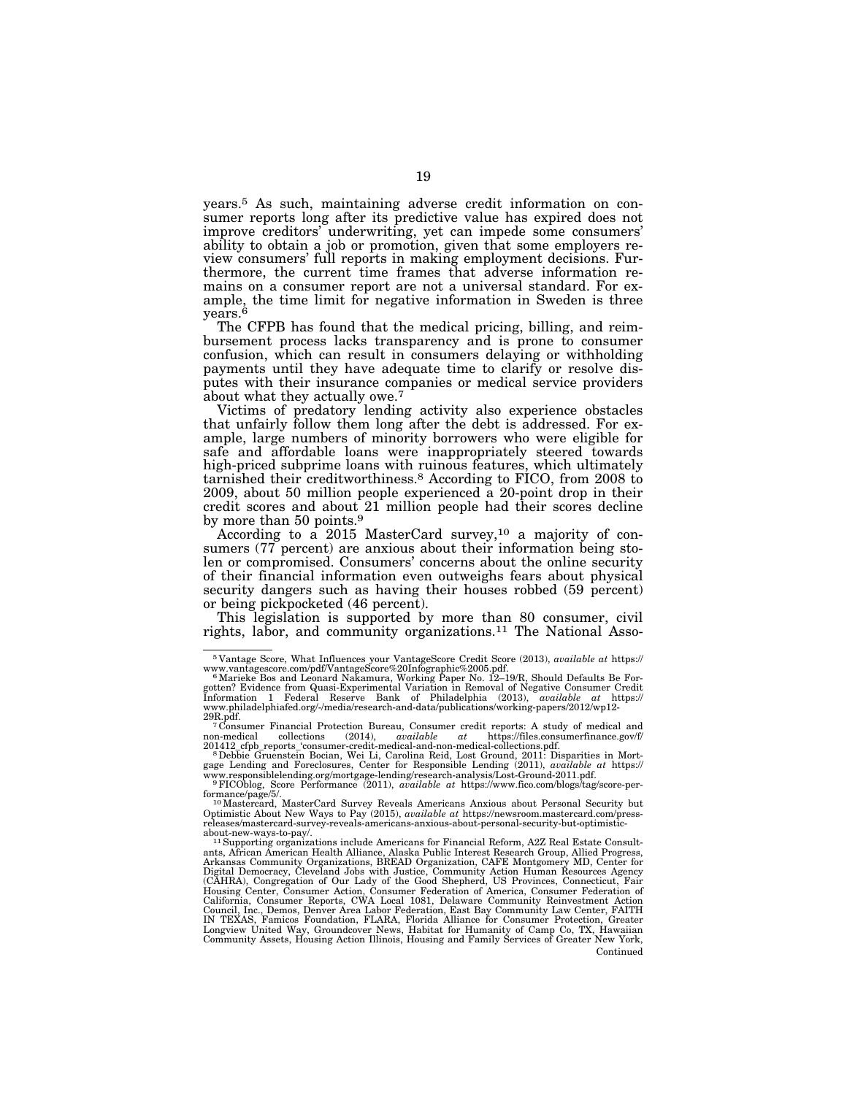years.5 As such, maintaining adverse credit information on consumer reports long after its predictive value has expired does not improve creditors' underwriting, yet can impede some consumers' ability to obtain a job or promotion, given that some employers review consumers' full reports in making employment decisions. Furthermore, the current time frames that adverse information remains on a consumer report are not a universal standard. For example, the time limit for negative information in Sweden is three  $\rm{years.}^6$ 

The CFPB has found that the medical pricing, billing, and reimbursement process lacks transparency and is prone to consumer confusion, which can result in consumers delaying or withholding payments until they have adequate time to clarify or resolve disputes with their insurance companies or medical service providers about what they actually owe.7

Victims of predatory lending activity also experience obstacles that unfairly follow them long after the debt is addressed. For example, large numbers of minority borrowers who were eligible for safe and affordable loans were inappropriately steered towards high-priced subprime loans with ruinous features, which ultimately tarnished their creditworthiness.<sup>8</sup> According to FICO, from 2008 to 2009, about 50 million people experienced a 20-point drop in their credit scores and about 21 million people had their scores decline by more than 50 points.9

According to a 2015 MasterCard survey,10 a majority of consumers (77 percent) are anxious about their information being stolen or compromised. Consumers' concerns about the online security of their financial information even outweighs fears about physical security dangers such as having their houses robbed (59 percent) or being pickpocketed (46 percent).

This legislation is supported by more than 80 consumer, civil rights, labor, and community organizations.11 The National Asso-

 $^{5}$ Vantage Score, What Influences your VantageScore Credit Score (2013), available at https://www.vantagescore.com/pdf/VantageScore%20Infographic%2005.pdf.<br>  $^{6}$ Marieke Bos and Leonard Nakamura, Working Paper No. 12–19

gotten? Evidence from Quasi-Experimental Variation in Removal of Negative Consumer Credit Information 1 Federal Reserve Bank of Philadelphia (2013), *available at* https:// Information 1 Federal Reserve Bank of Philadelphia (2013), *available at* https://<br>www.philadelphiafed.org/-/media/research-and-data/publications/working-papers/2012/wp12-

<sup>29</sup>R.pdf. 7 Consumer Financial Protection Bureau, Consumer credit reports: A study of medical and 7 Consumer Financial Protection Bureau, Consumer credit reports: A study of medical and non-medical collections (2014), *available at* https://files.consumerfinance.gov/f/<br>201412\_cfpb\_reports\_'consumer-credit-medical-and-non-medical-collections.pdf.<br><sup>8</sup>Debbie-Gruenstein-Bocian, Wei-Li, Carolina-Reid, Lost-Gro

gage Lending and Foreclosures, Center for Responsible Lending (2011), *available at* https://

www.responsiblelending.org/mortgage-lending/research-analysis/Lost-Ground-2011.pdf. 9FICOblog, Score Performance (2011), *available at* https://www.fico.com/blogs/tag/score-per-

formance/page/5/.<br><sup>10</sup>Mastercard, MasterCard Survey Reveals Americans Anxious about Personal Security but<br>Optimistic About New Ways to Pay (2015), *available at* https://newsroom.mastercard.com/pressreleases/mastercard-survey-reveals-americans-anxious-about-personal-security-but-optimistic-

about-new-ways-to-pay/.<br><sup>11</sup> Supporting organizations include Americans for Financial Reform, A2Z Real Estate Consult-<br>ants, African American Health Alliance, Alaska Public Interest Research Group, Allied Progress, ants, African American Health Alliance, Alaska Public Interest Research Group, Allied Progress, Arkansas Community Organizations, BREAD Organization, CAFE Montgomery MD, Center for Digital Democracy, Cleveland Jobs with Ju Continued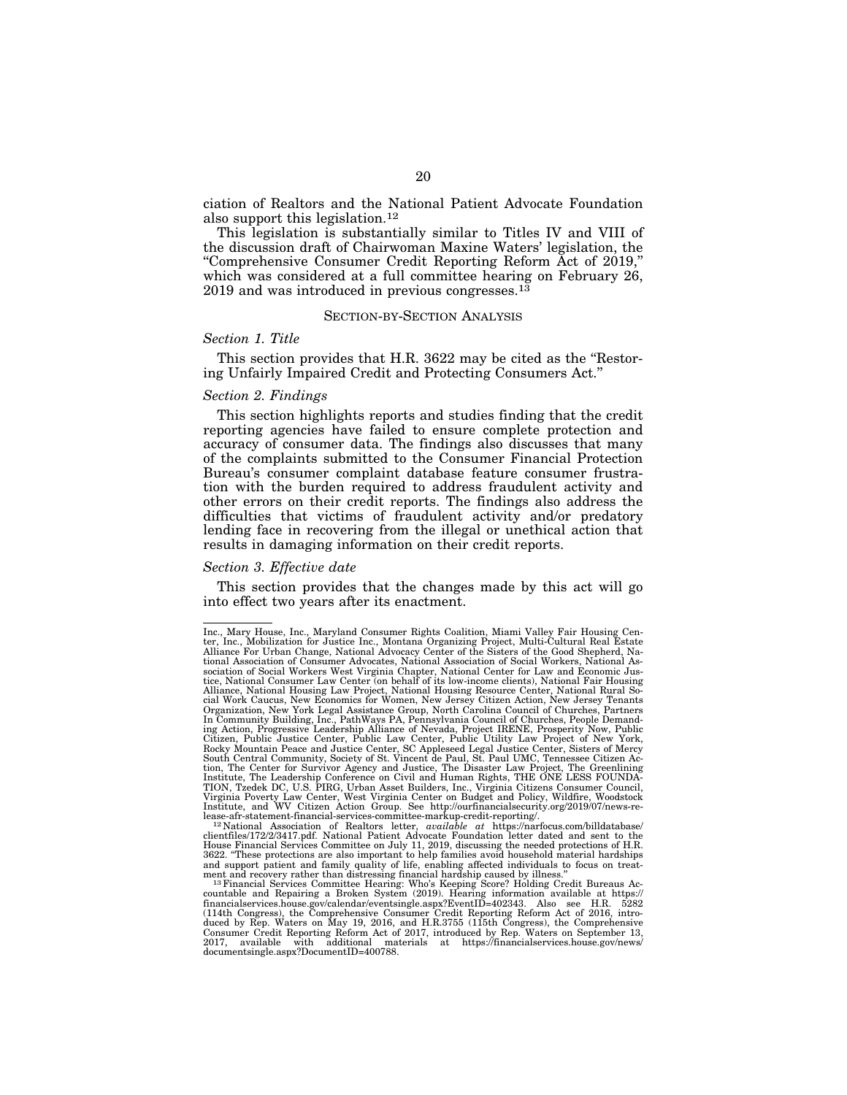ciation of Realtors and the National Patient Advocate Foundation also support this legislation.12

This legislation is substantially similar to Titles IV and VIII of the discussion draft of Chairwoman Maxine Waters' legislation, the ''Comprehensive Consumer Credit Reporting Reform Act of 2019,'' which was considered at a full committee hearing on February 26,  $2019$  and was introduced in previous congresses.<sup>13</sup>

#### SECTION-BY-SECTION ANALYSIS

#### *Section 1. Title*

This section provides that H.R. 3622 may be cited as the "Restoring Unfairly Impaired Credit and Protecting Consumers Act.''

#### *Section 2. Findings*

This section highlights reports and studies finding that the credit reporting agencies have failed to ensure complete protection and accuracy of consumer data. The findings also discusses that many of the complaints submitted to the Consumer Financial Protection Bureau's consumer complaint database feature consumer frustration with the burden required to address fraudulent activity and other errors on their credit reports. The findings also address the difficulties that victims of fraudulent activity and/or predatory lending face in recovering from the illegal or unethical action that results in damaging information on their credit reports.

## *Section 3. Effective date*

This section provides that the changes made by this act will go into effect two years after its enactment.

Inc., Mary House, Inc., Maryland Consumer Rights Coalition, Miami Valley Fair Housing Center, Inc., Mobilization for Justice Inc., Montana Organizing Project, Multi-Cultural Real Estate<br>Alliance For Urban Change, National sociation of Social Workers West Virginia Chapter, National Center for Law and Economic Jus-<br>tice, National Consumer Law Center (on behalf of its low-income clients), National Fair Housing<br>Alliance, National Housing Law Pr cial Work Caucus, New Economics for Women, New Jersey Citizen Action, New Jersey Tenants<br>Organization, New York Legal Assistance Group, North Carolina Council of Churches, Partners<br>In Community Building, Inc., PathWays PA, ing Action, Progressive Leadership Alliance of Nevada, Project IRENE, Prosperity Now, Public Citizen, Public Center, Public Law Center, Public Litility Law Project of New York, Rocky Mountain Peace and Justice Center, SC A TION, Tzedek DC, U.S. PIRG, Urban Asset Builders, Inc., Virginia Citizens Consumer Council,<br>Virginia Poverty Law Center, West Virginia Center on Budget and Policy, Wildfire, Woodstock<br>Institute, and WV Citizen Action Group

lease-afr-statement-financial-services-committee-markup-credit-reporting/.<br><sup>12</sup> National Association of Realtors letter, *available at* https://narfocus.com/billdatabase/<br>clientfiles/172/2/3417.pdf. National Patient Advoca House Financial Services Committee on July 11, 2019, discussing the needed protections of H.R. 3622. ''These protections are also important to help families avoid household material hardships and support patient and family quality of life, enabling affected individuals to focus on treat-

ment and recovery rather than distressing financial hardship caused by illness."<br><sup>13</sup> Financial Services Committee Hearing: Who's Keeping Score? Holding Credit Bureaus Ac-<br>countable and Repairing a Broken System (2019). He financialservices.house.gov/calendar/eventsingle.aspx?EventID=402343. Also see H.R. 5282<br>(114th Congress), the Comprehensive Consumer Credit Reporting Reform Act of 2016, intro-<br>duced by Rep. Waters on May 19, 2016, and H. Consumer Credit Reporting Reform Act of 2017, introduced by Rep. Waters on September 13, 2017, available with additional materials at https://financialservices.house.gov/news/ documentsingle.aspx?DocumentID=400788.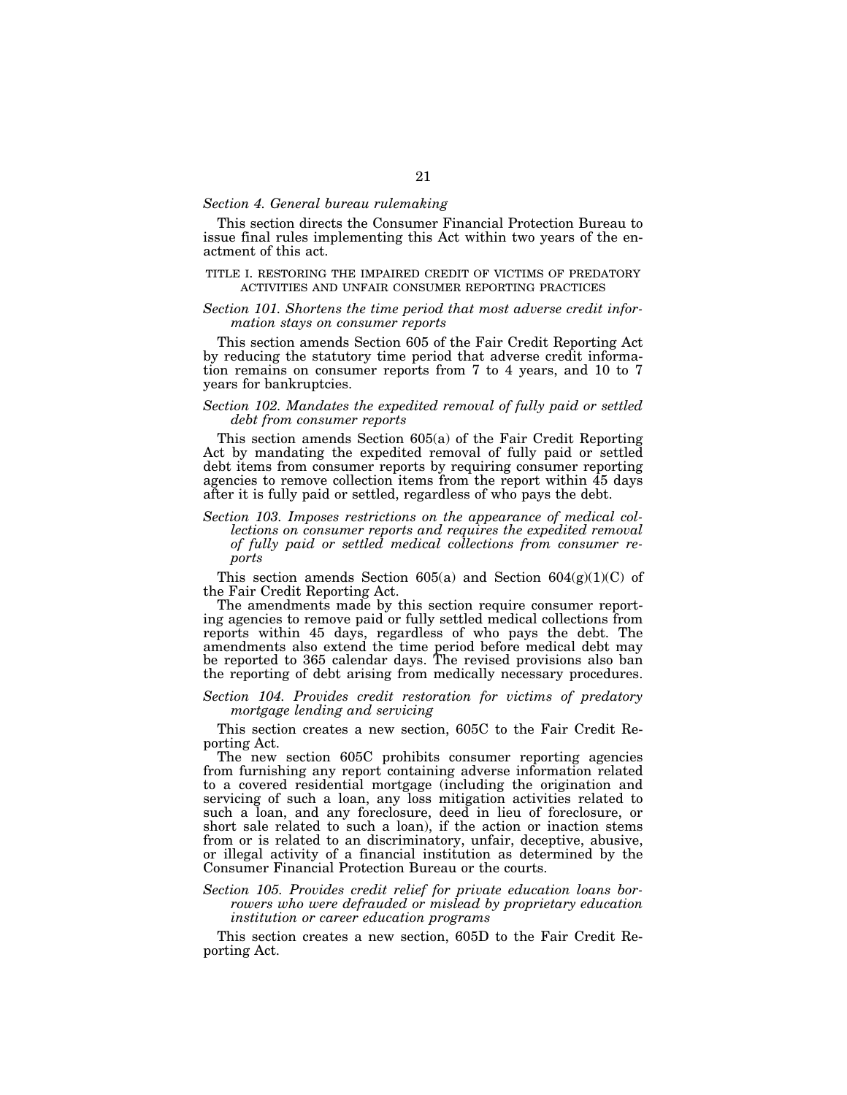#### *Section 4. General bureau rulemaking*

This section directs the Consumer Financial Protection Bureau to issue final rules implementing this Act within two years of the enactment of this act.

#### TITLE I. RESTORING THE IMPAIRED CREDIT OF VICTIMS OF PREDATORY ACTIVITIES AND UNFAIR CONSUMER REPORTING PRACTICES

#### *Section 101. Shortens the time period that most adverse credit information stays on consumer reports*

This section amends Section 605 of the Fair Credit Reporting Act by reducing the statutory time period that adverse credit information remains on consumer reports from 7 to 4 years, and 10 to 7 years for bankruptcies.

## *Section 102. Mandates the expedited removal of fully paid or settled debt from consumer reports*

This section amends Section 605(a) of the Fair Credit Reporting Act by mandating the expedited removal of fully paid or settled debt items from consumer reports by requiring consumer reporting agencies to remove collection items from the report within 45 days after it is fully paid or settled, regardless of who pays the debt.

*Section 103. Imposes restrictions on the appearance of medical collections on consumer reports and requires the expedited removal of fully paid or settled medical collections from consumer reports* 

This section amends Section 605(a) and Section 604(g)(1)(C) of the Fair Credit Reporting Act.

The amendments made by this section require consumer reporting agencies to remove paid or fully settled medical collections from reports within 45 days, regardless of who pays the debt. The amendments also extend the time period before medical debt may be reported to 365 calendar days. The revised provisions also ban the reporting of debt arising from medically necessary procedures.

#### *Section 104. Provides credit restoration for victims of predatory mortgage lending and servicing*

This section creates a new section, 605C to the Fair Credit Reporting Act.

The new section 605C prohibits consumer reporting agencies from furnishing any report containing adverse information related to a covered residential mortgage (including the origination and servicing of such a loan, any loss mitigation activities related to such a loan, and any foreclosure, deed in lieu of foreclosure, or short sale related to such a loan), if the action or inaction stems from or is related to an discriminatory, unfair, deceptive, abusive, or illegal activity of a financial institution as determined by the Consumer Financial Protection Bureau or the courts.

#### *Section 105. Provides credit relief for private education loans borrowers who were defrauded or mislead by proprietary education institution or career education programs*

This section creates a new section, 605D to the Fair Credit Reporting Act.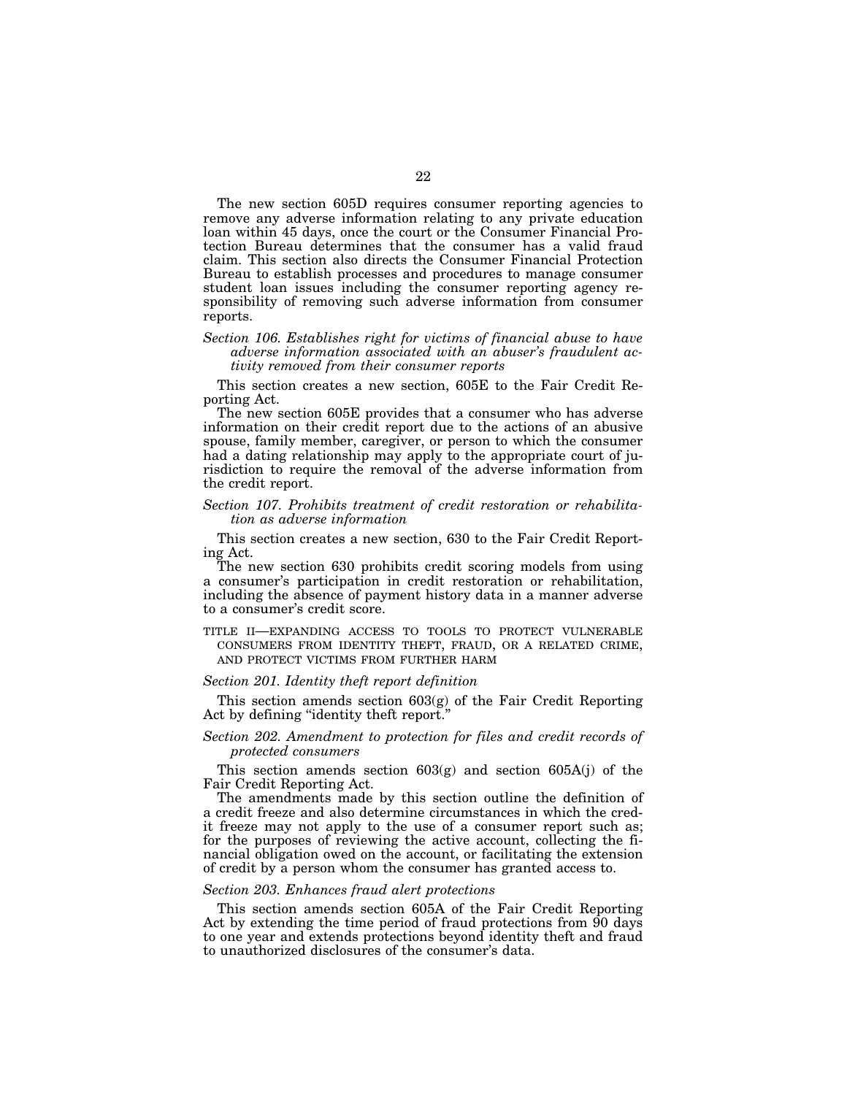The new section 605D requires consumer reporting agencies to remove any adverse information relating to any private education loan within 45 days, once the court or the Consumer Financial Protection Bureau determines that the consumer has a valid fraud claim. This section also directs the Consumer Financial Protection Bureau to establish processes and procedures to manage consumer student loan issues including the consumer reporting agency responsibility of removing such adverse information from consumer reports.

#### *Section 106. Establishes right for victims of financial abuse to have adverse information associated with an abuser's fraudulent activity removed from their consumer reports*

This section creates a new section, 605E to the Fair Credit Reporting Act.

The new section 605E provides that a consumer who has adverse information on their credit report due to the actions of an abusive spouse, family member, caregiver, or person to which the consumer had a dating relationship may apply to the appropriate court of jurisdiction to require the removal of the adverse information from the credit report.

#### *Section 107. Prohibits treatment of credit restoration or rehabilitation as adverse information*

This section creates a new section, 630 to the Fair Credit Reporting Act.

The new section 630 prohibits credit scoring models from using a consumer's participation in credit restoration or rehabilitation, including the absence of payment history data in a manner adverse to a consumer's credit score.

TITLE II—EXPANDING ACCESS TO TOOLS TO PROTECT VULNERABLE CONSUMERS FROM IDENTITY THEFT, FRAUD, OR A RELATED CRIME, AND PROTECT VICTIMS FROM FURTHER HARM

#### *Section 201. Identity theft report definition*

This section amends section 603(g) of the Fair Credit Reporting Act by defining ''identity theft report.''

## *Section 202. Amendment to protection for files and credit records of protected consumers*

This section amends section  $603(g)$  and section  $605A(j)$  of the Fair Credit Reporting Act.

The amendments made by this section outline the definition of a credit freeze and also determine circumstances in which the credit freeze may not apply to the use of a consumer report such as; for the purposes of reviewing the active account, collecting the financial obligation owed on the account, or facilitating the extension of credit by a person whom the consumer has granted access to.

#### *Section 203. Enhances fraud alert protections*

This section amends section 605A of the Fair Credit Reporting Act by extending the time period of fraud protections from 90 days to one year and extends protections beyond identity theft and fraud to unauthorized disclosures of the consumer's data.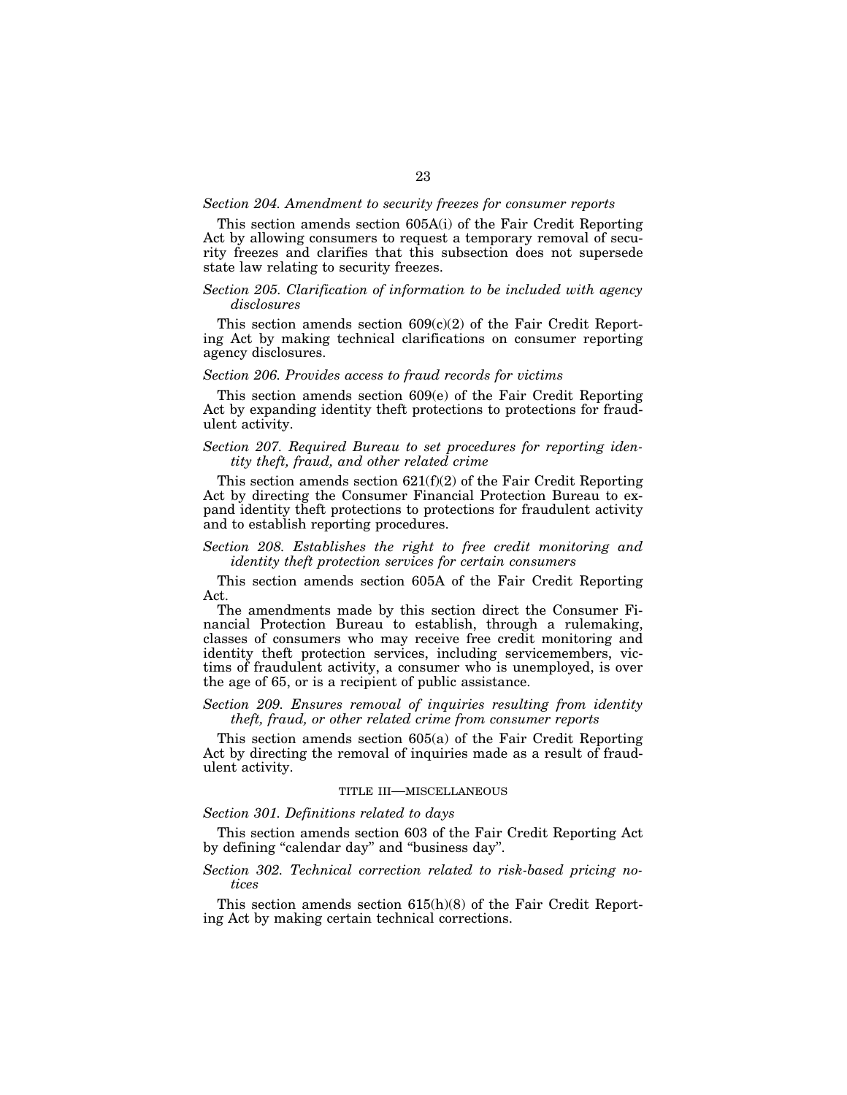#### *Section 204. Amendment to security freezes for consumer reports*

This section amends section 605A(i) of the Fair Credit Reporting Act by allowing consumers to request a temporary removal of security freezes and clarifies that this subsection does not supersede state law relating to security freezes.

## *Section 205. Clarification of information to be included with agency disclosures*

This section amends section  $609(c)(2)$  of the Fair Credit Reporting Act by making technical clarifications on consumer reporting agency disclosures.

#### *Section 206. Provides access to fraud records for victims*

This section amends section 609(e) of the Fair Credit Reporting Act by expanding identity theft protections to protections for fraudulent activity.

## *Section 207. Required Bureau to set procedures for reporting identity theft, fraud, and other related crime*

This section amends section  $621(f)(2)$  of the Fair Credit Reporting Act by directing the Consumer Financial Protection Bureau to expand identity theft protections to protections for fraudulent activity and to establish reporting procedures.

## *Section 208. Establishes the right to free credit monitoring and identity theft protection services for certain consumers*

This section amends section 605A of the Fair Credit Reporting Act.

The amendments made by this section direct the Consumer Financial Protection Bureau to establish, through a rulemaking, classes of consumers who may receive free credit monitoring and identity theft protection services, including servicemembers, victims of fraudulent activity, a consumer who is unemployed, is over the age of 65, or is a recipient of public assistance.

## *Section 209. Ensures removal of inquiries resulting from identity theft, fraud, or other related crime from consumer reports*

This section amends section 605(a) of the Fair Credit Reporting Act by directing the removal of inquiries made as a result of fraudulent activity.

#### TITLE III—MISCELLANEOUS

## *Section 301. Definitions related to days*

This section amends section 603 of the Fair Credit Reporting Act by defining "calendar day" and "business day".

#### *Section 302. Technical correction related to risk-based pricing notices*

This section amends section 615(h)(8) of the Fair Credit Reporting Act by making certain technical corrections.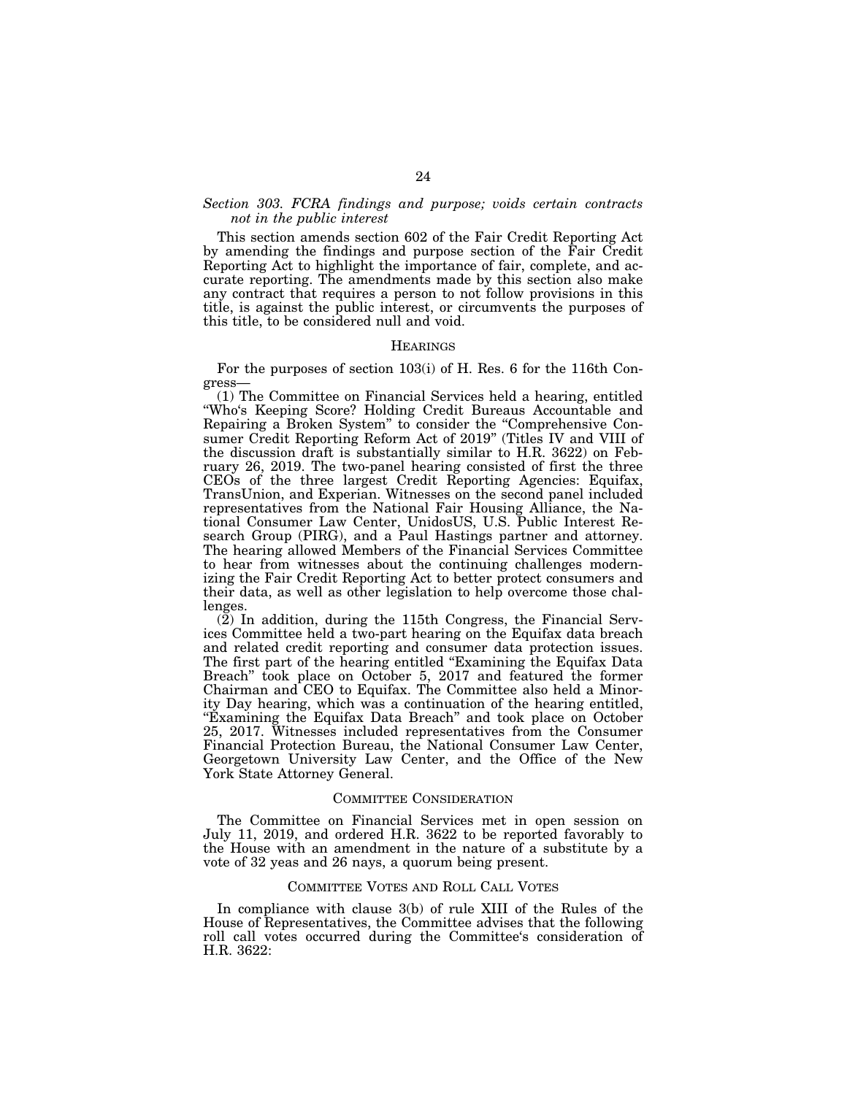## *Section 303. FCRA findings and purpose; voids certain contracts not in the public interest*

This section amends section 602 of the Fair Credit Reporting Act by amending the findings and purpose section of the Fair Credit Reporting Act to highlight the importance of fair, complete, and accurate reporting. The amendments made by this section also make any contract that requires a person to not follow provisions in this title, is against the public interest, or circumvents the purposes of this title, to be considered null and void.

#### HEARINGS

For the purposes of section 103(i) of H. Res. 6 for the 116th Congress—

(1) The Committee on Financial Services held a hearing, entitled ''Who's Keeping Score? Holding Credit Bureaus Accountable and Repairing a Broken System'' to consider the ''Comprehensive Consumer Credit Reporting Reform Act of 2019'' (Titles IV and VIII of the discussion draft is substantially similar to H.R. 3622) on February 26, 2019. The two-panel hearing consisted of first the three CEOs of the three largest Credit Reporting Agencies: Equifax, TransUnion, and Experian. Witnesses on the second panel included representatives from the National Fair Housing Alliance, the National Consumer Law Center, UnidosUS, U.S. Public Interest Research Group (PIRG), and a Paul Hastings partner and attorney. The hearing allowed Members of the Financial Services Committee to hear from witnesses about the continuing challenges modernizing the Fair Credit Reporting Act to better protect consumers and their data, as well as other legislation to help overcome those challenges.

(2) In addition, during the 115th Congress, the Financial Services Committee held a two-part hearing on the Equifax data breach and related credit reporting and consumer data protection issues. The first part of the hearing entitled "Examining the Equifax Data Breach'' took place on October 5, 2017 and featured the former Chairman and CEO to Equifax. The Committee also held a Minority Day hearing, which was a continuation of the hearing entitled, "Examining the Equifax Data Breach" and took place on October 25, 2017. Witnesses included representatives from the Consumer Financial Protection Bureau, the National Consumer Law Center, Georgetown University Law Center, and the Office of the New York State Attorney General.

#### COMMITTEE CONSIDERATION

The Committee on Financial Services met in open session on July 11, 2019, and ordered H.R. 3622 to be reported favorably to the House with an amendment in the nature of a substitute by a vote of 32 yeas and 26 nays, a quorum being present.

#### COMMITTEE VOTES AND ROLL CALL VOTES

In compliance with clause 3(b) of rule XIII of the Rules of the House of Representatives, the Committee advises that the following roll call votes occurred during the Committee's consideration of H.R. 3622: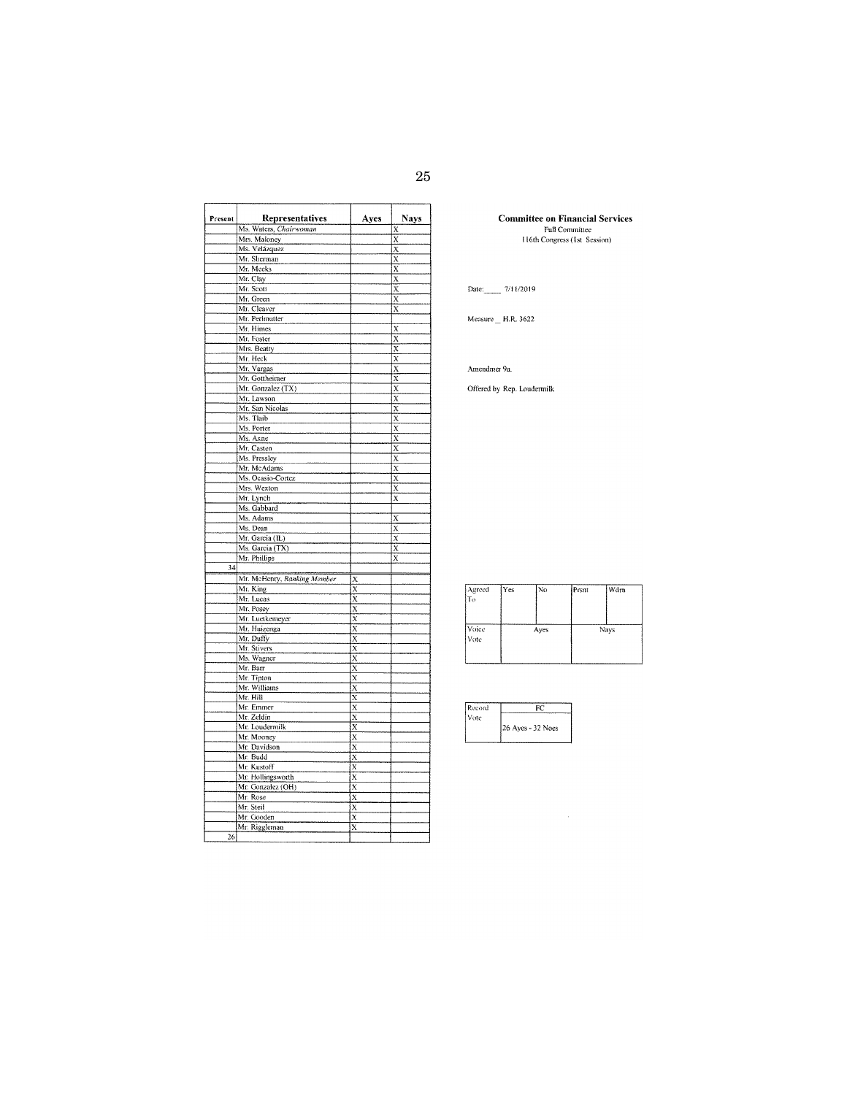٦

| Present      | Representatives             | Ayes                                | <b>Nays</b>             |
|--------------|-----------------------------|-------------------------------------|-------------------------|
|              | Ms. Waters, Chairwoman      |                                     | Х                       |
|              | Mrs. Maloney                |                                     | $\overline{\mathbf{x}}$ |
|              | Ms. Velázquez               |                                     | $\overline{x}$          |
|              | Mr. Sherman                 |                                     | $\overline{x}$          |
|              | Mr. Meeks                   |                                     | X                       |
|              | Mr. Clay                    |                                     | $\overline{\mathbf{x}}$ |
|              | Mr. Scott                   |                                     | $\overline{x}$          |
|              | Mr. Green                   |                                     | X                       |
|              | Mr. Cleaver                 |                                     | X                       |
|              | Mr. Perlmutter              |                                     |                         |
|              | Mr. Himes                   |                                     | $\overline{x}$          |
|              | Mr. Foster                  |                                     | X                       |
|              | Mrs. Beatty                 |                                     | X                       |
|              | Mr. Heck                    |                                     | $\overline{\mathbf{x}}$ |
|              | Mr. Vargas                  |                                     | X                       |
|              | Mr. Gottheimer              |                                     | $\overline{\mathbf{x}}$ |
|              | Mr. Gonzalez (TX)           |                                     | $\overline{x}$          |
|              | Mr. Lawson                  |                                     | X                       |
|              | Mr. San Nicolas             |                                     | $\overline{x}$          |
|              | Ms. Tlaib                   |                                     | $\overline{\mathbf{x}}$ |
|              | Ms. Porter                  |                                     | $\overline{x}$          |
|              | Ms. Axne                    |                                     | $\overline{\mathbf{x}}$ |
|              | Mr. Casten                  |                                     |                         |
|              |                             |                                     | X                       |
|              | Ms. Pressley                |                                     | X<br>$\overline{x}$     |
|              | Mr. McAdams                 |                                     |                         |
|              | Ms. Ocasio-Cortez           |                                     | X                       |
|              | Mrs. Wexton                 |                                     | X                       |
|              | Mr. Lynch                   |                                     | $\overline{\mathbf{x}}$ |
|              | Ms. Gabbard                 |                                     |                         |
|              | Ms. Adams                   |                                     | X                       |
|              | Ms. Dean                    |                                     | $\overline{\mathbf{x}}$ |
|              | Mr. Garcia (IL)             |                                     | X                       |
|              | Ms. Garcia (TX)             |                                     | X                       |
|              | Mr. Phillips                |                                     | X                       |
| 34           |                             |                                     |                         |
|              | Mr. McHenry, Ranking Member | X                                   |                         |
|              | Mr. King                    | X                                   |                         |
|              | Mr. Lucas                   | $\overline{x}$                      |                         |
|              | Mr. Posey                   | $\overline{X}$                      |                         |
|              | Mr. Luetkemeyer             | $\overline{x}$                      |                         |
|              | Mr. Huizenga                | $\overline{x}$                      |                         |
|              | Mr. Duffy                   |                                     |                         |
|              | Mr. Stivers                 | $\frac{\overline{x}}{\overline{x}}$ |                         |
|              | Ms. Wagner                  | $\overline{\mathbf{x}}$             |                         |
|              | Mr. Barr                    | $\overline{x}$                      |                         |
|              | Mr. Tipton                  | $\overline{\mathbf{x}}$             |                         |
|              | Mr. Williams                | $\overline{\mathbf{x}}$             |                         |
|              | Mr. Hill                    | $\overline{\mathbf{x}}$             |                         |
|              | Mr. Emmer                   | $\overline{\mathbf{x}}$             |                         |
|              | Mr. Zeldin                  | $\overline{\mathbf{x}}$             |                         |
|              | Mr. Loudermilk              | X                                   |                         |
|              | Mr. Mooney                  | X                                   |                         |
|              | Mr. Davidson                | $\overline{\mathbf{x}}$             |                         |
|              | Mr. Budd                    | $\overline{\mathbf{x}}$             |                         |
|              | Mr. Kustoff                 | $\overline{\mathbf{x}}$             |                         |
|              |                             |                                     |                         |
|              | Mr. Hollingsworth           | $\bar{x}$                           |                         |
|              | Mr. Gonzalez (OH)           | $\overline{x}$                      |                         |
|              | Mr. Rose                    | $\overline{x}$                      |                         |
|              | Mr. Steil                   | $\overline{x}$                      |                         |
|              | Mr. Gooden                  | $\bar{\mathrm{x}}$                  |                         |
|              | Mr. Riggleman               | $\overline{\mathbf{x}}$             |                         |
| $26^{\circ}$ |                             |                                     |                         |

**Committee on Financial Services**  Full Committee ! I 6th Congress ( I st Session)

Date: 7/11/2019

Measure H.R. 3622

Amendmer 9a.

Offered by Rep< Loudennilk

| Agreed<br>İΤo          | Yes | lNo  | Prsnt | Wdrn |  |
|------------------------|-----|------|-------|------|--|
| [Voice]<br><b>Vote</b> |     | Ayes |       | Nays |  |

 $\bar{\mathcal{L}}$ 

| Record |                   |
|--------|-------------------|
| Vote   |                   |
|        | 26 Ayes - 32 Noes |
|        |                   |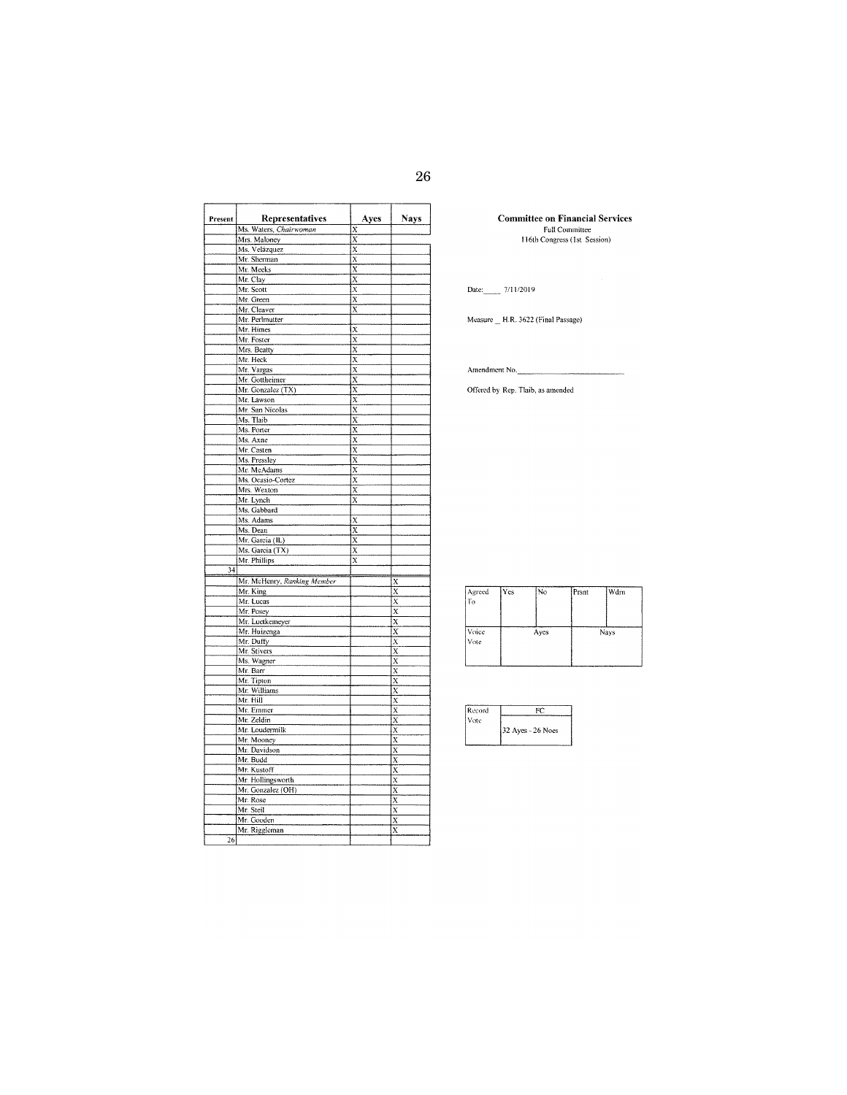## 26

| Representatives<br>Present  | Ayes                        | <b>Nays</b>             |                 |     |                                     | <b>Committee on Financial Ser</b> |     |   |
|-----------------------------|-----------------------------|-------------------------|-----------------|-----|-------------------------------------|-----------------------------------|-----|---|
| Ms. Waters, Chairwoman      | X                           |                         |                 |     |                                     | <b>Full Committee</b>             |     |   |
| Mrs. Maloney                | X                           |                         |                 |     |                                     | 116th Congress (1st Session)      |     |   |
| Ms. Velázquez               | $\overline{x}$              |                         |                 |     |                                     |                                   |     |   |
| Mr. Sherman                 | $\overline{\mathbf{x}}$     |                         |                 |     |                                     |                                   |     |   |
| Mr. Meeks                   | $\overline{\mathbf{x}}$     |                         |                 |     |                                     |                                   |     |   |
| Mr. Clay                    | $\overline{\mathbf{x}}$     |                         |                 |     |                                     |                                   |     |   |
| Mr. Scott                   | $\overline{\mathbf{x}}$     |                         | Date: 7/11/2019 |     |                                     |                                   |     |   |
| Mr. Green                   | $\overline{x}$<br>$\bar{x}$ |                         |                 |     |                                     |                                   |     |   |
| Mr. Cleaver                 |                             |                         |                 |     |                                     |                                   |     |   |
| Mr. Perlmutter<br>Mr. Himes | X                           |                         |                 |     | Measure _ H.R. 3622 (Final Passage) |                                   |     |   |
| Mr. Foster                  | $\overline{\mathbf{x}}$     |                         |                 |     |                                     |                                   |     |   |
| Mrs. Beatty                 | $\overline{\mathbf{x}}$     |                         |                 |     |                                     |                                   |     |   |
| Mr. Heck                    | $\overline{\mathbf{x}}$     |                         |                 |     |                                     |                                   |     |   |
| Mr. Vargas                  | X                           |                         | Amendment No.   |     |                                     |                                   |     |   |
| Mr. Gottheimer              | X                           |                         |                 |     |                                     |                                   |     |   |
| Mr. Gonzalez (TX)           | İΧ                          |                         |                 |     | Offered by Rep. Tlaib, as amended   |                                   |     |   |
| Mr. Lawson                  | X                           |                         |                 |     |                                     |                                   |     |   |
| Mr. San Nicolas             | $\overline{\mathbf{x}}$     |                         |                 |     |                                     |                                   |     |   |
| Ms. Tlaib                   | $\overline{\mathbf{x}}$     |                         |                 |     |                                     |                                   |     |   |
| Ms. Porter                  | $\overline{\mathbf{x}}$     |                         |                 |     |                                     |                                   |     |   |
| Ms. Axne                    | $\overline{\mathbf{x}}$     |                         |                 |     |                                     |                                   |     |   |
| Mr. Casten                  | X                           |                         |                 |     |                                     |                                   |     |   |
| Ms. Pressley                | $\overline{\mathbf{x}}$     |                         |                 |     |                                     |                                   |     |   |
| Mr. McAdams                 | $\overline{\mathbf{x}}$     |                         |                 |     |                                     |                                   |     |   |
| Ms. Ocasio-Cortez           | $\overline{\mathbf{x}}$     |                         |                 |     |                                     |                                   |     |   |
| Mrs. Wexton                 | $\overline{\mathbf{x}}$     |                         |                 |     |                                     |                                   |     |   |
| Mr. Lynch                   | X                           |                         |                 |     |                                     |                                   |     |   |
| Ms. Gabbard                 |                             |                         |                 |     |                                     |                                   |     |   |
| Ms. Adams                   | X                           |                         |                 |     |                                     |                                   |     |   |
| Ms. Dean                    | X                           |                         |                 |     |                                     |                                   |     |   |
| Mr. Garcia (IL)             | X                           |                         |                 |     |                                     |                                   |     |   |
| Ms. Garcia (TX)             | $\overline{x}$              |                         |                 |     |                                     |                                   |     |   |
| Mr. Phillips                | $\overline{\mathbf{x}}$     |                         |                 |     |                                     |                                   |     |   |
| 34                          |                             |                         |                 |     |                                     |                                   |     |   |
| Mr. McHenry, Ranking Member |                             | X                       |                 |     |                                     |                                   |     |   |
| Mr. King                    |                             | X                       | Agreed          | Yes | No                                  | Prsnt                             |     | V |
| Mr. Lucas                   |                             | X                       | Ŧо              |     |                                     |                                   |     |   |
| Mr. Posey                   |                             | X                       |                 |     |                                     |                                   |     |   |
| Mr. Luetkemeyer             |                             | X                       |                 |     |                                     |                                   |     |   |
| Mr. Huizenga                |                             | X                       | Voice           |     | Ayes                                |                                   | Nay |   |
| Mr. Duffy                   |                             | X                       | Vote            |     |                                     |                                   |     |   |
| Mr. Stivers                 |                             | X                       |                 |     |                                     |                                   |     |   |
| Ms. Wagner                  |                             | X                       |                 |     |                                     |                                   |     |   |
| Mr. Barr                    |                             | $\overline{\mathbf{x}}$ |                 |     |                                     |                                   |     |   |
| Mr. Tipton                  |                             | X                       |                 |     |                                     |                                   |     |   |
| Mr. Williams                |                             | $\overline{\mathbf{x}}$ |                 |     |                                     |                                   |     |   |
| Mr. Hill                    |                             | X                       |                 |     |                                     |                                   |     |   |
| Mr. Emmer                   |                             | X                       | Record          |     | FC                                  |                                   |     |   |
| Mr. Zeldin                  |                             | X                       | Vote            |     |                                     |                                   |     |   |
| Mr. Loudermilk              |                             | X                       |                 |     | 32 Ayes - 26 Noes                   |                                   |     |   |
| Mr. Mooney                  |                             | X                       |                 |     |                                     |                                   |     |   |
| Mr. Davidson                |                             | X                       |                 |     |                                     |                                   |     |   |
| Mr. Budd                    |                             | X                       |                 |     |                                     |                                   |     |   |
| Mr. Kustoff                 |                             | X                       |                 |     |                                     |                                   |     |   |
| Mr. Hollingsworth           |                             | $\overline{\mathbf{x}}$ |                 |     |                                     |                                   |     |   |
| Mr. Gonzalez (OH)           |                             | $\overline{\mathbf{x}}$ |                 |     |                                     |                                   |     |   |
| Mr. Rose                    |                             | X                       |                 |     |                                     |                                   |     |   |
| Mr. Steil                   |                             | X                       |                 |     |                                     |                                   |     |   |
| Mr. Gooden                  |                             | X                       |                 |     |                                     |                                   |     |   |
| Mr. Riggleman               |                             | X                       |                 |     |                                     |                                   |     |   |
| 26                          |                             |                         |                 |     |                                     |                                   |     |   |

## $Commitee$  on Financial Services

| Agreed<br>Ŧо  | l Yes | No   | Prsnt | Wdrn |
|---------------|-------|------|-------|------|
| Voice<br>Vote |       | Ayes |       | Nays |
|               |       |      |       |      |

| Record |                   |
|--------|-------------------|
| Vote   |                   |
|        | 32 Ayes - 26 Noes |
|        |                   |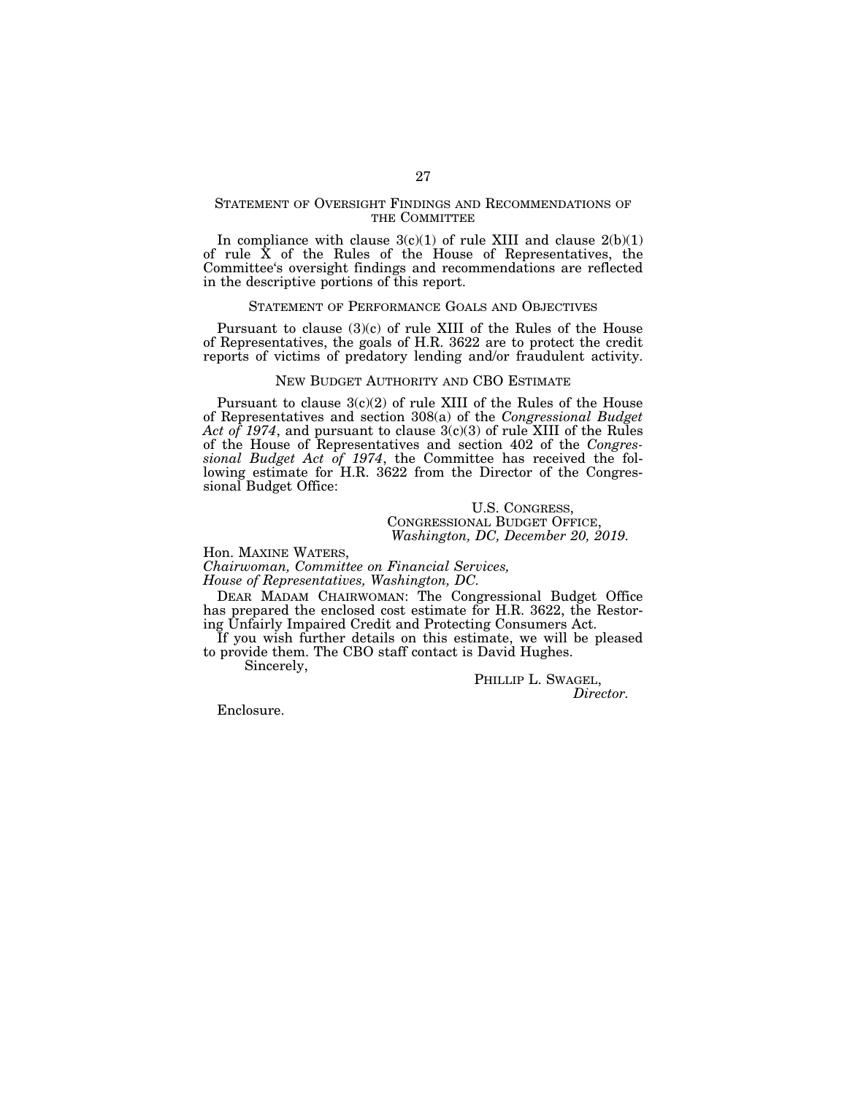## STATEMENT OF OVERSIGHT FINDINGS AND RECOMMENDATIONS OF THE COMMITTEE

In compliance with clause  $3(c)(1)$  of rule XIII and clause  $2(b)(1)$ of rule  $\bar{X}$  of the Rules of the House of Representatives, the Committee's oversight findings and recommendations are reflected in the descriptive portions of this report.

#### STATEMENT OF PERFORMANCE GOALS AND OBJECTIVES

Pursuant to clause (3)(c) of rule XIII of the Rules of the House of Representatives, the goals of H.R. 3622 are to protect the credit reports of victims of predatory lending and/or fraudulent activity.

#### NEW BUDGET AUTHORITY AND CBO ESTIMATE

Pursuant to clause  $3(c)(2)$  of rule XIII of the Rules of the House of Representatives and section 308(a) of the *Congressional Budget Act of 1974*, and pursuant to clause 3(c)(3) of rule XIII of the Rules of the House of Representatives and section 402 of the *Congressional Budget Act of 1974*, the Committee has received the following estimate for H.R. 3622 from the Director of the Congressional Budget Office:

# U.S. CONGRESS, CONGRESSIONAL BUDGET OFFICE, *Washington, DC, December 20, 2019.*

Hon. MAXINE WATERS,

*Chairwoman, Committee on Financial Services, House of Representatives, Washington, DC.* 

DEAR MADAM CHAIRWOMAN: The Congressional Budget Office has prepared the enclosed cost estimate for H.R. 3622, the Restoring Unfairly Impaired Credit and Protecting Consumers Act.

If you wish further details on this estimate, we will be pleased to provide them. The CBO staff contact is David Hughes.

Sincerely,

PHILLIP L. SWAGEL, *Director.* 

Enclosure.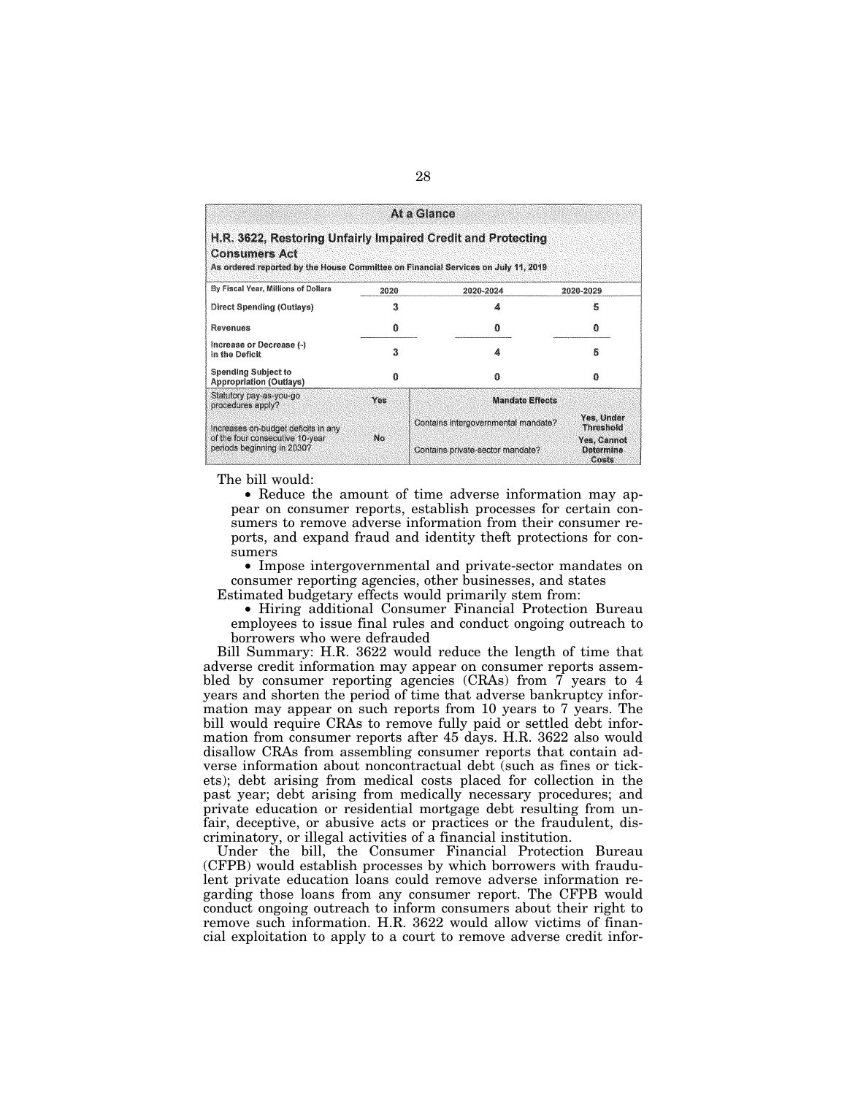|                                                                                                                                                                           |            | At a Glance                         |                                   |  |  |
|---------------------------------------------------------------------------------------------------------------------------------------------------------------------------|------------|-------------------------------------|-----------------------------------|--|--|
| H.R. 3622, Restoring Unfairly Impaired Credit and Protecting<br><b>Consumers Act</b><br>As ordered reported by the House Committee on Financial Services on July 11, 2019 |            |                                     |                                   |  |  |
| By Fiscal Year, Millions of Dollars                                                                                                                                       | 2020       | 2020-2024                           | 2020-2029                         |  |  |
| <b>Direct Spending (Outlays)</b>                                                                                                                                          | 3          |                                     | 5                                 |  |  |
| Revenues                                                                                                                                                                  | 0          | o                                   | o                                 |  |  |
| Increase or Decrease (-)<br>in the Deficit                                                                                                                                | Å          |                                     | 5                                 |  |  |
| <b>Spending Subject to</b><br><b>Appropriation (Outlays)</b>                                                                                                              | n          | Ω                                   | o                                 |  |  |
| Statutory pay-as-you-go<br>procedures apply?                                                                                                                              | <b>Yes</b> | <b>Mandate Effects</b>              |                                   |  |  |
| Increases on-budget deficits in any<br>of the four consecutive 10-year                                                                                                    | <b>No</b>  | Contains intergovernmental mandate? | Yes, Under<br><b>Threshold</b>    |  |  |
| periods beginning in 2030?                                                                                                                                                |            | Contains private-sector mandate?    | Yes, Cannot<br>Determine<br>Costs |  |  |

The bill would:

• Reduce the amount of time adverse information may appear on consumer reports, establish processes for certain consumers to remove adverse information from their consumer reports, and expand fraud and identity theft protections for consumers

• Impose intergovernmental and private-sector mandates on consumer reporting agencies, other businesses, and states

Estimated budgetary effects would primarily stem from:

• Hiring additional Consumer Financial Protection Bureau employees to issue final rules and conduct ongoing outreach to borrowers who were defrauded

Bill Summary: H.R. 3622 would reduce the length of time that adverse credit information may appear on consumer reports assembled by consumer reporting agencies (CRAs) from 7 years to 4 years and shorten the period of time that adverse bankruptcy information may appear on such reports from 10 years to 7 years. The bill would require CRAs to remove fully paid or settled debt information from consumer reports after 45 days. H.R. 3622 also would disallow CRAs from assembling consumer reports that contain adverse information about noncontractual debt (such as fines or tickets); debt arising from medical costs placed for collection in the past year; debt arising from medically necessary procedures; and private education or residential mortgage debt resulting from unfair, deceptive, or abusive acts or practices or the fraudulent, discriminatory, or illegal activities of a financial institution.

Under the bill, the Consumer Financial Protection Bureau (CFPB) would establish processes by which borrowers with fraudulent private education loans could remove adverse information regarding those loans from any consumer report. The CFPB would conduct ongoing outreach to inform consumers about their right to remove such information. H.R. 3622 would allow victims of financial exploitation to apply to a court to remove adverse credit infor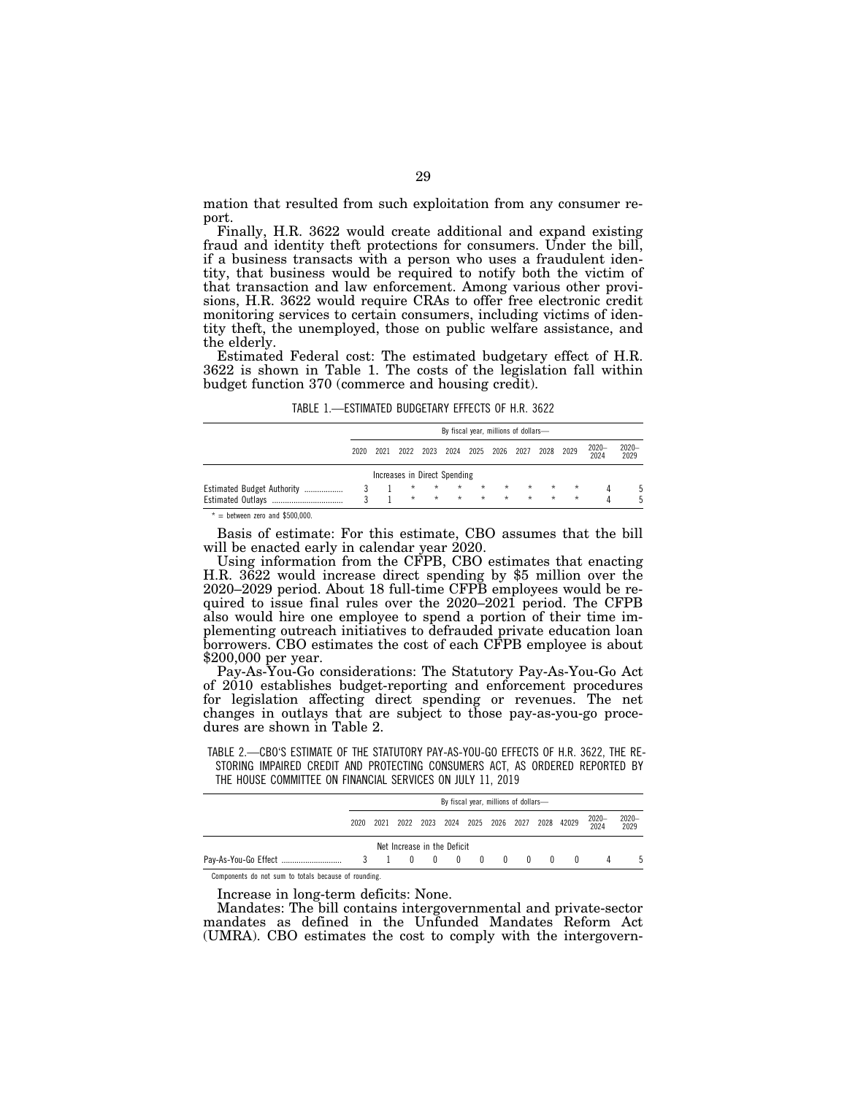mation that resulted from such exploitation from any consumer report.

Finally, H.R. 3622 would create additional and expand existing fraud and identity theft protections for consumers. Under the bill, if a business transacts with a person who uses a fraudulent identity, that business would be required to notify both the victim of that transaction and law enforcement. Among various other provisions, H.R. 3622 would require CRAs to offer free electronic credit monitoring services to certain consumers, including victims of identity theft, the unemployed, those on public welfare assistance, and the elderly.

Estimated Federal cost: The estimated budgetary effect of H.R. 3622 is shown in Table 1. The costs of the legislation fall within budget function 370 (commerce and housing credit).

TABLE 1.—ESTIMATED BUDGETARY EFFECTS OF H.R. 3622

|                              | By fiscal year, millions of dollars- |      |            |         |                               |         |         |         |           |         |               |                  |
|------------------------------|--------------------------------------|------|------------|---------|-------------------------------|---------|---------|---------|-----------|---------|---------------|------------------|
|                              | 2020                                 | 2021 |            |         | 2022 2023 2024 2025 2026 2027 |         |         |         | 2028 2029 |         | 2020-<br>2024 | $2020 -$<br>2029 |
| Increases in Direct Spending |                                      |      |            |         |                               |         |         |         |           |         |               |                  |
| Estimated Budget Authority   |                                      |      | $^{\star}$ | $\star$ | $\star$                       | $\star$ | $\star$ | $\star$ | $\star$   | $\star$ |               |                  |
|                              |                                      |      | $\star$    | $\star$ | $\star$                       | $\star$ | $\star$ | $\star$ | $\star$   | $\star$ |               |                  |

 $* =$  between zero and \$500,000.

Basis of estimate: For this estimate, CBO assumes that the bill will be enacted early in calendar year 2020.

Using information from the CFPB, CBO estimates that enacting H.R. 3622 would increase direct spending by \$5 million over the 2020–2029 period. About 18 full-time CFPB employees would be required to issue final rules over the 2020–2021 period. The CFPB also would hire one employee to spend a portion of their time implementing outreach initiatives to defrauded private education loan borrowers. CBO estimates the cost of each CFPB employee is about \$200,000 per year.

Pay-As-You-Go considerations: The Statutory Pay-As-You-Go Act of 2010 establishes budget-reporting and enforcement procedures for legislation affecting direct spending or revenues. The net changes in outlays that are subject to those pay-as-you-go procedures are shown in Table 2.

TABLE 2.—CBO'S ESTIMATE OF THE STATUTORY PAY-AS-YOU-GO EFFECTS OF H.R. 3622, THE RE-STORING IMPAIRED CREDIT AND PROTECTING CONSUMERS ACT, AS ORDERED REPORTED BY THE HOUSE COMMITTEE ON FINANCIAL SERVICES ON JULY 11, 2019

|                             | By fiscal year, millions of dollars- |                |  |  |  |  |  |  |  |                                                                                    |               |               |
|-----------------------------|--------------------------------------|----------------|--|--|--|--|--|--|--|------------------------------------------------------------------------------------|---------------|---------------|
|                             | 2020                                 |                |  |  |  |  |  |  |  | 2021 2022 2023 2024 2025 2026 2027 2028 42029                                      | 2020-<br>2024 | 2020-<br>2029 |
| Net Increase in the Deficit |                                      |                |  |  |  |  |  |  |  |                                                                                    |               |               |
|                             |                                      | $\mathbf{3}$ 1 |  |  |  |  |  |  |  | $\begin{array}{ccccccccccccccccccccc} & 0 & 0 & 0 & 0 & 0 & 0 & 0 & 0 \end{array}$ |               |               |

Components do not sum to totals because of rounding.

Increase in long-term deficits: None.

Mandates: The bill contains intergovernmental and private-sector mandates as defined in the Unfunded Mandates Reform Act (UMRA). CBO estimates the cost to comply with the intergovern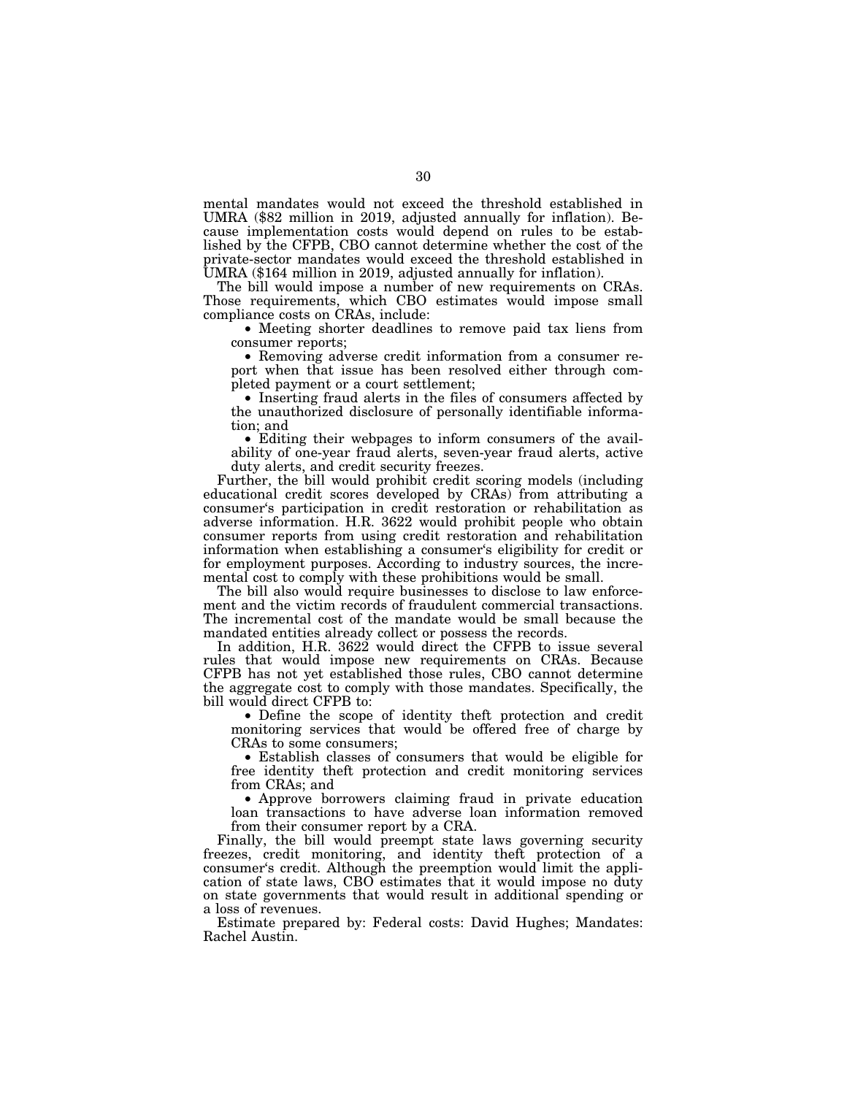mental mandates would not exceed the threshold established in UMRA (\$82 million in 2019, adjusted annually for inflation). Because implementation costs would depend on rules to be established by the CFPB, CBO cannot determine whether the cost of the private-sector mandates would exceed the threshold established in UMRA (\$164 million in 2019, adjusted annually for inflation).

The bill would impose a number of new requirements on CRAs. Those requirements, which CBO estimates would impose small compliance costs on CRAs, include:

• Meeting shorter deadlines to remove paid tax liens from consumer reports;

• Removing adverse credit information from a consumer report when that issue has been resolved either through completed payment or a court settlement;

• Inserting fraud alerts in the files of consumers affected by the unauthorized disclosure of personally identifiable information; and

• Editing their webpages to inform consumers of the availability of one-year fraud alerts, seven-year fraud alerts, active duty alerts, and credit security freezes.

Further, the bill would prohibit credit scoring models (including educational credit scores developed by CRAs) from attributing a consumer's participation in credit restoration or rehabilitation as adverse information. H.R. 3622 would prohibit people who obtain consumer reports from using credit restoration and rehabilitation information when establishing a consumer's eligibility for credit or for employment purposes. According to industry sources, the incremental cost to comply with these prohibitions would be small.

The bill also would require businesses to disclose to law enforcement and the victim records of fraudulent commercial transactions. The incremental cost of the mandate would be small because the mandated entities already collect or possess the records.

In addition, H.R. 3622 would direct the CFPB to issue several rules that would impose new requirements on CRAs. Because CFPB has not yet established those rules, CBO cannot determine the aggregate cost to comply with those mandates. Specifically, the bill would direct CFPB to:

• Define the scope of identity theft protection and credit monitoring services that would be offered free of charge by CRAs to some consumers;

• Establish classes of consumers that would be eligible for free identity theft protection and credit monitoring services from CRAs; and

• Approve borrowers claiming fraud in private education loan transactions to have adverse loan information removed from their consumer report by a CRA.

Finally, the bill would preempt state laws governing security freezes, credit monitoring, and identity theft protection of a consumer's credit. Although the preemption would limit the application of state laws, CBO estimates that it would impose no duty on state governments that would result in additional spending or a loss of revenues.

Estimate prepared by: Federal costs: David Hughes; Mandates: Rachel Austin.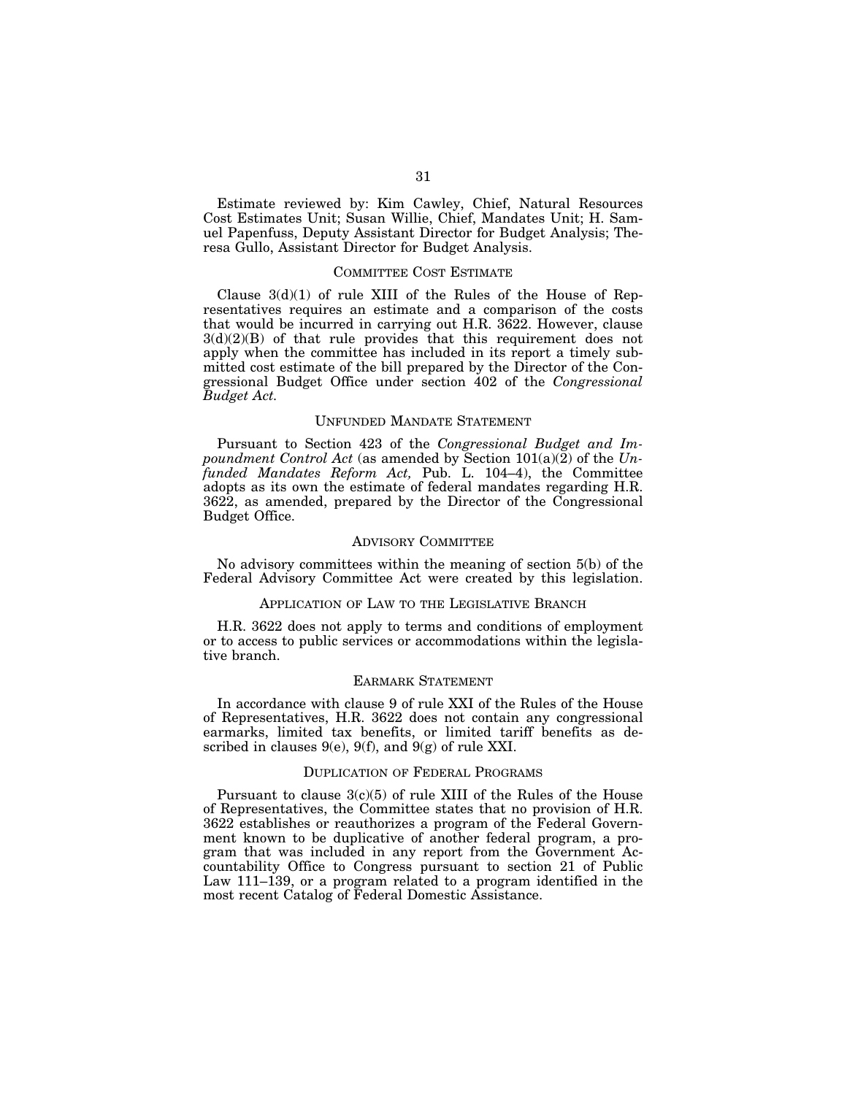Estimate reviewed by: Kim Cawley, Chief, Natural Resources Cost Estimates Unit; Susan Willie, Chief, Mandates Unit; H. Samuel Papenfuss, Deputy Assistant Director for Budget Analysis; Theresa Gullo, Assistant Director for Budget Analysis.

#### COMMITTEE COST ESTIMATE

Clause  $3(d)(1)$  of rule XIII of the Rules of the House of Representatives requires an estimate and a comparison of the costs that would be incurred in carrying out H.R. 3622. However, clause  $3(d)(2)(B)$  of that rule provides that this requirement does not apply when the committee has included in its report a timely submitted cost estimate of the bill prepared by the Director of the Congressional Budget Office under section 402 of the *Congressional Budget Act.* 

#### UNFUNDED MANDATE STATEMENT

Pursuant to Section 423 of the *Congressional Budget and Impoundment Control Act* (as amended by Section 101(a)(2) of the *Unfunded Mandates Reform Act,* Pub. L. 104–4), the Committee adopts as its own the estimate of federal mandates regarding H.R. 3622, as amended, prepared by the Director of the Congressional Budget Office.

#### ADVISORY COMMITTEE

No advisory committees within the meaning of section 5(b) of the Federal Advisory Committee Act were created by this legislation.

#### APPLICATION OF LAW TO THE LEGISLATIVE BRANCH

H.R. 3622 does not apply to terms and conditions of employment or to access to public services or accommodations within the legislative branch.

#### EARMARK STATEMENT

In accordance with clause 9 of rule XXI of the Rules of the House of Representatives, H.R. 3622 does not contain any congressional earmarks, limited tax benefits, or limited tariff benefits as described in clauses  $9(e)$ ,  $9(f)$ , and  $9(g)$  of rule XXI.

#### DUPLICATION OF FEDERAL PROGRAMS

Pursuant to clause  $3(c)(5)$  of rule XIII of the Rules of the House of Representatives, the Committee states that no provision of H.R. 3622 establishes or reauthorizes a program of the Federal Government known to be duplicative of another federal program, a program that was included in any report from the Government Accountability Office to Congress pursuant to section 21 of Public Law 111–139, or a program related to a program identified in the most recent Catalog of Federal Domestic Assistance.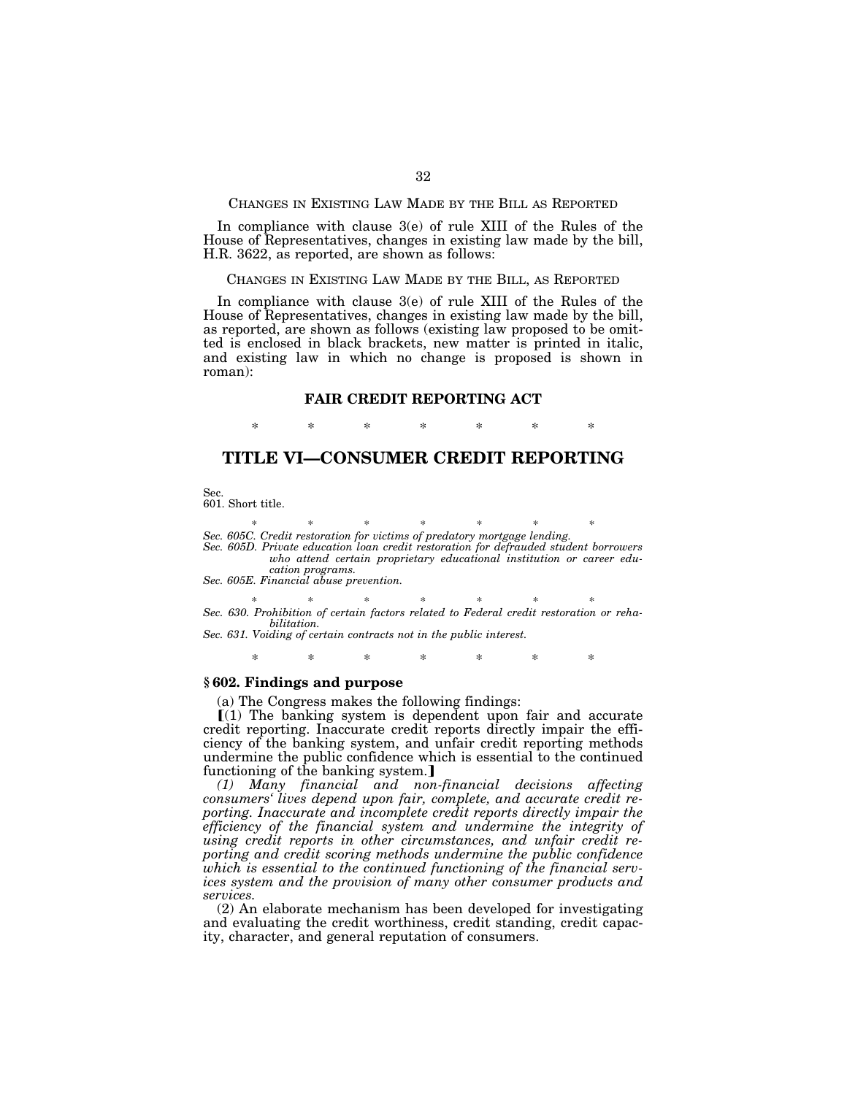#### CHANGES IN EXISTING LAW MADE BY THE BILL AS REPORTED

In compliance with clause 3(e) of rule XIII of the Rules of the House of Representatives, changes in existing law made by the bill, H.R. 3622, as reported, are shown as follows:

#### CHANGES IN EXISTING LAW MADE BY THE BILL, AS REPORTED

In compliance with clause 3(e) of rule XIII of the Rules of the House of Representatives, changes in existing law made by the bill, as reported, are shown as follows (existing law proposed to be omitted is enclosed in black brackets, new matter is printed in italic, and existing law in which no change is proposed is shown in roman):

## **FAIR CREDIT REPORTING ACT**

\* \* \* \* \* \* \*

## **TITLE VI—CONSUMER CREDIT REPORTING**

Sec.

601. Short title.

\* \* \* \* \* \* \* \* *Sec. 605C. Credit restoration for victims of predatory mortgage lending. Sec. 605D. Private education loan credit restoration for defrauded student borrowers who attend certain proprietary educational institution or career education programs.* 

*Sec. 605E. Financial abuse prevention.* 

\* \* \* \* \* \* \* *Sec. 630. Prohibition of certain factors related to Federal credit restoration or rehabilitation.* 

*Sec. 631. Voiding of certain contracts not in the public interest.* 

\* \* \* \* \* \* \*

## **§ 602. Findings and purpose**

(a) The Congress makes the following findings:

 $(1)$  The banking system is dependent upon fair and accurate credit reporting. Inaccurate credit reports directly impair the efficiency of the banking system, and unfair credit reporting methods undermine the public confidence which is essential to the continued functioning of the banking system.]

*(1) Many financial and non-financial decisions affecting consumers' lives depend upon fair, complete, and accurate credit reporting. Inaccurate and incomplete credit reports directly impair the efficiency of the financial system and undermine the integrity of using credit reports in other circumstances, and unfair credit reporting and credit scoring methods undermine the public confidence which is essential to the continued functioning of the financial services system and the provision of many other consumer products and services.* 

(2) An elaborate mechanism has been developed for investigating and evaluating the credit worthiness, credit standing, credit capacity, character, and general reputation of consumers.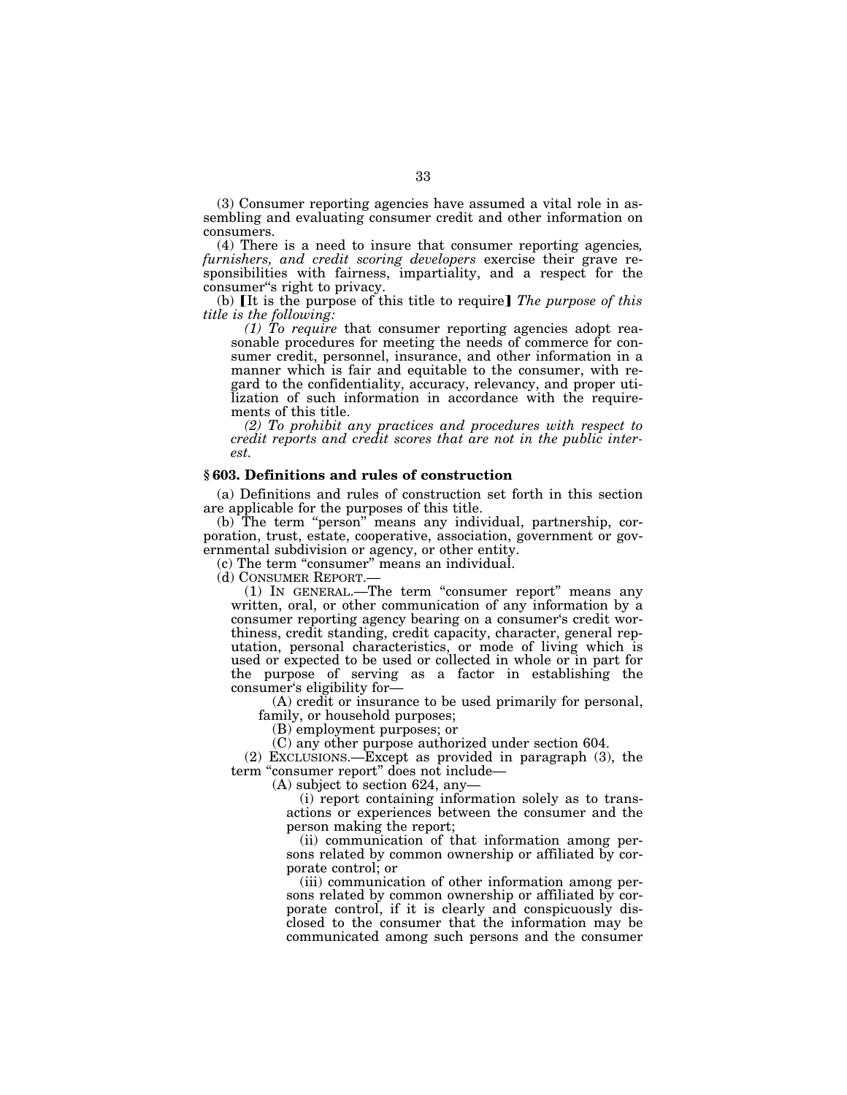(3) Consumer reporting agencies have assumed a vital role in assembling and evaluating consumer credit and other information on consumers.<br>(4) There is a need to insure that consumer reporting agencies.

furnishers, and credit scoring developers exercise their grave responsibilities with fairness, impartiality, and a respect for the consumer''s right to privacy.

(b) It is the purpose of this title to require] The purpose of this *title is the following:* 

*(1) To require* that consumer reporting agencies adopt reasonable procedures for meeting the needs of commerce for consumer credit, personnel, insurance, and other information in a manner which is fair and equitable to the consumer, with regard to the confidentiality, accuracy, relevancy, and proper utilization of such information in accordance with the requirements of this title.

*(2) To prohibit any practices and procedures with respect to credit reports and credit scores that are not in the public interest.* 

#### **§ 603. Definitions and rules of construction**

(a) Definitions and rules of construction set forth in this section are applicable for the purposes of this title.

(b) The term "person" means any individual, partnership, corporation, trust, estate, cooperative, association, government or governmental subdivision or agency, or other entity.

(c) The term "consumer" means an individual.<br>(d) CONSUMER REPORT.—

(1) IN GENERAL.—The term "consumer report" means any written, oral, or other communication of any information by a consumer reporting agency bearing on a consumer's credit worthiness, credit standing, credit capacity, character, general reputation, personal characteristics, or mode of living which is used or expected to be used or collected in whole or in part for the purpose of serving as a factor in establishing the consumer's eligibility for—

(A) credit or insurance to be used primarily for personal, family, or household purposes;

(B) employment purposes; or

(C) any other purpose authorized under section 604.

(2) EXCLUSIONS.—Except as provided in paragraph (3), the term "consumer report" does not include—

(A) subject to section 624, any—

(i) report containing information solely as to transactions or experiences between the consumer and the person making the report;

(ii) communication of that information among persons related by common ownership or affiliated by corporate control; or

(iii) communication of other information among persons related by common ownership or affiliated by corporate control, if it is clearly and conspicuously disclosed to the consumer that the information may be communicated among such persons and the consumer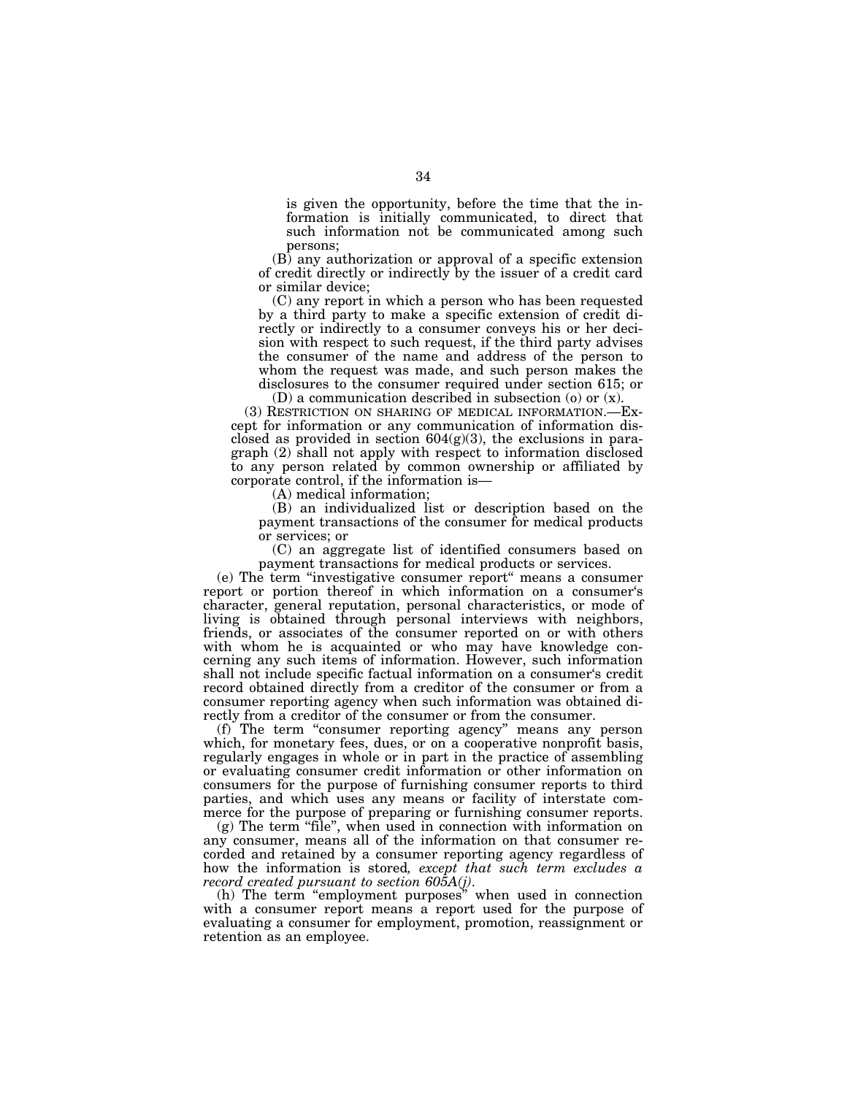is given the opportunity, before the time that the information is initially communicated, to direct that such information not be communicated among such persons;

(B) any authorization or approval of a specific extension of credit directly or indirectly by the issuer of a credit card or similar device;

(C) any report in which a person who has been requested by a third party to make a specific extension of credit directly or indirectly to a consumer conveys his or her decision with respect to such request, if the third party advises the consumer of the name and address of the person to whom the request was made, and such person makes the disclosures to the consumer required under section 615; or

(D) a communication described in subsection (o) or (x). (3) RESTRICTION ON SHARING OF MEDICAL INFORMATION.—Except for information or any communication of information disclosed as provided in section  $604(g)(3)$ , the exclusions in paragraph (2) shall not apply with respect to information disclosed to any person related by common ownership or affiliated by corporate control, if the information is—

(A) medical information;

(B) an individualized list or description based on the payment transactions of the consumer for medical products or services; or

(C) an aggregate list of identified consumers based on payment transactions for medical products or services.

(e) The term ''investigative consumer report'' means a consumer report or portion thereof in which information on a consumer's character, general reputation, personal characteristics, or mode of living is obtained through personal interviews with neighbors, friends, or associates of the consumer reported on or with others with whom he is acquainted or who may have knowledge concerning any such items of information. However, such information shall not include specific factual information on a consumer's credit record obtained directly from a creditor of the consumer or from a consumer reporting agency when such information was obtained directly from a creditor of the consumer or from the consumer.

(f) The term ''consumer reporting agency'' means any person which, for monetary fees, dues, or on a cooperative nonprofit basis, regularly engages in whole or in part in the practice of assembling or evaluating consumer credit information or other information on consumers for the purpose of furnishing consumer reports to third parties, and which uses any means or facility of interstate commerce for the purpose of preparing or furnishing consumer reports.

(g) The term ''file'', when used in connection with information on any consumer, means all of the information on that consumer recorded and retained by a consumer reporting agency regardless of how the information is stored*, except that such term excludes a record created pursuant to section 605A(j)*.

(h) The term ''employment purposes'' when used in connection with a consumer report means a report used for the purpose of evaluating a consumer for employment, promotion, reassignment or retention as an employee.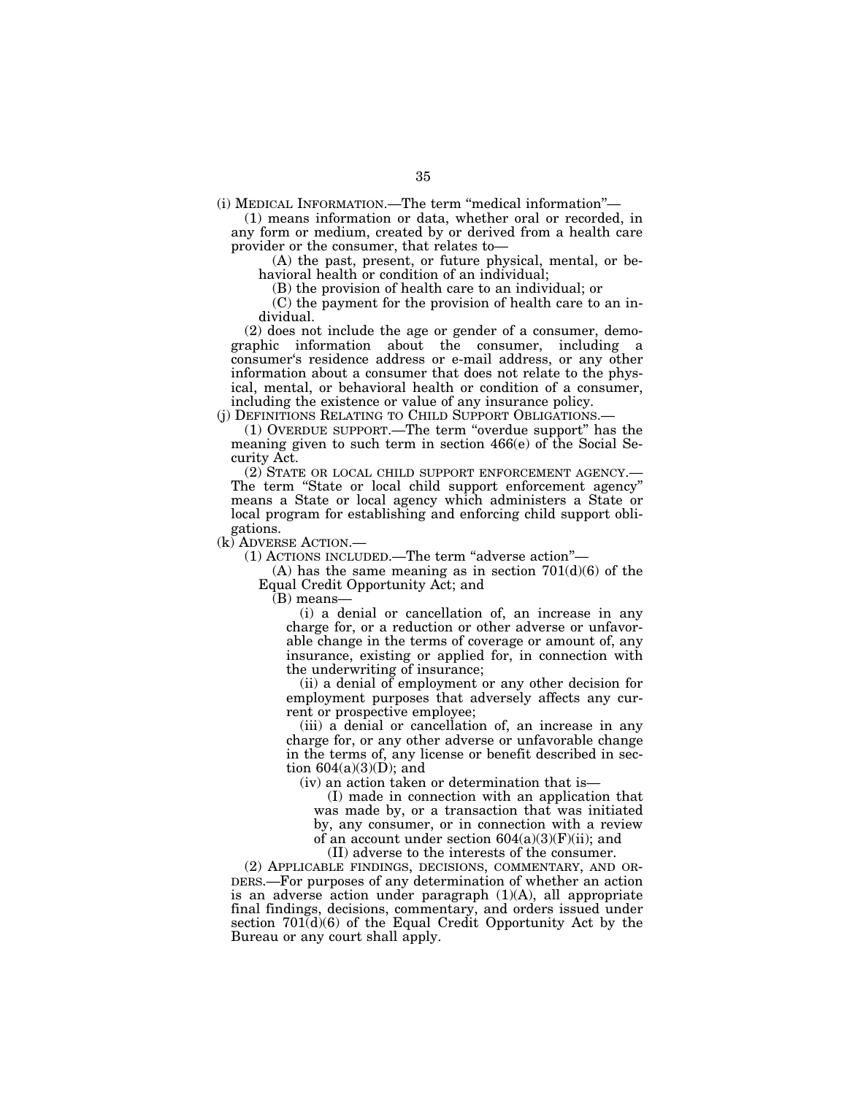(i) MEDICAL INFORMATION.—The term ''medical information''—

(1) means information or data, whether oral or recorded, in any form or medium, created by or derived from a health care provider or the consumer, that relates to—

(A) the past, present, or future physical, mental, or behavioral health or condition of an individual;

(B) the provision of health care to an individual; or

(C) the payment for the provision of health care to an individual.

(2) does not include the age or gender of a consumer, demographic information about the consumer, including a consumer's residence address or e-mail address, or any other information about a consumer that does not relate to the physical, mental, or behavioral health or condition of a consumer, including the existence or value of any insurance policy.

(j) DEFINITIONS RELATING TO CHILD SUPPORT OBLIGATIONS.—

(1) OVERDUE SUPPORT.—The term ''overdue support'' has the meaning given to such term in section 466(e) of the Social Security Act.

(2) STATE OR LOCAL CHILD SUPPORT ENFORCEMENT AGENCY.— The term "State or local child support enforcement agency" means a State or local agency which administers a State or local program for establishing and enforcing child support obligations.

(k) ADVERSE ACTION.—

(1) ACTIONS INCLUDED.—The term ''adverse action''—

(A) has the same meaning as in section  $701<sub>(d)</sub>(6)$  of the Equal Credit Opportunity Act; and

 $(B)$  means-

(i) a denial or cancellation of, an increase in any charge for, or a reduction or other adverse or unfavorable change in the terms of coverage or amount of, any insurance, existing or applied for, in connection with the underwriting of insurance;

(ii) a denial of employment or any other decision for employment purposes that adversely affects any current or prospective employee;

(iii) a denial or cancellation of, an increase in any charge for, or any other adverse or unfavorable change in the terms of, any license or benefit described in section 604(a)(3)(D); and

(iv) an action taken or determination that is—

(I) made in connection with an application that was made by, or a transaction that was initiated by, any consumer, or in connection with a review of an account under section  $604(a)(3)(F)(ii)$ ; and

(II) adverse to the interests of the consumer.

(2) APPLICABLE FINDINGS, DECISIONS, COMMENTARY, AND OR-DERS.—For purposes of any determination of whether an action is an adverse action under paragraph (1)(A), all appropriate final findings, decisions, commentary, and orders issued under section 701(d)(6) of the Equal Credit Opportunity Act by the Bureau or any court shall apply.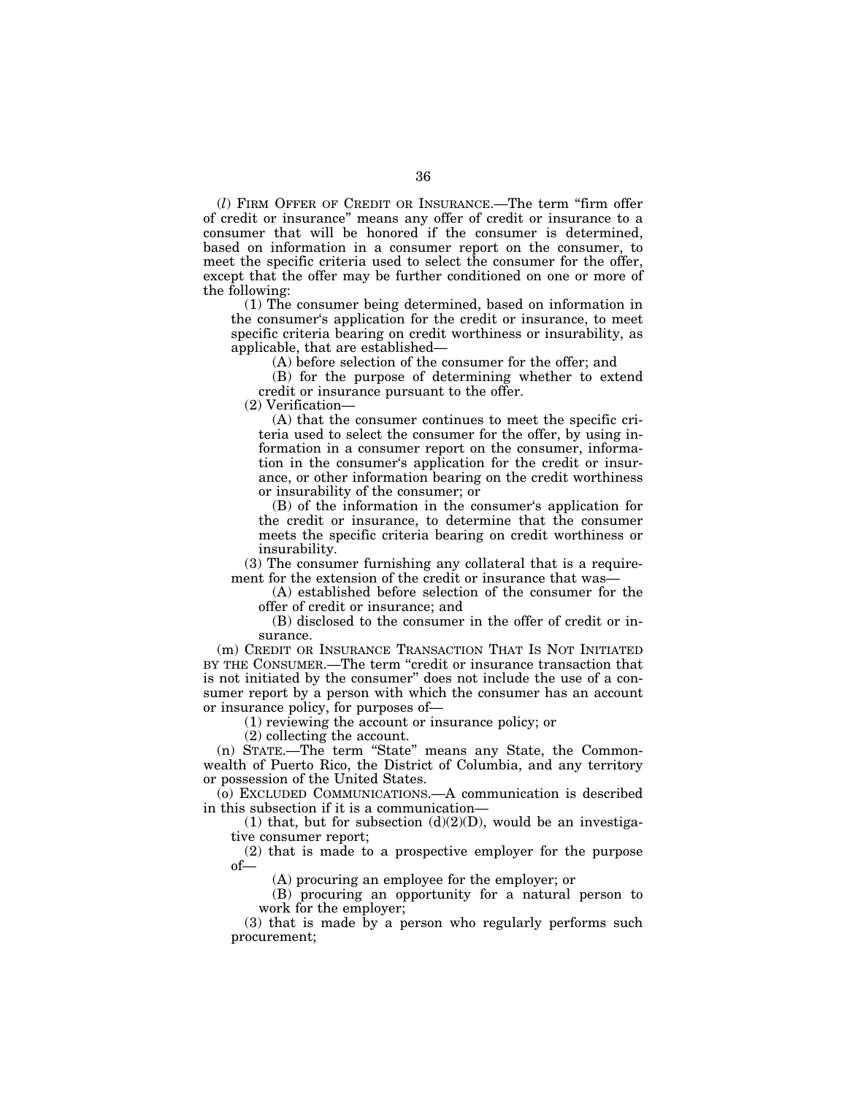(*l*) FIRM OFFER OF CREDIT OR INSURANCE.—The term ''firm offer of credit or insurance'' means any offer of credit or insurance to a consumer that will be honored if the consumer is determined, based on information in a consumer report on the consumer, to meet the specific criteria used to select the consumer for the offer, except that the offer may be further conditioned on one or more of the following:

(1) The consumer being determined, based on information in the consumer's application for the credit or insurance, to meet specific criteria bearing on credit worthiness or insurability, as applicable, that are established—

(A) before selection of the consumer for the offer; and

(B) for the purpose of determining whether to extend credit or insurance pursuant to the offer.

(2) Verification—

(A) that the consumer continues to meet the specific criteria used to select the consumer for the offer, by using information in a consumer report on the consumer, information in the consumer's application for the credit or insurance, or other information bearing on the credit worthiness or insurability of the consumer; or

(B) of the information in the consumer's application for the credit or insurance, to determine that the consumer meets the specific criteria bearing on credit worthiness or insurability.

(3) The consumer furnishing any collateral that is a requirement for the extension of the credit or insurance that was—

(A) established before selection of the consumer for the offer of credit or insurance; and

(B) disclosed to the consumer in the offer of credit or insurance.

(m) CREDIT OR INSURANCE TRANSACTION THAT IS NOT INITIATED BY THE CONSUMER.—The term "credit or insurance transaction that is not initiated by the consumer'' does not include the use of a consumer report by a person with which the consumer has an account or insurance policy, for purposes of—

(1) reviewing the account or insurance policy; or

(2) collecting the account.

(n) STATE.—The term ''State'' means any State, the Commonwealth of Puerto Rico, the District of Columbia, and any territory or possession of the United States.

(o) EXCLUDED COMMUNICATIONS.—A communication is described in this subsection if it is a communication—

(1) that, but for subsection  $(d)(2)(D)$ , would be an investigative consumer report;

(2) that is made to a prospective employer for the purpose of—

(A) procuring an employee for the employer; or

(B) procuring an opportunity for a natural person to work for the employer;

(3) that is made by a person who regularly performs such procurement;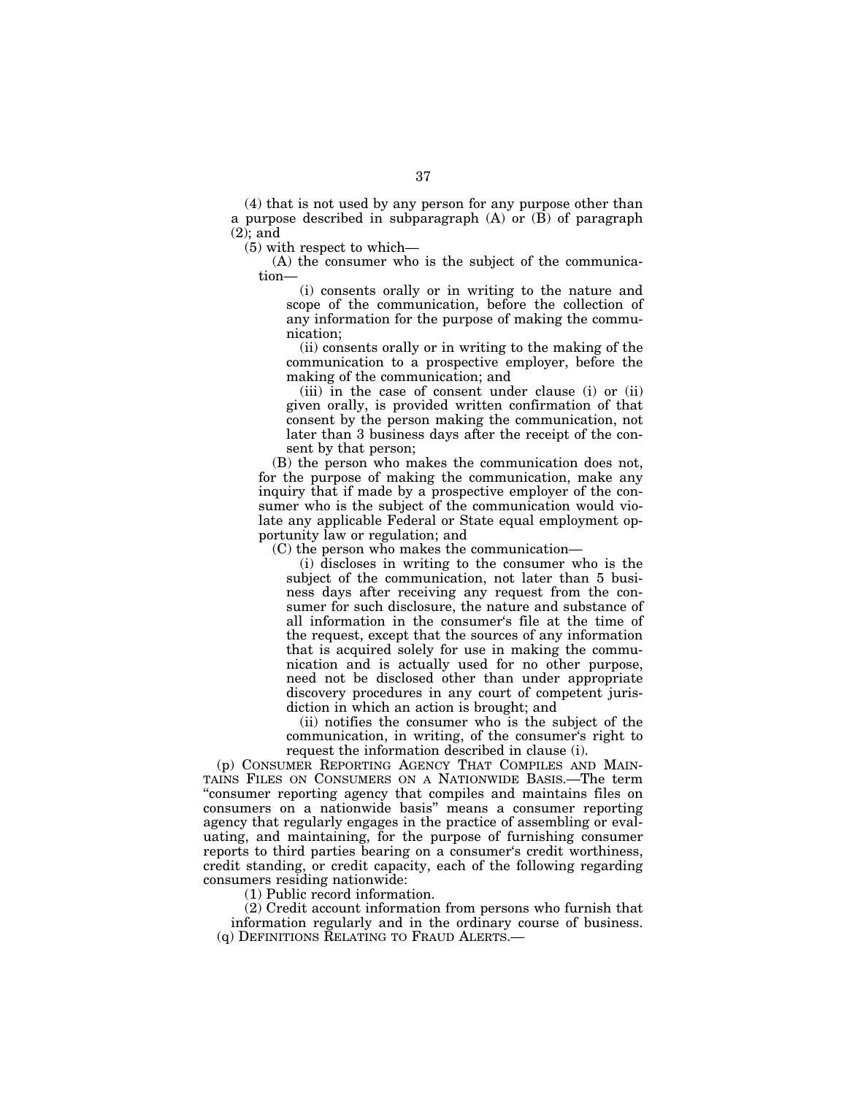(4) that is not used by any person for any purpose other than a purpose described in subparagraph  $(A)$  or  $(\overline{B})$  of paragraph (2); and

(5) with respect to which—

(A) the consumer who is the subject of the communication—

(i) consents orally or in writing to the nature and scope of the communication, before the collection of any information for the purpose of making the communication;

(ii) consents orally or in writing to the making of the communication to a prospective employer, before the making of the communication; and

(iii) in the case of consent under clause (i) or (ii) given orally, is provided written confirmation of that consent by the person making the communication, not later than 3 business days after the receipt of the consent by that person;

(B) the person who makes the communication does not, for the purpose of making the communication, make any inquiry that if made by a prospective employer of the consumer who is the subject of the communication would violate any applicable Federal or State equal employment opportunity law or regulation; and

(C) the person who makes the communication—

(i) discloses in writing to the consumer who is the subject of the communication, not later than 5 business days after receiving any request from the consumer for such disclosure, the nature and substance of all information in the consumer's file at the time of the request, except that the sources of any information that is acquired solely for use in making the communication and is actually used for no other purpose, need not be disclosed other than under appropriate discovery procedures in any court of competent jurisdiction in which an action is brought; and

(ii) notifies the consumer who is the subject of the communication, in writing, of the consumer's right to request the information described in clause (i).

(p) CONSUMER REPORTING AGENCY THAT COMPILES AND MAIN-TAINS FILES ON CONSUMERS ON A NATIONWIDE BASIS.—The term ''consumer reporting agency that compiles and maintains files on consumers on a nationwide basis'' means a consumer reporting agency that regularly engages in the practice of assembling or evaluating, and maintaining, for the purpose of furnishing consumer reports to third parties bearing on a consumer's credit worthiness, credit standing, or credit capacity, each of the following regarding consumers residing nationwide:

(1) Public record information.

(2) Credit account information from persons who furnish that information regularly and in the ordinary course of business. (q) DEFINITIONS RELATING TO FRAUD ALERTS.—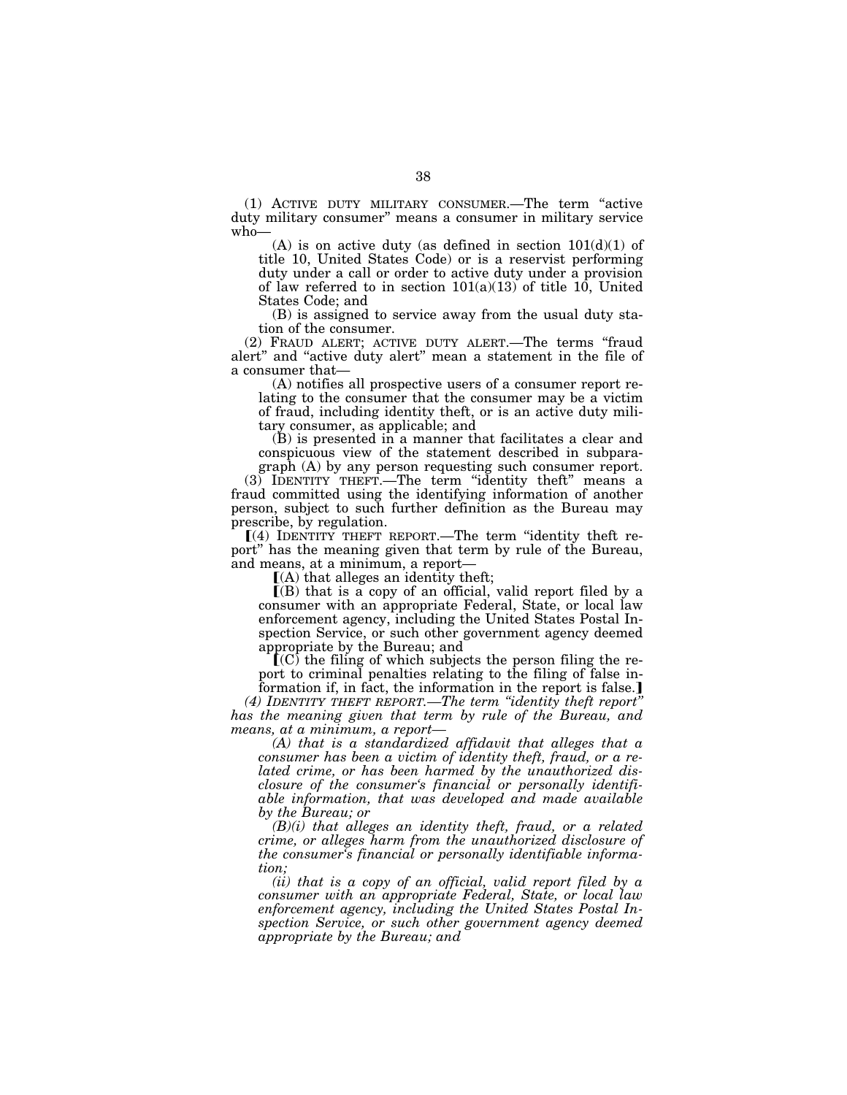(1) ACTIVE DUTY MILITARY CONSUMER.—The term ''active duty military consumer'' means a consumer in military service who—

(A) is on active duty (as defined in section  $101(d)(1)$  of title 10, United States Code) or is a reservist performing duty under a call or order to active duty under a provision of law referred to in section  $101(a)(13)$  of title 10, United States Code; and

(B) is assigned to service away from the usual duty station of the consumer.

(2) FRAUD ALERT; ACTIVE DUTY ALERT.—The terms ''fraud alert'' and ''active duty alert'' mean a statement in the file of a consumer that—

(A) notifies all prospective users of a consumer report relating to the consumer that the consumer may be a victim of fraud, including identity theft, or is an active duty military consumer, as applicable; and

(B) is presented in a manner that facilitates a clear and conspicuous view of the statement described in subparagraph (A) by any person requesting such consumer report.

(3) IDENTITY THEFT.—The term ''identity theft'' means a fraud committed using the identifying information of another person, subject to such further definition as the Bureau may prescribe, by regulation.

 $(4)$  IDENTITY THEFT REPORT.—The term "identity theft report'' has the meaning given that term by rule of the Bureau, and means, at a minimum, a report—

 $(A)$  that alleges an identity theft;

 $[(B)$  that is a copy of an official, valid report filed by a consumer with an appropriate Federal, State, or local law enforcement agency, including the United States Postal Inspection Service, or such other government agency deemed appropriate by the Bureau; and

 $\tilde{C}(C)$  the filing of which subjects the person filing the report to criminal penalties relating to the filing of false in-

formation if, in fact, the information in the report is false. *(4) IDENTITY THEFT REPORT.—The term ''identity theft report'' has the meaning given that term by rule of the Bureau, and means, at a minimum, a report—* 

*(A) that is a standardized affidavit that alleges that a consumer has been a victim of identity theft, fraud, or a related crime, or has been harmed by the unauthorized disclosure of the consumer's financial or personally identifiable information, that was developed and made available by the Bureau; or* 

*(B)(i) that alleges an identity theft, fraud, or a related crime, or alleges harm from the unauthorized disclosure of the consumer's financial or personally identifiable information;* 

*(ii) that is a copy of an official, valid report filed by a consumer with an appropriate Federal, State, or local law enforcement agency, including the United States Postal Inspection Service, or such other government agency deemed appropriate by the Bureau; and*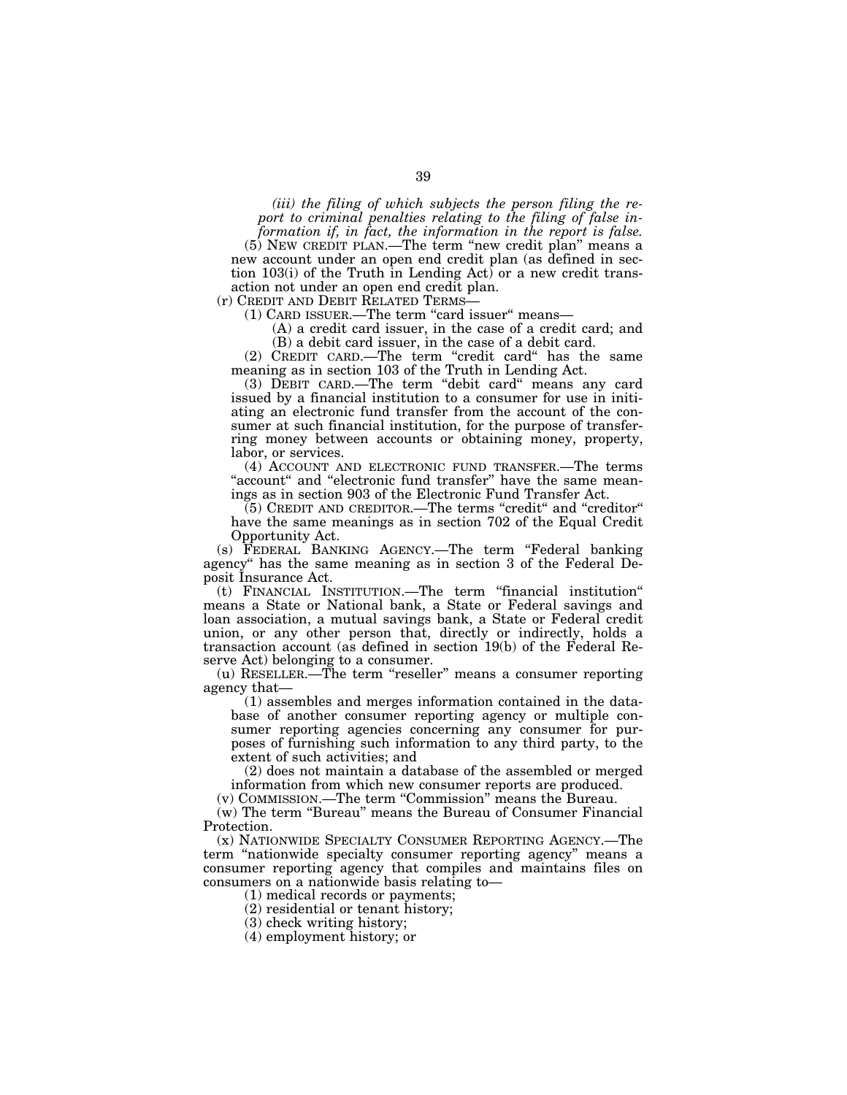*(iii) the filing of which subjects the person filing the report to criminal penalties relating to the filing of false information if, in fact, the information in the report is false.* 

(5) NEW CREDIT PLAN.—The term ''new credit plan'' means a new account under an open end credit plan (as defined in section 103(i) of the Truth in Lending Act) or a new credit transaction not under an open end credit plan.

(r) CREDIT AND DEBIT RELATED TERMS— (1) CARD ISSUER.—The term ''card issuer'' means—

(A) a credit card issuer, in the case of a credit card; and (B) a debit card issuer, in the case of a debit card.

(2) CREDIT CARD.—The term ''credit card'' has the same meaning as in section 103 of the Truth in Lending Act.

(3) DEBIT CARD.—The term ''debit card'' means any card issued by a financial institution to a consumer for use in initiating an electronic fund transfer from the account of the consumer at such financial institution, for the purpose of transferring money between accounts or obtaining money, property, labor, or services.

(4) ACCOUNT AND ELECTRONIC FUND TRANSFER.—The terms "account" and "electronic fund transfer" have the same meanings as in section 903 of the Electronic Fund Transfer Act.

 $(5)$  CREDIT AND CREDITOR.—The terms "credit" and "creditor" have the same meanings as in section 702 of the Equal Credit Opportunity Act.

(s) FEDERAL BANKING AGENCY.—The term ''Federal banking agency'' has the same meaning as in section 3 of the Federal Deposit Insurance Act.

(t) FINANCIAL INSTITUTION.—The term ''financial institution'' means a State or National bank, a State or Federal savings and loan association, a mutual savings bank, a State or Federal credit union, or any other person that, directly or indirectly, holds a transaction account (as defined in section 19(b) of the Federal Reserve Act) belonging to a consumer.

(u) RESELLER.—The term ''reseller'' means a consumer reporting agency that—

(1) assembles and merges information contained in the database of another consumer reporting agency or multiple consumer reporting agencies concerning any consumer for purposes of furnishing such information to any third party, to the extent of such activities; and

(2) does not maintain a database of the assembled or merged information from which new consumer reports are produced.

(v) COMMISSION.—The term ''Commission'' means the Bureau.

(w) The term ''Bureau'' means the Bureau of Consumer Financial Protection.

(x) NATIONWIDE SPECIALTY CONSUMER REPORTING AGENCY.—The term "nationwide specialty consumer reporting agency" means a consumer reporting agency that compiles and maintains files on consumers on a nationwide basis relating to—

(1) medical records or payments;

(2) residential or tenant history;

(3) check writing history;

(4) employment history; or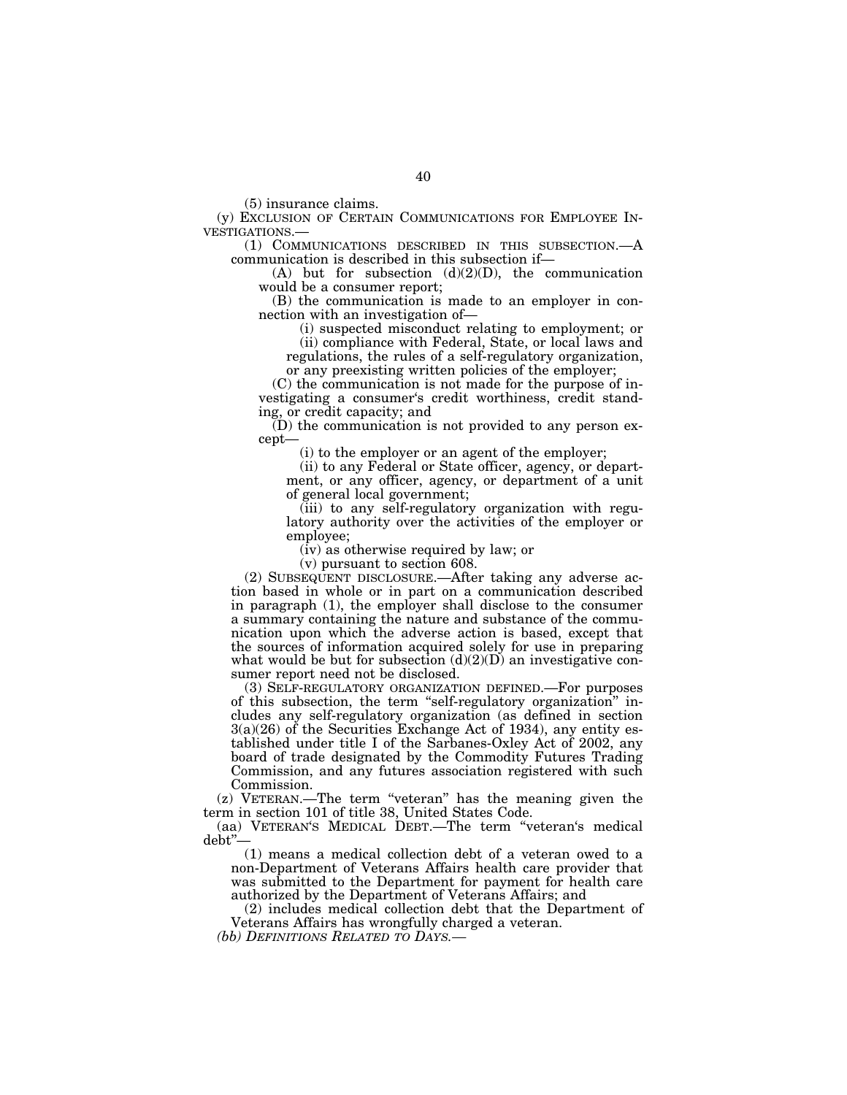(5) insurance claims.

(y) EXCLUSION OF CERTAIN COMMUNICATIONS FOR EMPLOYEE INVESTIGATIONS.—<br>VESTIGATIONS.— (1) COMMUNICATIONS DESCRIBED IN THIS SUBSECTION.—A

communication is described in this subsection if—

(A) but for subsection  $(d)(2)(D)$ , the communication would be a consumer report;

(B) the communication is made to an employer in connection with an investigation of—

(i) suspected misconduct relating to employment; or (ii) compliance with Federal, State, or local laws and regulations, the rules of a self-regulatory organization,

or any preexisting written policies of the employer;

(C) the communication is not made for the purpose of investigating a consumer's credit worthiness, credit standing, or credit capacity; and

(D) the communication is not provided to any person except—

(i) to the employer or an agent of the employer;

(ii) to any Federal or State officer, agency, or department, or any officer, agency, or department of a unit of general local government;

(iii) to any self-regulatory organization with regulatory authority over the activities of the employer or employee;

(iv) as otherwise required by law; or

(v) pursuant to section 608.

(2) SUBSEQUENT DISCLOSURE.—After taking any adverse action based in whole or in part on a communication described in paragraph (1), the employer shall disclose to the consumer a summary containing the nature and substance of the communication upon which the adverse action is based, except that the sources of information acquired solely for use in preparing what would be but for subsection  $(d)(2)(D)$  an investigative consumer report need not be disclosed.

(3) SELF-REGULATORY ORGANIZATION DEFINED.—For purposes of this subsection, the term ''self-regulatory organization'' includes any self-regulatory organization (as defined in section 3(a)(26) of the Securities Exchange Act of 1934), any entity established under title I of the Sarbanes-Oxley Act of 2002, any board of trade designated by the Commodity Futures Trading Commission, and any futures association registered with such Commission.

(z) VETERAN.—The term ''veteran'' has the meaning given the term in section 101 of title 38, United States Code.

(aa) VETERAN'S MEDICAL DEBT.—The term ''veteran's medical debt''—

(1) means a medical collection debt of a veteran owed to a non-Department of Veterans Affairs health care provider that was submitted to the Department for payment for health care authorized by the Department of Veterans Affairs; and

(2) includes medical collection debt that the Department of Veterans Affairs has wrongfully charged a veteran.

*(bb) DEFINITIONS RELATED TO DAYS.—*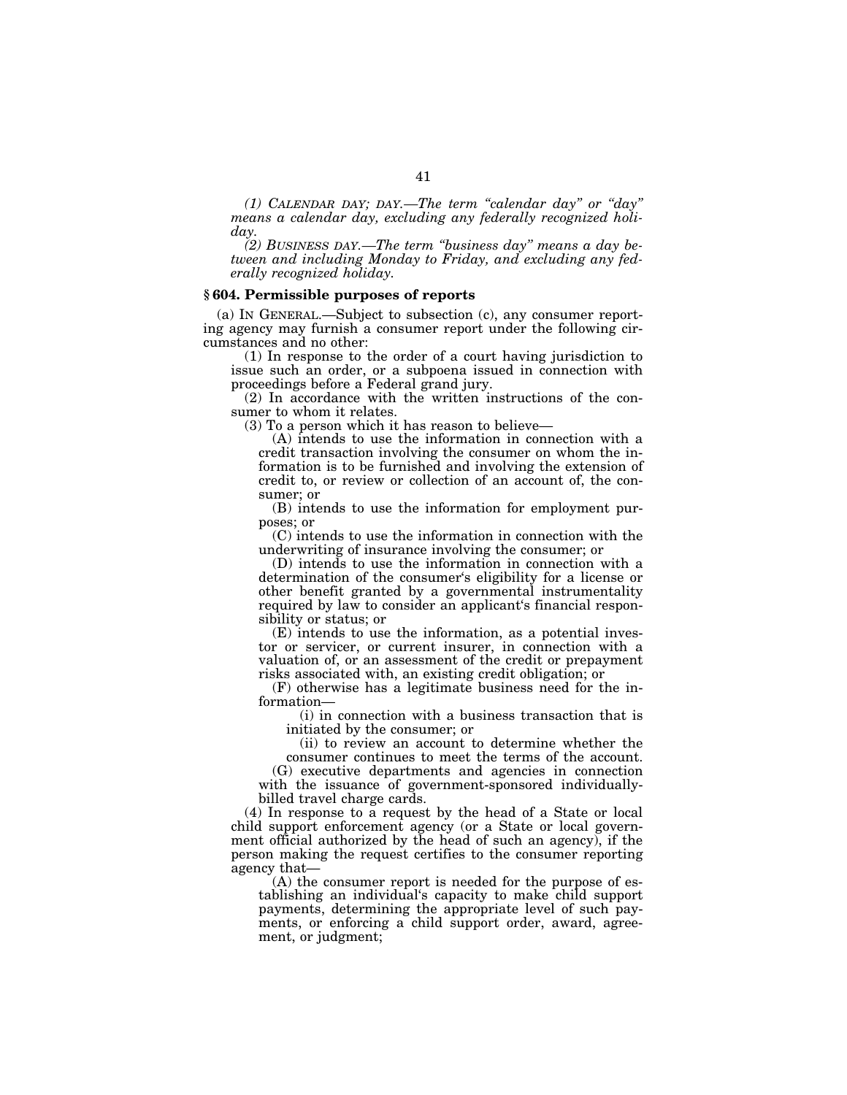*(1) CALENDAR DAY; DAY.—The term ''calendar day'' or ''day'' means a calendar day, excluding any federally recognized holiday.* 

*(2) BUSINESS DAY.—The term ''business day'' means a day between and including Monday to Friday, and excluding any federally recognized holiday.* 

# **§ 604. Permissible purposes of reports**

(a) IN GENERAL.—Subject to subsection (c), any consumer reporting agency may furnish a consumer report under the following circumstances and no other:

(1) In response to the order of a court having jurisdiction to issue such an order, or a subpoena issued in connection with proceedings before a Federal grand jury.

(2) In accordance with the written instructions of the consumer to whom it relates.

(3) To a person which it has reason to believe—

(A) intends to use the information in connection with a credit transaction involving the consumer on whom the information is to be furnished and involving the extension of credit to, or review or collection of an account of, the consumer; or

(B) intends to use the information for employment purposes; or

(C) intends to use the information in connection with the underwriting of insurance involving the consumer; or

(D) intends to use the information in connection with a determination of the consumer's eligibility for a license or other benefit granted by a governmental instrumentality required by law to consider an applicant's financial responsibility or status; or

(E) intends to use the information, as a potential investor or servicer, or current insurer, in connection with a valuation of, or an assessment of the credit or prepayment risks associated with, an existing credit obligation; or

(F) otherwise has a legitimate business need for the information—

(i) in connection with a business transaction that is initiated by the consumer; or

(ii) to review an account to determine whether the consumer continues to meet the terms of the account.

(G) executive departments and agencies in connection with the issuance of government-sponsored individuallybilled travel charge cards.

(4) In response to a request by the head of a State or local child support enforcement agency (or a State or local government official authorized by the head of such an agency), if the person making the request certifies to the consumer reporting agency that—

(A) the consumer report is needed for the purpose of establishing an individual's capacity to make child support payments, determining the appropriate level of such payments, or enforcing a child support order, award, agreement, or judgment;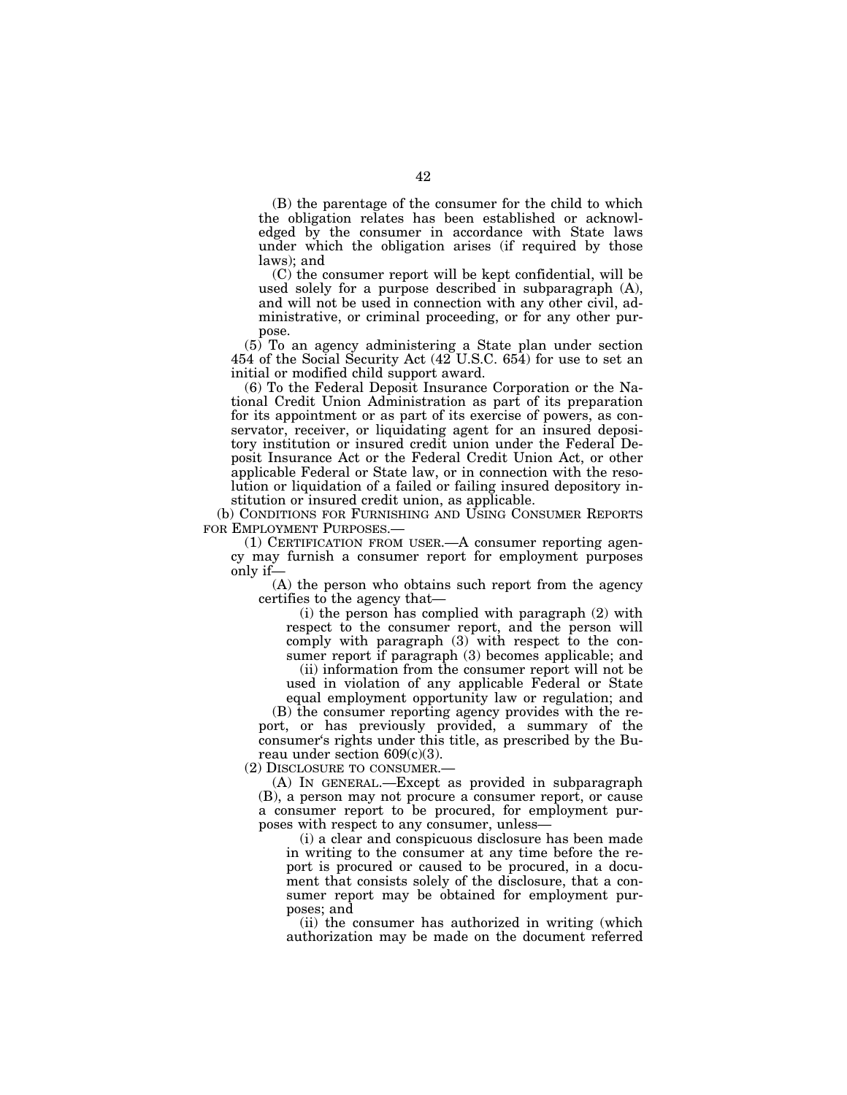(B) the parentage of the consumer for the child to which the obligation relates has been established or acknowledged by the consumer in accordance with State laws under which the obligation arises (if required by those laws); and

(C) the consumer report will be kept confidential, will be used solely for a purpose described in subparagraph (A), and will not be used in connection with any other civil, administrative, or criminal proceeding, or for any other purpose.

(5) To an agency administering a State plan under section 454 of the Social Security Act (42 U.S.C. 654) for use to set an initial or modified child support award.

(6) To the Federal Deposit Insurance Corporation or the National Credit Union Administration as part of its preparation for its appointment or as part of its exercise of powers, as conservator, receiver, or liquidating agent for an insured depository institution or insured credit union under the Federal Deposit Insurance Act or the Federal Credit Union Act, or other applicable Federal or State law, or in connection with the resolution or liquidation of a failed or failing insured depository institution or insured credit union, as applicable.

(b) CONDITIONS FOR FURNISHING AND USING CONSUMER REPORTS FOR EMPLOYMENT PURPOSES.—

(1) CERTIFICATION FROM USER.—A consumer reporting agency may furnish a consumer report for employment purposes only if—

(A) the person who obtains such report from the agency certifies to the agency that—

(i) the person has complied with paragraph (2) with respect to the consumer report, and the person will comply with paragraph (3) with respect to the consumer report if paragraph (3) becomes applicable; and

(ii) information from the consumer report will not be used in violation of any applicable Federal or State equal employment opportunity law or regulation; and

(B) the consumer reporting agency provides with the report, or has previously provided, a summary of the consumer's rights under this title, as prescribed by the Bureau under section 609(c)(3).

(2) DISCLOSURE TO CONSUMER.—

(A) IN GENERAL.—Except as provided in subparagraph (B), a person may not procure a consumer report, or cause a consumer report to be procured, for employment purposes with respect to any consumer, unless—

(i) a clear and conspicuous disclosure has been made in writing to the consumer at any time before the report is procured or caused to be procured, in a document that consists solely of the disclosure, that a consumer report may be obtained for employment purposes; and

(ii) the consumer has authorized in writing (which authorization may be made on the document referred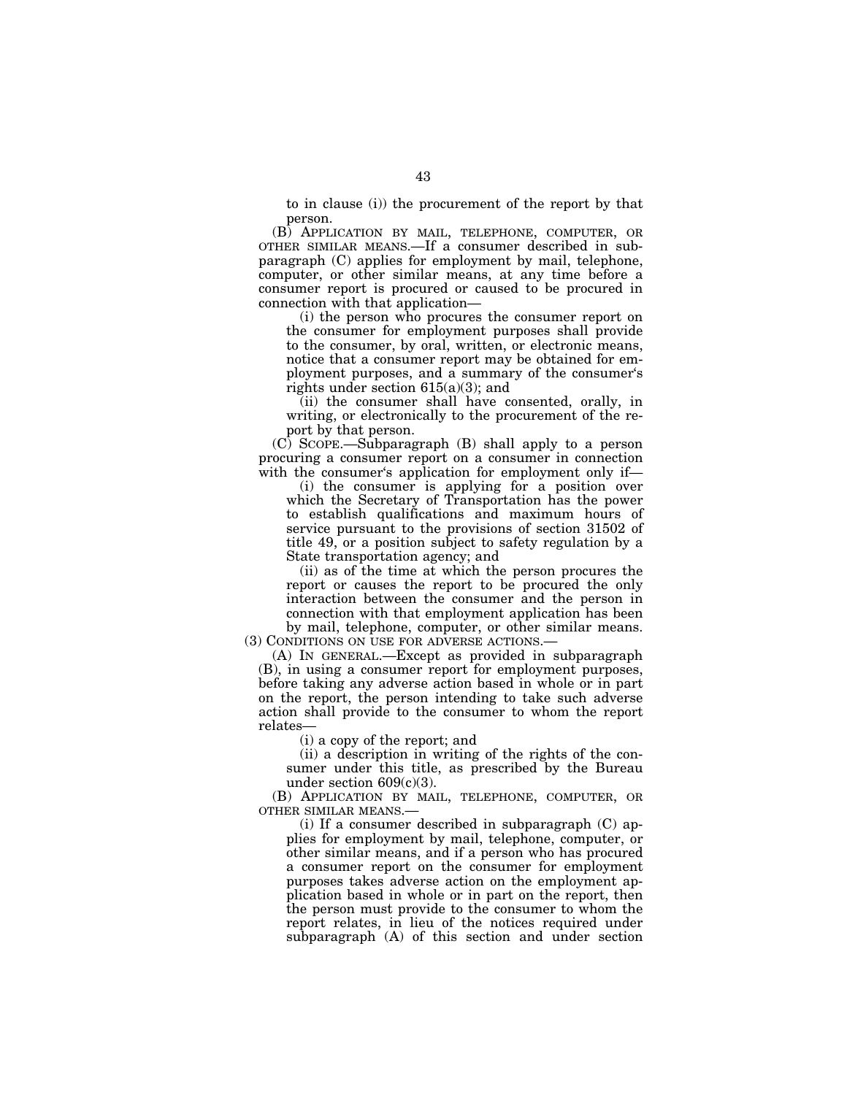to in clause (i)) the procurement of the report by that person.

(B) APPLICATION BY MAIL, TELEPHONE, COMPUTER, OR OTHER SIMILAR MEANS.—If a consumer described in subparagraph (C) applies for employment by mail, telephone, computer, or other similar means, at any time before a consumer report is procured or caused to be procured in connection with that application—

(i) the person who procures the consumer report on the consumer for employment purposes shall provide to the consumer, by oral, written, or electronic means, notice that a consumer report may be obtained for employment purposes, and a summary of the consumer's rights under section 615(a)(3); and

(ii) the consumer shall have consented, orally, in writing, or electronically to the procurement of the report by that person.

(C) SCOPE.—Subparagraph (B) shall apply to a person procuring a consumer report on a consumer in connection with the consumer's application for employment only if—

(i) the consumer is applying for a position over which the Secretary of Transportation has the power to establish qualifications and maximum hours of service pursuant to the provisions of section 31502 of title 49, or a position subject to safety regulation by a State transportation agency; and

(ii) as of the time at which the person procures the report or causes the report to be procured the only interaction between the consumer and the person in connection with that employment application has been by mail, telephone, computer, or other similar means.

(3) CONDITIONS ON USE FOR ADVERSE ACTIONS.—

(A) IN GENERAL.—Except as provided in subparagraph (B), in using a consumer report for employment purposes, before taking any adverse action based in whole or in part on the report, the person intending to take such adverse action shall provide to the consumer to whom the report relates—

(i) a copy of the report; and

(ii) a description in writing of the rights of the consumer under this title, as prescribed by the Bureau under section 609(c)(3).

(B) APPLICATION BY MAIL, TELEPHONE, COMPUTER, OR OTHER SIMILAR MEANS.—

(i) If a consumer described in subparagraph (C) applies for employment by mail, telephone, computer, or other similar means, and if a person who has procured a consumer report on the consumer for employment purposes takes adverse action on the employment application based in whole or in part on the report, then the person must provide to the consumer to whom the report relates, in lieu of the notices required under subparagraph (A) of this section and under section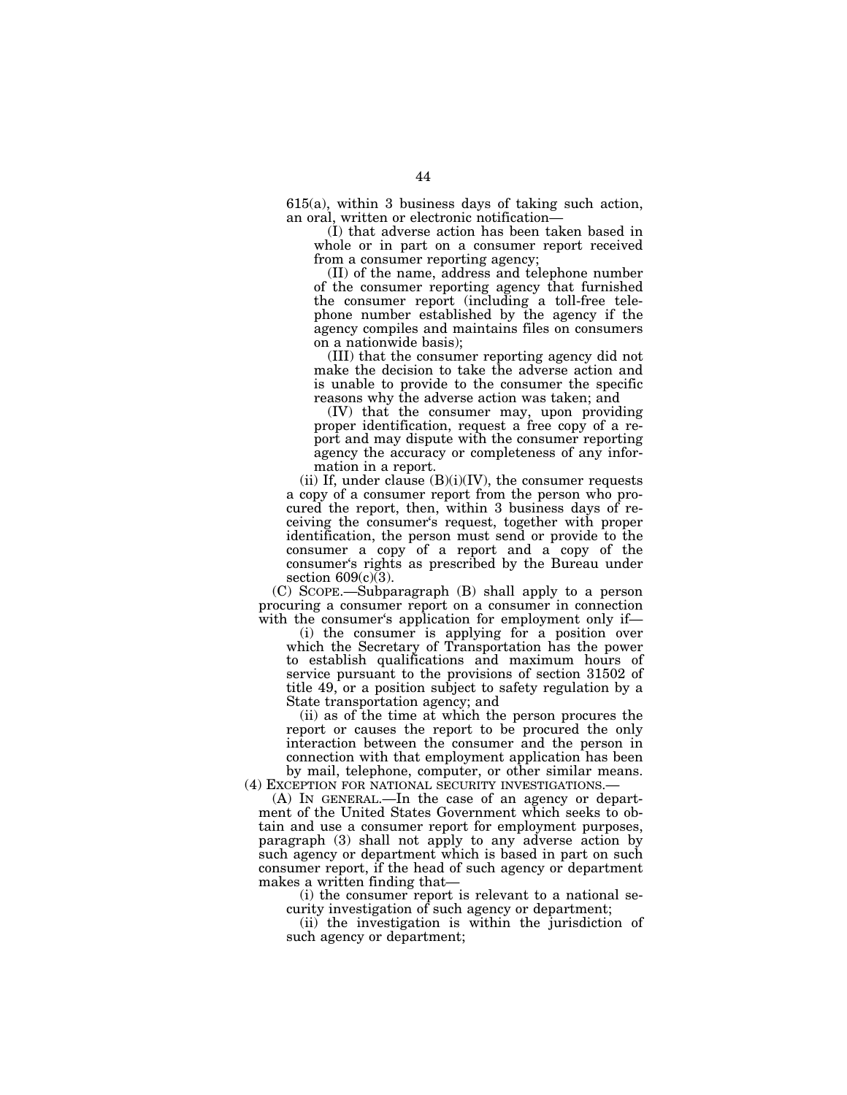615(a), within 3 business days of taking such action, an oral, written or electronic notification—

(I) that adverse action has been taken based in whole or in part on a consumer report received from a consumer reporting agency;

(II) of the name, address and telephone number of the consumer reporting agency that furnished the consumer report (including a toll-free telephone number established by the agency if the agency compiles and maintains files on consumers on a nationwide basis);

(III) that the consumer reporting agency did not make the decision to take the adverse action and is unable to provide to the consumer the specific reasons why the adverse action was taken; and

(IV) that the consumer may, upon providing proper identification, request a free copy of a report and may dispute with the consumer reporting agency the accuracy or completeness of any information in a report.

(ii) If, under clause  $(B)(i)(IV)$ , the consumer requests a copy of a consumer report from the person who procured the report, then, within 3 business days of receiving the consumer's request, together with proper identification, the person must send or provide to the consumer a copy of a report and a copy of the consumer's rights as prescribed by the Bureau under section  $609(c)(3)$ .

(C) SCOPE.—Subparagraph (B) shall apply to a person procuring a consumer report on a consumer in connection with the consumer's application for employment only if—

(i) the consumer is applying for a position over which the Secretary of Transportation has the power to establish qualifications and maximum hours of service pursuant to the provisions of section 31502 of title 49, or a position subject to safety regulation by a State transportation agency; and

(ii) as of the time at which the person procures the report or causes the report to be procured the only interaction between the consumer and the person in connection with that employment application has been by mail, telephone, computer, or other similar means. (4) EXCEPTION FOR NATIONAL SECURITY INVESTIGATIONS.—

(A) IN GENERAL.—In the case of an agency or department of the United States Government which seeks to obtain and use a consumer report for employment purposes, paragraph (3) shall not apply to any adverse action by such agency or department which is based in part on such consumer report, if the head of such agency or department makes a written finding that—

(i) the consumer report is relevant to a national security investigation of such agency or department;

(ii) the investigation is within the jurisdiction of such agency or department;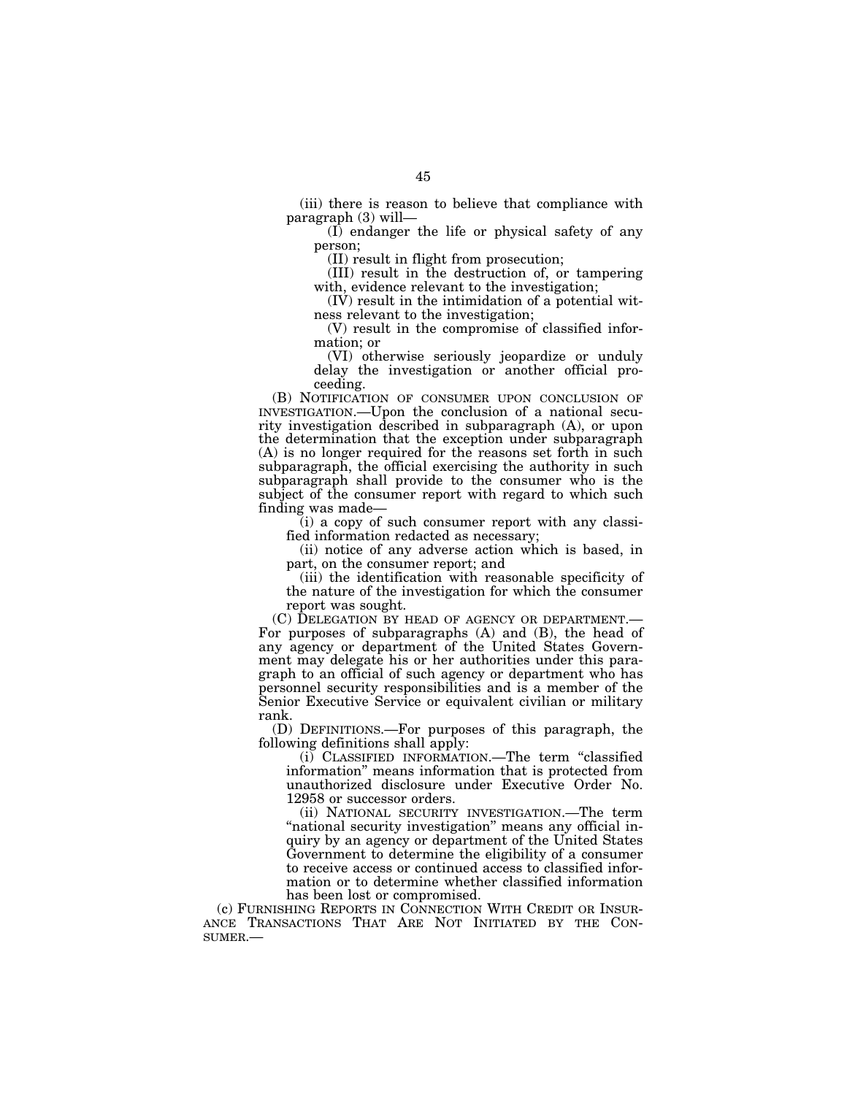(iii) there is reason to believe that compliance with paragraph (3) will—

(I) endanger the life or physical safety of any person;

(II) result in flight from prosecution;

(III) result in the destruction of, or tampering with, evidence relevant to the investigation;

(IV) result in the intimidation of a potential witness relevant to the investigation;

(V) result in the compromise of classified information; or

(VI) otherwise seriously jeopardize or unduly delay the investigation or another official proceeding.

(B) NOTIFICATION OF CONSUMER UPON CONCLUSION OF INVESTIGATION.—Upon the conclusion of a national security investigation described in subparagraph (A), or upon the determination that the exception under subparagraph (A) is no longer required for the reasons set forth in such subparagraph, the official exercising the authority in such subparagraph shall provide to the consumer who is the subject of the consumer report with regard to which such finding was made—

(i) a copy of such consumer report with any classified information redacted as necessary;

(ii) notice of any adverse action which is based, in part, on the consumer report; and

(iii) the identification with reasonable specificity of the nature of the investigation for which the consumer report was sought.

(C) DELEGATION BY HEAD OF AGENCY OR DEPARTMENT.— For purposes of subparagraphs (A) and (B), the head of any agency or department of the United States Government may delegate his or her authorities under this paragraph to an official of such agency or department who has personnel security responsibilities and is a member of the Senior Executive Service or equivalent civilian or military rank.

(D) DEFINITIONS.—For purposes of this paragraph, the following definitions shall apply:

(i) CLASSIFIED INFORMATION.—The term ''classified information'' means information that is protected from unauthorized disclosure under Executive Order No. 12958 or successor orders.

(ii) NATIONAL SECURITY INVESTIGATION.—The term "national security investigation" means any official inquiry by an agency or department of the United States Government to determine the eligibility of a consumer to receive access or continued access to classified information or to determine whether classified information has been lost or compromised.

(c) FURNISHING REPORTS IN CONNECTION WITH CREDIT OR INSUR- ANCE TRANSACTIONS THAT ARE NOT INITIATED BY THE CON-SUMER.—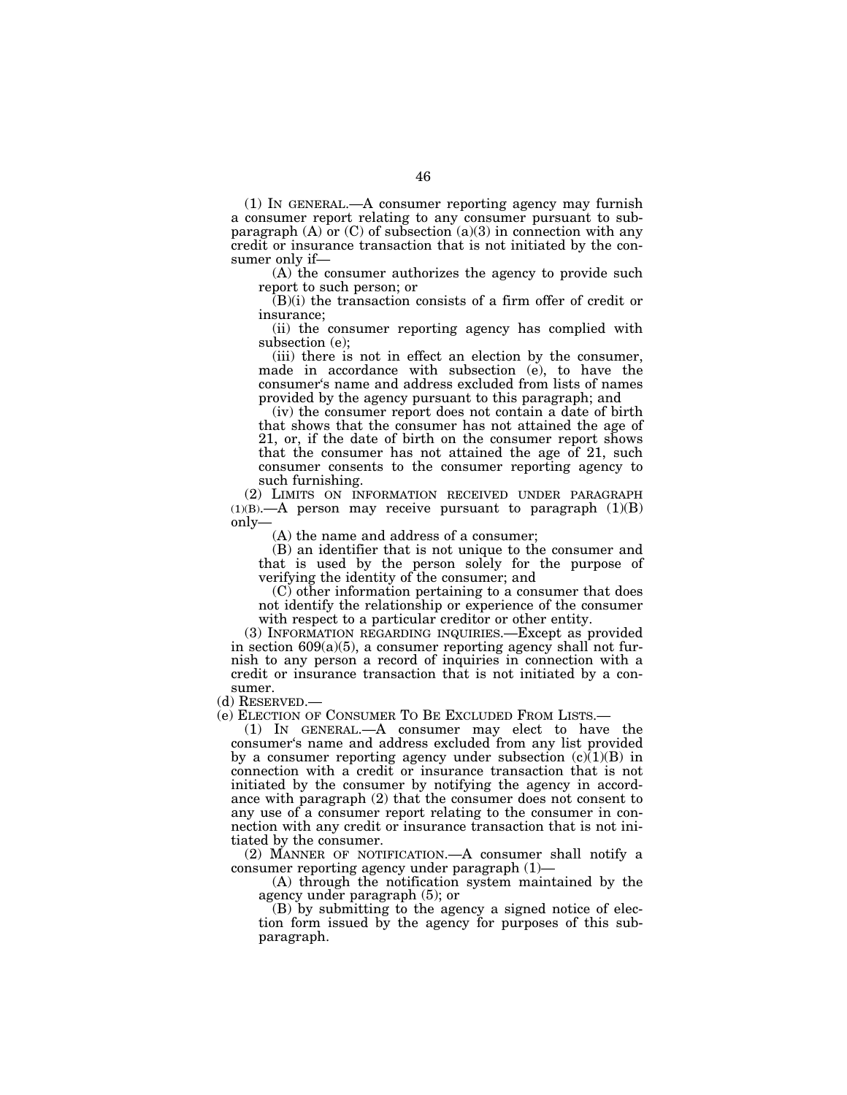(1) IN GENERAL.—A consumer reporting agency may furnish a consumer report relating to any consumer pursuant to subparagraph (A) or  $(C)$  of subsection (a)(3) in connection with any credit or insurance transaction that is not initiated by the consumer only if—

(A) the consumer authorizes the agency to provide such report to such person; or

(B)(i) the transaction consists of a firm offer of credit or insurance;

(ii) the consumer reporting agency has complied with subsection (e);

(iii) there is not in effect an election by the consumer, made in accordance with subsection (e), to have the consumer's name and address excluded from lists of names provided by the agency pursuant to this paragraph; and

(iv) the consumer report does not contain a date of birth that shows that the consumer has not attained the age of 21, or, if the date of birth on the consumer report shows that the consumer has not attained the age of 21, such consumer consents to the consumer reporting agency to such furnishing.

(2) LIMITS ON INFORMATION RECEIVED UNDER PARAGRAPH  $(1)(B)$ .—A person may receive pursuant to paragraph  $(1)(B)$ only—

(A) the name and address of a consumer;

(B) an identifier that is not unique to the consumer and that is used by the person solely for the purpose of verifying the identity of the consumer; and

(C) other information pertaining to a consumer that does not identify the relationship or experience of the consumer with respect to a particular creditor or other entity.

(3) INFORMATION REGARDING INQUIRIES.—Except as provided in section  $609(a)(5)$ , a consumer reporting agency shall not furnish to any person a record of inquiries in connection with a credit or insurance transaction that is not initiated by a con-

sumer.<br>(d) RESERVED.—

(e) ELECTION OF CONSUMER TO BE EXCLUDED FROM LISTS.—<br>(1) IN GENERAL.—A consumer may elect to have the consumer's name and address excluded from any list provided by a consumer reporting agency under subsection  $(c)(1)(B)$  in connection with a credit or insurance transaction that is not initiated by the consumer by notifying the agency in accordance with paragraph (2) that the consumer does not consent to any use of a consumer report relating to the consumer in connection with any credit or insurance transaction that is not initiated by the consumer.

(2) MANNER OF NOTIFICATION.—A consumer shall notify a consumer reporting agency under paragraph (1)—

(A) through the notification system maintained by the agency under paragraph (5); or

(B) by submitting to the agency a signed notice of election form issued by the agency for purposes of this subparagraph.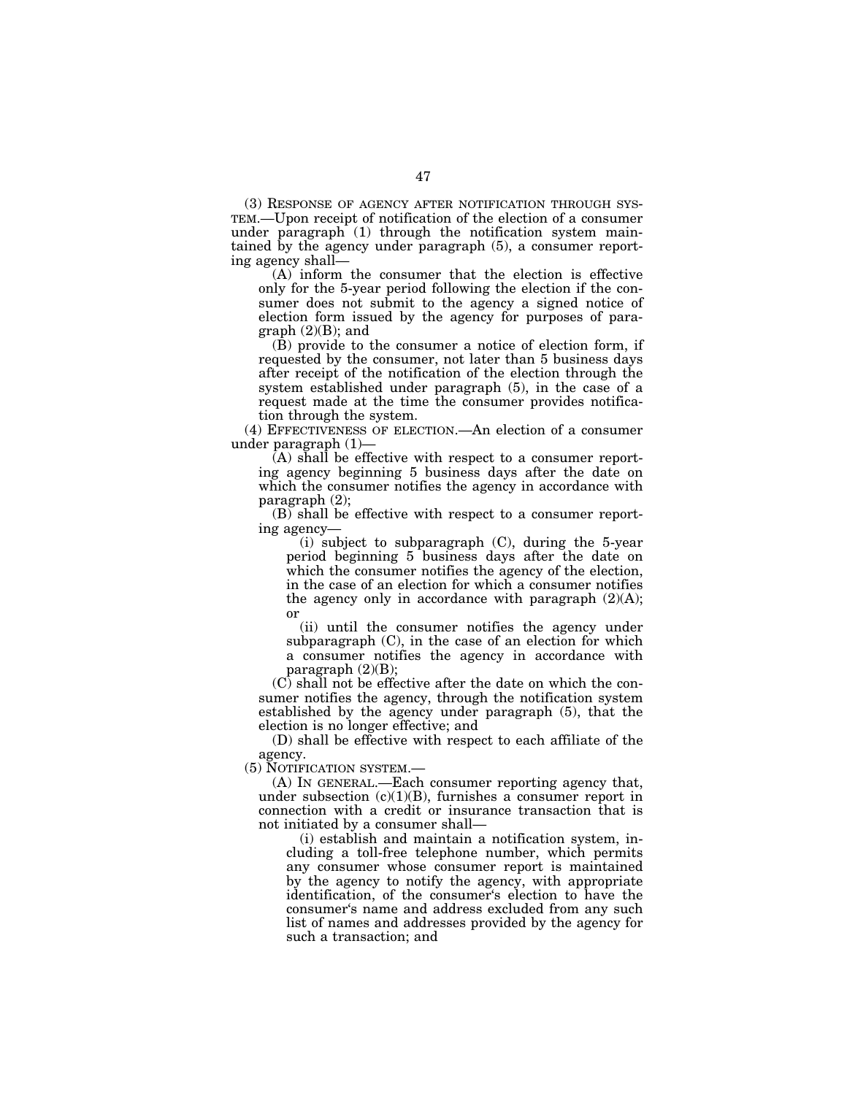(3) RESPONSE OF AGENCY AFTER NOTIFICATION THROUGH SYS-TEM.—Upon receipt of notification of the election of a consumer under paragraph (1) through the notification system maintained by the agency under paragraph (5), a consumer reporting agency shall—

(A) inform the consumer that the election is effective only for the 5-year period following the election if the consumer does not submit to the agency a signed notice of election form issued by the agency for purposes of paragraph  $(2)(B)$ ; and

(B) provide to the consumer a notice of election form, if requested by the consumer, not later than 5 business days after receipt of the notification of the election through the system established under paragraph (5), in the case of a request made at the time the consumer provides notification through the system.

(4) EFFECTIVENESS OF ELECTION.—An election of a consumer under paragraph (1)—

(A) shall be effective with respect to a consumer reporting agency beginning 5 business days after the date on which the consumer notifies the agency in accordance with paragraph (2);

(B) shall be effective with respect to a consumer reporting agency—

(i) subject to subparagraph (C), during the 5-year period beginning 5 business days after the date on which the consumer notifies the agency of the election, in the case of an election for which a consumer notifies the agency only in accordance with paragraph  $(2)(A)$ ; or

(ii) until the consumer notifies the agency under subparagraph (C), in the case of an election for which a consumer notifies the agency in accordance with paragraph  $(2)(B)$ ;

(C) shall not be effective after the date on which the consumer notifies the agency, through the notification system established by the agency under paragraph (5), that the election is no longer effective; and

(D) shall be effective with respect to each affiliate of the agency.

(5) NOTIFICATION SYSTEM.—

(A) IN GENERAL.—Each consumer reporting agency that, under subsection (c)(1)(B), furnishes a consumer report in connection with a credit or insurance transaction that is not initiated by a consumer shall—

(i) establish and maintain a notification system, including a toll-free telephone number, which permits any consumer whose consumer report is maintained by the agency to notify the agency, with appropriate identification, of the consumer's election to have the consumer's name and address excluded from any such list of names and addresses provided by the agency for such a transaction; and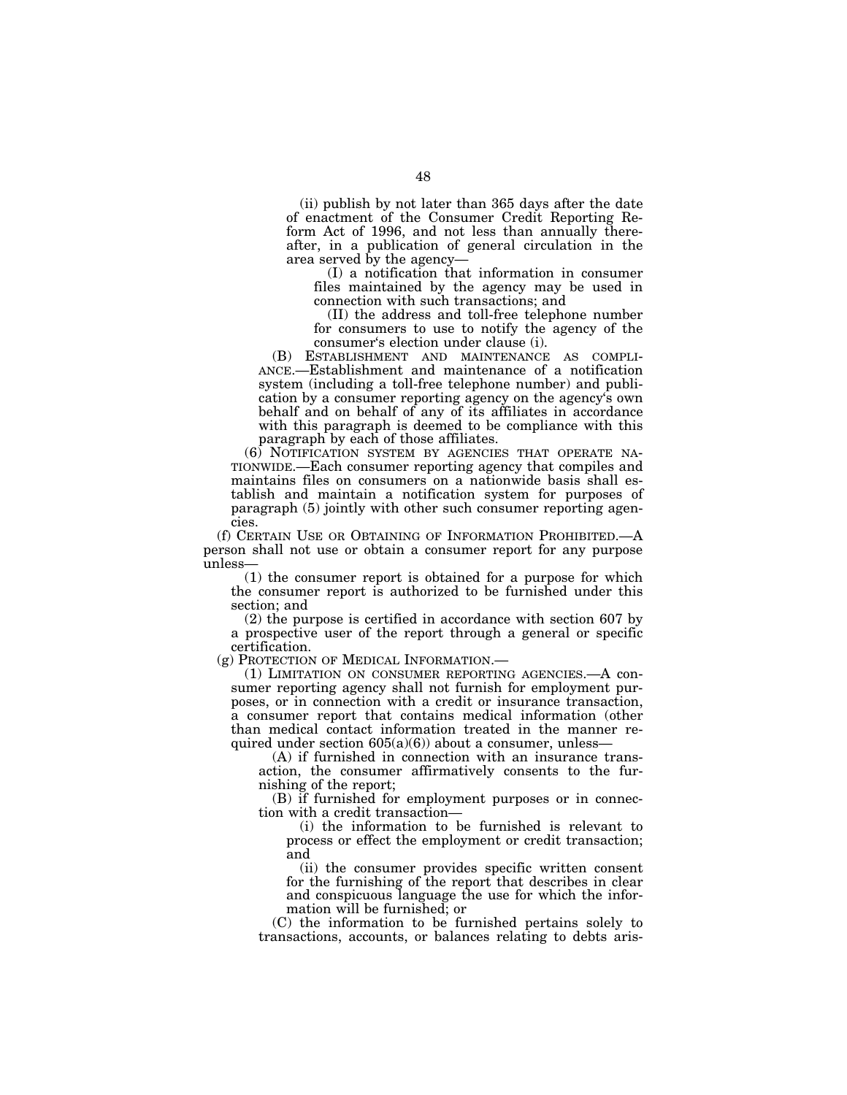(ii) publish by not later than 365 days after the date of enactment of the Consumer Credit Reporting Reform Act of 1996, and not less than annually thereafter, in a publication of general circulation in the area served by the agency—

(I) a notification that information in consumer files maintained by the agency may be used in connection with such transactions; and

(II) the address and toll-free telephone number for consumers to use to notify the agency of the consumer's election under clause (i).

(B) ESTABLISHMENT AND MAINTENANCE AS COMPLI-ANCE.—Establishment and maintenance of a notification system (including a toll-free telephone number) and publication by a consumer reporting agency on the agency's own behalf and on behalf of any of its affiliates in accordance with this paragraph is deemed to be compliance with this paragraph by each of those affiliates.

(6) NOTIFICATION SYSTEM BY AGENCIES THAT OPERATE NA-TIONWIDE.—Each consumer reporting agency that compiles and maintains files on consumers on a nationwide basis shall establish and maintain a notification system for purposes of paragraph (5) jointly with other such consumer reporting agencies.

(f) CERTAIN USE OR OBTAINING OF INFORMATION PROHIBITED.—A person shall not use or obtain a consumer report for any purpose unless—

(1) the consumer report is obtained for a purpose for which the consumer report is authorized to be furnished under this section; and

(2) the purpose is certified in accordance with section 607 by a prospective user of the report through a general or specific certification.

(g) PROTECTION OF MEDICAL INFORMATION.—

(1) LIMITATION ON CONSUMER REPORTING AGENCIES.—A consumer reporting agency shall not furnish for employment purposes, or in connection with a credit or insurance transaction, a consumer report that contains medical information (other than medical contact information treated in the manner required under section  $605(a)(6)$  about a consumer, unless-

(A) if furnished in connection with an insurance transaction, the consumer affirmatively consents to the furnishing of the report;

(B) if furnished for employment purposes or in connection with a credit transaction—

(i) the information to be furnished is relevant to process or effect the employment or credit transaction; and

(ii) the consumer provides specific written consent for the furnishing of the report that describes in clear and conspicuous language the use for which the information will be furnished; or

(C) the information to be furnished pertains solely to transactions, accounts, or balances relating to debts aris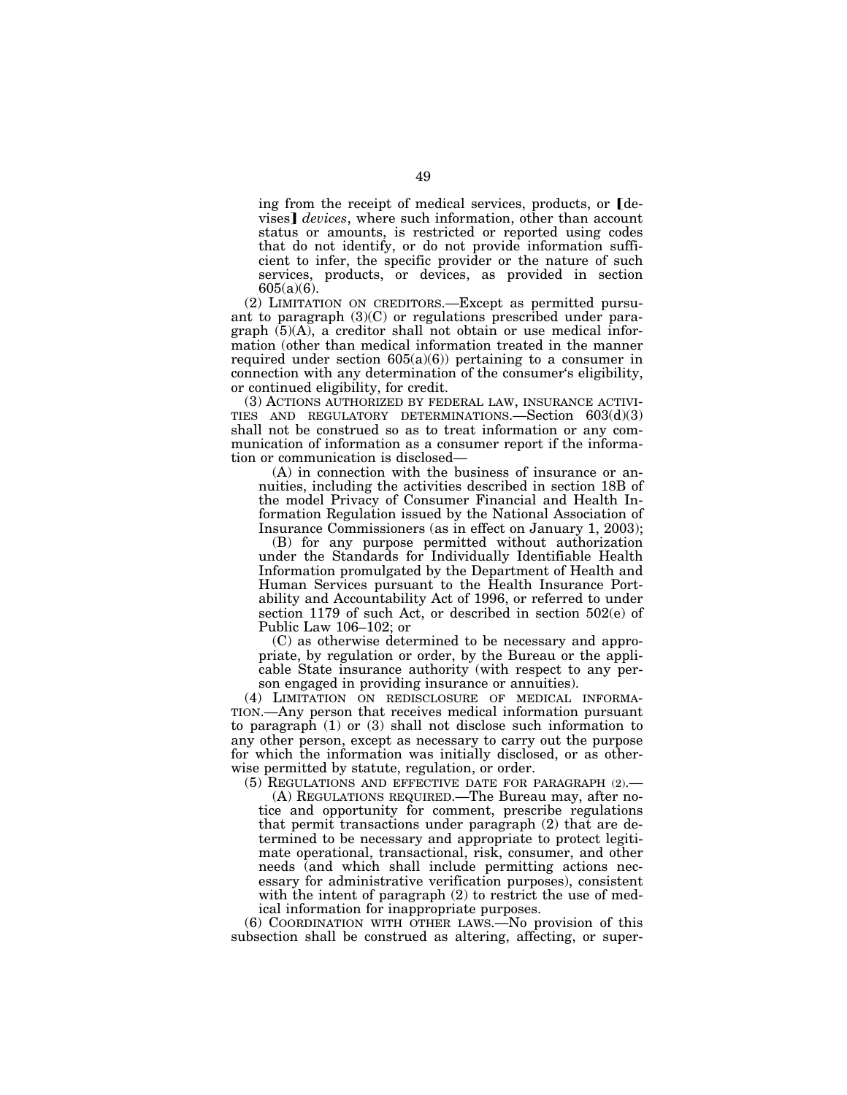ing from the receipt of medical services, products, or [devises] *devices*, where such information, other than account status or amounts, is restricted or reported using codes that do not identify, or do not provide information sufficient to infer, the specific provider or the nature of such services, products, or devices, as provided in section 605(a)(6).

(2) LIMITATION ON CREDITORS.—Except as permitted pursuant to paragraph (3)(C) or regulations prescribed under paragraph  $(5)(A)$ , a creditor shall not obtain or use medical information (other than medical information treated in the manner required under section  $605(a)(6)$  pertaining to a consumer in connection with any determination of the consumer's eligibility, or continued eligibility, for credit.

(3) ACTIONS AUTHORIZED BY FEDERAL LAW, INSURANCE ACTIVI-TIES AND REGULATORY DETERMINATIONS.—Section 603(d)(3) shall not be construed so as to treat information or any communication of information as a consumer report if the information or communication is disclosed—

(A) in connection with the business of insurance or annuities, including the activities described in section 18B of the model Privacy of Consumer Financial and Health Information Regulation issued by the National Association of Insurance Commissioners (as in effect on January 1, 2003);

(B) for any purpose permitted without authorization under the Standards for Individually Identifiable Health Information promulgated by the Department of Health and Human Services pursuant to the Health Insurance Portability and Accountability Act of 1996, or referred to under section 1179 of such Act, or described in section 502(e) of Public Law 106–102; or

(C) as otherwise determined to be necessary and appropriate, by regulation or order, by the Bureau or the applicable State insurance authority (with respect to any person engaged in providing insurance or annuities).

(4) LIMITATION ON REDISCLOSURE OF MEDICAL INFORMA-TION.—Any person that receives medical information pursuant to paragraph (1) or (3) shall not disclose such information to any other person, except as necessary to carry out the purpose for which the information was initially disclosed, or as otherwise permitted by statute, regulation, or order.

(5) REGULATIONS AND EFFECTIVE DATE FOR PARAGRAPH (2).—

(A) REGULATIONS REQUIRED.—The Bureau may, after notice and opportunity for comment, prescribe regulations that permit transactions under paragraph (2) that are determined to be necessary and appropriate to protect legitimate operational, transactional, risk, consumer, and other needs (and which shall include permitting actions necessary for administrative verification purposes), consistent with the intent of paragraph  $(2)$  to restrict the use of medical information for inappropriate purposes.

(6) COORDINATION WITH OTHER LAWS.—No provision of this subsection shall be construed as altering, affecting, or super-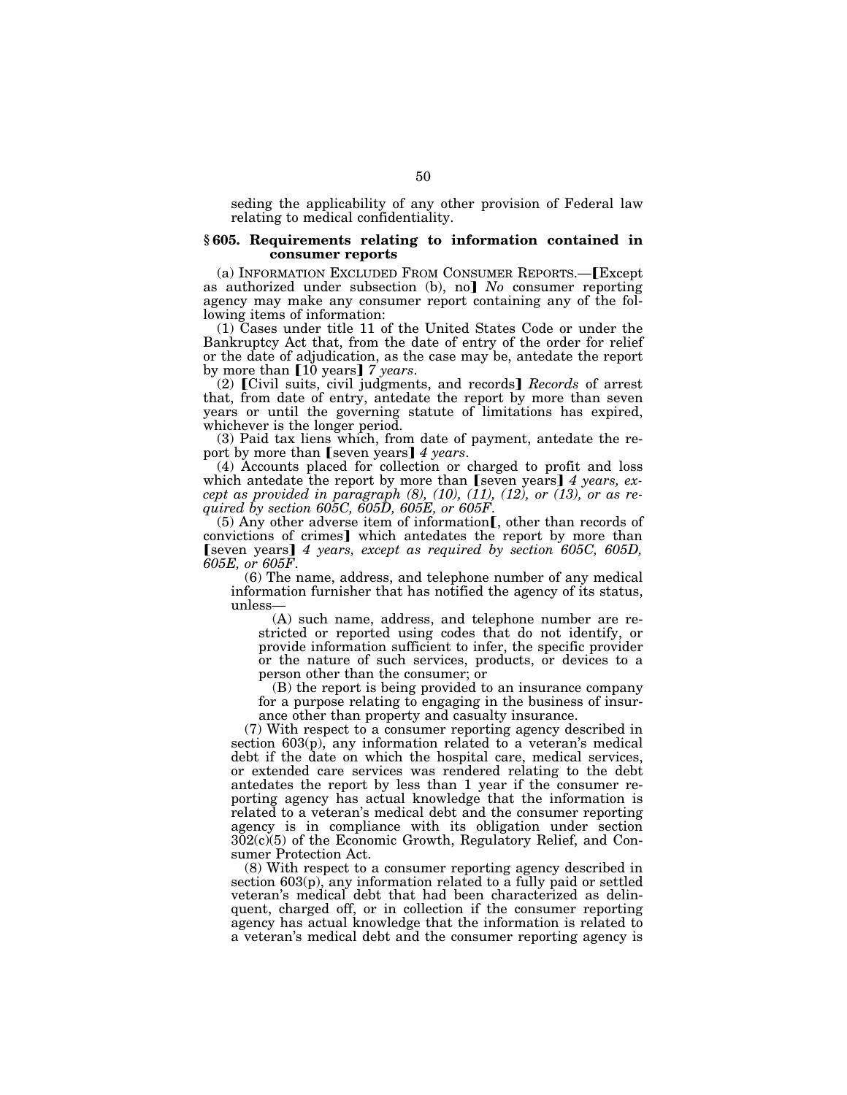seding the applicability of any other provision of Federal law relating to medical confidentiality.

#### **§ 605. Requirements relating to information contained in consumer reports**

(a) INFORMATION EXCLUDED FROM CONSUMER REPORTS.-[Except as authorized under subsection (b), no No consumer reporting agency may make any consumer report containing any of the following items of information:

(1) Cases under title 11 of the United States Code or under the Bankruptcy Act that, from the date of entry of the order for relief or the date of adjudication, as the case may be, antedate the report by more than  $[10 \text{ years}]$  7 years.

by more than ø10 years¿ *7 years*. (2) <sup>ø</sup>Civil suits, civil judgments, and records¿ *Records* of arrest that, from date of entry, antedate the report by more than seven years or until the governing statute of limitations has expired, whichever is the longer period.

(3) Paid tax liens which, from date of payment, antedate the report by more than [seven years]  $4 \text{ years.}$ 

(4) Accounts placed for collection or charged to profit and loss which antedate the report by more than [seven years] 4 years, ex*cept as provided in paragraph (8), (10), (11), (12), or (13), or as re-*

*(5)* Any other adverse item of information<sub>[,</sub> other than records of convictions of crimes<sup>,</sup> which antedates the report by more than øseven years¿ *4 years, except as required by section 605C, 605D, 605E, or 605F*. (6) The name, address, and telephone number of any medical

information furnisher that has notified the agency of its status, unless—

(A) such name, address, and telephone number are restricted or reported using codes that do not identify, or provide information sufficient to infer, the specific provider or the nature of such services, products, or devices to a person other than the consumer; or

(B) the report is being provided to an insurance company for a purpose relating to engaging in the business of insurance other than property and casualty insurance.

(7) With respect to a consumer reporting agency described in section 603(p), any information related to a veteran's medical debt if the date on which the hospital care, medical services, or extended care services was rendered relating to the debt antedates the report by less than 1 year if the consumer reporting agency has actual knowledge that the information is related to a veteran's medical debt and the consumer reporting agency is in compliance with its obligation under section 302(c)(5) of the Economic Growth, Regulatory Relief, and Consumer Protection Act.

(8) With respect to a consumer reporting agency described in section 603(p), any information related to a fully paid or settled veteran's medical debt that had been characterized as delinquent, charged off, or in collection if the consumer reporting agency has actual knowledge that the information is related to a veteran's medical debt and the consumer reporting agency is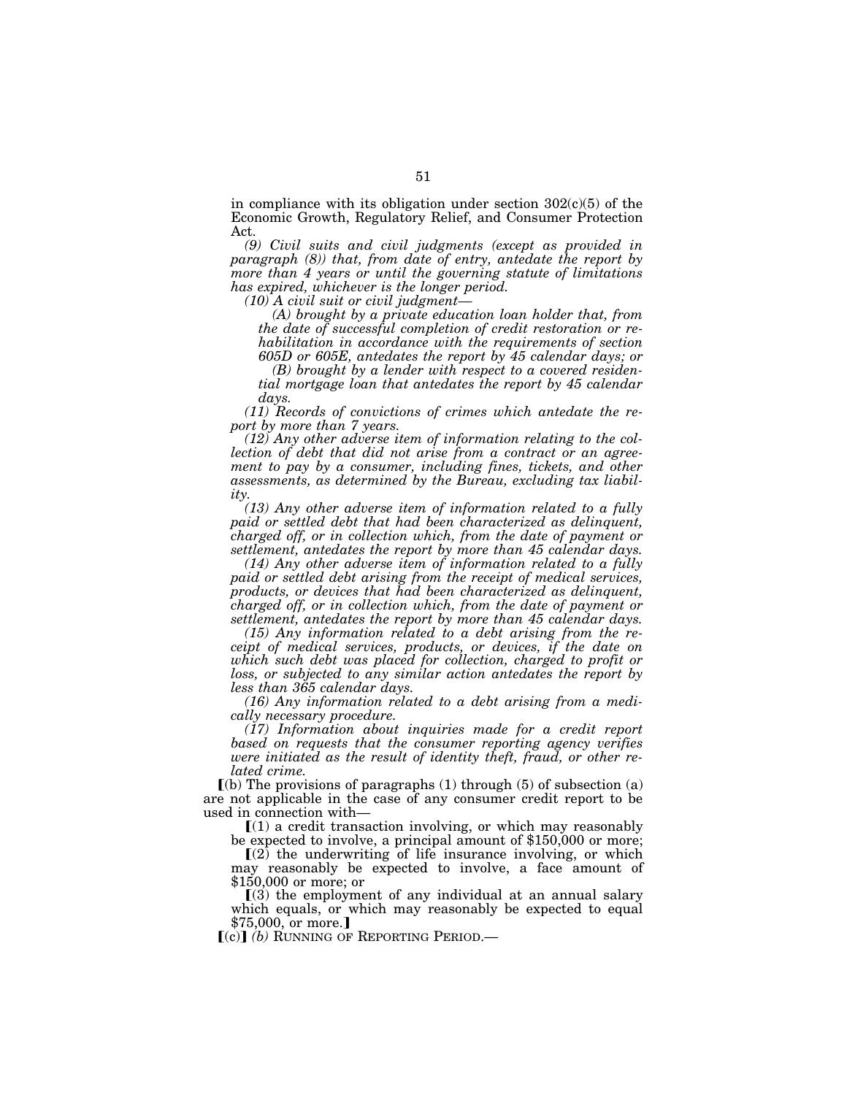in compliance with its obligation under section  $302(c)(5)$  of the Economic Growth, Regulatory Relief, and Consumer Protection Act.

*(9) Civil suits and civil judgments (except as provided in paragraph (8)) that, from date of entry, antedate the report by more than 4 years or until the governing statute of limitations has expired, whichever is the longer period.* 

*(10) A civil suit or civil judgment—* 

*(A) brought by a private education loan holder that, from the date of successful completion of credit restoration or rehabilitation in accordance with the requirements of section 605D or 605E, antedates the report by 45 calendar days; or* 

*(B) brought by a lender with respect to a covered residential mortgage loan that antedates the report by 45 calendar days.* 

*(11) Records of convictions of crimes which antedate the report by more than 7 years.* 

*(12) Any other adverse item of information relating to the collection of debt that did not arise from a contract or an agreement to pay by a consumer, including fines, tickets, and other assessments, as determined by the Bureau, excluding tax liability.* 

*(13) Any other adverse item of information related to a fully paid or settled debt that had been characterized as delinquent, charged off, or in collection which, from the date of payment or settlement, antedates the report by more than 45 calendar days.* 

*(14) Any other adverse item of information related to a fully paid or settled debt arising from the receipt of medical services, products, or devices that had been characterized as delinquent, charged off, or in collection which, from the date of payment or settlement, antedates the report by more than 45 calendar days.* 

*(15) Any information related to a debt arising from the receipt of medical services, products, or devices, if the date on which such debt was placed for collection, charged to profit or loss, or subjected to any similar action antedates the report by less than 365 calendar days.* 

*(16) Any information related to a debt arising from a medically necessary procedure.* 

*(17) Information about inquiries made for a credit report based on requests that the consumer reporting agency verifies were initiated as the result of identity theft, fraud, or other related crime.* 

 $\mathbf{I}(\mathbf{b})$  The provisions of paragraphs (1) through (5) of subsection (a) are not applicable in the case of any consumer credit report to be used in connection with—

 $(1)$  a credit transaction involving, or which may reasonably be expected to involve, a principal amount of \$150,000 or more;

 $(2)$  the underwriting of life insurance involving, or which may reasonably be expected to involve, a face amount of \$150,000 or more; or

 $(3)$  the employment of any individual at an annual salary which equals, or which may reasonably be expected to equal  $$75,000$ , or more.

 $(c)$   $(b)$  RUNNING OF REPORTING PERIOD.—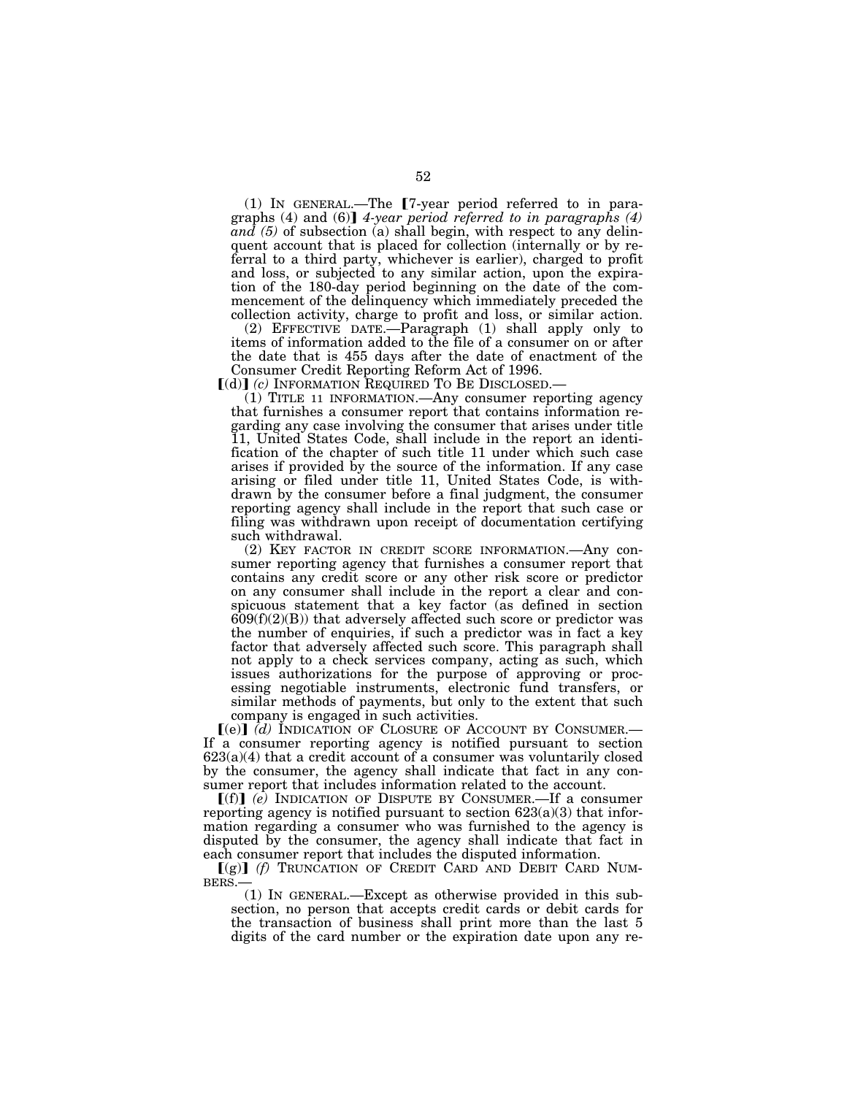(1) IN GENERAL.—The  $[7$ -year period referred to in paragraphs (4) and (6)] 4-year period referred to in paragraphs (4)  $\overline{a}n\overline{d}$  (5) of subsection (a) shall begin, with respect to any delinquent account that is placed for collection (internally or by referral to a third party, whichever is earlier), charged to profit and loss, or subjected to any similar action, upon the expiration of the 180-day period beginning on the date of the commencement of the delinquency which immediately preceded the collection activity, charge to profit and loss, or similar action.

(2) EFFECTIVE DATE.—Paragraph (1) shall apply only to items of information added to the file of a consumer on or after the date that is 455 days after the date of enactment of the Consumer Credit Reporting Reform Act of 1996.

ø(d)¿ *(c)* INFORMATION REQUIRED TO BE DISCLOSED.—

(1) TITLE 11 INFORMATION.—Any consumer reporting agency that furnishes a consumer report that contains information regarding any case involving the consumer that arises under title 11, United States Code, shall include in the report an identification of the chapter of such title 11 under which such case arises if provided by the source of the information. If any case arising or filed under title 11, United States Code, is withdrawn by the consumer before a final judgment, the consumer reporting agency shall include in the report that such case or filing was withdrawn upon receipt of documentation certifying such withdrawal.

(2) KEY FACTOR IN CREDIT SCORE INFORMATION.—Any consumer reporting agency that furnishes a consumer report that contains any credit score or any other risk score or predictor on any consumer shall include in the report a clear and conspicuous statement that a key factor (as defined in section  $609(f)(2)(B)$  that adversely affected such score or predictor was the number of enquiries, if such a predictor was in fact a key factor that adversely affected such score. This paragraph shall not apply to a check services company, acting as such, which issues authorizations for the purpose of approving or processing negotiable instruments, electronic fund transfers, or similar methods of payments, but only to the extent that such

company is engaged in such activities.<br>  $[(e)]$   $(d)$  INDICATION OF CLOSURE OF ACCOUNT BY CONSUMER. If a consumer reporting agency is notified pursuant to section  $623(a)(4)$  that a credit account of a consumer was voluntarily closed by the consumer, the agency shall indicate that fact in any consumer report that includes information related to the account.

 $[(f)]$  (e) INDICATION OF DISPUTE BY CONSUMER.—If a consumer reporting agency is notified pursuant to section  $623(a)(3)$  that information regarding a consumer who was furnished to the agency is disputed by the consumer, the agency shall indicate that fact in each consumer report that includes the disputed information.

 $\left[\text{(g)}\right]$  (f) TRUNCATION OF CREDIT CARD AND DEBIT CARD NUMBERS.—

(1) IN GENERAL.—Except as otherwise provided in this subsection, no person that accepts credit cards or debit cards for the transaction of business shall print more than the last 5 digits of the card number or the expiration date upon any re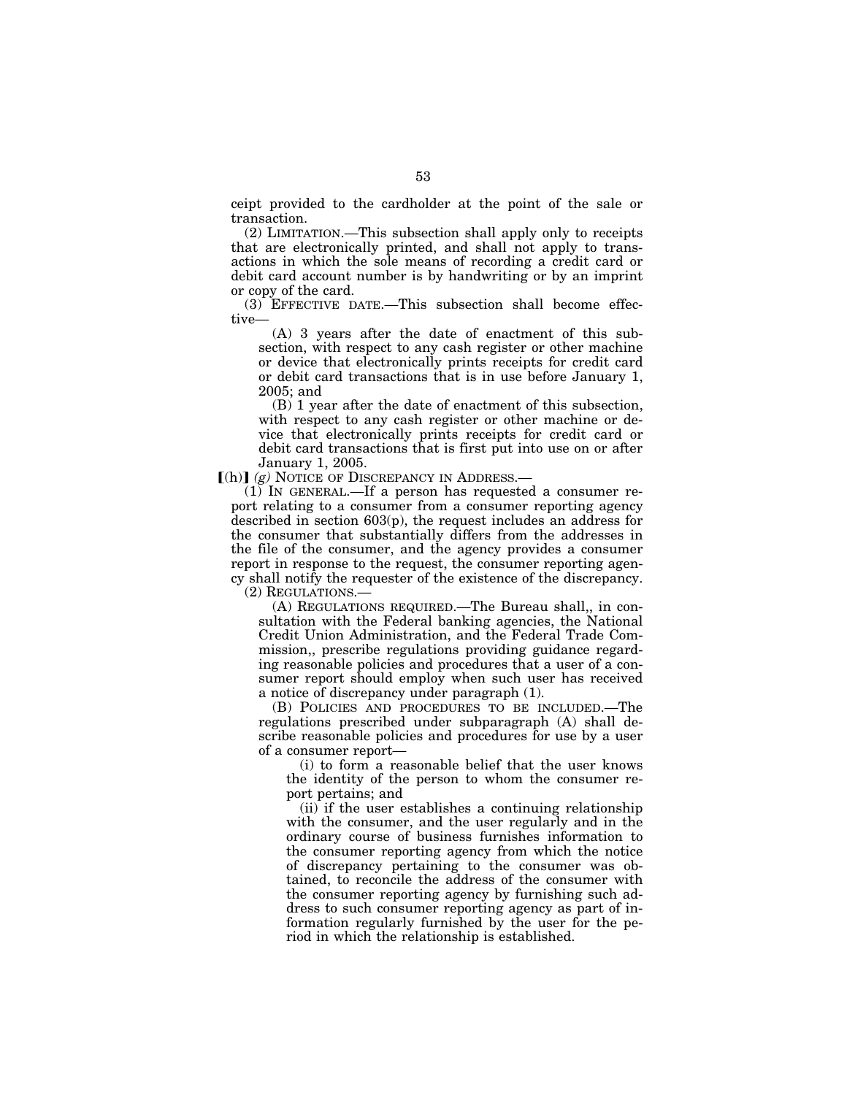ceipt provided to the cardholder at the point of the sale or transaction.

(2) LIMITATION.—This subsection shall apply only to receipts that are electronically printed, and shall not apply to transactions in which the sole means of recording a credit card or debit card account number is by handwriting or by an imprint or copy of the card.

(3) EFFECTIVE DATE.—This subsection shall become effective—

(A) 3 years after the date of enactment of this subsection, with respect to any cash register or other machine or device that electronically prints receipts for credit card or debit card transactions that is in use before January 1, 2005; and

(B) 1 year after the date of enactment of this subsection, with respect to any cash register or other machine or device that electronically prints receipts for credit card or debit card transactions that is first put into use on or after January 1, 2005.

 $\lceil(h)\rceil$  (g) NOTICE OF DISCREPANCY IN ADDRESS.—

(1) IN GENERAL.—If a person has requested a consumer report relating to a consumer from a consumer reporting agency described in section 603(p), the request includes an address for the consumer that substantially differs from the addresses in the file of the consumer, and the agency provides a consumer report in response to the request, the consumer reporting agency shall notify the requester of the existence of the discrepancy. (2) REGULATIONS.—

(A) REGULATIONS REQUIRED.—The Bureau shall,, in consultation with the Federal banking agencies, the National Credit Union Administration, and the Federal Trade Commission,, prescribe regulations providing guidance regarding reasonable policies and procedures that a user of a consumer report should employ when such user has received a notice of discrepancy under paragraph (1).

(B) POLICIES AND PROCEDURES TO BE INCLUDED.—The regulations prescribed under subparagraph (A) shall describe reasonable policies and procedures for use by a user of a consumer report—

(i) to form a reasonable belief that the user knows the identity of the person to whom the consumer report pertains; and

(ii) if the user establishes a continuing relationship with the consumer, and the user regularly and in the ordinary course of business furnishes information to the consumer reporting agency from which the notice of discrepancy pertaining to the consumer was obtained, to reconcile the address of the consumer with the consumer reporting agency by furnishing such address to such consumer reporting agency as part of information regularly furnished by the user for the period in which the relationship is established.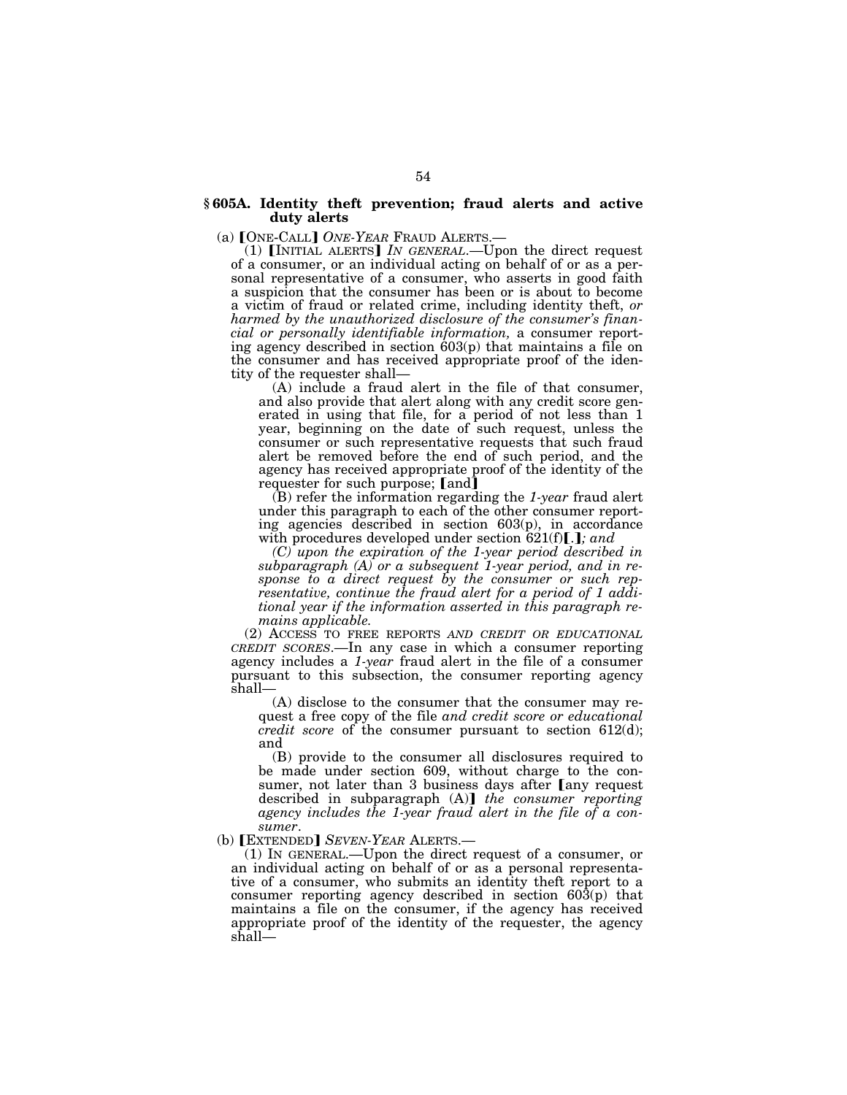# **§ 605A. Identity theft prevention; fraud alerts and active duty alerts**

(a) [ONE-CALL] *ONE-YEAR* FRAUD ALERTS.—<br>(1) [INITIAL ALERTS] *IN GENERAL*.—Upon the direct request of a consumer, or an individual acting on behalf of or as a personal representative of a consumer, who asserts in good faith a suspicion that the consumer has been or is about to become a victim of fraud or related crime, including identity theft, *or harmed by the unauthorized disclosure of the consumer's financial or personally identifiable information,* a consumer reporting agency described in section 603(p) that maintains a file on the consumer and has received appropriate proof of the identity of the requester shall—

(A) include a fraud alert in the file of that consumer, and also provide that alert along with any credit score generated in using that file, for a period of not less than 1 year, beginning on the date of such request, unless the consumer or such representative requests that such fraud alert be removed before the end of such period, and the agency has received appropriate proof of the identity of the requester for such purpose; [and]

(B) refer the information regarding the *1-year* fraud alert under this paragraph to each of the other consumer reporting agencies described in section 603(p), in accordance with procedures developed under section  $621(f)$ .*..., and* 

*(C) upon the expiration of the 1-year period described in subparagraph (A) or a subsequent 1-year period, and in response to a direct request by the consumer or such representative, continue the fraud alert for a period of 1 additional year if the information asserted in this paragraph remains applicable.* 

(2) ACCESS TO FREE REPORTS *AND CREDIT OR EDUCATIONAL CREDIT SCORES*.—In any case in which a consumer reporting agency includes a *1-year* fraud alert in the file of a consumer pursuant to this subsection, the consumer reporting agency shall—

(A) disclose to the consumer that the consumer may request a free copy of the file *and credit score or educational credit score* of the consumer pursuant to section 612(d); and

(B) provide to the consumer all disclosures required to be made under section 609, without charge to the consumer, not later than 3 business days after [any request described in subparagraph (A)] *the consumer reporting agency includes the 1-year fraud alert in the file of a con-*

*sumer*.<br>(b) **[EXTENDED]** *SEVEN-YEAR* ALERTS.—

(1) IN GENERAL.—Upon the direct request of a consumer, or an individual acting on behalf of or as a personal representative of a consumer, who submits an identity theft report to a consumer reporting agency described in section  $60\overline{3}$ (p) that maintains a file on the consumer, if the agency has received appropriate proof of the identity of the requester, the agency shall—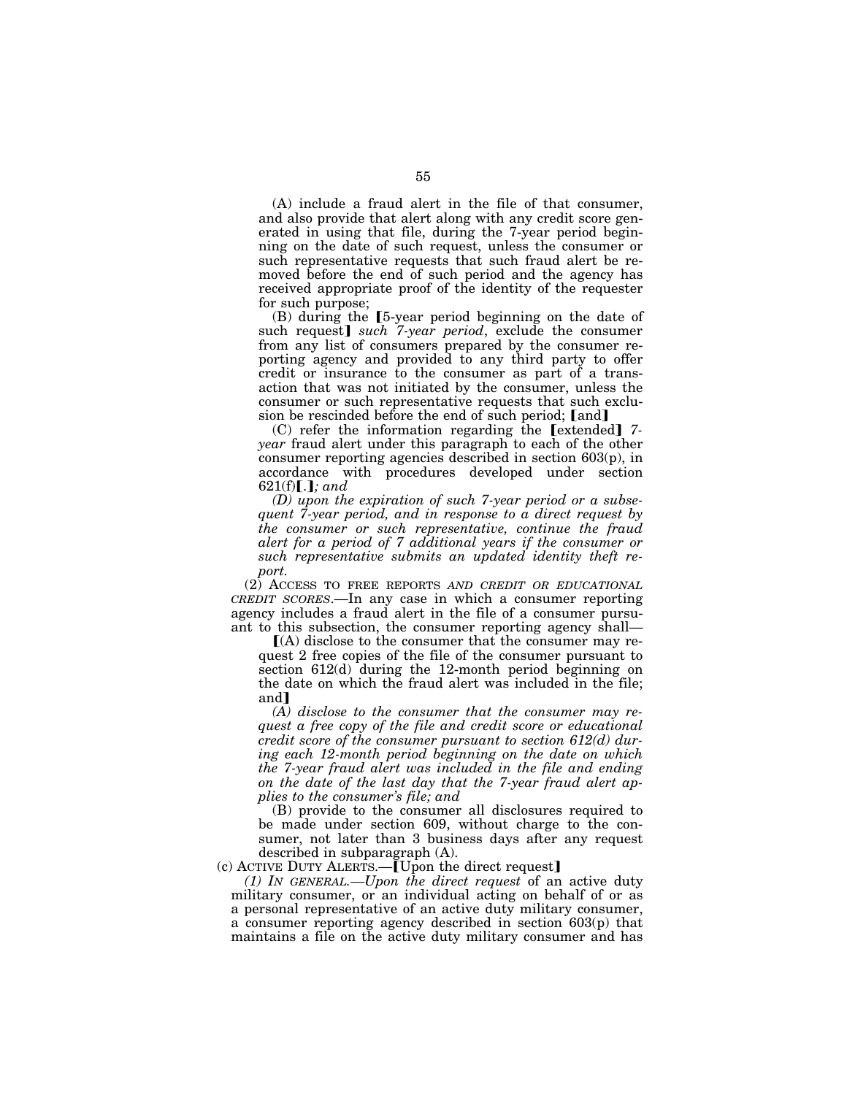(A) include a fraud alert in the file of that consumer, and also provide that alert along with any credit score generated in using that file, during the 7-year period beginning on the date of such request, unless the consumer or such representative requests that such fraud alert be removed before the end of such period and the agency has received appropriate proof of the identity of the requester for such purpose;

 $(B)$  during the  $[5$ -year period beginning on the date of such request] *such 7-year period*, exclude the consumer from any list of consumers prepared by the consumer reporting agency and provided to any third party to offer credit or insurance to the consumer as part of a transaction that was not initiated by the consumer, unless the consumer or such representative requests that such exclusion be rescinded before the end of such period; [and]

(C) refer the information regarding the **[extended]** 7*year* fraud alert under this paragraph to each of the other consumer reporting agencies described in section 603(p), in accordance with procedures developed under section 621(f) $[]$ *; and* 

*(D) upon the expiration of such 7-year period or a subsequent 7-year period, and in response to a direct request by the consumer or such representative, continue the fraud alert for a period of 7 additional years if the consumer or such representative submits an updated identity theft report.* 

(2) ACCESS TO FREE REPORTS *AND CREDIT OR EDUCATIONAL CREDIT SCORES*.—In any case in which a consumer reporting agency includes a fraud alert in the file of a consumer pursuant to this subsection, the consumer reporting agency shall—

 $(A)$  disclose to the consumer that the consumer may request 2 free copies of the file of the consumer pursuant to section 612(d) during the 12-month period beginning on the date on which the fraud alert was included in the file; and<sup>1</sup>

*(A) disclose to the consumer that the consumer may request a free copy of the file and credit score or educational credit score of the consumer pursuant to section 612(d) during each 12-month period beginning on the date on which the 7-year fraud alert was included in the file and ending on the date of the last day that the 7-year fraud alert applies to the consumer's file; and* 

(B) provide to the consumer all disclosures required to be made under section 609, without charge to the consumer, not later than 3 business days after any request described in subparagraph (A).

 $(c)$  ACTIVE DUTY ALERTS.— $[$ Upon the direct request]

*(1) IN GENERAL.—Upon the direct request* of an active duty military consumer, or an individual acting on behalf of or as a personal representative of an active duty military consumer, a consumer reporting agency described in section 603(p) that maintains a file on the active duty military consumer and has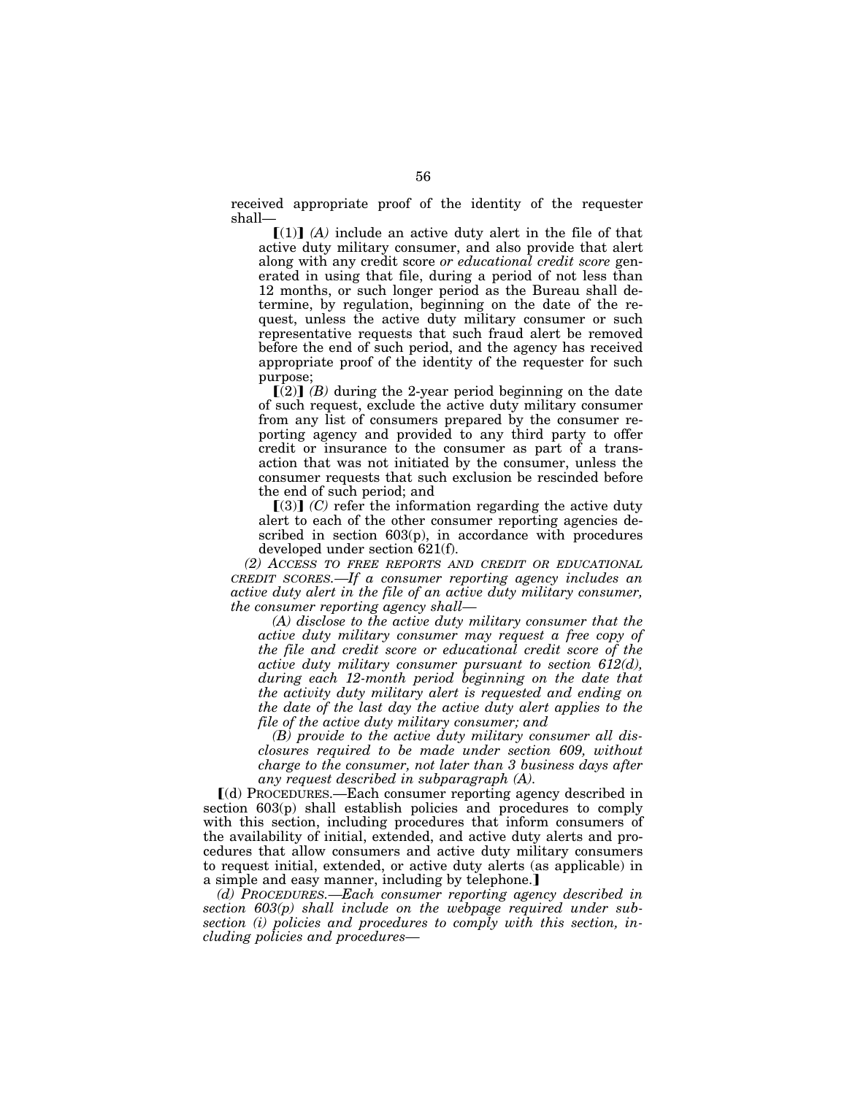received appropriate proof of the identity of the requester shall—

 $\llbracket (1) \rrbracket$  *(A)* include an active duty alert in the file of that active duty military consumer, and also provide that alert along with any credit score *or educational credit score* generated in using that file, during a period of not less than 12 months, or such longer period as the Bureau shall determine, by regulation, beginning on the date of the request, unless the active duty military consumer or such representative requests that such fraud alert be removed before the end of such period, and the agency has received appropriate proof of the identity of the requester for such purpose;

 $(2)$  *(B)* during the 2-year period beginning on the date of such request, exclude the active duty military consumer from any list of consumers prepared by the consumer reporting agency and provided to any third party to offer credit or insurance to the consumer as part of a transaction that was not initiated by the consumer, unless the consumer requests that such exclusion be rescinded before the end of such period; and

 $(3)$  *(C)* refer the information regarding the active duty alert to each of the other consumer reporting agencies described in section  $603(p)$ , in accordance with procedures developed under section 621(f).

*(2) ACCESS TO FREE REPORTS AND CREDIT OR EDUCATIONAL CREDIT SCORES.—If a consumer reporting agency includes an active duty alert in the file of an active duty military consumer, the consumer reporting agency shall—* 

*(A) disclose to the active duty military consumer that the active duty military consumer may request a free copy of the file and credit score or educational credit score of the active duty military consumer pursuant to section 612(d), during each 12-month period beginning on the date that the activity duty military alert is requested and ending on the date of the last day the active duty alert applies to the file of the active duty military consumer; and* 

*(B) provide to the active duty military consumer all disclosures required to be made under section 609, without charge to the consumer, not later than 3 business days after any request described in subparagraph (A).* 

ø(d) PROCEDURES.—Each consumer reporting agency described in section 603(p) shall establish policies and procedures to comply with this section, including procedures that inform consumers of the availability of initial, extended, and active duty alerts and procedures that allow consumers and active duty military consumers to request initial, extended, or active duty alerts (as applicable) in a simple and easy manner, including by telephone.]

*(d) PROCEDURES.—Each consumer reporting agency described in section 603(p) shall include on the webpage required under subsection (i) policies and procedures to comply with this section, including policies and procedures—*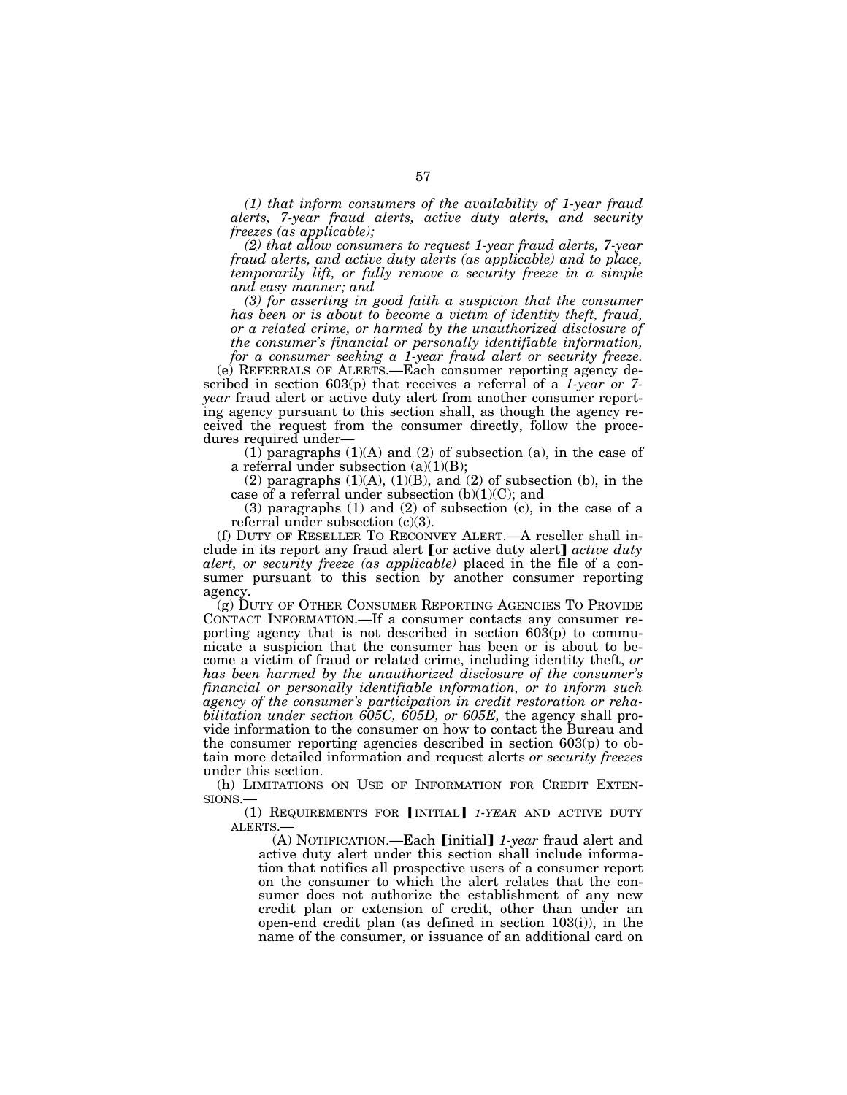*(1) that inform consumers of the availability of 1-year fraud alerts, 7-year fraud alerts, active duty alerts, and security freezes (as applicable);* 

*(2) that allow consumers to request 1-year fraud alerts, 7-year fraud alerts, and active duty alerts (as applicable) and to place, temporarily lift, or fully remove a security freeze in a simple and easy manner; and* 

*(3) for asserting in good faith a suspicion that the consumer has been or is about to become a victim of identity theft, fraud, or a related crime, or harmed by the unauthorized disclosure of the consumer's financial or personally identifiable information,* 

*for a consumer seeking a 1-year fraud alert or security freeze.*  (e) REFERRALS OF ALERTS.—Each consumer reporting agency described in section 603(p) that receives a referral of a *1-year or 7 year* fraud alert or active duty alert from another consumer reporting agency pursuant to this section shall, as though the agency received the request from the consumer directly, follow the procedures required under—

(1) paragraphs  $(1)(A)$  and  $(2)$  of subsection  $(a)$ , in the case of a referral under subsection  $(a)(1)(B)$ ;

(2) paragraphs  $(1)(A)$ ,  $(1)(B)$ , and  $(2)$  of subsection  $(b)$ , in the case of a referral under subsection (b)(1)(C); and

(3) paragraphs (1) and (2) of subsection (c), in the case of a referral under subsection (c)(3).

(f) DUTY OF RESELLER TO RECONVEY ALERT.—A reseller shall include in its report any fraud alert [or active duty alert] *active duty alert, or security freeze (as applicable)* placed in the file of a consumer pursuant to this section by another consumer reporting agency.

(g) DUTY OF OTHER CONSUMER REPORTING AGENCIES TO PROVIDE CONTACT INFORMATION.—If a consumer contacts any consumer reporting agency that is not described in section  $603(p)$  to communicate a suspicion that the consumer has been or is about to become a victim of fraud or related crime, including identity theft, *or has been harmed by the unauthorized disclosure of the consumer's financial or personally identifiable information, or to inform such agency of the consumer's participation in credit restoration or rehabilitation under section 605C, 605D, or 605E,* the agency shall provide information to the consumer on how to contact the Bureau and the consumer reporting agencies described in section 603(p) to obtain more detailed information and request alerts *or security freezes*  under this section.

(h) LIMITATIONS ON USE OF INFORMATION FOR CREDIT EXTEN-SIONS.—

(1) REQUIREMENTS FOR *[INITIAL] 1-YEAR* AND ACTIVE DUTY ALERTS.—

(A) NOTIFICATION.—Each [initial] 1-year fraud alert and active duty alert under this section shall include information that notifies all prospective users of a consumer report on the consumer to which the alert relates that the consumer does not authorize the establishment of any new credit plan or extension of credit, other than under an open-end credit plan (as defined in section 103(i)), in the name of the consumer, or issuance of an additional card on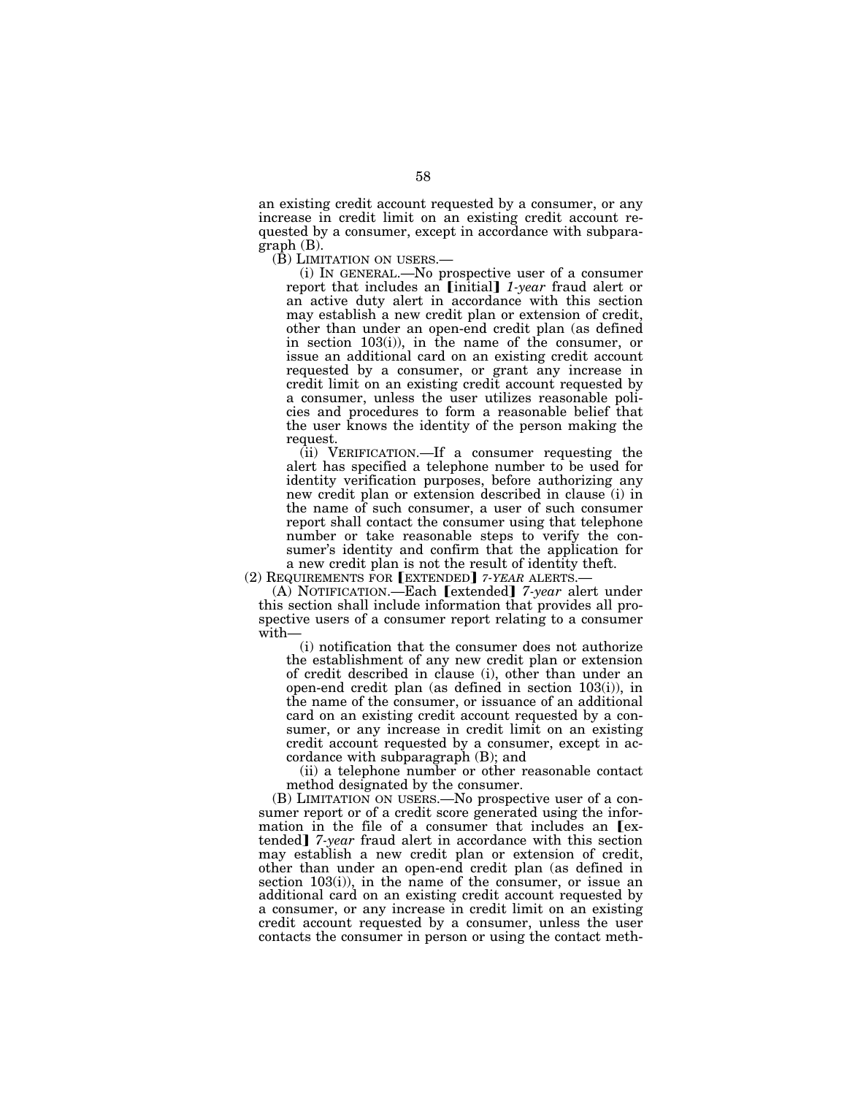an existing credit account requested by a consumer, or any increase in credit limit on an existing credit account requested by a consumer, except in accordance with subparagraph (B).<br>(B) LIMITATION ON USERS.—

(i) IN GENERAL.—No prospective user of a consumer report that includes an [initial] 1-year fraud alert or an active duty alert in accordance with this section may establish a new credit plan or extension of credit, other than under an open-end credit plan (as defined in section 103(i)), in the name of the consumer, or issue an additional card on an existing credit account requested by a consumer, or grant any increase in credit limit on an existing credit account requested by a consumer, unless the user utilizes reasonable policies and procedures to form a reasonable belief that the user knows the identity of the person making the request.

(ii) VERIFICATION.—If a consumer requesting the alert has specified a telephone number to be used for identity verification purposes, before authorizing any new credit plan or extension described in clause (i) in the name of such consumer, a user of such consumer report shall contact the consumer using that telephone number or take reasonable steps to verify the consumer's identity and confirm that the application for

a new credit plan is not the result of identity theft.<br>(2) REQUIREMENTS FOR [EXTENDED] 7-YEAR ALERTS.—

(2) REQUIREMENTS FOR <sup>ø</sup>EXTENDED¿ *7-YEAR* ALERTS.— (A) NOTIFICATION.—Each <sup>ø</sup>extended¿ *7-year* alert under this section shall include information that provides all prospective users of a consumer report relating to a consumer with—

(i) notification that the consumer does not authorize the establishment of any new credit plan or extension of credit described in clause (i), other than under an open-end credit plan (as defined in section 103(i)), in the name of the consumer, or issuance of an additional card on an existing credit account requested by a consumer, or any increase in credit limit on an existing credit account requested by a consumer, except in accordance with subparagraph (B); and

(ii) a telephone number or other reasonable contact method designated by the consumer.

(B) LIMITATION ON USERS.—No prospective user of a consumer report or of a credit score generated using the information in the file of a consumer that includes an [extended] 7-year fraud alert in accordance with this section may establish a new credit plan or extension of credit, other than under an open-end credit plan (as defined in section 103(i)), in the name of the consumer, or issue an additional card on an existing credit account requested by a consumer, or any increase in credit limit on an existing credit account requested by a consumer, unless the user contacts the consumer in person or using the contact meth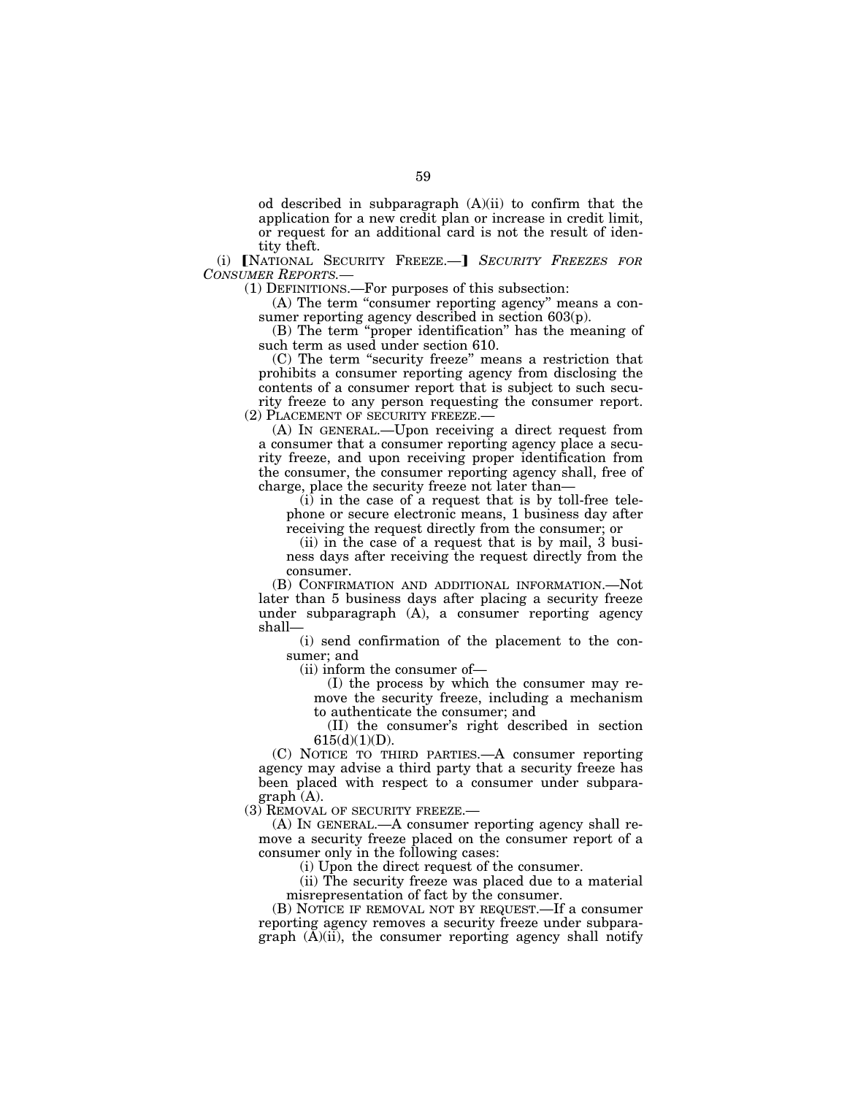od described in subparagraph (A)(ii) to confirm that the application for a new credit plan or increase in credit limit, or request for an additional card is not the result of identity theft.

(i) **[NATIONAL SECURITY FREEZE. J** *SECURITY FREEZES FOR CONSUMER REPORTS.—* 

(1) DEFINITIONS.—For purposes of this subsection:

(A) The term "consumer reporting agency" means a consumer reporting agency described in section 603(p).

(B) The term ''proper identification'' has the meaning of such term as used under section 610.

(C) The term ''security freeze'' means a restriction that prohibits a consumer reporting agency from disclosing the contents of a consumer report that is subject to such security freeze to any person requesting the consumer report. (2) PLACEMENT OF SECURITY FREEZE.—

(A) IN GENERAL.—Upon receiving a direct request from a consumer that a consumer reporting agency place a security freeze, and upon receiving proper identification from the consumer, the consumer reporting agency shall, free of charge, place the security freeze not later than—

 $(i)$  in the case of a request that is by toll-free telephone or secure electronic means, 1 business day after receiving the request directly from the consumer; or

(ii) in the case of a request that is by mail, 3 business days after receiving the request directly from the consumer.

(B) CONFIRMATION AND ADDITIONAL INFORMATION.—Not later than 5 business days after placing a security freeze under subparagraph (A), a consumer reporting agency shall—

(i) send confirmation of the placement to the consumer; and

(ii) inform the consumer of—

(I) the process by which the consumer may remove the security freeze, including a mechanism to authenticate the consumer; and

(II) the consumer's right described in section  $615(d)(1)(D)$ .

(C) NOTICE TO THIRD PARTIES.—A consumer reporting agency may advise a third party that a security freeze has been placed with respect to a consumer under subparagraph (A).

(3) REMOVAL OF SECURITY FREEZE.—

(A) IN GENERAL.—A consumer reporting agency shall remove a security freeze placed on the consumer report of a consumer only in the following cases:

(i) Upon the direct request of the consumer.

(ii) The security freeze was placed due to a material misrepresentation of fact by the consumer.

(B) NOTICE IF REMOVAL NOT BY REQUEST.—If a consumer reporting agency removes a security freeze under subparagraph  $(A)(ii)$ , the consumer reporting agency shall notify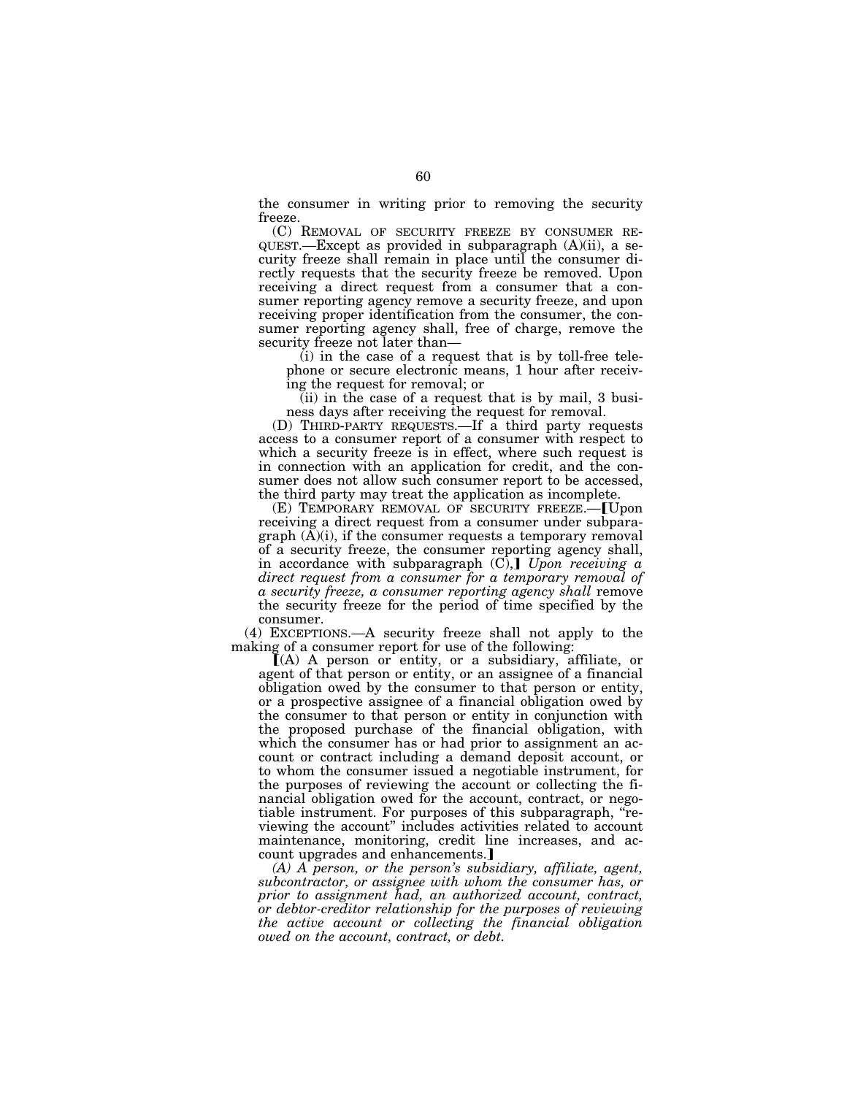the consumer in writing prior to removing the security freeze.<br>
(C) REMOVAL OF SECURITY FREEZE BY CONSUMER RE-

 $QUEST$ —Except as provided in subparagraph  $(A)(ii)$ , a security freeze shall remain in place until the consumer directly requests that the security freeze be removed. Upon receiving a direct request from a consumer that a consumer reporting agency remove a security freeze, and upon receiving proper identification from the consumer, the consumer reporting agency shall, free of charge, remove the security freeze not later than—

(i) in the case of a request that is by toll-free telephone or secure electronic means, 1 hour after receiving the request for removal; or

(ii) in the case of a request that is by mail, 3 business days after receiving the request for removal.

(D) THIRD-PARTY REQUESTS.—If a third party requests access to a consumer report of a consumer with respect to which a security freeze is in effect, where such request is in connection with an application for credit, and the consumer does not allow such consumer report to be accessed, the third party may treat the application as incomplete.

(E) TEMPORARY REMOVAL OF SECURITY FREEZE.-[Upon receiving a direct request from a consumer under subparagraph (A)(i), if the consumer requests a temporary removal of a security freeze, the consumer reporting agency shall, in accordance with subparagraph  $(C)$ , *Upon receiving a direct request from a consumer for a temporary removal of a security freeze, a consumer reporting agency shall* remove the security freeze for the period of time specified by the consumer.

(4) EXCEPTIONS.—A security freeze shall not apply to the making of a consumer report for use of the following:

 $\tilde{I}(A)$  A person or entity, or a subsidiary, affiliate, or agent of that person or entity, or an assignee of a financial obligation owed by the consumer to that person or entity, or a prospective assignee of a financial obligation owed by the consumer to that person or entity in conjunction with the proposed purchase of the financial obligation, with which the consumer has or had prior to assignment an account or contract including a demand deposit account, or to whom the consumer issued a negotiable instrument, for the purposes of reviewing the account or collecting the financial obligation owed for the account, contract, or negotiable instrument. For purposes of this subparagraph, ''reviewing the account'' includes activities related to account maintenance, monitoring, credit line increases, and account upgrades and enhancements.

*(A) A person, or the person's subsidiary, affiliate, agent, subcontractor, or assignee with whom the consumer has, or prior to assignment had, an authorized account, contract, or debtor-creditor relationship for the purposes of reviewing the active account or collecting the financial obligation owed on the account, contract, or debt.*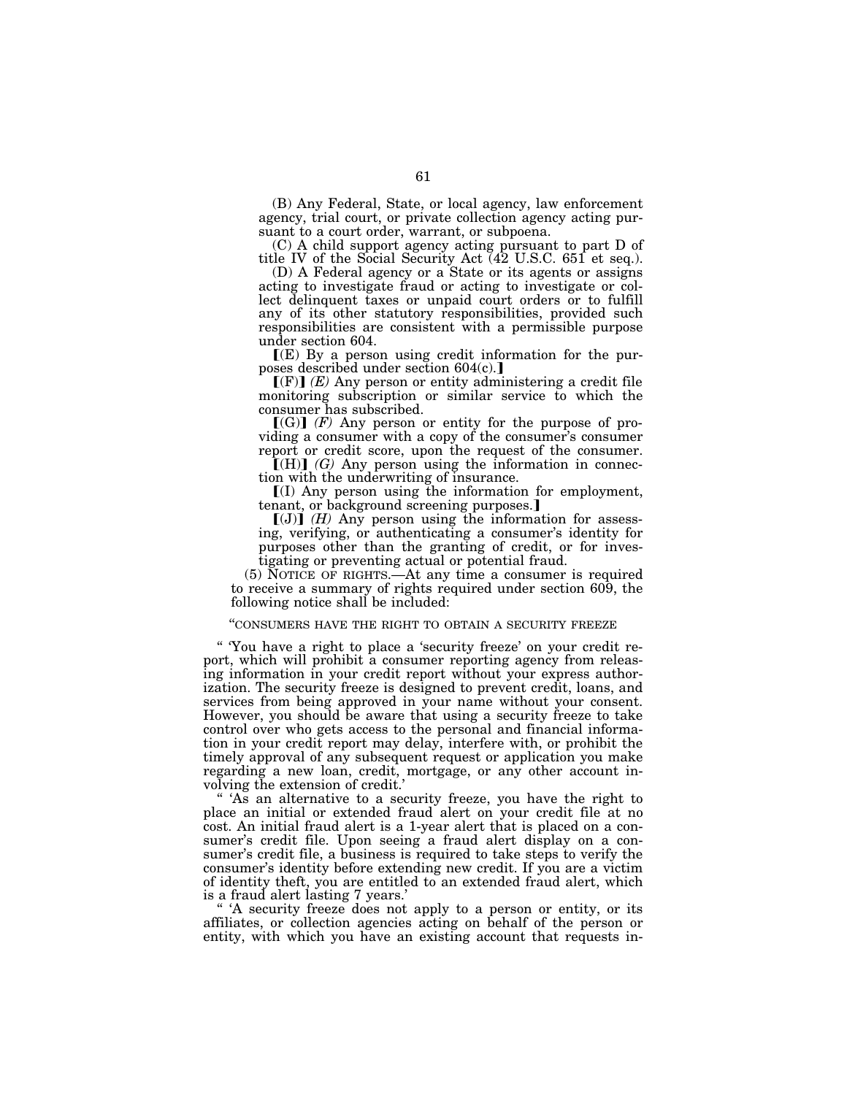(B) Any Federal, State, or local agency, law enforcement agency, trial court, or private collection agency acting pursuant to a court order, warrant, or subpoena.

(C) A child support agency acting pursuant to part D of title IV of the Social Security Act (42 U.S.C. 651 et seq.).

(D) A Federal agency or a State or its agents or assigns acting to investigate fraud or acting to investigate or collect delinquent taxes or unpaid court orders or to fulfill any of its other statutory responsibilities, provided such responsibilities are consistent with a permissible purpose under section 604.

 $\mathbb{I}(E)$  By a person using credit information for the purposes described under section  $604(c)$ .

 $\Gamma(F)$  (*E)* Any person or entity administering a credit file monitoring subscription or similar service to which the consumer has subscribed.

 $[(G)]$   $(F)$  Any person or entity for the purpose of providing a consumer with a copy of the consumer's consumer report or credit score, upon the request of the consumer.

 $\dot{I}(H)$  *(G)* Any person using the information in connection with the underwriting of insurance.

 $\left[ \text{(I) Any person using the information for employment,}\right]$ tenant, or background screening purposes.

 $[(J)]$   $(H)$  Any person using the information for assessing, verifying, or authenticating a consumer's identity for purposes other than the granting of credit, or for investigating or preventing actual or potential fraud.

(5) NOTICE OF RIGHTS.—At any time a consumer is required to receive a summary of rights required under section 609, the following notice shall be included:

## ''CONSUMERS HAVE THE RIGHT TO OBTAIN A SECURITY FREEZE

'' 'You have a right to place a 'security freeze' on your credit report, which will prohibit a consumer reporting agency from releasing information in your credit report without your express authorization. The security freeze is designed to prevent credit, loans, and services from being approved in your name without your consent. However, you should be aware that using a security freeze to take control over who gets access to the personal and financial information in your credit report may delay, interfere with, or prohibit the timely approval of any subsequent request or application you make regarding a new loan, credit, mortgage, or any other account involving the extension of credit.'

'' 'As an alternative to a security freeze, you have the right to place an initial or extended fraud alert on your credit file at no cost. An initial fraud alert is a 1-year alert that is placed on a consumer's credit file. Upon seeing a fraud alert display on a consumer's credit file, a business is required to take steps to verify the consumer's identity before extending new credit. If you are a victim of identity theft, you are entitled to an extended fraud alert, which is a fraud alert lasting 7 years.'

'' 'A security freeze does not apply to a person or entity, or its affiliates, or collection agencies acting on behalf of the person or entity, with which you have an existing account that requests in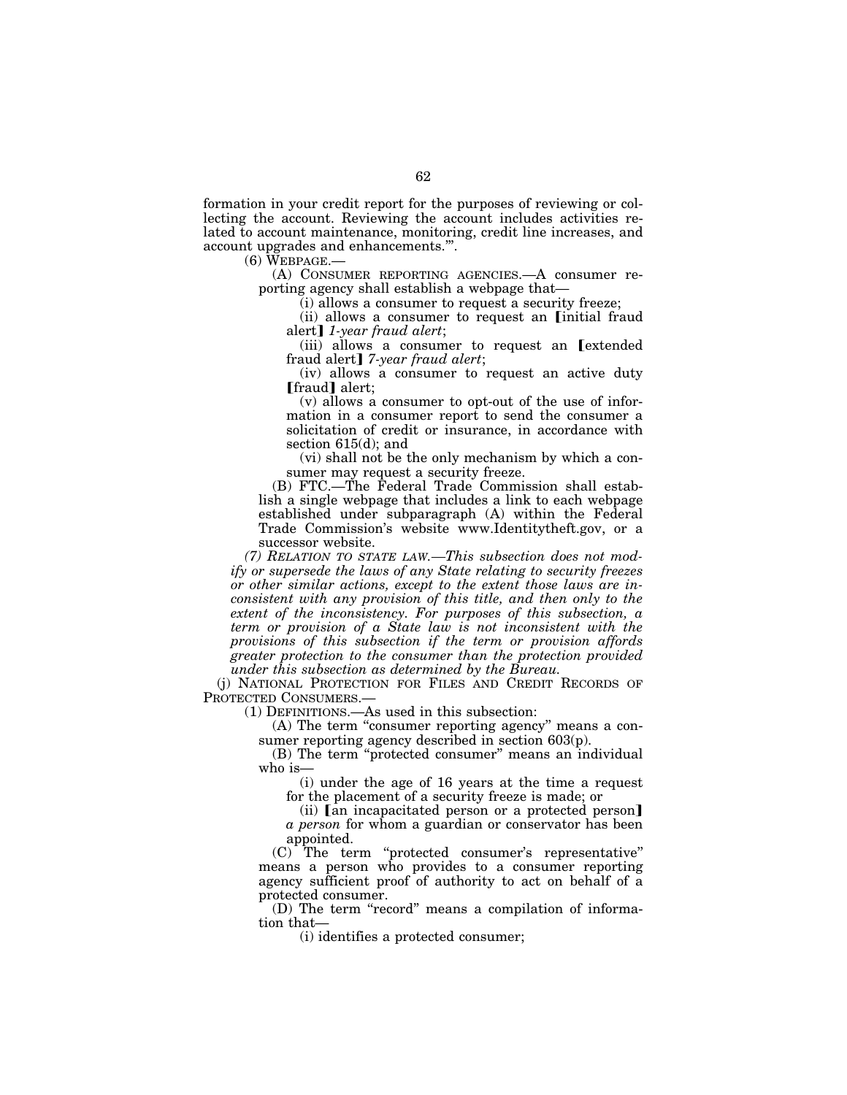formation in your credit report for the purposes of reviewing or collecting the account. Reviewing the account includes activities related to account maintenance, monitoring, credit line increases, and account upgrades and enhancements.'''.

(6) WEBPAGE.—

(A) CONSUMER REPORTING AGENCIES.—A consumer reporting agency shall establish a webpage that—

(i) allows a consumer to request a security freeze;

(ii) allows a consumer to request an *finitial fraud* alert] 1-year fraud alert;

(iii) allows a consumer to request an [extended fraud alert] *7-year fraud alert*;

(iv) allows a consumer to request an active duty [fraud] alert;

(v) allows a consumer to opt-out of the use of information in a consumer report to send the consumer a solicitation of credit or insurance, in accordance with section 615(d); and

(vi) shall not be the only mechanism by which a consumer may request a security freeze.

(B) FTC.—The Federal Trade Commission shall establish a single webpage that includes a link to each webpage established under subparagraph (A) within the Federal Trade Commission's website www.Identitytheft.gov, or a successor website.

*(7) RELATION TO STATE LAW.—This subsection does not modify or supersede the laws of any State relating to security freezes or other similar actions, except to the extent those laws are inconsistent with any provision of this title, and then only to the extent of the inconsistency. For purposes of this subsection, a term or provision of a State law is not inconsistent with the provisions of this subsection if the term or provision affords greater protection to the consumer than the protection provided under this subsection as determined by the Bureau.* 

(j) NATIONAL PROTECTION FOR FILES AND CREDIT RECORDS OF PROTECTED CONSUMERS.—

(1) DEFINITIONS.—As used in this subsection:

(A) The term "consumer reporting agency" means a consumer reporting agency described in section 603(p).

(B) The term ''protected consumer'' means an individual who is—

(i) under the age of 16 years at the time a request for the placement of a security freeze is made; or

(ii) [an incapacitated person or a protected person] *a person* for whom a guardian or conservator has been appointed.

(C) The term ''protected consumer's representative'' means a person who provides to a consumer reporting agency sufficient proof of authority to act on behalf of a protected consumer.

(D) The term "record" means a compilation of information that—

(i) identifies a protected consumer;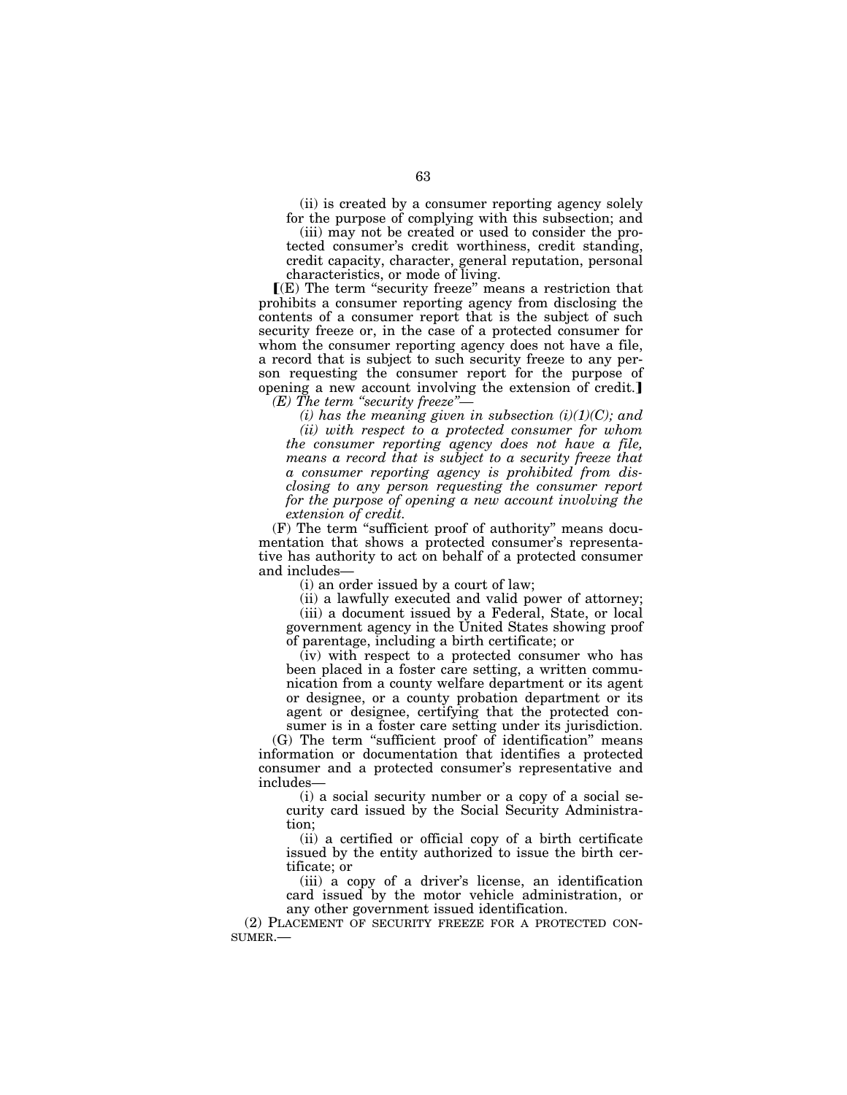(ii) is created by a consumer reporting agency solely for the purpose of complying with this subsection; and

(iii) may not be created or used to consider the protected consumer's credit worthiness, credit standing, credit capacity, character, general reputation, personal characteristics, or mode of living.

 $[(E)$  The term "security freeze" means a restriction that prohibits a consumer reporting agency from disclosing the contents of a consumer report that is the subject of such security freeze or, in the case of a protected consumer for whom the consumer reporting agency does not have a file, a record that is subject to such security freeze to any person requesting the consumer report for the purpose of opening a new account involving the extension of credit.]

*(E) The term ''security freeze''—* 

 $(i)$  has the meaning given in subsection  $(i)(1)(C)$ ; and *(ii) with respect to a protected consumer for whom the consumer reporting agency does not have a file, means a record that is subject to a security freeze that a consumer reporting agency is prohibited from disclosing to any person requesting the consumer report for the purpose of opening a new account involving the extension of credit.* 

(F) The term ''sufficient proof of authority'' means documentation that shows a protected consumer's representative has authority to act on behalf of a protected consumer and includes—

(i) an order issued by a court of law;

(ii) a lawfully executed and valid power of attorney;

(iii) a document issued by a Federal, State, or local government agency in the United States showing proof of parentage, including a birth certificate; or

(iv) with respect to a protected consumer who has been placed in a foster care setting, a written communication from a county welfare department or its agent or designee, or a county probation department or its agent or designee, certifying that the protected consumer is in a foster care setting under its jurisdiction.

(G) The term ''sufficient proof of identification'' means information or documentation that identifies a protected consumer and a protected consumer's representative and includes—

(i) a social security number or a copy of a social security card issued by the Social Security Administration;

(ii) a certified or official copy of a birth certificate issued by the entity authorized to issue the birth certificate; or

(iii) a copy of a driver's license, an identification card issued by the motor vehicle administration, or any other government issued identification.

(2) PLACEMENT OF SECURITY FREEZE FOR A PROTECTED CON-SUMER.—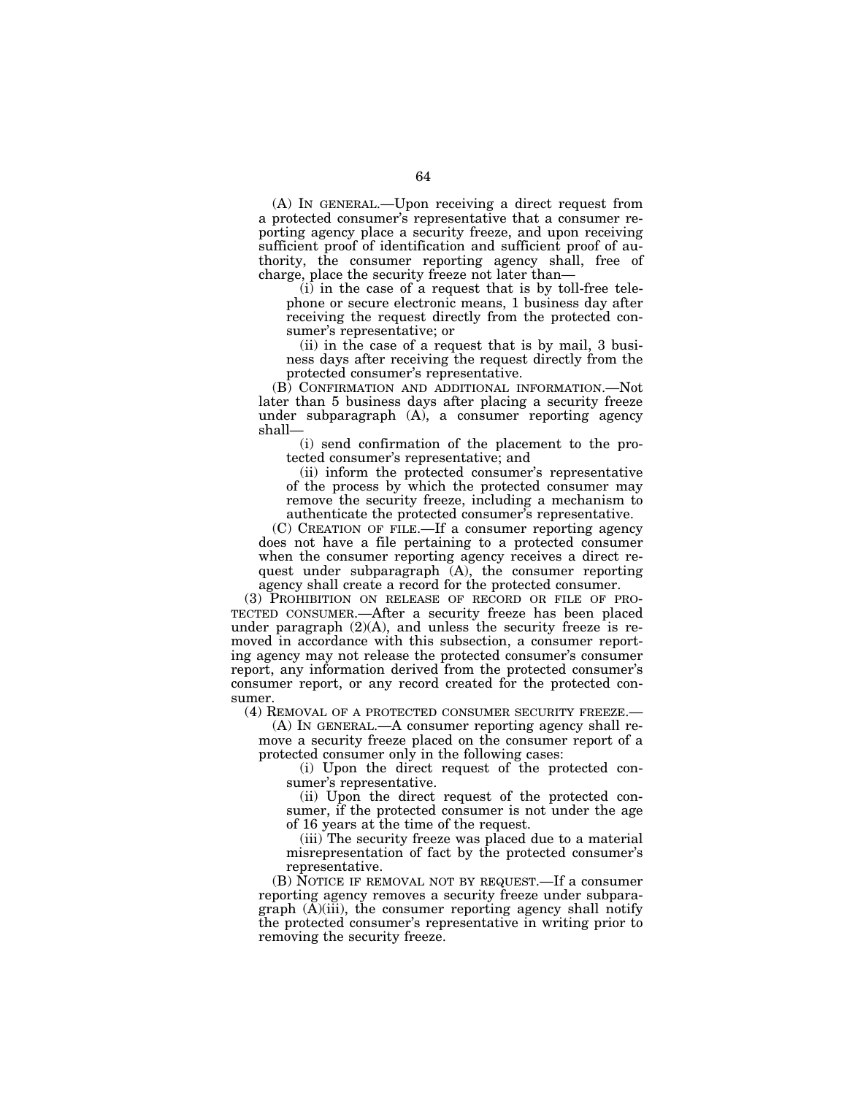(A) IN GENERAL.—Upon receiving a direct request from a protected consumer's representative that a consumer reporting agency place a security freeze, and upon receiving sufficient proof of identification and sufficient proof of authority, the consumer reporting agency shall, free of charge, place the security freeze not later than—

 $(i)$  in the case of a request that is by toll-free telephone or secure electronic means, 1 business day after receiving the request directly from the protected consumer's representative; or

(ii) in the case of a request that is by mail, 3 business days after receiving the request directly from the protected consumer's representative.

(B) CONFIRMATION AND ADDITIONAL INFORMATION.—Not later than 5 business days after placing a security freeze under subparagraph (A), a consumer reporting agency shall—

(i) send confirmation of the placement to the protected consumer's representative; and

(ii) inform the protected consumer's representative of the process by which the protected consumer may remove the security freeze, including a mechanism to authenticate the protected consumer's representative.

(C) CREATION OF FILE.—If a consumer reporting agency does not have a file pertaining to a protected consumer when the consumer reporting agency receives a direct request under subparagraph (A), the consumer reporting agency shall create a record for the protected consumer.

(3) PROHIBITION ON RELEASE OF RECORD OR FILE OF PRO-TECTED CONSUMER.—After a security freeze has been placed under paragraph  $(2)(A)$ , and unless the security freeze is removed in accordance with this subsection, a consumer reporting agency may not release the protected consumer's consumer report, any information derived from the protected consumer's consumer report, or any record created for the protected consumer.

(4) REMOVAL OF A PROTECTED CONSUMER SECURITY FREEZE.—

(A) IN GENERAL.—A consumer reporting agency shall remove a security freeze placed on the consumer report of a protected consumer only in the following cases:

(i) Upon the direct request of the protected consumer's representative.

(ii) Upon the direct request of the protected consumer, if the protected consumer is not under the age of 16 years at the time of the request.

(iii) The security freeze was placed due to a material misrepresentation of fact by the protected consumer's representative.

(B) NOTICE IF REMOVAL NOT BY REQUEST.—If a consumer reporting agency removes a security freeze under subparagraph (A)(iii), the consumer reporting agency shall notify the protected consumer's representative in writing prior to removing the security freeze.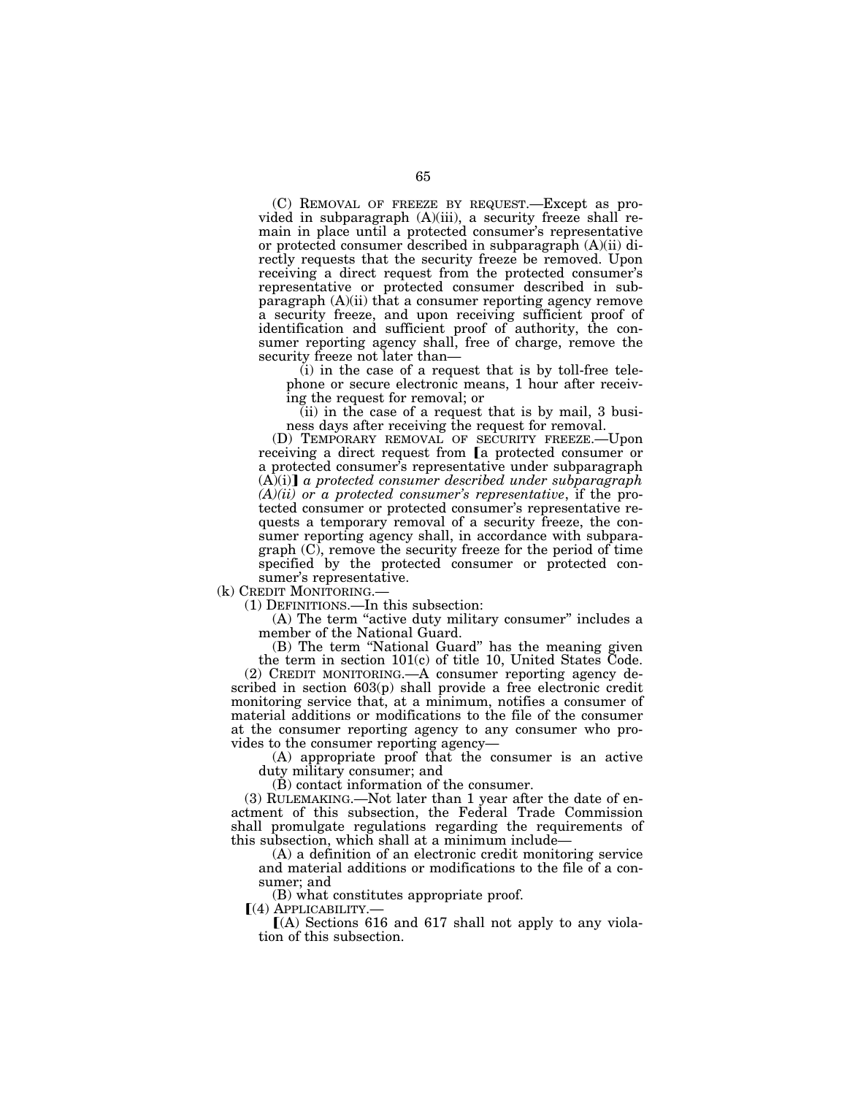(C) REMOVAL OF FREEZE BY REQUEST.—Except as provided in subparagraph (A)(iii), a security freeze shall remain in place until a protected consumer's representative or protected consumer described in subparagraph (A)(ii) directly requests that the security freeze be removed. Upon receiving a direct request from the protected consumer's representative or protected consumer described in subparagraph (A)(ii) that a consumer reporting agency remove a security freeze, and upon receiving sufficient proof of identification and sufficient proof of authority, the consumer reporting agency shall, free of charge, remove the security freeze not later than—

 $(i)$  in the case of a request that is by toll-free telephone or secure electronic means, 1 hour after receiving the request for removal; or

(ii) in the case of a request that is by mail, 3 business days after receiving the request for removal.

(D) TEMPORARY REMOVAL OF SECURITY FREEZE.—Upon receiving a direct request from [a protected consumer or a protected consumer's representative under subparagraph (A)(i)] a protected consumer described under subparagraph *(A)(ii) or a protected consumer's representative*, if the protected consumer or protected consumer's representative requests a temporary removal of a security freeze, the consumer reporting agency shall, in accordance with subparagraph (C), remove the security freeze for the period of time specified by the protected consumer or protected consumer's representative.

(k) CREDIT MONITORING.—

(1) DEFINITIONS.—In this subsection:

(A) The term "active duty military consumer" includes a member of the National Guard.

(B) The term "National Guard" has the meaning given the term in section 101(c) of title 10, United States Code. (2) CREDIT MONITORING.—A consumer reporting agency described in section 603(p) shall provide a free electronic credit monitoring service that, at a minimum, notifies a consumer of material additions or modifications to the file of the consumer at the consumer reporting agency to any consumer who provides to the consumer reporting agency—

(A) appropriate proof that the consumer is an active duty military consumer; and

(B) contact information of the consumer.

(3) RULEMAKING.—Not later than 1 year after the date of enactment of this subsection, the Federal Trade Commission shall promulgate regulations regarding the requirements of this subsection, which shall at a minimum include—

(A) a definition of an electronic credit monitoring service and material additions or modifications to the file of a consumer; and

(B) what constitutes appropriate proof.

 $[(4)$  APPLICABILITY.—<br> $[(A)$  Sections 616 and 617 shall not apply to any violation of this subsection.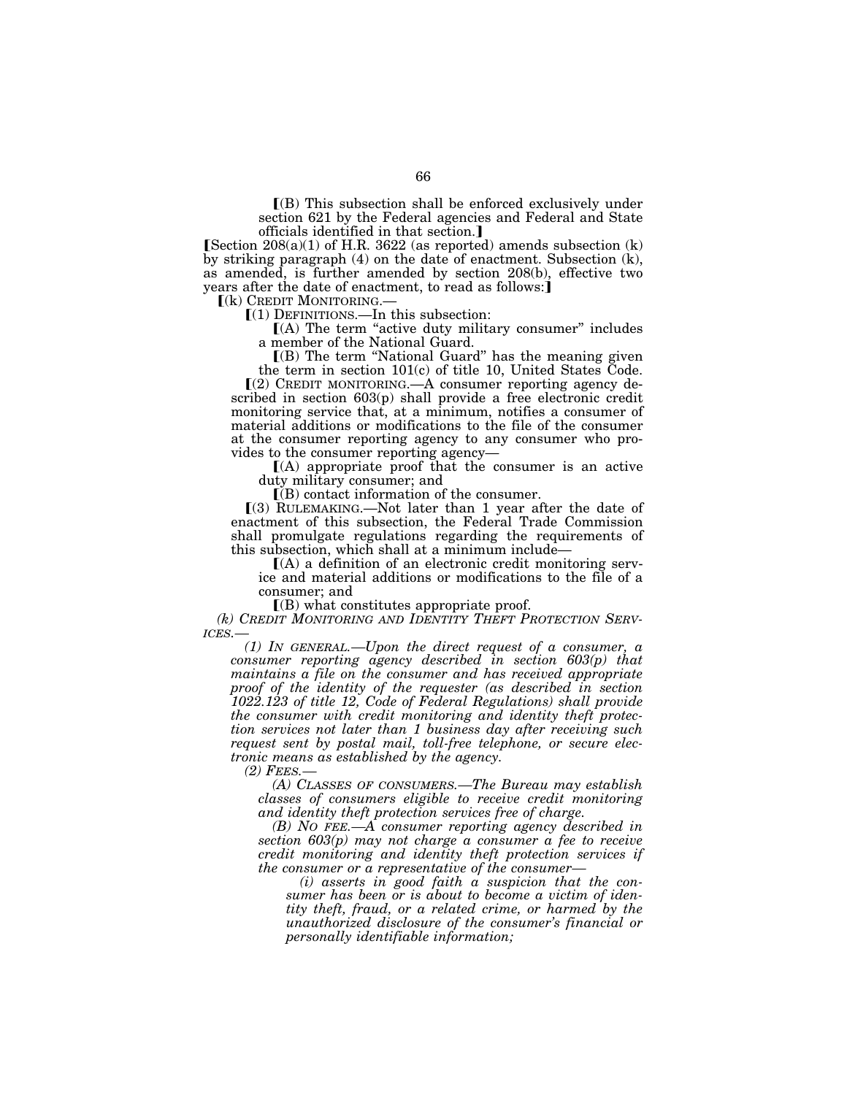$I(B)$  This subsection shall be enforced exclusively under section 621 by the Federal agencies and Federal and State officials identified in that section.]

[Section  $208(a)(1)$  of H.R. 3622 (as reported) amends subsection (k) by striking paragraph (4) on the date of enactment. Subsection (k), as amended, is further amended by section 208(b), effective two years after the date of enactment, to read as follows:

 $\mathbf{I}(\mathbf{k})$  CREDIT MONITORING.—<br> $\mathbf{I}(\mathbf{1})$  DEFINITIONS.—In this subsection:

ø(A) The term ''active duty military consumer'' includes a member of the National Guard.

ø(B) The term ''National Guard'' has the meaning given the term in section 101(c) of title 10, United States Code.

 $(2)$  CREDIT MONITORING.—A consumer reporting agency described in section 603(p) shall provide a free electronic credit monitoring service that, at a minimum, notifies a consumer of material additions or modifications to the file of the consumer at the consumer reporting agency to any consumer who provides to the consumer reporting agency—

 $(A)$  appropriate proof that the consumer is an active duty military consumer; and

 $\mathbf{I}(\mathbf{B})$  contact information of the consumer.

 $(3)$  RULEMAKING.—Not later than 1 year after the date of enactment of this subsection, the Federal Trade Commission shall promulgate regulations regarding the requirements of this subsection, which shall at a minimum include—

 $(A)$  a definition of an electronic credit monitoring service and material additions or modifications to the file of a consumer; and

 $(6)$  what constitutes appropriate proof.

*(k) CREDIT MONITORING AND IDENTITY THEFT PROTECTION SERV-ICES.—* 

*(1) IN GENERAL.—Upon the direct request of a consumer, a consumer reporting agency described in section 603(p) that maintains a file on the consumer and has received appropriate proof of the identity of the requester (as described in section 1022.123 of title 12, Code of Federal Regulations) shall provide the consumer with credit monitoring and identity theft protection services not later than 1 business day after receiving such request sent by postal mail, toll-free telephone, or secure electronic means as established by the agency.* 

*(2) FEES.—* 

*(A) CLASSES OF CONSUMERS.—The Bureau may establish classes of consumers eligible to receive credit monitoring and identity theft protection services free of charge.* 

*(B) NO FEE.—A consumer reporting agency described in section 603(p) may not charge a consumer a fee to receive credit monitoring and identity theft protection services if the consumer or a representative of the consumer—* 

*(i) asserts in good faith a suspicion that the consumer has been or is about to become a victim of identity theft, fraud, or a related crime, or harmed by the unauthorized disclosure of the consumer's financial or personally identifiable information;*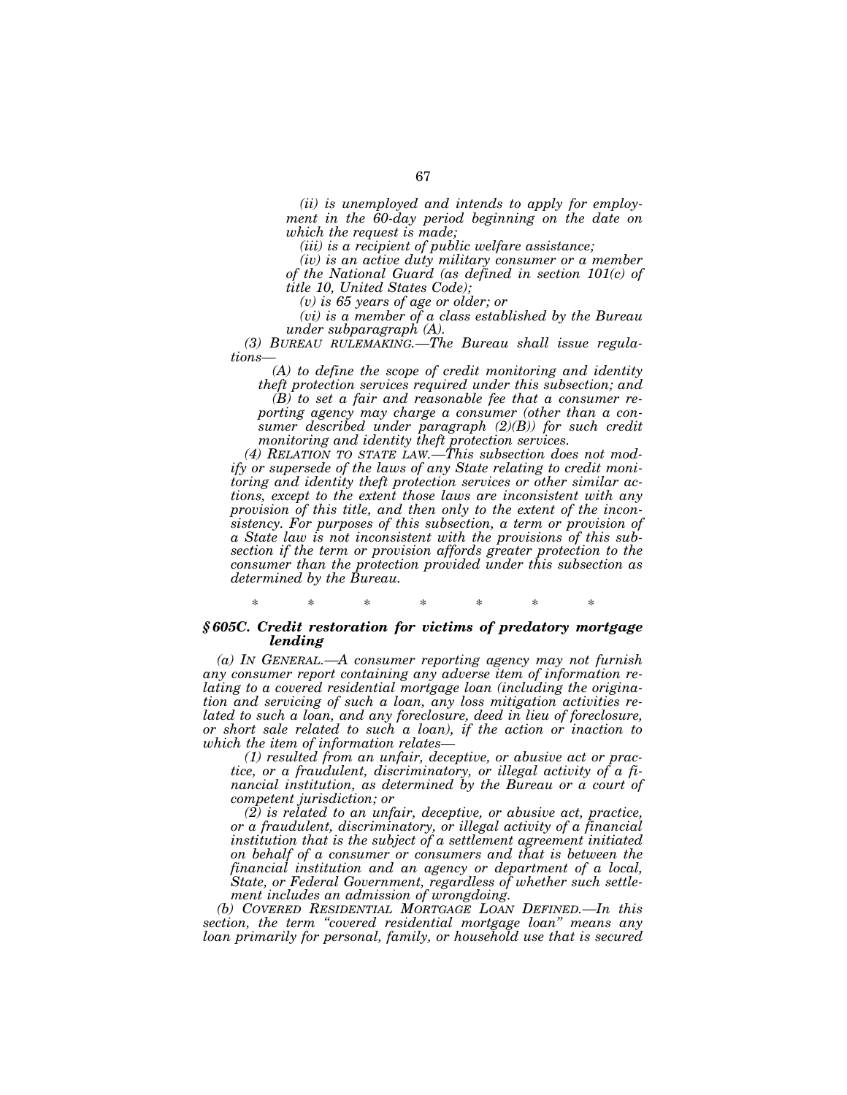*(ii) is unemployed and intends to apply for employment in the 60-day period beginning on the date on which the request is made;* 

*(iii) is a recipient of public welfare assistance;* 

*(iv) is an active duty military consumer or a member of the National Guard (as defined in section 101(c) of title 10, United States Code);* 

*(v) is 65 years of age or older; or* 

*(vi) is a member of a class established by the Bureau under subparagraph (A).* 

*(3) BUREAU RULEMAKING.—The Bureau shall issue regulations—* 

*(A) to define the scope of credit monitoring and identity theft protection services required under this subsection; and* 

*(B) to set a fair and reasonable fee that a consumer reporting agency may charge a consumer (other than a consumer described under paragraph (2)(B)) for such credit monitoring and identity theft protection services.* 

*(4) RELATION TO STATE LAW.—This subsection does not modify or supersede of the laws of any State relating to credit monitoring and identity theft protection services or other similar actions, except to the extent those laws are inconsistent with any provision of this title, and then only to the extent of the inconsistency. For purposes of this subsection, a term or provision of a State law is not inconsistent with the provisions of this subsection if the term or provision affords greater protection to the consumer than the protection provided under this subsection as determined by the Bureau.* 

# \* \* \* \* \* \* \*

## *§ 605C. Credit restoration for victims of predatory mortgage lending*

*(a) IN GENERAL.—A consumer reporting agency may not furnish any consumer report containing any adverse item of information relating to a covered residential mortgage loan (including the origination and servicing of such a loan, any loss mitigation activities related to such a loan, and any foreclosure, deed in lieu of foreclosure, or short sale related to such a loan), if the action or inaction to which the item of information relates—* 

*(1) resulted from an unfair, deceptive, or abusive act or practice, or a fraudulent, discriminatory, or illegal activity of a financial institution, as determined by the Bureau or a court of competent jurisdiction; or* 

*(2) is related to an unfair, deceptive, or abusive act, practice, or a fraudulent, discriminatory, or illegal activity of a financial institution that is the subject of a settlement agreement initiated on behalf of a consumer or consumers and that is between the financial institution and an agency or department of a local, State, or Federal Government, regardless of whether such settlement includes an admission of wrongdoing.* 

*(b) COVERED RESIDENTIAL MORTGAGE LOAN DEFINED.—In this section, the term ''covered residential mortgage loan'' means any loan primarily for personal, family, or household use that is secured*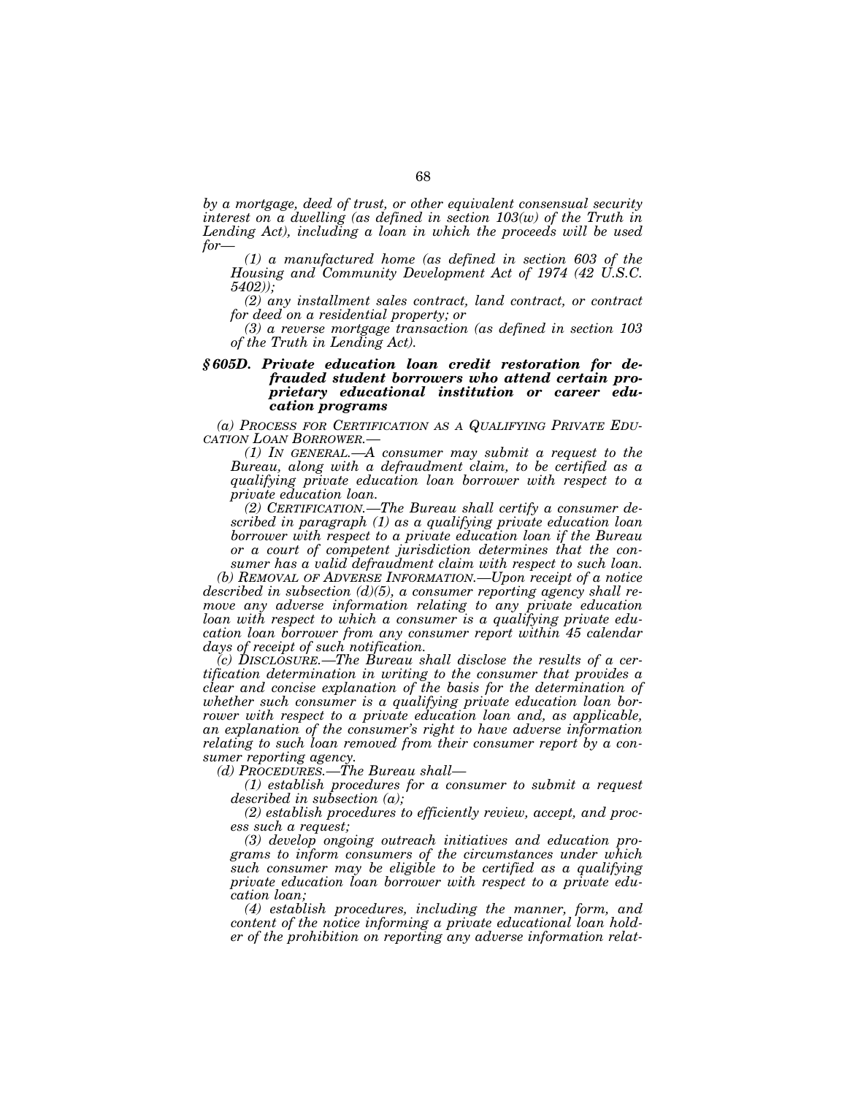*by a mortgage, deed of trust, or other equivalent consensual security interest on a dwelling (as defined in section 103(w) of the Truth in* Lending Act), including a loan in which the proceeds will be used *for—* 

*(1) a manufactured home (as defined in section 603 of the Housing and Community Development Act of 1974 (42 U.S.C. 5402));* 

*(2) any installment sales contract, land contract, or contract for deed on a residential property; or* 

*(3) a reverse mortgage transaction (as defined in section 103 of the Truth in Lending Act).* 

# *§ 605D. Private education loan credit restoration for defrauded student borrowers who attend certain proprietary educational institution or career education programs*

*(a) PROCESS FOR CERTIFICATION AS A QUALIFYING PRIVATE EDU-*

*CATION IN GENERAL.—A consumer may submit a request to the Bureau, along with a defraudment claim, to be certified as a qualifying private education loan borrower with respect to a private education loan.* 

*(2) CERTIFICATION.—The Bureau shall certify a consumer described in paragraph (1) as a qualifying private education loan borrower with respect to a private education loan if the Bureau or a court of competent jurisdiction determines that the consumer has a valid defraudment claim with respect to such loan.* 

*(b) REMOVAL OF ADVERSE INFORMATION.—Upon receipt of a notice described in subsection (d)(5), a consumer reporting agency shall remove any adverse information relating to any private education loan with respect to which a consumer is a qualifying private education loan borrower from any consumer report within 45 calendar days of receipt of such notification.* 

*(c) DISCLOSURE.—The Bureau shall disclose the results of a certification determination in writing to the consumer that provides a clear and concise explanation of the basis for the determination of whether such consumer is a qualifying private education loan borrower with respect to a private education loan and, as applicable, an explanation of the consumer's right to have adverse information relating to such loan removed from their consumer report by a consumer reporting agency.* 

*(d) PROCEDURES.—The Bureau shall—* 

*(1) establish procedures for a consumer to submit a request described in subsection (a);* 

*(2) establish procedures to efficiently review, accept, and process such a request;* 

*(3) develop ongoing outreach initiatives and education programs to inform consumers of the circumstances under which such consumer may be eligible to be certified as a qualifying private education loan borrower with respect to a private education loan;* 

*(4) establish procedures, including the manner, form, and content of the notice informing a private educational loan holder of the prohibition on reporting any adverse information relat-*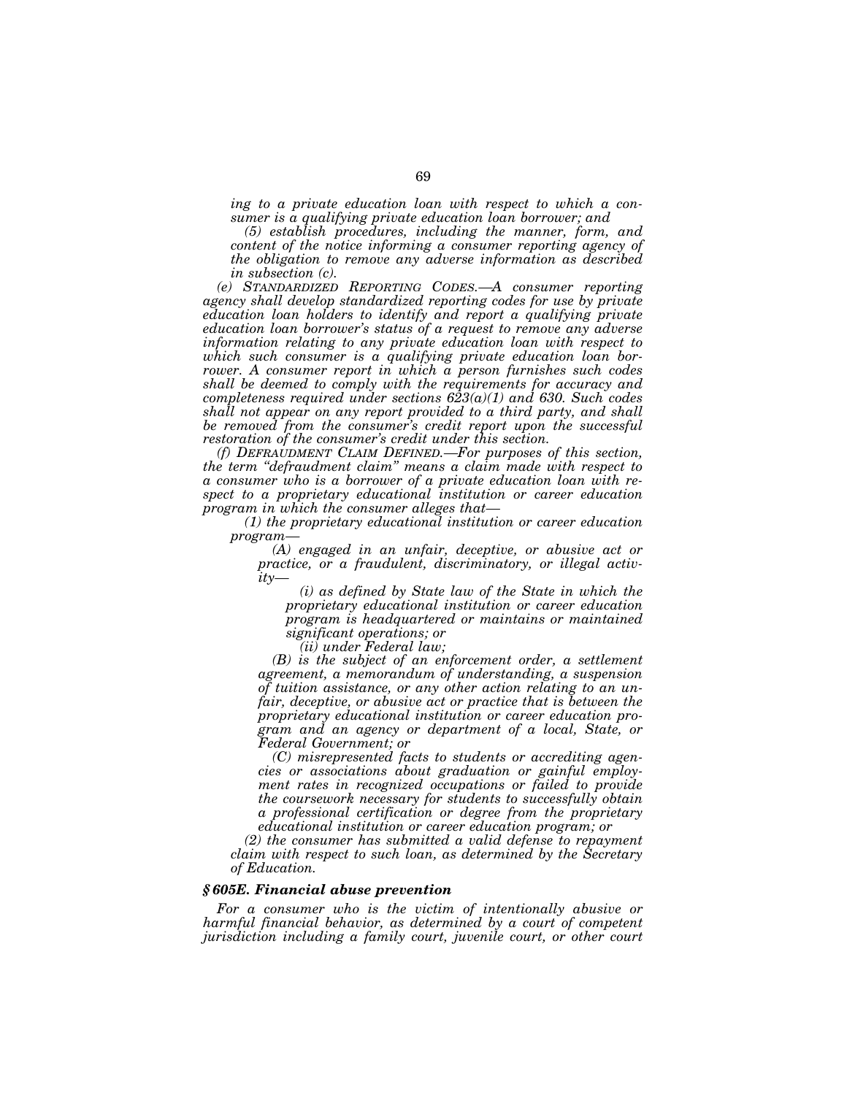*ing to a private education loan with respect to which a consumer is a qualifying private education loan borrower; and* 

*(5) establish procedures, including the manner, form, and content of the notice informing a consumer reporting agency of the obligation to remove any adverse information as described in subsection (c).* 

*(e) STANDARDIZED REPORTING CODES.—A consumer reporting agency shall develop standardized reporting codes for use by private education loan holders to identify and report a qualifying private education loan borrower's status of a request to remove any adverse information relating to any private education loan with respect to which such consumer is a qualifying private education loan borrower. A consumer report in which a person furnishes such codes shall be deemed to comply with the requirements for accuracy and completeness required under sections 623(a)(1) and 630. Such codes shall not appear on any report provided to a third party, and shall be removed from the consumer's credit report upon the successful restoration of the consumer's credit under this section.* 

*(f) DEFRAUDMENT CLAIM DEFINED.—For purposes of this section, the term ''defraudment claim'' means a claim made with respect to a consumer who is a borrower of a private education loan with respect to a proprietary educational institution or career education program in which the consumer alleges that—* 

*(1) the proprietary educational institution or career education program—* 

*(A) engaged in an unfair, deceptive, or abusive act or practice, or a fraudulent, discriminatory, or illegal activity—* 

*(i) as defined by State law of the State in which the proprietary educational institution or career education program is headquartered or maintains or maintained significant operations; or* 

*(ii) under Federal law;* 

*(B) is the subject of an enforcement order, a settlement agreement, a memorandum of understanding, a suspension of tuition assistance, or any other action relating to an unfair, deceptive, or abusive act or practice that is between the proprietary educational institution or career education program and an agency or department of a local, State, or Federal Government; or* 

*(C) misrepresented facts to students or accrediting agencies or associations about graduation or gainful employment rates in recognized occupations or failed to provide the coursework necessary for students to successfully obtain a professional certification or degree from the proprietary educational institution or career education program; or* 

*(2) the consumer has submitted a valid defense to repayment claim with respect to such loan, as determined by the Secretary of Education.* 

# *§ 605E. Financial abuse prevention*

*For a consumer who is the victim of intentionally abusive or harmful financial behavior, as determined by a court of competent jurisdiction including a family court, juvenile court, or other court*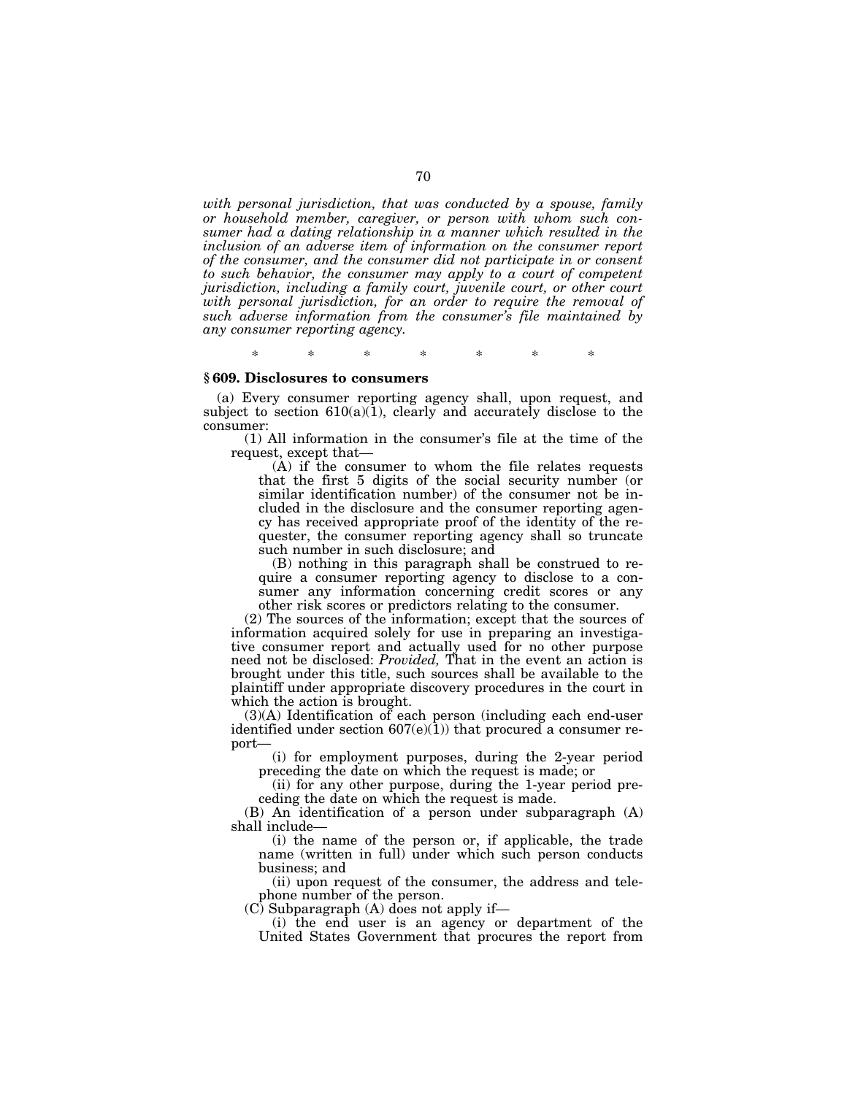*with personal jurisdiction, that was conducted by a spouse, family or household member, caregiver, or person with whom such consumer had a dating relationship in a manner which resulted in the inclusion of an adverse item of information on the consumer report of the consumer, and the consumer did not participate in or consent to such behavior, the consumer may apply to a court of competent jurisdiction, including a family court, juvenile court, or other court with personal jurisdiction, for an order to require the removal of such adverse information from the consumer's file maintained by any consumer reporting agency.* 

\* \* \* \* \* \* \*

## **§ 609. Disclosures to consumers**

(a) Every consumer reporting agency shall, upon request, and subject to section  $610(a)(1)$ , clearly and accurately disclose to the consumer:

(1) All information in the consumer's file at the time of the request, except that—

(A) if the consumer to whom the file relates requests that the first 5 digits of the social security number (or similar identification number) of the consumer not be included in the disclosure and the consumer reporting agency has received appropriate proof of the identity of the requester, the consumer reporting agency shall so truncate such number in such disclosure; and

(B) nothing in this paragraph shall be construed to require a consumer reporting agency to disclose to a consumer any information concerning credit scores or any other risk scores or predictors relating to the consumer.

(2) The sources of the information; except that the sources of information acquired solely for use in preparing an investigative consumer report and actually used for no other purpose need not be disclosed: *Provided,* That in the event an action is brought under this title, such sources shall be available to the plaintiff under appropriate discovery procedures in the court in which the action is brought.

(3)(A) Identification of each person (including each end-user identified under section  $607(e)(1)$  that procured a consumer report—

(i) for employment purposes, during the 2-year period preceding the date on which the request is made; or

(ii) for any other purpose, during the 1-year period preceding the date on which the request is made.

(B) An identification of a person under subparagraph (A) shall include—

(i) the name of the person or, if applicable, the trade name (written in full) under which such person conducts business; and

(ii) upon request of the consumer, the address and telephone number of the person.

 $(C)$  Subparagraph  $(A)$  does not apply if—

(i) the end user is an agency or department of the United States Government that procures the report from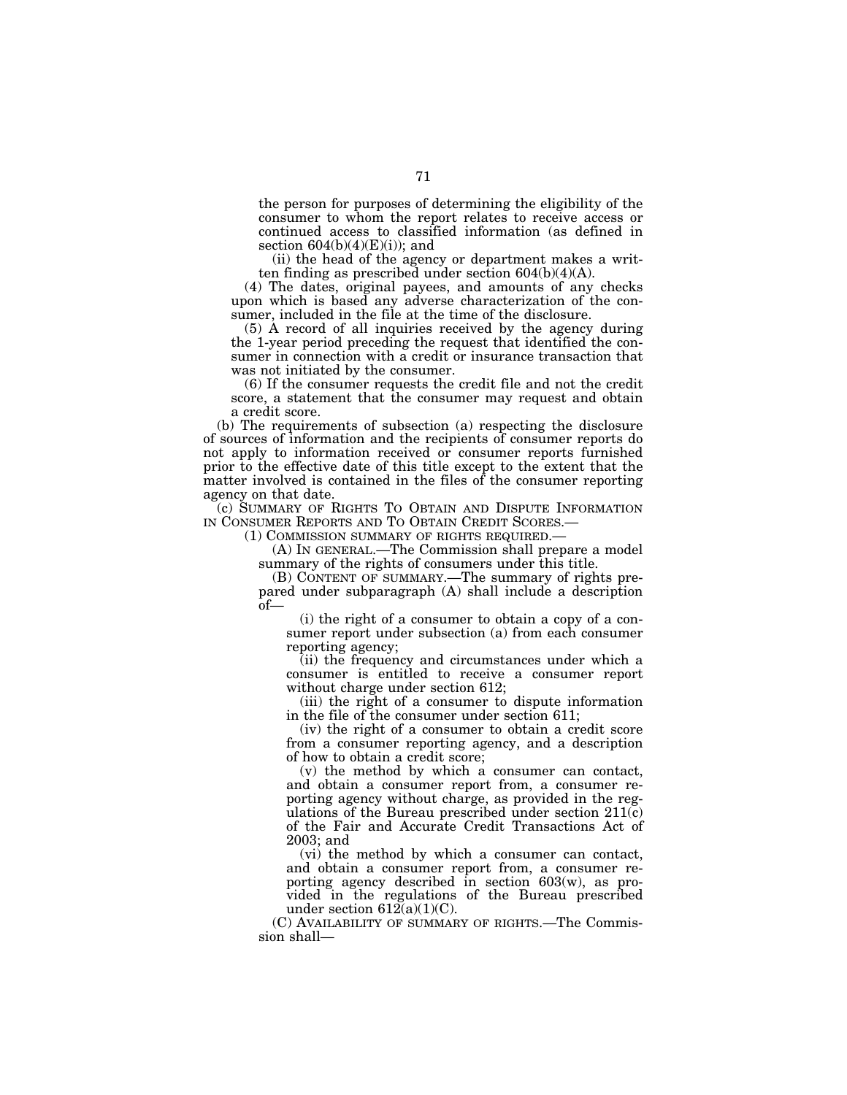the person for purposes of determining the eligibility of the consumer to whom the report relates to receive access or continued access to classified information (as defined in section  $604(b)(4)(E)(i)$ ; and

(ii) the head of the agency or department makes a written finding as prescribed under section  $604(b)(4)(A)$ .

(4) The dates, original payees, and amounts of any checks upon which is based any adverse characterization of the consumer, included in the file at the time of the disclosure.

(5) A record of all inquiries received by the agency during the 1-year period preceding the request that identified the consumer in connection with a credit or insurance transaction that was not initiated by the consumer.

(6) If the consumer requests the credit file and not the credit score, a statement that the consumer may request and obtain a credit score.

(b) The requirements of subsection (a) respecting the disclosure of sources of information and the recipients of consumer reports do not apply to information received or consumer reports furnished prior to the effective date of this title except to the extent that the matter involved is contained in the files of the consumer reporting agency on that date.

(c) SUMMARY OF RIGHTS TO OBTAIN AND DISPUTE INFORMATION IN CONSUMER REPORTS AND TO OBTAIN CREDIT SCORES.—

 $(1)$  COMMISSION SUMMARY OF RIGHTS REQUIRED.—<br> $(A)$  In GENERAL.—The Commission shall prepare a model summary of the rights of consumers under this title.

(B) CONTENT OF SUMMARY.—The summary of rights prepared under subparagraph (A) shall include a description of—

(i) the right of a consumer to obtain a copy of a consumer report under subsection (a) from each consumer reporting agency;

(ii) the frequency and circumstances under which a consumer is entitled to receive a consumer report without charge under section 612;

(iii) the right of a consumer to dispute information in the file of the consumer under section 611;

(iv) the right of a consumer to obtain a credit score from a consumer reporting agency, and a description of how to obtain a credit score;

(v) the method by which a consumer can contact, and obtain a consumer report from, a consumer reporting agency without charge, as provided in the regulations of the Bureau prescribed under section  $211(c)$ of the Fair and Accurate Credit Transactions Act of 2003; and

(vi) the method by which a consumer can contact, and obtain a consumer report from, a consumer reporting agency described in section 603(w), as provided in the regulations of the Bureau prescribed under section  $612(a)(1)(C)$ .

(C) AVAILABILITY OF SUMMARY OF RIGHTS.—The Commission shall—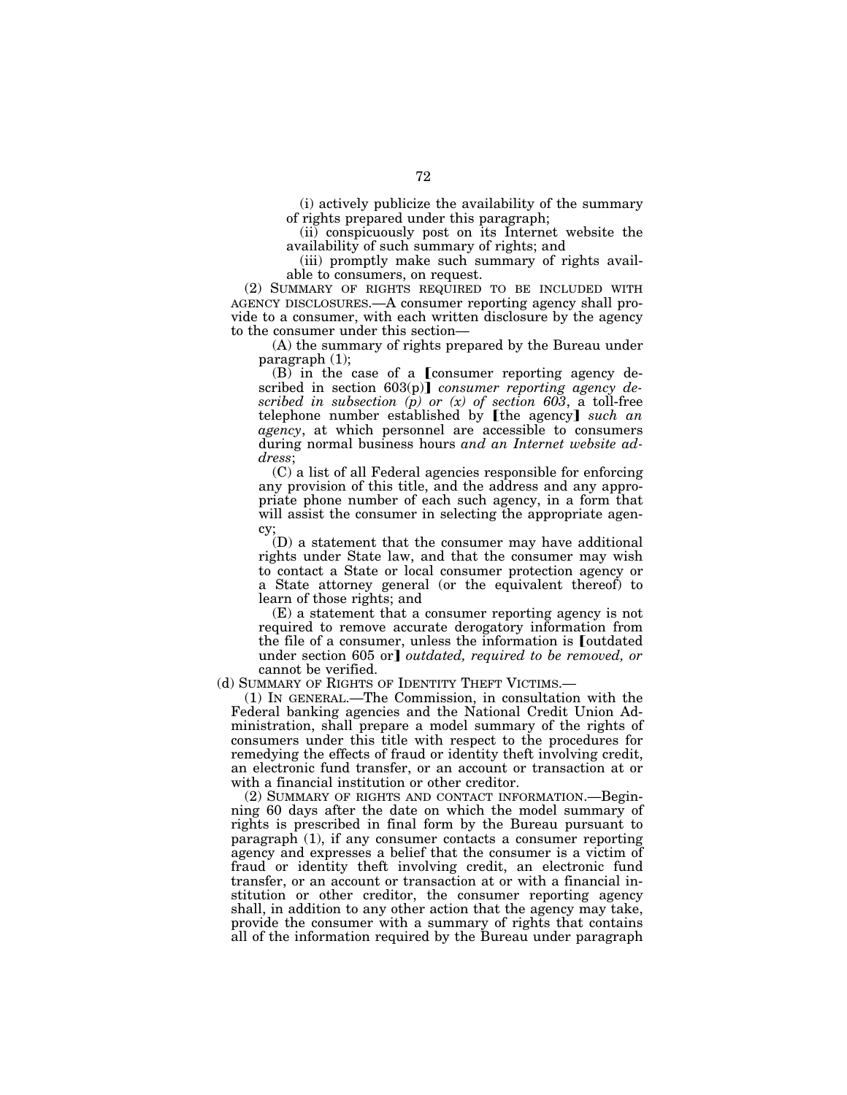(i) actively publicize the availability of the summary of rights prepared under this paragraph;

(ii) conspicuously post on its Internet website the availability of such summary of rights; and

(iii) promptly make such summary of rights available to consumers, on request.

(2) SUMMARY OF RIGHTS REQUIRED TO BE INCLUDED WITH AGENCY DISCLOSURES.—A consumer reporting agency shall provide to a consumer, with each written disclosure by the agency to the consumer under this section—

(A) the summary of rights prepared by the Bureau under paragraph (1);

 $(B)$  in the case of a [consumer reporting agency described in section 603(p)] *consumer reporting agency described in subsection (p) or (x) of section 603*, a toll-free telephone number established by [the agency] *such an agency*, at which personnel are accessible to consumers during normal business hours *and an Internet website address*;

(C) a list of all Federal agencies responsible for enforcing any provision of this title, and the address and any appropriate phone number of each such agency, in a form that will assist the consumer in selecting the appropriate agency;

(D) a statement that the consumer may have additional rights under State law, and that the consumer may wish to contact a State or local consumer protection agency or a State attorney general (or the equivalent thereof) to learn of those rights; and

(E) a statement that a consumer reporting agency is not required to remove accurate derogatory information from the file of a consumer, unless the information is  $\lceil$  outdated under section 605 or] *outdated, required to be removed, or* cannot be verified.

(d) SUMMARY OF RIGHTS OF IDENTITY THEFT VICTIMS.—

(1) IN GENERAL.—The Commission, in consultation with the Federal banking agencies and the National Credit Union Administration, shall prepare a model summary of the rights of consumers under this title with respect to the procedures for remedying the effects of fraud or identity theft involving credit, an electronic fund transfer, or an account or transaction at or with a financial institution or other creditor.

(2) SUMMARY OF RIGHTS AND CONTACT INFORMATION.—Beginning 60 days after the date on which the model summary of rights is prescribed in final form by the Bureau pursuant to paragraph (1), if any consumer contacts a consumer reporting agency and expresses a belief that the consumer is a victim of fraud or identity theft involving credit, an electronic fund transfer, or an account or transaction at or with a financial institution or other creditor, the consumer reporting agency shall, in addition to any other action that the agency may take, provide the consumer with a summary of rights that contains all of the information required by the Bureau under paragraph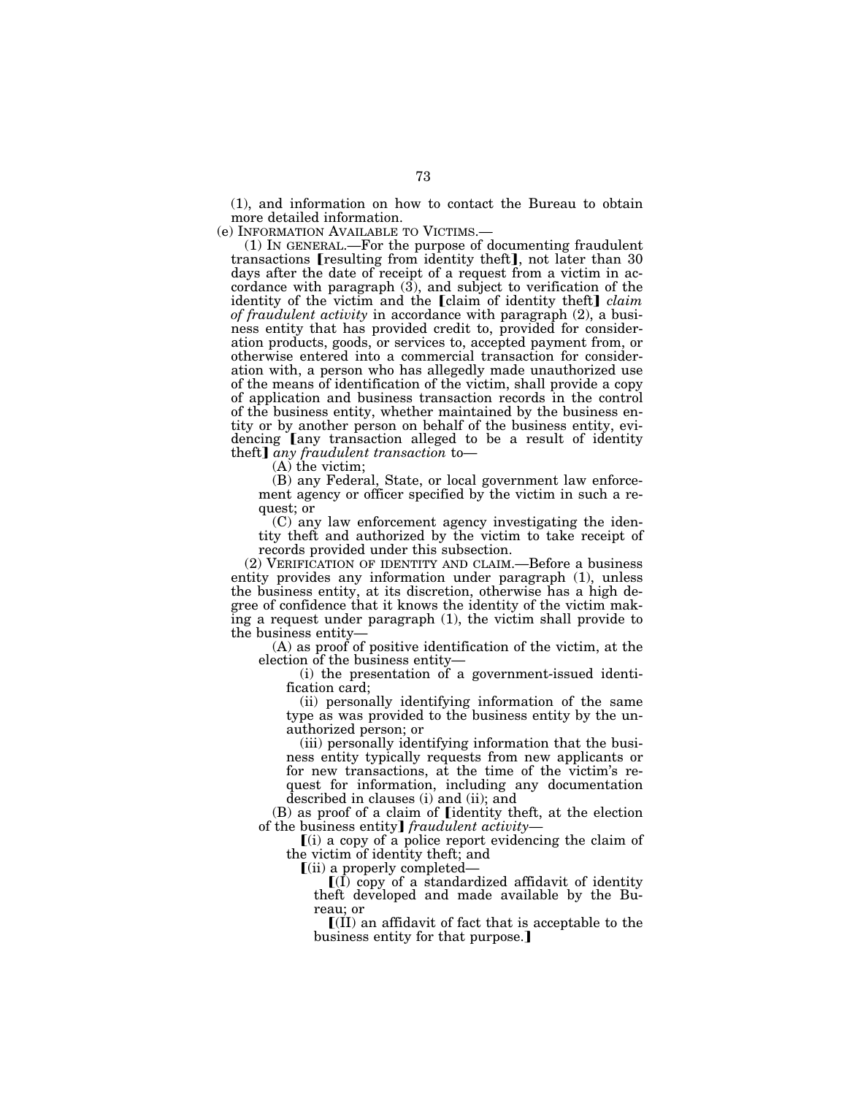(1), and information on how to contact the Bureau to obtain more detailed information.

(e) INFORMATION AVAILABLE TO VICTIMS.— (1) IN GENERAL.—For the purpose of documenting fraudulent transactions [resulting from identity theft], not later than 30 days after the date of receipt of a request from a victim in accordance with paragraph  $(3)$ , and subject to verification of the identity of the victim and the [claim of identity theft] *claim of fraudulent activity* in accordance with paragraph (2), a business entity that has provided credit to, provided for consideration products, goods, or services to, accepted payment from, or otherwise entered into a commercial transaction for consideration with, a person who has allegedly made unauthorized use of the means of identification of the victim, shall provide a copy of application and business transaction records in the control of the business entity, whether maintained by the business entity or by another person on behalf of the business entity, evidencing [any transaction alleged to be a result of identity theft] *any fraudulent transaction* to—

(A) the victim;

(B) any Federal, State, or local government law enforcement agency or officer specified by the victim in such a request; or

(C) any law enforcement agency investigating the identity theft and authorized by the victim to take receipt of records provided under this subsection.

(2) VERIFICATION OF IDENTITY AND CLAIM.—Before a business entity provides any information under paragraph (1), unless the business entity, at its discretion, otherwise has a high degree of confidence that it knows the identity of the victim making a request under paragraph (1), the victim shall provide to the business entity—

(A) as proof of positive identification of the victim, at the election of the business entity—

(i) the presentation of a government-issued identification card;

(ii) personally identifying information of the same type as was provided to the business entity by the unauthorized person; or

(iii) personally identifying information that the business entity typically requests from new applicants or for new transactions, at the time of the victim's request for information, including any documentation described in clauses (i) and (ii); and

 $(B)$  as proof of a claim of  $\Box$  [identity theft, at the election of the business entity] *fraudulent activity*—

 $(i)$  a copy of a police report evidencing the claim of the victim of identity theft; and

 $\left[$ (ii) a properly completed–

 $\left[ \Pi \right]$  copy of a standardized affidavit of identity theft developed and made available by the Bureau; or

 $\overline{I(II)}$  an affidavit of fact that is acceptable to the business entity for that purpose.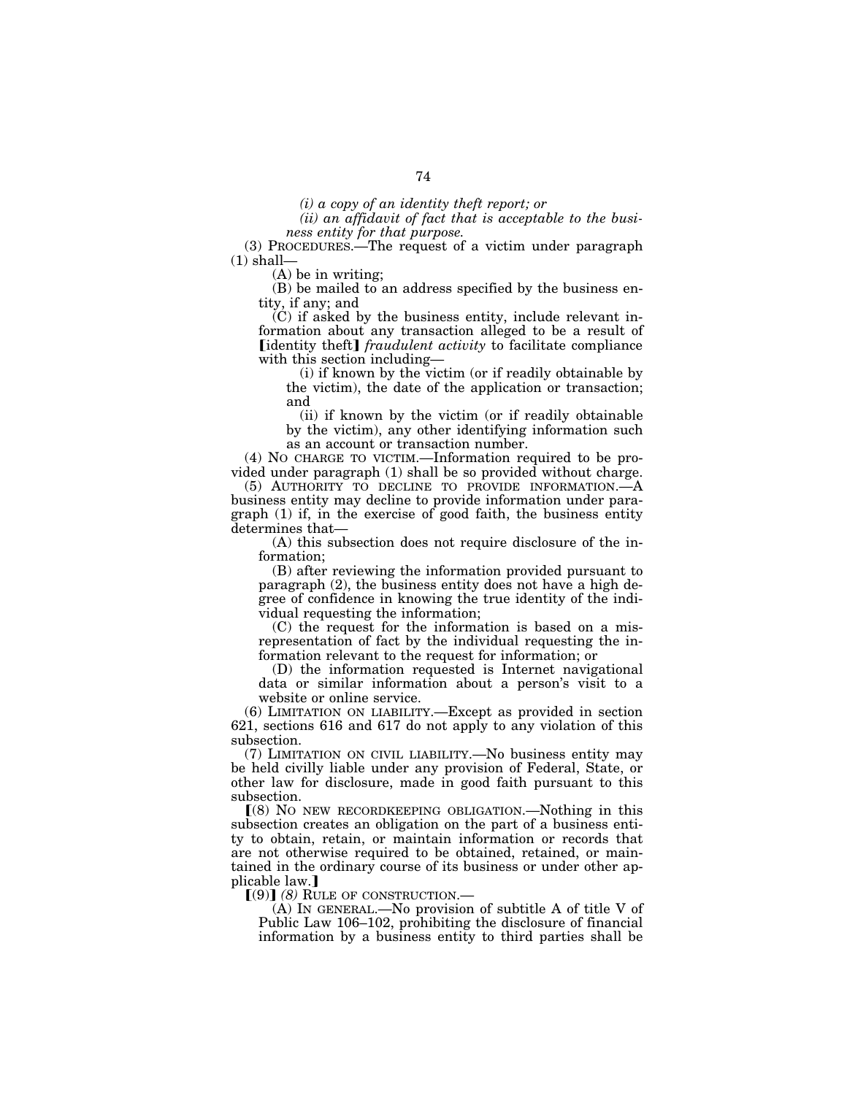*(ii) an affidavit of fact that is acceptable to the business entity for that purpose.* 

(3) PROCEDURES.—The request of a victim under paragraph  $(1)$  shall-

(A) be in writing;

(B) be mailed to an address specified by the business entity, if any; and

(C) if asked by the business entity, include relevant information about any transaction alleged to be a result of **[identity theft]** *fraudulent activity* to facilitate compliance with this section including—

(i) if known by the victim (or if readily obtainable by the victim), the date of the application or transaction; and

(ii) if known by the victim (or if readily obtainable by the victim), any other identifying information such as an account or transaction number.

(4) NO CHARGE TO VICTIM.—Information required to be provided under paragraph (1) shall be so provided without charge.

(5) AUTHORITY TO DECLINE TO PROVIDE INFORMATION.—A business entity may decline to provide information under paragraph (1) if, in the exercise of good faith, the business entity determines that—

(A) this subsection does not require disclosure of the information;

(B) after reviewing the information provided pursuant to paragraph (2), the business entity does not have a high degree of confidence in knowing the true identity of the individual requesting the information;

(C) the request for the information is based on a misrepresentation of fact by the individual requesting the information relevant to the request for information; or

(D) the information requested is Internet navigational data or similar information about a person's visit to a website or online service.

(6) LIMITATION ON LIABILITY.—Except as provided in section 621, sections 616 and 617 do not apply to any violation of this subsection.

(7) LIMITATION ON CIVIL LIABILITY.—No business entity may be held civilly liable under any provision of Federal, State, or other law for disclosure, made in good faith pursuant to this subsection.

 $(8)$  No NEW RECORDKEEPING OBLIGATION.—Nothing in this subsection creates an obligation on the part of a business entity to obtain, retain, or maintain information or records that are not otherwise required to be obtained, retained, or maintained in the ordinary course of its business or under other applicable law.]

 $(9)$   $(8)$  RULE OF CONSTRUCTION.—

(A) IN GENERAL.—No provision of subtitle A of title V of Public Law 106–102, prohibiting the disclosure of financial information by a business entity to third parties shall be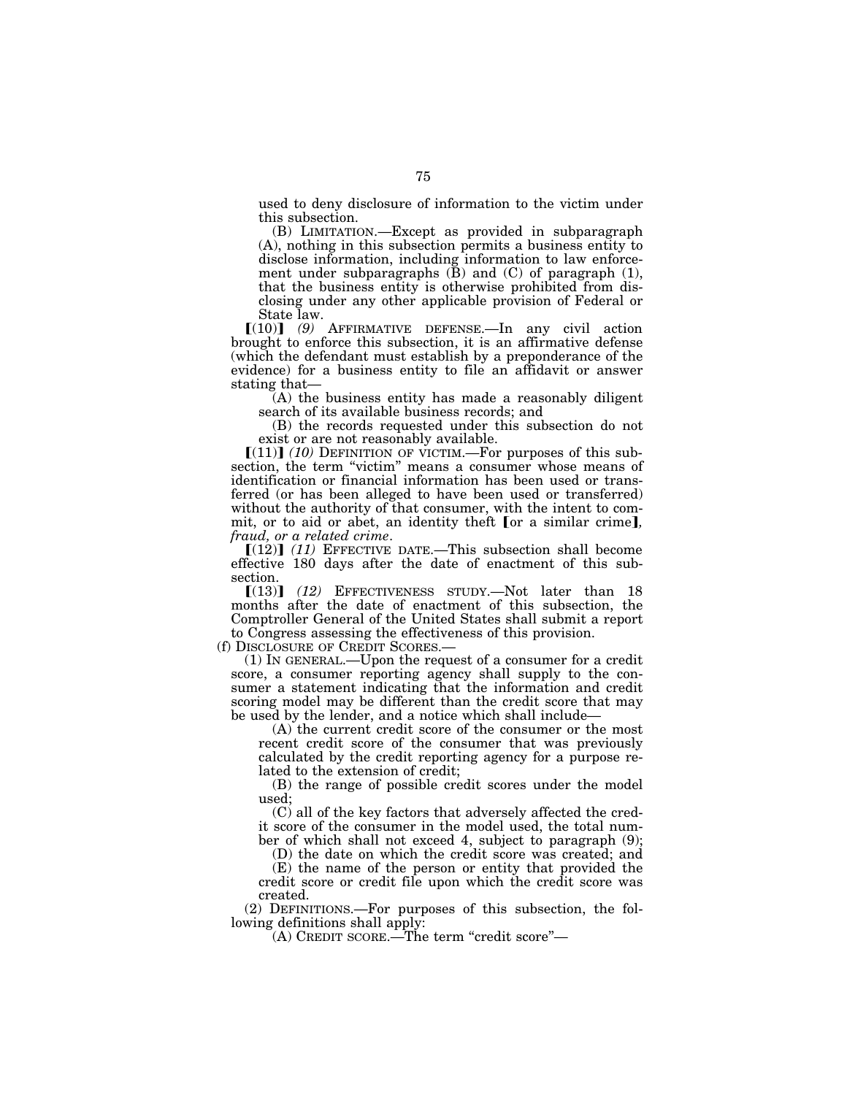used to deny disclosure of information to the victim under this subsection.

(B) LIMITATION.—Except as provided in subparagraph (A), nothing in this subsection permits a business entity to disclose information, including information to law enforcement under subparagraphs  $(\bar{B})$  and  $(\bar{C})$  of paragraph  $(1)$ , that the business entity is otherwise prohibited from disclosing under any other applicable provision of Federal or State law.

 $[(10)]$  (9) AFFIRMATIVE DEFENSE.—In any civil action brought to enforce this subsection, it is an affirmative defense (which the defendant must establish by a preponderance of the evidence) for a business entity to file an affidavit or answer stating that—

(A) the business entity has made a reasonably diligent search of its available business records; and

(B) the records requested under this subsection do not exist or are not reasonably available.

 $[(11)]$  (10) DEFINITION OF VICTIM.—For purposes of this subsection, the term ''victim'' means a consumer whose means of identification or financial information has been used or transferred (or has been alleged to have been used or transferred) without the authority of that consumer, with the intent to commit, or to aid or abet, an identity theft [or a similar crime], *fraud, or a related crime*.

 $[(12)]$   $(11)$  EFFECTIVE DATE.—This subsection shall become effective 180 days after the date of enactment of this subsection.

ø(13)¿ *(12)* EFFECTIVENESS STUDY.—Not later than 18 months after the date of enactment of this subsection, the Comptroller General of the United States shall submit a report to Congress assessing the effectiveness of this provision.<br>(f) DISCLOSURE OF CREDIT SCORES.—

 $(1)$  In GENERAL.—Upon the request of a consumer for a credit score, a consumer reporting agency shall supply to the consumer a statement indicating that the information and credit scoring model may be different than the credit score that may be used by the lender, and a notice which shall include—

(A) the current credit score of the consumer or the most recent credit score of the consumer that was previously calculated by the credit reporting agency for a purpose related to the extension of credit;

(B) the range of possible credit scores under the model used;

(C) all of the key factors that adversely affected the credit score of the consumer in the model used, the total number of which shall not exceed 4, subject to paragraph (9);

(D) the date on which the credit score was created; and (E) the name of the person or entity that provided the credit score or credit file upon which the credit score was created.

(2) DEFINITIONS.—For purposes of this subsection, the following definitions shall apply:

(A) CREDIT SCORE.—The term ''credit score''—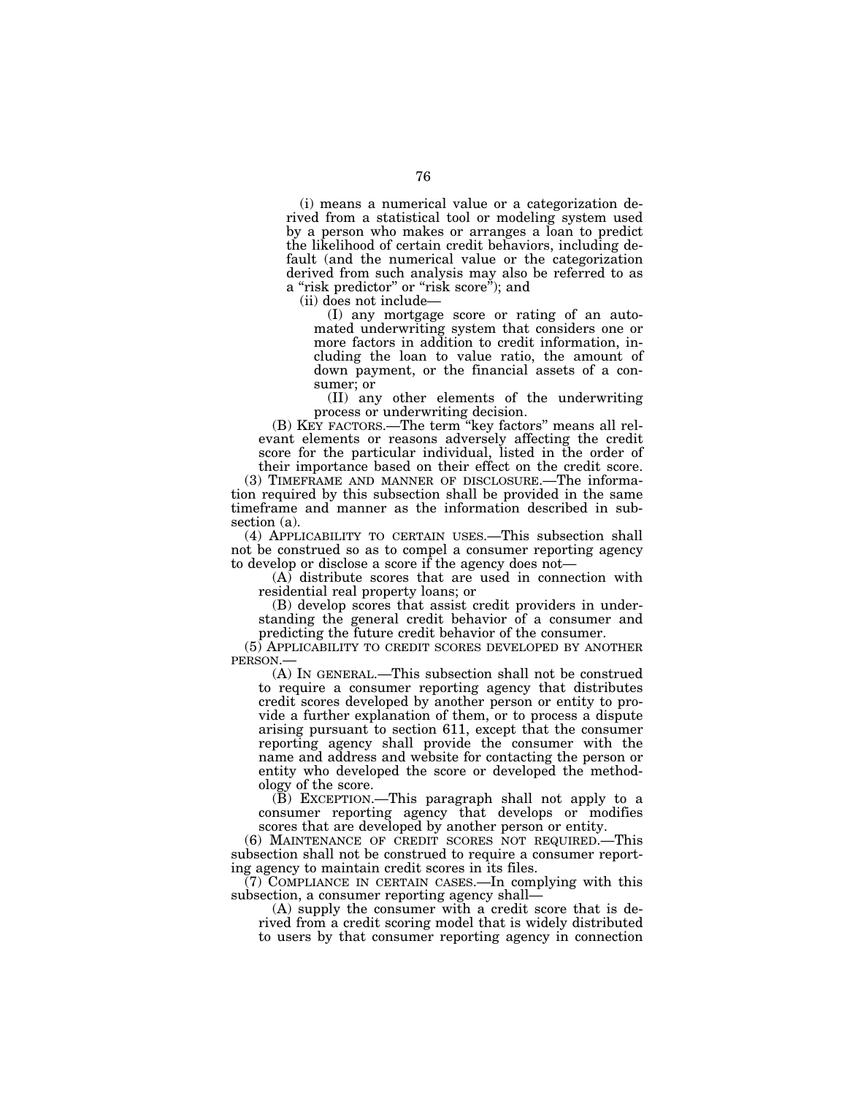(i) means a numerical value or a categorization derived from a statistical tool or modeling system used by a person who makes or arranges a loan to predict the likelihood of certain credit behaviors, including default (and the numerical value or the categorization derived from such analysis may also be referred to as a "risk predictor" or "risk score"; and

(ii) does not include—

(I) any mortgage score or rating of an automated underwriting system that considers one or more factors in addition to credit information, including the loan to value ratio, the amount of down payment, or the financial assets of a consumer; or

(II) any other elements of the underwriting process or underwriting decision.

(B) KEY FACTORS.—The term ''key factors'' means all relevant elements or reasons adversely affecting the credit score for the particular individual, listed in the order of their importance based on their effect on the credit score.

(3) TIMEFRAME AND MANNER OF DISCLOSURE.—The information required by this subsection shall be provided in the same timeframe and manner as the information described in subsection (a).

(4) APPLICABILITY TO CERTAIN USES.—This subsection shall not be construed so as to compel a consumer reporting agency to develop or disclose a score if the agency does not—

(A) distribute scores that are used in connection with residential real property loans; or

(B) develop scores that assist credit providers in understanding the general credit behavior of a consumer and predicting the future credit behavior of the consumer.

(5) APPLICABILITY TO CREDIT SCORES DEVELOPED BY ANOTHER PERSON.—

(A) IN GENERAL.—This subsection shall not be construed to require a consumer reporting agency that distributes credit scores developed by another person or entity to provide a further explanation of them, or to process a dispute arising pursuant to section 611, except that the consumer reporting agency shall provide the consumer with the name and address and website for contacting the person or entity who developed the score or developed the methodology of the score.

(B) EXCEPTION.—This paragraph shall not apply to a consumer reporting agency that develops or modifies scores that are developed by another person or entity.

(6) MAINTENANCE OF CREDIT SCORES NOT REQUIRED.—This subsection shall not be construed to require a consumer reporting agency to maintain credit scores in its files.

(7) COMPLIANCE IN CERTAIN CASES.—In complying with this subsection, a consumer reporting agency shall—

(A) supply the consumer with a credit score that is derived from a credit scoring model that is widely distributed to users by that consumer reporting agency in connection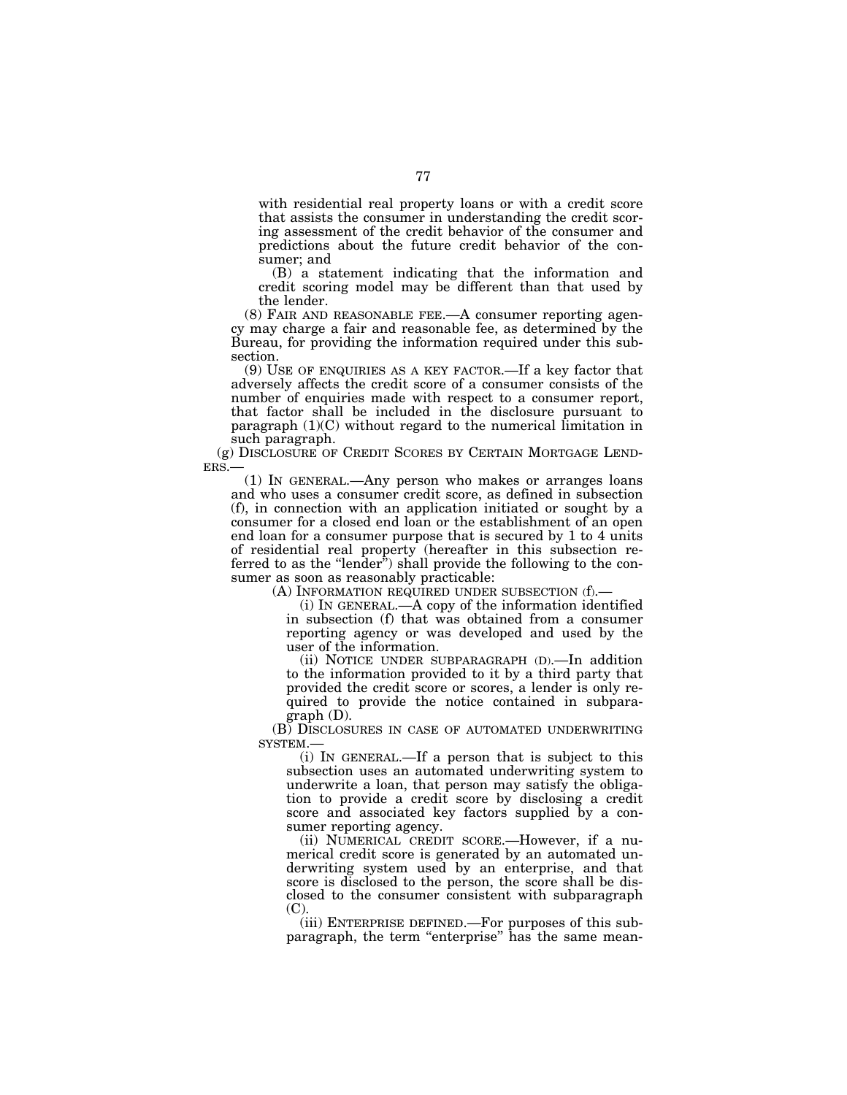with residential real property loans or with a credit score that assists the consumer in understanding the credit scoring assessment of the credit behavior of the consumer and predictions about the future credit behavior of the consumer; and

(B) a statement indicating that the information and credit scoring model may be different than that used by the lender.

(8) FAIR AND REASONABLE FEE.—A consumer reporting agency may charge a fair and reasonable fee, as determined by the Bureau, for providing the information required under this subsection.

(9) USE OF ENQUIRIES AS A KEY FACTOR.—If a key factor that adversely affects the credit score of a consumer consists of the number of enquiries made with respect to a consumer report, that factor shall be included in the disclosure pursuant to paragraph (1)(C) without regard to the numerical limitation in such paragraph.

(g) DISCLOSURE OF CREDIT SCORES BY CERTAIN MORTGAGE LEND-ERS.—

(1) IN GENERAL.—Any person who makes or arranges loans and who uses a consumer credit score, as defined in subsection (f), in connection with an application initiated or sought by a consumer for a closed end loan or the establishment of an open end loan for a consumer purpose that is secured by 1 to 4 units of residential real property (hereafter in this subsection referred to as the "lender") shall provide the following to the consumer as soon as reasonably practicable:

(A) INFORMATION REQUIRED UNDER SUBSECTION (f).—

(i) IN GENERAL.—A copy of the information identified in subsection (f) that was obtained from a consumer reporting agency or was developed and used by the user of the information.

(ii) NOTICE UNDER SUBPARAGRAPH (D).—In addition to the information provided to it by a third party that provided the credit score or scores, a lender is only required to provide the notice contained in subparagraph (D).

(B) DISCLOSURES IN CASE OF AUTOMATED UNDERWRITING SYSTEM.—

(i) IN GENERAL.—If a person that is subject to this subsection uses an automated underwriting system to underwrite a loan, that person may satisfy the obligation to provide a credit score by disclosing a credit score and associated key factors supplied by a consumer reporting agency.

(ii) NUMERICAL CREDIT SCORE.—However, if a numerical credit score is generated by an automated underwriting system used by an enterprise, and that score is disclosed to the person, the score shall be disclosed to the consumer consistent with subparagraph (C).

(iii) ENTERPRISE DEFINED.—For purposes of this subparagraph, the term ''enterprise'' has the same mean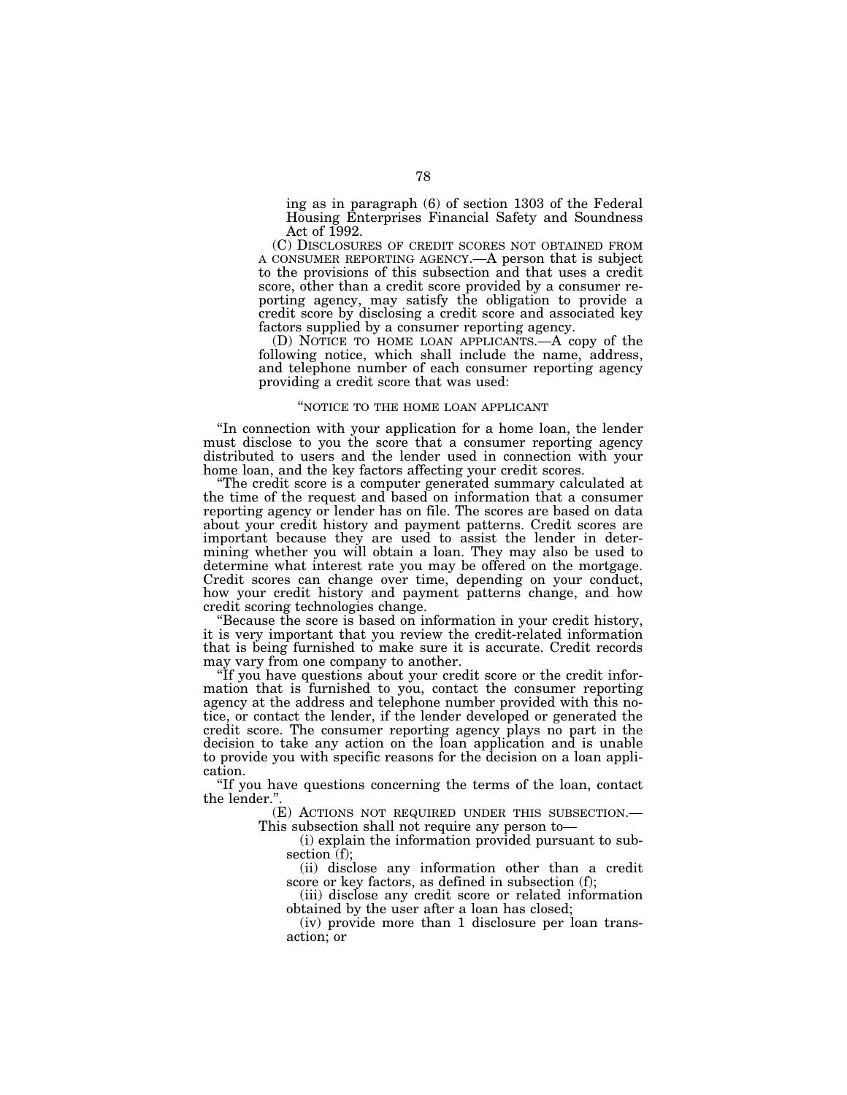ing as in paragraph (6) of section 1303 of the Federal Housing Enterprises Financial Safety and Soundness Act of 1992.

(C) DISCLOSURES OF CREDIT SCORES NOT OBTAINED FROM A CONSUMER REPORTING AGENCY.—A person that is subject to the provisions of this subsection and that uses a credit score, other than a credit score provided by a consumer reporting agency, may satisfy the obligation to provide a credit score by disclosing a credit score and associated key factors supplied by a consumer reporting agency.

(D) NOTICE TO HOME LOAN APPLICANTS.—A copy of the following notice, which shall include the name, address, and telephone number of each consumer reporting agency providing a credit score that was used:

## ''NOTICE TO THE HOME LOAN APPLICANT

''In connection with your application for a home loan, the lender must disclose to you the score that a consumer reporting agency distributed to users and the lender used in connection with your home loan, and the key factors affecting your credit scores.

''The credit score is a computer generated summary calculated at the time of the request and based on information that a consumer reporting agency or lender has on file. The scores are based on data about your credit history and payment patterns. Credit scores are important because they are used to assist the lender in determining whether you will obtain a loan. They may also be used to determine what interest rate you may be offered on the mortgage. Credit scores can change over time, depending on your conduct, how your credit history and payment patterns change, and how credit scoring technologies change.

''Because the score is based on information in your credit history, it is very important that you review the credit-related information that is being furnished to make sure it is accurate. Credit records may vary from one company to another.

''If you have questions about your credit score or the credit information that is furnished to you, contact the consumer reporting agency at the address and telephone number provided with this notice, or contact the lender, if the lender developed or generated the credit score. The consumer reporting agency plays no part in the decision to take any action on the loan application and is unable to provide you with specific reasons for the decision on a loan application.

''If you have questions concerning the terms of the loan, contact the lender."

> (E) ACTIONS NOT REQUIRED UNDER THIS SUBSECTION.— This subsection shall not require any person to—

(i) explain the information provided pursuant to subsection (f);

(ii) disclose any information other than a credit score or key factors, as defined in subsection (f);

(iii) disclose any credit score or related information obtained by the user after a loan has closed;

(iv) provide more than 1 disclosure per loan transaction; or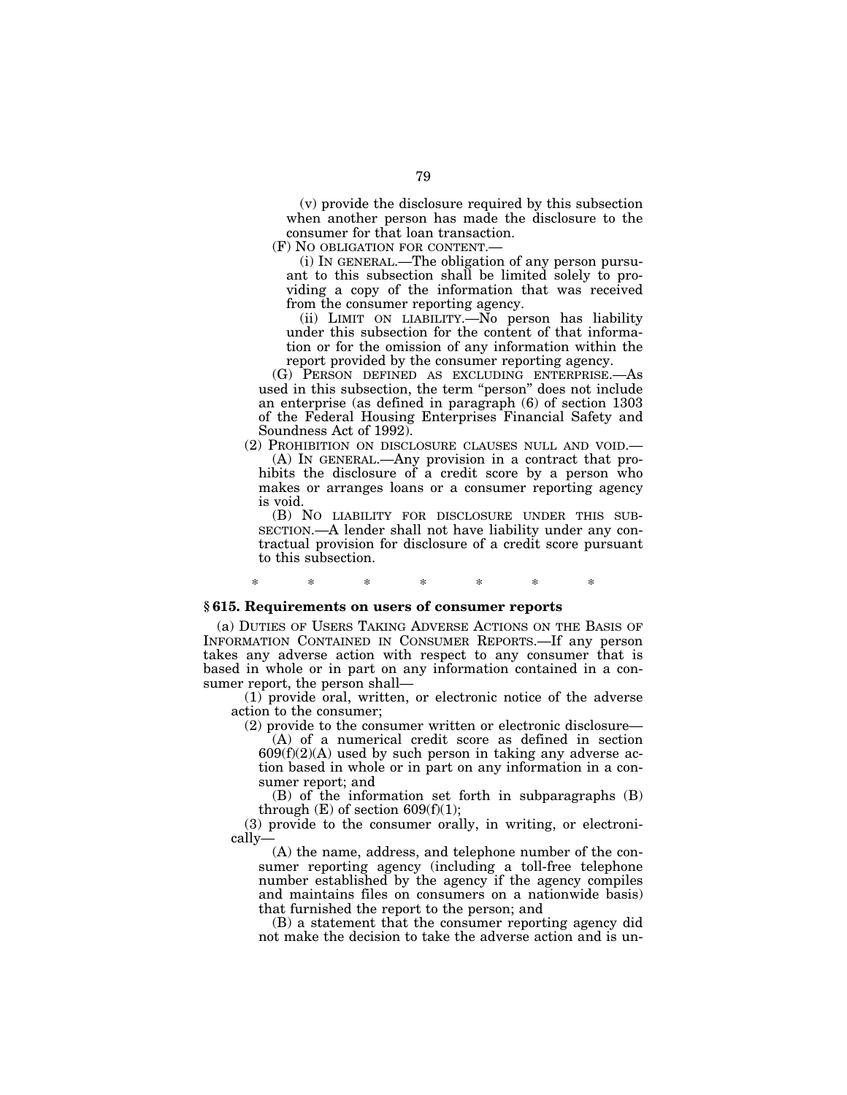(v) provide the disclosure required by this subsection when another person has made the disclosure to the consumer for that loan transaction.

(F) NO OBLIGATION FOR CONTENT.—

(i) IN GENERAL.—The obligation of any person pursuant to this subsection shall be limited solely to providing a copy of the information that was received from the consumer reporting agency.

(ii) LIMIT ON LIABILITY.<sup>-</sup>No person has liability under this subsection for the content of that information or for the omission of any information within the report provided by the consumer reporting agency.

(G) PERSON DEFINED AS EXCLUDING ENTERPRISE.—As used in this subsection, the term ''person'' does not include an enterprise (as defined in paragraph (6) of section 1303 of the Federal Housing Enterprises Financial Safety and Soundness Act of 1992).

(2) PROHIBITION ON DISCLOSURE CLAUSES NULL AND VOID.—

(A) IN GENERAL.—Any provision in a contract that prohibits the disclosure of a credit score by a person who makes or arranges loans or a consumer reporting agency is void.

(B) NO LIABILITY FOR DISCLOSURE UNDER THIS SUB-SECTION.—A lender shall not have liability under any contractual provision for disclosure of a credit score pursuant to this subsection.

# \* \* \* \* \* \* \*

#### **§ 615. Requirements on users of consumer reports**

(a) DUTIES OF USERS TAKING ADVERSE ACTIONS ON THE BASIS OF INFORMATION CONTAINED IN CONSUMER REPORTS.—If any person takes any adverse action with respect to any consumer that is based in whole or in part on any information contained in a consumer report, the person shall—

(1) provide oral, written, or electronic notice of the adverse action to the consumer;

(2) provide to the consumer written or electronic disclosure—

(A) of a numerical credit score as defined in section  $609(f)(2)(A)$  used by such person in taking any adverse action based in whole or in part on any information in a consumer report; and

(B) of the information set forth in subparagraphs (B) through  $(E)$  of section  $609(f)(1)$ ;

(3) provide to the consumer orally, in writing, or electronically—

(A) the name, address, and telephone number of the consumer reporting agency (including a toll-free telephone number established by the agency if the agency compiles and maintains files on consumers on a nationwide basis) that furnished the report to the person; and

(B) a statement that the consumer reporting agency did not make the decision to take the adverse action and is un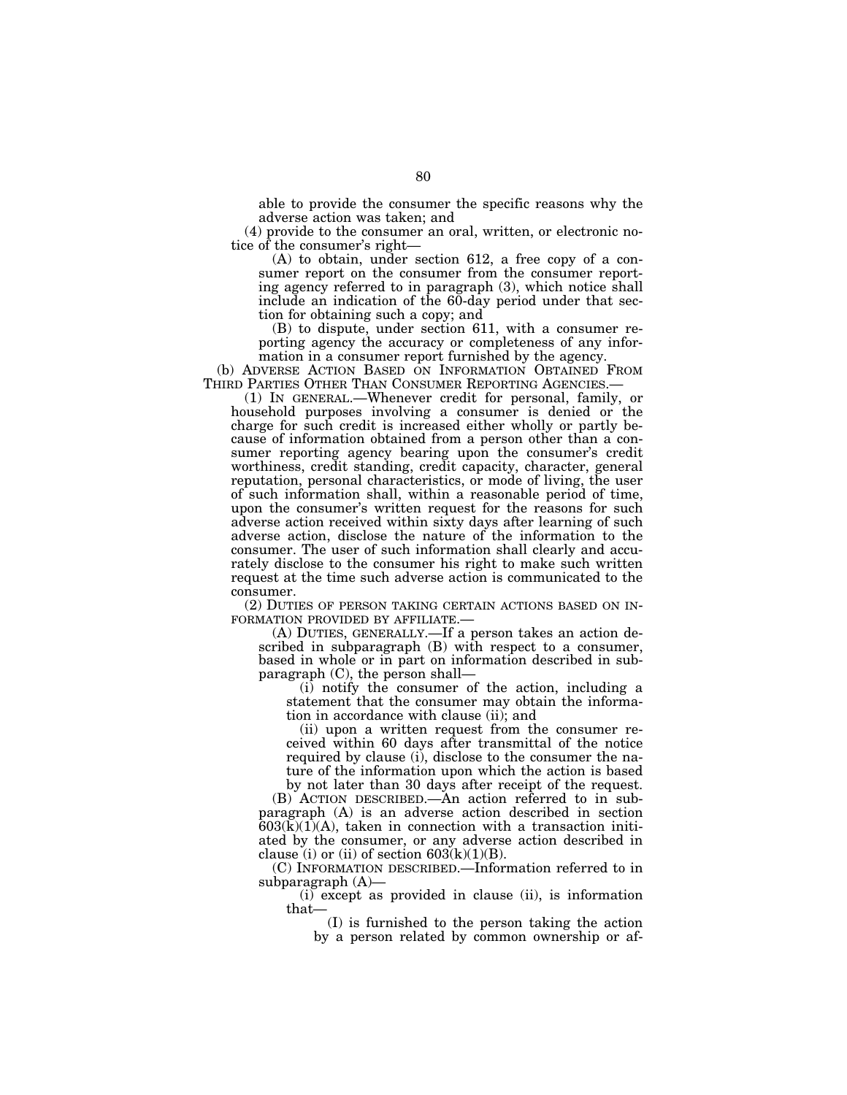able to provide the consumer the specific reasons why the adverse action was taken; and

(4) provide to the consumer an oral, written, or electronic notice of the consumer's right—

(A) to obtain, under section 612, a free copy of a consumer report on the consumer from the consumer reporting agency referred to in paragraph (3), which notice shall include an indication of the 60-day period under that section for obtaining such a copy; and

(B) to dispute, under section 611, with a consumer reporting agency the accuracy or completeness of any information in a consumer report furnished by the agency.

(b) ADVERSE ACTION BASED ON INFORMATION OBTAINED FROM THIRD PARTIES OTHER THAN CONSUMER REPORTING AGENCIES.—

(1) IN GENERAL.—Whenever credit for personal, family, or household purposes involving a consumer is denied or the charge for such credit is increased either wholly or partly because of information obtained from a person other than a consumer reporting agency bearing upon the consumer's credit worthiness, credit standing, credit capacity, character, general reputation, personal characteristics, or mode of living, the user of such information shall, within a reasonable period of time, upon the consumer's written request for the reasons for such adverse action received within sixty days after learning of such adverse action, disclose the nature of the information to the consumer. The user of such information shall clearly and accurately disclose to the consumer his right to make such written request at the time such adverse action is communicated to the consumer.

(2) DUTIES OF PERSON TAKING CERTAIN ACTIONS BASED ON IN-<br>FORMATION PROVIDED BY AFFILIATE.—<br>(A) DUTIES, GENERALLY.—If a person takes an action de-

scribed in subparagraph (B) with respect to a consumer, based in whole or in part on information described in subparagraph (C), the person shall—

(i) notify the consumer of the action, including a statement that the consumer may obtain the information in accordance with clause (ii); and

(ii) upon a written request from the consumer received within 60 days after transmittal of the notice required by clause (i), disclose to the consumer the nature of the information upon which the action is based by not later than 30 days after receipt of the request.

(B) ACTION DESCRIBED.—An action referred to in subparagraph (A) is an adverse action described in section  $603(k)(1)(A)$ , taken in connection with a transaction initiated by the consumer, or any adverse action described in clause (i) or (ii) of section  $603(k)(1)(B)$ .

(C) INFORMATION DESCRIBED.—Information referred to in subparagraph (A)—

(i) except as provided in clause (ii), is information that—

(I) is furnished to the person taking the action by a person related by common ownership or af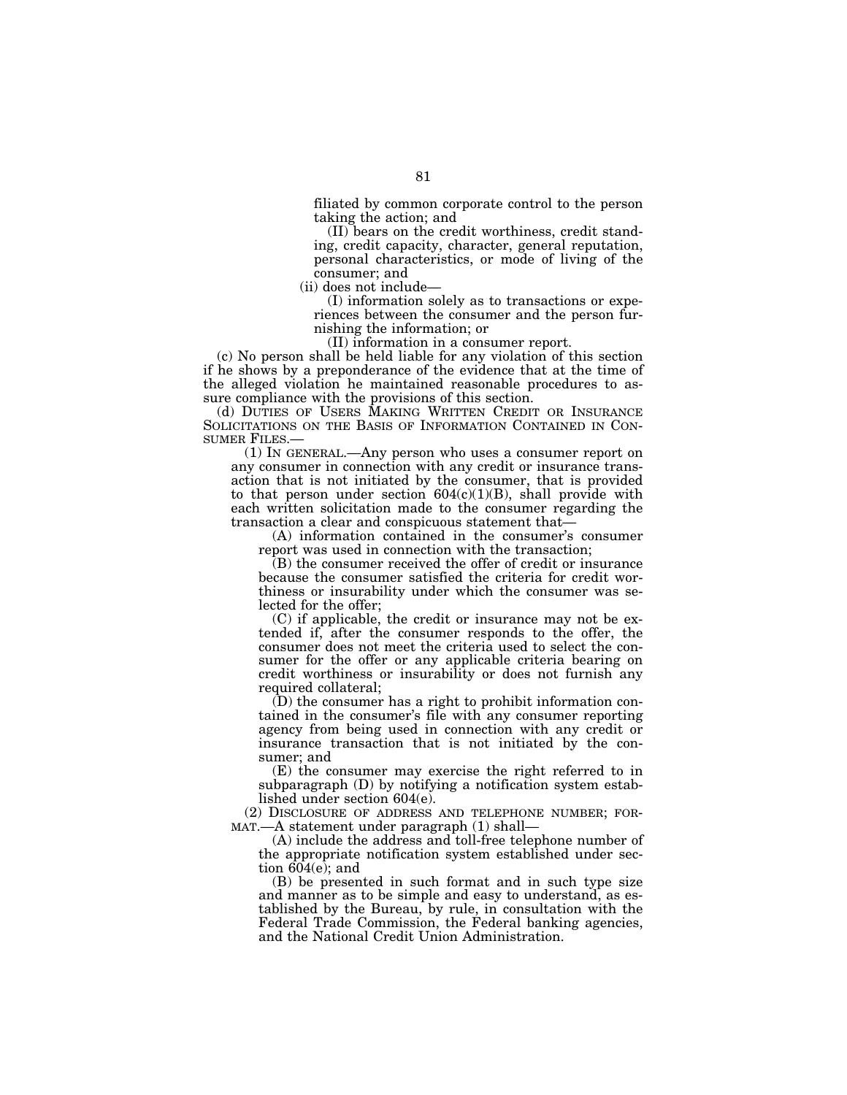filiated by common corporate control to the person taking the action; and

(II) bears on the credit worthiness, credit standing, credit capacity, character, general reputation, personal characteristics, or mode of living of the consumer; and

(ii) does not include—

(I) information solely as to transactions or experiences between the consumer and the person furnishing the information; or

(II) information in a consumer report.

(c) No person shall be held liable for any violation of this section if he shows by a preponderance of the evidence that at the time of the alleged violation he maintained reasonable procedures to assure compliance with the provisions of this section.

(d) DUTIES OF USERS MAKING WRITTEN CREDIT OR INSURANCE SOLICITATIONS ON THE BASIS OF INFORMATION CONTAINED IN CON-<br>SUMER FILES.—

 $(1)$  In GENERAL.—Any person who uses a consumer report on any consumer in connection with any credit or insurance transaction that is not initiated by the consumer, that is provided to that person under section  $604(c)(1)(B)$ , shall provide with each written solicitation made to the consumer regarding the transaction a clear and conspicuous statement that—

(A) information contained in the consumer's consumer report was used in connection with the transaction;

(B) the consumer received the offer of credit or insurance because the consumer satisfied the criteria for credit worthiness or insurability under which the consumer was selected for the offer;

(C) if applicable, the credit or insurance may not be extended if, after the consumer responds to the offer, the consumer does not meet the criteria used to select the consumer for the offer or any applicable criteria bearing on credit worthiness or insurability or does not furnish any required collateral;

(D) the consumer has a right to prohibit information contained in the consumer's file with any consumer reporting agency from being used in connection with any credit or insurance transaction that is not initiated by the consumer; and

(E) the consumer may exercise the right referred to in subparagraph (D) by notifying a notification system established under section 604(e).

(2) DISCLOSURE OF ADDRESS AND TELEPHONE NUMBER; FOR-MAT.—A statement under paragraph (1) shall—

(A) include the address and toll-free telephone number of the appropriate notification system established under section 604(e); and

(B) be presented in such format and in such type size and manner as to be simple and easy to understand, as established by the Bureau, by rule, in consultation with the Federal Trade Commission, the Federal banking agencies, and the National Credit Union Administration.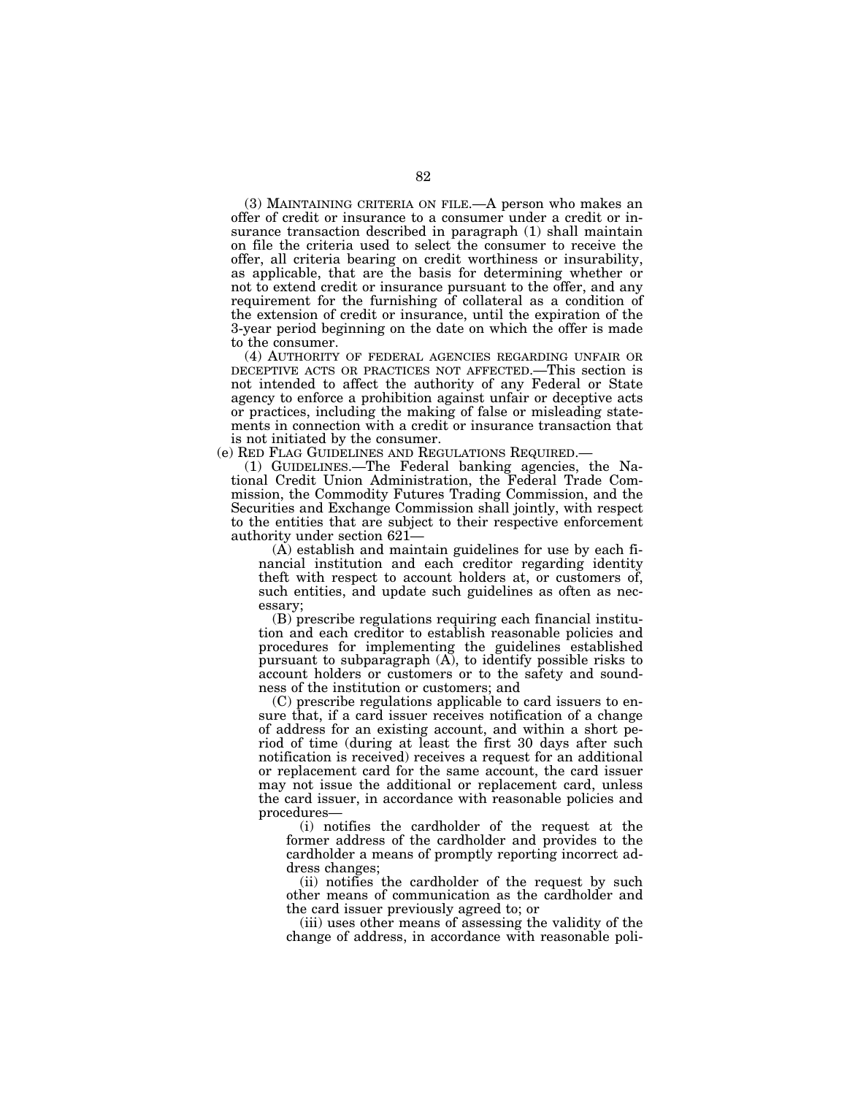(3) MAINTAINING CRITERIA ON FILE.—A person who makes an offer of credit or insurance to a consumer under a credit or insurance transaction described in paragraph (1) shall maintain on file the criteria used to select the consumer to receive the offer, all criteria bearing on credit worthiness or insurability, as applicable, that are the basis for determining whether or not to extend credit or insurance pursuant to the offer, and any requirement for the furnishing of collateral as a condition of the extension of credit or insurance, until the expiration of the 3-year period beginning on the date on which the offer is made to the consumer.

(4) AUTHORITY OF FEDERAL AGENCIES REGARDING UNFAIR OR DECEPTIVE ACTS OR PRACTICES NOT AFFECTED.—This section is not intended to affect the authority of any Federal or State agency to enforce a prohibition against unfair or deceptive acts or practices, including the making of false or misleading statements in connection with a credit or insurance transaction that is not initiated by the consumer.

(e) RED FLAG GUIDELINES AND REGULATIONS REQUIRED.—

(1) GUIDELINES.—The Federal banking agencies, the National Credit Union Administration, the Federal Trade Commission, the Commodity Futures Trading Commission, and the Securities and Exchange Commission shall jointly, with respect to the entities that are subject to their respective enforcement authority under section 621—

(A) establish and maintain guidelines for use by each financial institution and each creditor regarding identity theft with respect to account holders at, or customers of, such entities, and update such guidelines as often as necessary;

(B) prescribe regulations requiring each financial institution and each creditor to establish reasonable policies and procedures for implementing the guidelines established pursuant to subparagraph  $(A)$ , to identify possible risks to account holders or customers or to the safety and soundness of the institution or customers; and

(C) prescribe regulations applicable to card issuers to ensure that, if a card issuer receives notification of a change of address for an existing account, and within a short period of time (during at least the first 30 days after such notification is received) receives a request for an additional or replacement card for the same account, the card issuer may not issue the additional or replacement card, unless the card issuer, in accordance with reasonable policies and procedures—

(i) notifies the cardholder of the request at the former address of the cardholder and provides to the cardholder a means of promptly reporting incorrect address changes;

(ii) notifies the cardholder of the request by such other means of communication as the cardholder and the card issuer previously agreed to; or

(iii) uses other means of assessing the validity of the change of address, in accordance with reasonable poli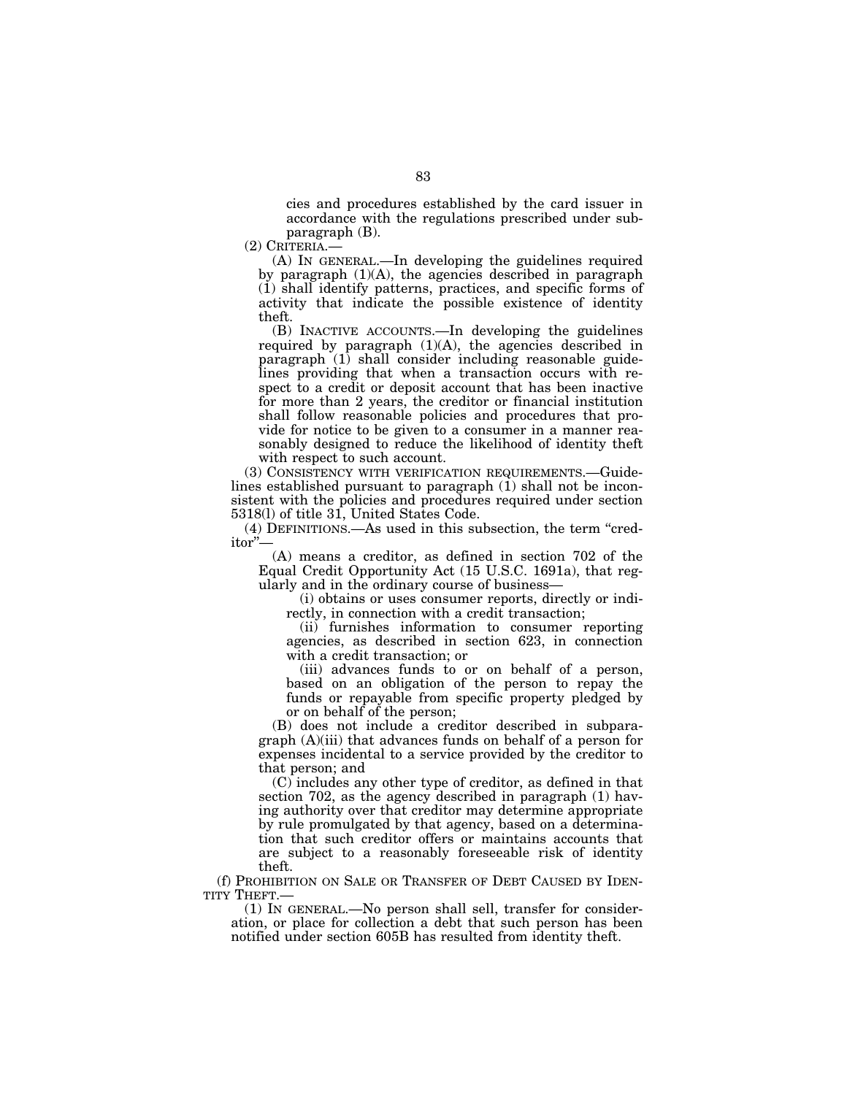cies and procedures established by the card issuer in accordance with the regulations prescribed under subparagraph (B).

(2) CRITERIA.—

(A) IN GENERAL.—In developing the guidelines required by paragraph  $(1)(A)$ , the agencies described in paragraph (1) shall identify patterns, practices, and specific forms of activity that indicate the possible existence of identity theft.

(B) INACTIVE ACCOUNTS.—In developing the guidelines required by paragraph  $(1)(A)$ , the agencies described in paragraph (1) shall consider including reasonable guidelines providing that when a transaction occurs with respect to a credit or deposit account that has been inactive for more than 2 years, the creditor or financial institution shall follow reasonable policies and procedures that provide for notice to be given to a consumer in a manner reasonably designed to reduce the likelihood of identity theft with respect to such account.

(3) CONSISTENCY WITH VERIFICATION REQUIREMENTS.—Guidelines established pursuant to paragraph (1) shall not be inconsistent with the policies and procedures required under section 5318(l) of title 31, United States Code.

(4) DEFINITIONS.—As used in this subsection, the term ''creditor''—

(A) means a creditor, as defined in section 702 of the Equal Credit Opportunity Act (15 U.S.C. 1691a), that regularly and in the ordinary course of business—

(i) obtains or uses consumer reports, directly or indirectly, in connection with a credit transaction;

(ii) furnishes information to consumer reporting agencies, as described in section 623, in connection with a credit transaction; or

(iii) advances funds to or on behalf of a person, based on an obligation of the person to repay the funds or repayable from specific property pledged by or on behalf of the person;

(B) does not include a creditor described in subparagraph (A)(iii) that advances funds on behalf of a person for expenses incidental to a service provided by the creditor to that person; and

(C) includes any other type of creditor, as defined in that section 702, as the agency described in paragraph (1) having authority over that creditor may determine appropriate by rule promulgated by that agency, based on a determination that such creditor offers or maintains accounts that are subject to a reasonably foreseeable risk of identity theft.

(f) PROHIBITION ON SALE OR TRANSFER OF DEBT CAUSED BY IDEN-TITY THEFT.—

(1) IN GENERAL.—No person shall sell, transfer for consideration, or place for collection a debt that such person has been notified under section 605B has resulted from identity theft.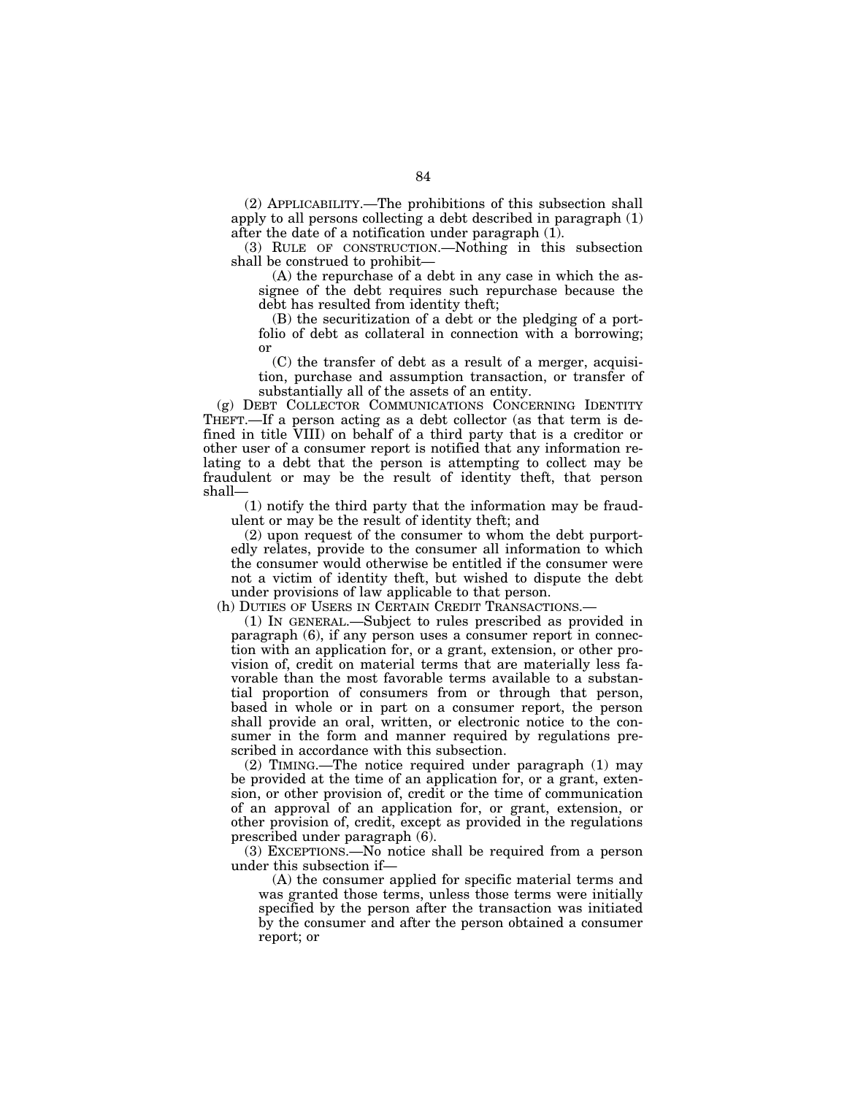(2) APPLICABILITY.—The prohibitions of this subsection shall apply to all persons collecting a debt described in paragraph (1) after the date of a notification under paragraph (1).

(3) RULE OF CONSTRUCTION.—Nothing in this subsection shall be construed to prohibit—

(A) the repurchase of a debt in any case in which the assignee of the debt requires such repurchase because the debt has resulted from identity theft;

(B) the securitization of a debt or the pledging of a portfolio of debt as collateral in connection with a borrowing; or

(C) the transfer of debt as a result of a merger, acquisition, purchase and assumption transaction, or transfer of substantially all of the assets of an entity.

(g) DEBT COLLECTOR COMMUNICATIONS CONCERNING IDENTITY THEFT.—If a person acting as a debt collector (as that term is defined in title VIII) on behalf of a third party that is a creditor or other user of a consumer report is notified that any information relating to a debt that the person is attempting to collect may be fraudulent or may be the result of identity theft, that person shall—

(1) notify the third party that the information may be fraudulent or may be the result of identity theft; and

(2) upon request of the consumer to whom the debt purportedly relates, provide to the consumer all information to which the consumer would otherwise be entitled if the consumer were not a victim of identity theft, but wished to dispute the debt under provisions of law applicable to that person.

(h) DUTIES OF USERS IN CERTAIN CREDIT TRANSACTIONS.—

(1) IN GENERAL.—Subject to rules prescribed as provided in paragraph (6), if any person uses a consumer report in connection with an application for, or a grant, extension, or other provision of, credit on material terms that are materially less favorable than the most favorable terms available to a substantial proportion of consumers from or through that person, based in whole or in part on a consumer report, the person shall provide an oral, written, or electronic notice to the consumer in the form and manner required by regulations prescribed in accordance with this subsection.

(2) TIMING.—The notice required under paragraph (1) may be provided at the time of an application for, or a grant, extension, or other provision of, credit or the time of communication of an approval of an application for, or grant, extension, or other provision of, credit, except as provided in the regulations prescribed under paragraph (6).

(3) EXCEPTIONS.—No notice shall be required from a person under this subsection if—

(A) the consumer applied for specific material terms and was granted those terms, unless those terms were initially specified by the person after the transaction was initiated by the consumer and after the person obtained a consumer report; or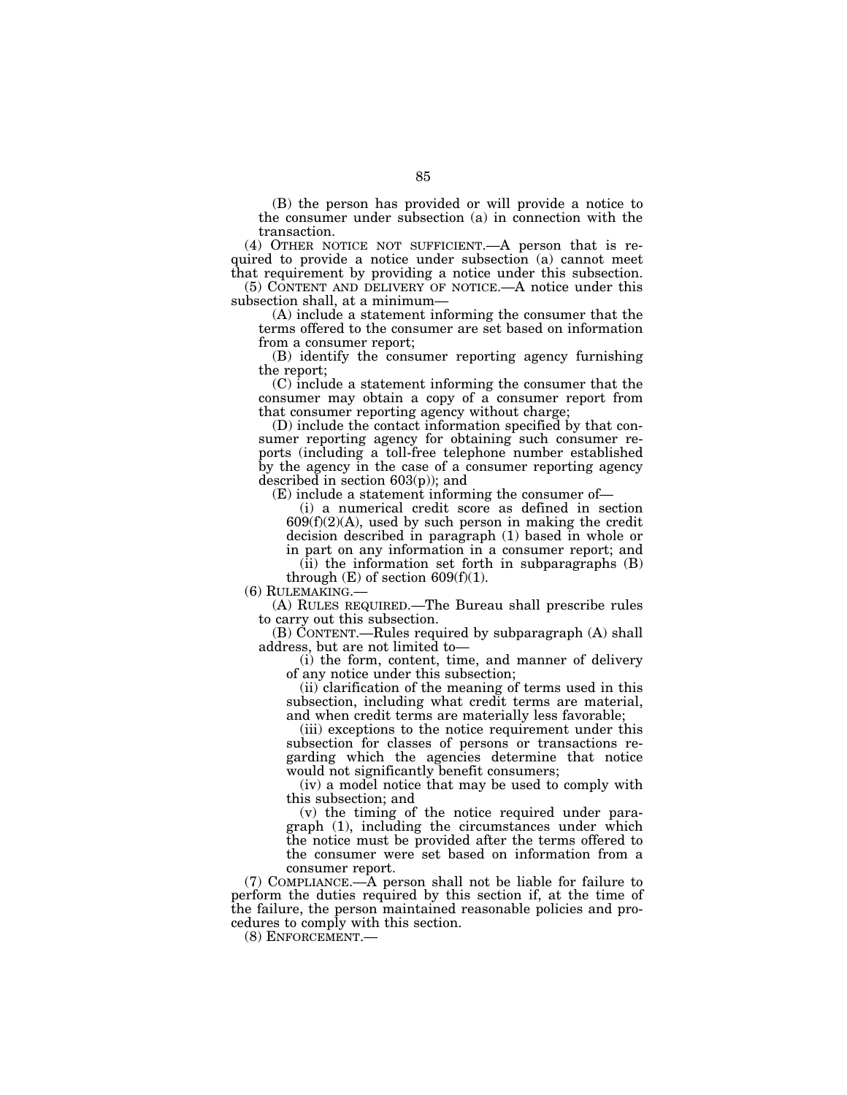(B) the person has provided or will provide a notice to the consumer under subsection (a) in connection with the transaction.

(4) OTHER NOTICE NOT SUFFICIENT.—A person that is required to provide a notice under subsection (a) cannot meet that requirement by providing a notice under this subsection.

(5) CONTENT AND DELIVERY OF NOTICE.—A notice under this subsection shall, at a minimum—

(A) include a statement informing the consumer that the terms offered to the consumer are set based on information from a consumer report;

(B) identify the consumer reporting agency furnishing the report;

(C) include a statement informing the consumer that the consumer may obtain a copy of a consumer report from that consumer reporting agency without charge;

(D) include the contact information specified by that consumer reporting agency for obtaining such consumer reports (including a toll-free telephone number established by the agency in the case of a consumer reporting agency described in section 603(p)); and

(E) include a statement informing the consumer of—

(i) a numerical credit score as defined in section  $609(f)(2)(A)$ , used by such person in making the credit decision described in paragraph (1) based in whole or in part on any information in a consumer report; and

 $(iii)$  the information set forth in subparagraphs  $(B)$ through  $(E)$  of section 609 $(f)(1)$ .

(6) RULEMAKING.—

(A) RULES REQUIRED.—The Bureau shall prescribe rules to carry out this subsection.

(B) CONTENT.—Rules required by subparagraph (A) shall address, but are not limited to—

(i) the form, content, time, and manner of delivery of any notice under this subsection;

(ii) clarification of the meaning of terms used in this subsection, including what credit terms are material, and when credit terms are materially less favorable;

(iii) exceptions to the notice requirement under this subsection for classes of persons or transactions regarding which the agencies determine that notice would not significantly benefit consumers;

(iv) a model notice that may be used to comply with this subsection; and

(v) the timing of the notice required under paragraph (1), including the circumstances under which the notice must be provided after the terms offered to the consumer were set based on information from a consumer report.

(7) COMPLIANCE.—A person shall not be liable for failure to perform the duties required by this section if, at the time of the failure, the person maintained reasonable policies and procedures to comply with this section.

(8) ENFORCEMENT.—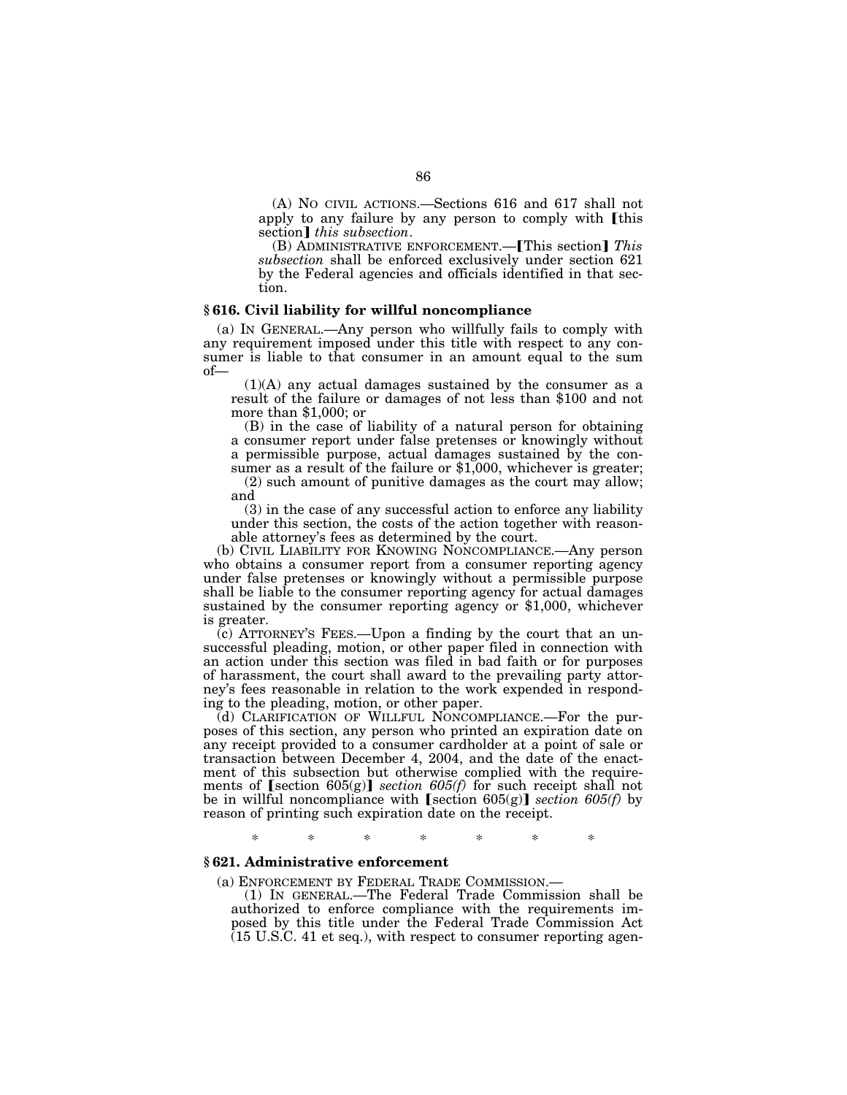(A) NO CIVIL ACTIONS.—Sections 616 and 617 shall not apply to any failure by any person to comply with  $\mathbf{f}$  this section *this subsection*.

(B) ADMINISTRATIVE ENFORCEMENT.—**[This section]** This *subsection* shall be enforced exclusively under section 621 by the Federal agencies and officials identified in that section.

## **§ 616. Civil liability for willful noncompliance**

(a) IN GENERAL.—Any person who willfully fails to comply with any requirement imposed under this title with respect to any consumer is liable to that consumer in an amount equal to the sum of—

(1)(A) any actual damages sustained by the consumer as a result of the failure or damages of not less than \$100 and not more than \$1,000; or

(B) in the case of liability of a natural person for obtaining a consumer report under false pretenses or knowingly without a permissible purpose, actual damages sustained by the consumer as a result of the failure or \$1,000, whichever is greater;

(2) such amount of punitive damages as the court may allow; and

(3) in the case of any successful action to enforce any liability under this section, the costs of the action together with reasonable attorney's fees as determined by the court.

(b) CIVIL LIABILITY FOR KNOWING NONCOMPLIANCE.—Any person who obtains a consumer report from a consumer reporting agency under false pretenses or knowingly without a permissible purpose shall be liable to the consumer reporting agency for actual damages sustained by the consumer reporting agency or \$1,000, whichever is greater.

(c) ATTORNEY'S FEES.—Upon a finding by the court that an unsuccessful pleading, motion, or other paper filed in connection with an action under this section was filed in bad faith or for purposes of harassment, the court shall award to the prevailing party attorney's fees reasonable in relation to the work expended in responding to the pleading, motion, or other paper.

(d) CLARIFICATION OF WILLFUL NONCOMPLIANCE.—For the purposes of this section, any person who printed an expiration date on any receipt provided to a consumer cardholder at a point of sale or transaction between December 4, 2004, and the date of the enactment of this subsection but otherwise complied with the require-<br>ments of [section 605(g)] *section 605(f)* for such receipt shall not be in willful noncompliance with [section  $605(g)$ ] *section*  $605(f)$  by reason of printing such expiration date on the receipt.

\* \* \* \* \* \* \*

### **§ 621. Administrative enforcement**

(a) ENFORCEMENT BY FEDERAL TRADE COMMISSION.—

(1) IN GENERAL.—The Federal Trade Commission shall be authorized to enforce compliance with the requirements imposed by this title under the Federal Trade Commission Act (15 U.S.C. 41 et seq.), with respect to consumer reporting agen-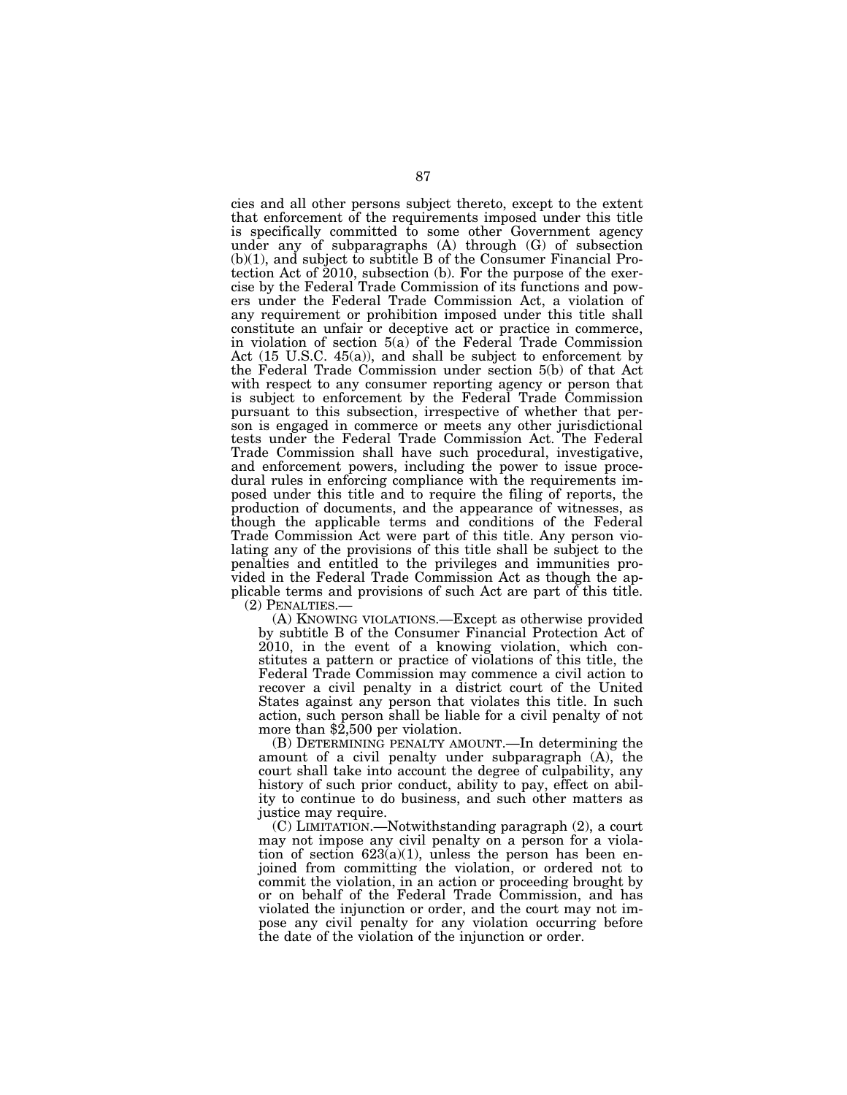cies and all other persons subject thereto, except to the extent that enforcement of the requirements imposed under this title is specifically committed to some other Government agency under any of subparagraphs (A) through (G) of subsection  $(b)(1)$ , and subject to subtitle B of the Consumer Financial Protection Act of 2010, subsection (b). For the purpose of the exercise by the Federal Trade Commission of its functions and powers under the Federal Trade Commission Act, a violation of any requirement or prohibition imposed under this title shall constitute an unfair or deceptive act or practice in commerce, in violation of section 5(a) of the Federal Trade Commission Act (15 U.S.C. 45(a)), and shall be subject to enforcement by the Federal Trade Commission under section 5(b) of that Act with respect to any consumer reporting agency or person that is subject to enforcement by the Federal Trade Commission pursuant to this subsection, irrespective of whether that person is engaged in commerce or meets any other jurisdictional tests under the Federal Trade Commission Act. The Federal Trade Commission shall have such procedural, investigative, and enforcement powers, including the power to issue procedural rules in enforcing compliance with the requirements imposed under this title and to require the filing of reports, the production of documents, and the appearance of witnesses, as though the applicable terms and conditions of the Federal Trade Commission Act were part of this title. Any person violating any of the provisions of this title shall be subject to the penalties and entitled to the privileges and immunities provided in the Federal Trade Commission Act as though the applicable terms and provisions of such Act are part of this title. (2) PENALTIES.—

(A) KNOWING VIOLATIONS.—Except as otherwise provided by subtitle B of the Consumer Financial Protection Act of 2010, in the event of a knowing violation, which constitutes a pattern or practice of violations of this title, the Federal Trade Commission may commence a civil action to recover a civil penalty in a district court of the United States against any person that violates this title. In such action, such person shall be liable for a civil penalty of not more than \$2,500 per violation.

(B) DETERMINING PENALTY AMOUNT.—In determining the amount of a civil penalty under subparagraph (A), the court shall take into account the degree of culpability, any history of such prior conduct, ability to pay, effect on ability to continue to do business, and such other matters as justice may require.

(C) LIMITATION.—Notwithstanding paragraph (2), a court may not impose any civil penalty on a person for a violation of section 623(a)(1), unless the person has been enjoined from committing the violation, or ordered not to commit the violation, in an action or proceeding brought by or on behalf of the Federal Trade Commission, and has violated the injunction or order, and the court may not impose any civil penalty for any violation occurring before the date of the violation of the injunction or order.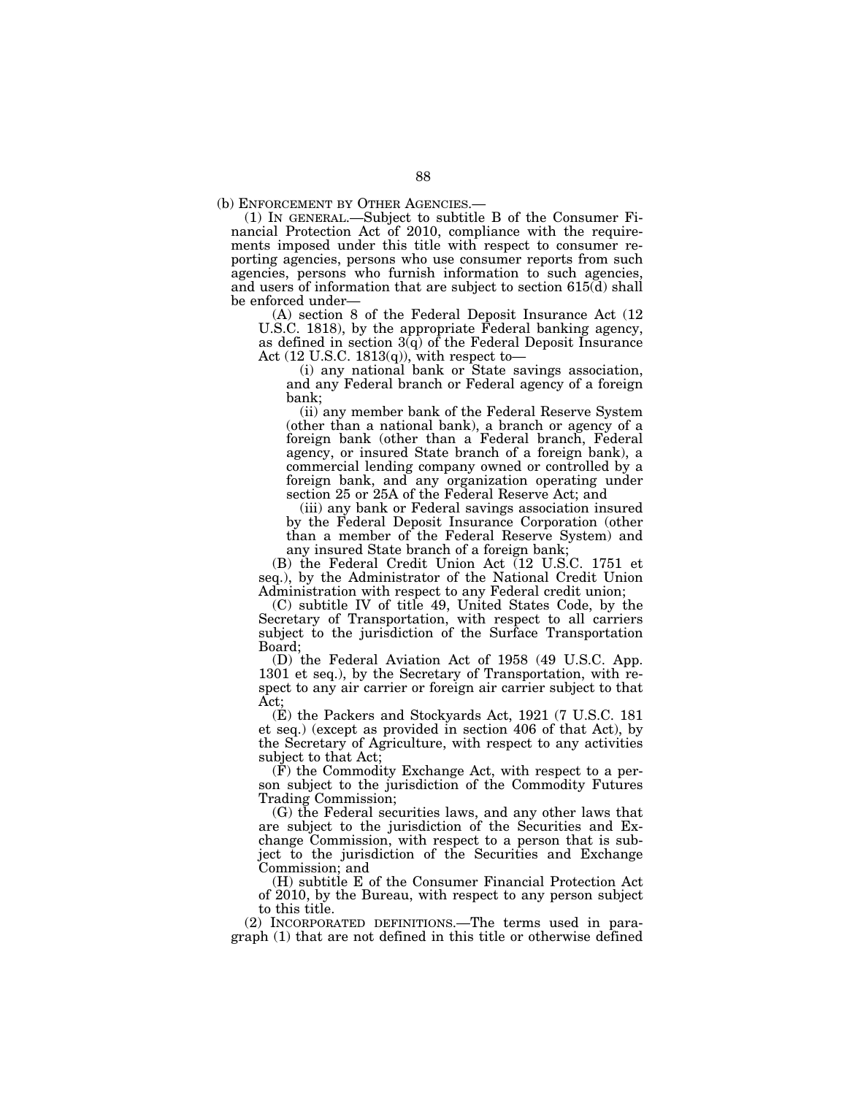(b) ENFORCEMENT BY OTHER AGENCIES.— (1) IN GENERAL.—Subject to subtitle B of the Consumer Financial Protection Act of 2010, compliance with the requirements imposed under this title with respect to consumer reporting agencies, persons who use consumer reports from such agencies, persons who furnish information to such agencies, and users of information that are subject to section 615(d) shall be enforced under—

(A) section 8 of the Federal Deposit Insurance Act (12 U.S.C. 1818), by the appropriate Federal banking agency, as defined in section 3(q) of the Federal Deposit Insurance Act  $(12 \text{ U.S.C. } 1813(q))$ , with respect to-

(i) any national bank or State savings association, and any Federal branch or Federal agency of a foreign bank;

(ii) any member bank of the Federal Reserve System (other than a national bank), a branch or agency of a foreign bank (other than a Federal branch, Federal agency, or insured State branch of a foreign bank), a commercial lending company owned or controlled by a foreign bank, and any organization operating under section 25 or 25A of the Federal Reserve Act; and

(iii) any bank or Federal savings association insured by the Federal Deposit Insurance Corporation (other than a member of the Federal Reserve System) and any insured State branch of a foreign bank;

(B) the Federal Credit Union Act (12 U.S.C. 1751 et seq.), by the Administrator of the National Credit Union Administration with respect to any Federal credit union;

(C) subtitle IV of title 49, United States Code, by the Secretary of Transportation, with respect to all carriers subject to the jurisdiction of the Surface Transportation Board;

(D) the Federal Aviation Act of 1958 (49 U.S.C. App. 1301 et seq.), by the Secretary of Transportation, with respect to any air carrier or foreign air carrier subject to that Act;

(E) the Packers and Stockyards Act, 1921 (7 U.S.C. 181 et seq.) (except as provided in section 406 of that Act), by the Secretary of Agriculture, with respect to any activities subject to that Act;

 $(F)$  the Commodity Exchange Act, with respect to a person subject to the jurisdiction of the Commodity Futures Trading Commission;

(G) the Federal securities laws, and any other laws that are subject to the jurisdiction of the Securities and Exchange Commission, with respect to a person that is subject to the jurisdiction of the Securities and Exchange Commission; and

(H) subtitle E of the Consumer Financial Protection Act of 2010, by the Bureau, with respect to any person subject to this title.

(2) INCORPORATED DEFINITIONS.—The terms used in paragraph (1) that are not defined in this title or otherwise defined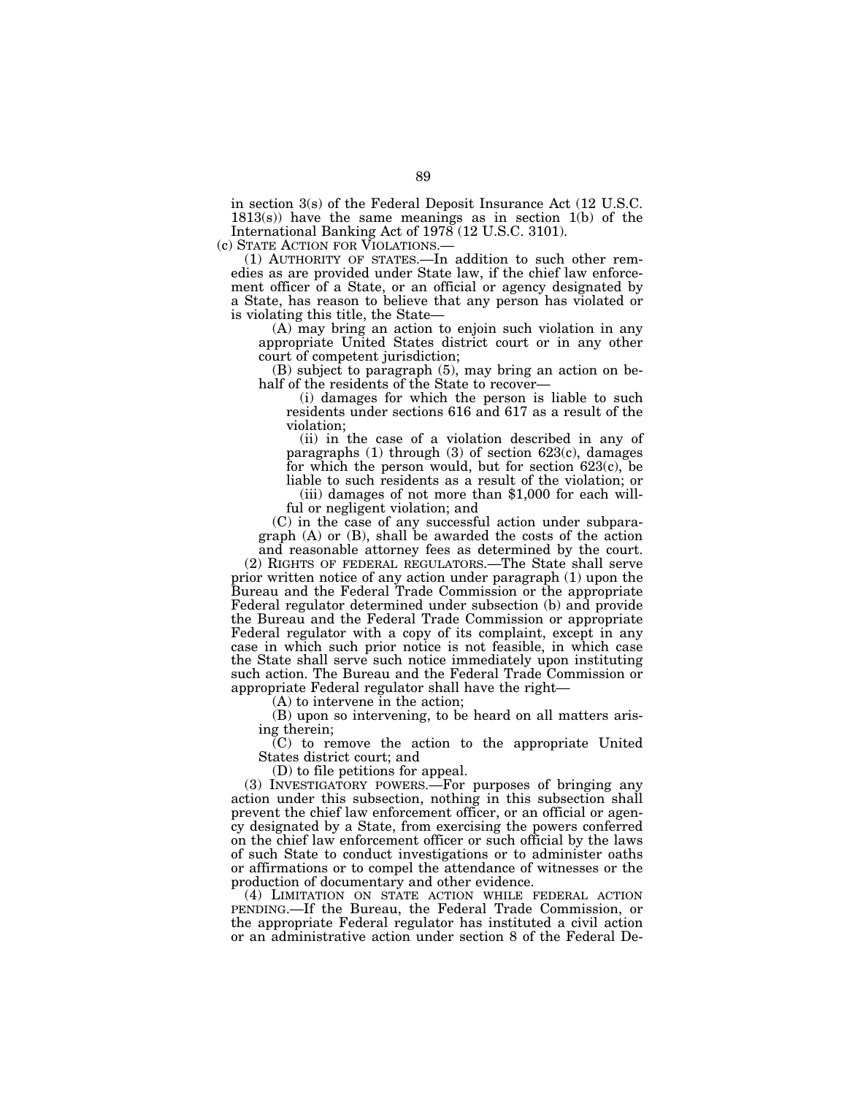in section 3(s) of the Federal Deposit Insurance Act (12 U.S.C. 1813(s)) have the same meanings as in section 1(b) of the International Banking Act of 1978 (12 U.S.C. 3101).<br>(c) STATE ACTION FOR VIOLATIONS.—

(1) AUTHORITY OF STATES.—In addition to such other remedies as are provided under State law, if the chief law enforcement officer of a State, or an official or agency designated by a State, has reason to believe that any person has violated or is violating this title, the State—

(A) may bring an action to enjoin such violation in any appropriate United States district court or in any other court of competent jurisdiction;

(B) subject to paragraph (5), may bring an action on behalf of the residents of the State to recover—

(i) damages for which the person is liable to such residents under sections 616 and 617 as a result of the violation;

(ii) in the case of a violation described in any of paragraphs (1) through (3) of section 623(c), damages for which the person would, but for section 623(c), be liable to such residents as a result of the violation; or

(iii) damages of not more than \$1,000 for each will-

ful or negligent violation; and

(C) in the case of any successful action under subparagraph (A) or (B), shall be awarded the costs of the action

and reasonable attorney fees as determined by the court. (2) RIGHTS OF FEDERAL REGULATORS.—The State shall serve prior written notice of any action under paragraph (1) upon the Bureau and the Federal Trade Commission or the appropriate Federal regulator determined under subsection (b) and provide the Bureau and the Federal Trade Commission or appropriate Federal regulator with a copy of its complaint, except in any case in which such prior notice is not feasible, in which case the State shall serve such notice immediately upon instituting such action. The Bureau and the Federal Trade Commission or appropriate Federal regulator shall have the right—

(A) to intervene in the action;

(B) upon so intervening, to be heard on all matters arising therein;

 $(C)$  to remove the action to the appropriate United States district court; and

(D) to file petitions for appeal.

(3) INVESTIGATORY POWERS.—For purposes of bringing any action under this subsection, nothing in this subsection shall prevent the chief law enforcement officer, or an official or agency designated by a State, from exercising the powers conferred on the chief law enforcement officer or such official by the laws of such State to conduct investigations or to administer oaths or affirmations or to compel the attendance of witnesses or the production of documentary and other evidence.

(4) LIMITATION ON STATE ACTION WHILE FEDERAL ACTION PENDING.—If the Bureau, the Federal Trade Commission, or the appropriate Federal regulator has instituted a civil action or an administrative action under section 8 of the Federal De-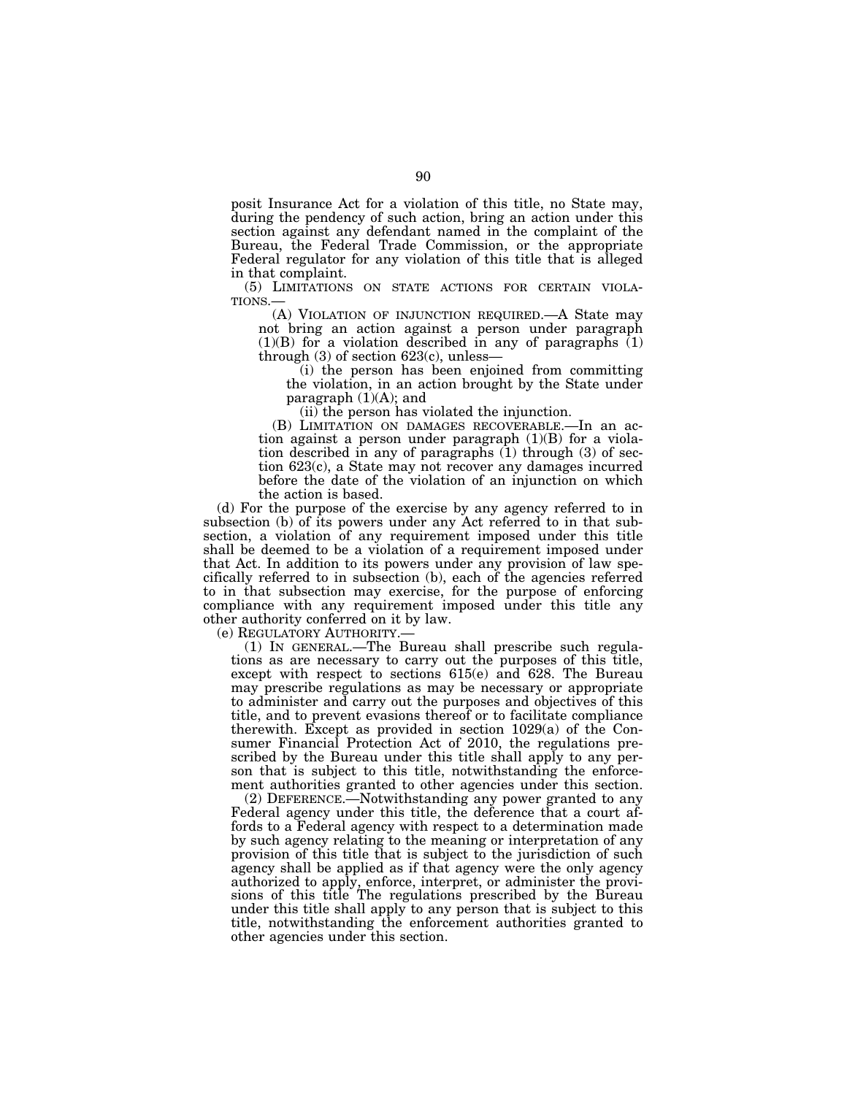posit Insurance Act for a violation of this title, no State may, during the pendency of such action, bring an action under this section against any defendant named in the complaint of the Bureau, the Federal Trade Commission, or the appropriate Federal regulator for any violation of this title that is alleged in that complaint.

(5) LIMITATIONS ON STATE ACTIONS FOR CERTAIN VIOLA- TIONS.—

(A) VIOLATION OF INJUNCTION REQUIRED.—A State may not bring an action against a person under paragraph  $(1)(B)$  for a violation described in any of paragraphs  $(1)$ through (3) of section 623(c), unless—

(i) the person has been enjoined from committing the violation, in an action brought by the State under paragraph  $(1)(A)$ ; and

(ii) the person has violated the injunction.

(B) LIMITATION ON DAMAGES RECOVERABLE.—In an action against a person under paragraph (1)(B) for a violation described in any of paragraphs  $(1)$  through  $(3)$  of section 623(c), a State may not recover any damages incurred before the date of the violation of an injunction on which the action is based.

(d) For the purpose of the exercise by any agency referred to in subsection (b) of its powers under any Act referred to in that subsection, a violation of any requirement imposed under this title shall be deemed to be a violation of a requirement imposed under that Act. In addition to its powers under any provision of law specifically referred to in subsection (b), each of the agencies referred to in that subsection may exercise, for the purpose of enforcing compliance with any requirement imposed under this title any other authority conferred on it by law.

(e) REGULATORY AUTHORITY.—

(1) IN GENERAL.—The Bureau shall prescribe such regulations as are necessary to carry out the purposes of this title, except with respect to sections 615(e) and 628. The Bureau may prescribe regulations as may be necessary or appropriate to administer and carry out the purposes and objectives of this title, and to prevent evasions thereof or to facilitate compliance therewith. Except as provided in section 1029(a) of the Consumer Financial Protection Act of 2010, the regulations prescribed by the Bureau under this title shall apply to any person that is subject to this title, notwithstanding the enforcement authorities granted to other agencies under this section.

(2) DEFERENCE.—Notwithstanding any power granted to any Federal agency under this title, the deference that a court affords to a Federal agency with respect to a determination made by such agency relating to the meaning or interpretation of any provision of this title that is subject to the jurisdiction of such agency shall be applied as if that agency were the only agency authorized to apply, enforce, interpret, or administer the provisions of this title The regulations prescribed by the Bureau under this title shall apply to any person that is subject to this title, notwithstanding the enforcement authorities granted to other agencies under this section.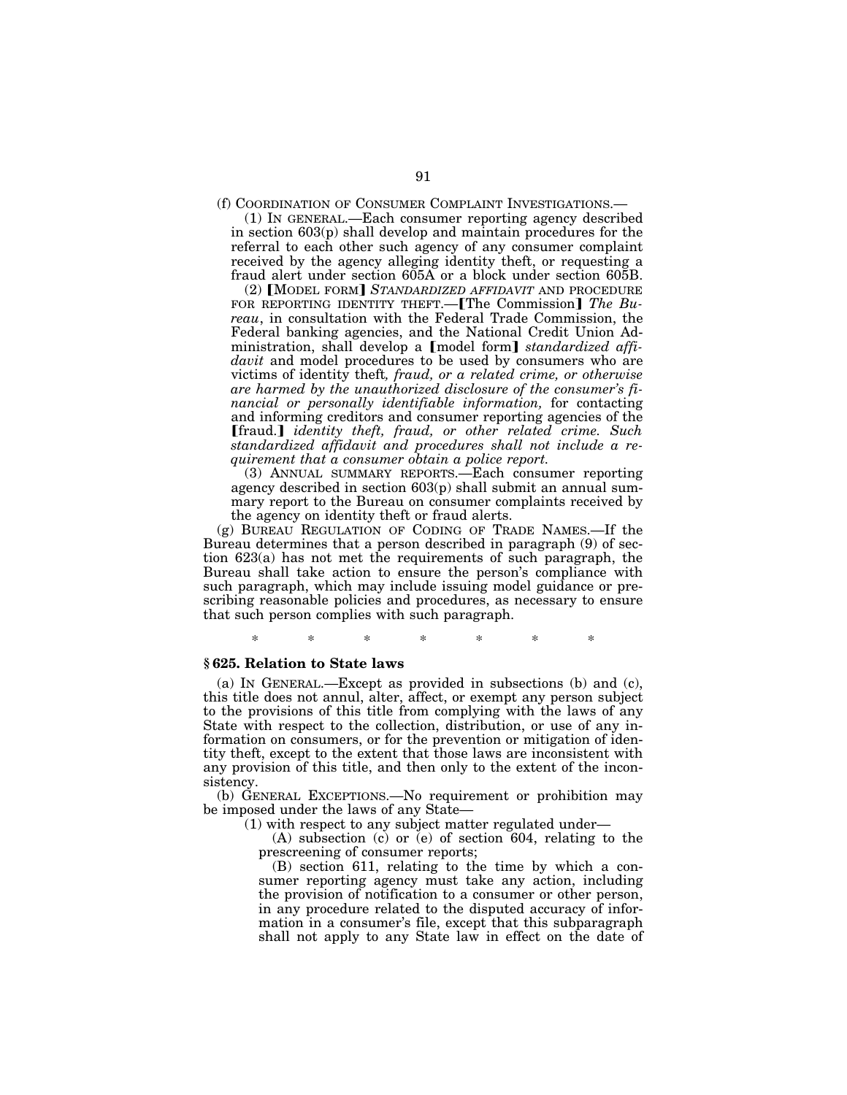(f) COORDINATION OF CONSUMER COMPLAINT INVESTIGATIONS.—

(1) IN GENERAL.—Each consumer reporting agency described in section 603(p) shall develop and maintain procedures for the referral to each other such agency of any consumer complaint received by the agency alleging identity theft, or requesting a fraud alert under section 605A or a block under section 605B.

(2) **[MODEL FORM]** STANDARDIZED AFFIDAVIT AND PROCEDURE FOR REPORTING IDENTITY THEFT.—**[The Commission]** The Bu*reau*, in consultation with the Federal Trade Commission, the Federal banking agencies, and the National Credit Union Administration, shall develop a **[**model form] *standardized affidavit* and model procedures to be used by consumers who are victims of identity theft*, fraud, or a related crime, or otherwise are harmed by the unauthorized disclosure of the consumer's financial or personally identifiable information,* for contacting and informing creditors and consumer reporting agencies of the [fraud.] *identity theft, fraud, or other related crime. Such standardized affidavit and procedures shall not include a requirement that a consumer obtain a police report.* 

(3) ANNUAL SUMMARY REPORTS.—Each consumer reporting agency described in section 603(p) shall submit an annual summary report to the Bureau on consumer complaints received by the agency on identity theft or fraud alerts.

(g) BUREAU REGULATION OF CODING OF TRADE NAMES.—If the Bureau determines that a person described in paragraph (9) of section 623(a) has not met the requirements of such paragraph, the Bureau shall take action to ensure the person's compliance with such paragraph, which may include issuing model guidance or prescribing reasonable policies and procedures, as necessary to ensure that such person complies with such paragraph.

\* \* \* \* \* \* \*

#### **§ 625. Relation to State laws**

(a) IN GENERAL.—Except as provided in subsections (b) and (c), this title does not annul, alter, affect, or exempt any person subject to the provisions of this title from complying with the laws of any State with respect to the collection, distribution, or use of any information on consumers, or for the prevention or mitigation of identity theft, except to the extent that those laws are inconsistent with any provision of this title, and then only to the extent of the inconsistency.

(b) GENERAL EXCEPTIONS.—No requirement or prohibition may be imposed under the laws of any State—

(1) with respect to any subject matter regulated under—

(A) subsection (c) or (e) of section 604, relating to the prescreening of consumer reports;

(B) section 611, relating to the time by which a consumer reporting agency must take any action, including the provision of notification to a consumer or other person, in any procedure related to the disputed accuracy of information in a consumer's file, except that this subparagraph shall not apply to any State law in effect on the date of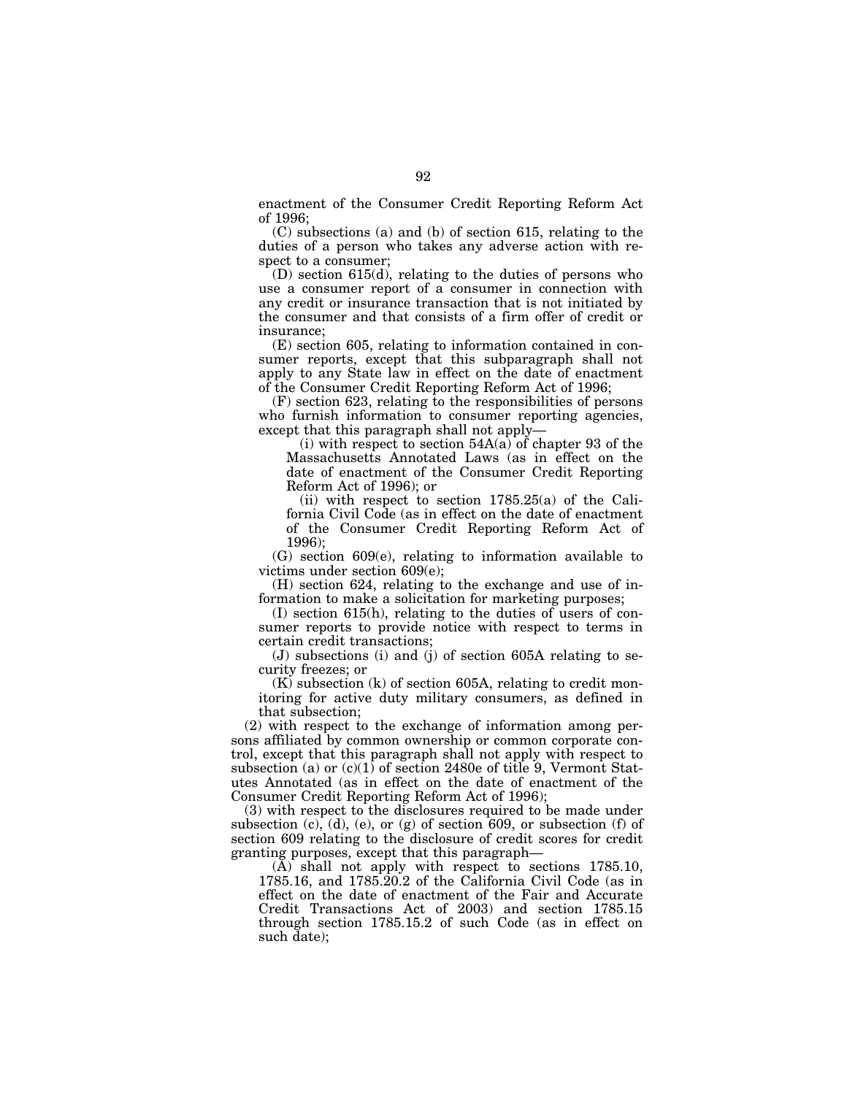enactment of the Consumer Credit Reporting Reform Act of 1996;

(C) subsections (a) and (b) of section 615, relating to the duties of a person who takes any adverse action with respect to a consumer;

(D) section 615(d), relating to the duties of persons who use a consumer report of a consumer in connection with any credit or insurance transaction that is not initiated by the consumer and that consists of a firm offer of credit or insurance;

(E) section 605, relating to information contained in consumer reports, except that this subparagraph shall not apply to any State law in effect on the date of enactment of the Consumer Credit Reporting Reform Act of 1996;

(F) section 623, relating to the responsibilities of persons who furnish information to consumer reporting agencies, except that this paragraph shall not apply—

(i) with respect to section  $54A(a)$  of chapter 93 of the Massachusetts Annotated Laws (as in effect on the date of enactment of the Consumer Credit Reporting Reform Act of 1996); or

(ii) with respect to section 1785.25(a) of the California Civil Code (as in effect on the date of enactment of the Consumer Credit Reporting Reform Act of 1996);

(G) section 609(e), relating to information available to victims under section 609(e);

(H) section 624, relating to the exchange and use of information to make a solicitation for marketing purposes;

(I) section 615(h), relating to the duties of users of consumer reports to provide notice with respect to terms in certain credit transactions;

(J) subsections (i) and (j) of section 605A relating to security freezes; or

(K) subsection (k) of section 605A, relating to credit monitoring for active duty military consumers, as defined in that subsection;

(2) with respect to the exchange of information among persons affiliated by common ownership or common corporate control, except that this paragraph shall not apply with respect to subsection (a) or (c)(1) of section 2480e of title 9, Vermont Statutes Annotated (as in effect on the date of enactment of the Consumer Credit Reporting Reform Act of 1996);

(3) with respect to the disclosures required to be made under subsection (c), (d), (e), or (g) of section 609, or subsection (f) of section 609 relating to the disclosure of credit scores for credit granting purposes, except that this paragraph—

(A) shall not apply with respect to sections 1785.10, 1785.16, and 1785.20.2 of the California Civil Code (as in effect on the date of enactment of the Fair and Accurate Credit Transactions Act of 2003) and section 1785.15 through section 1785.15.2 of such Code (as in effect on such date);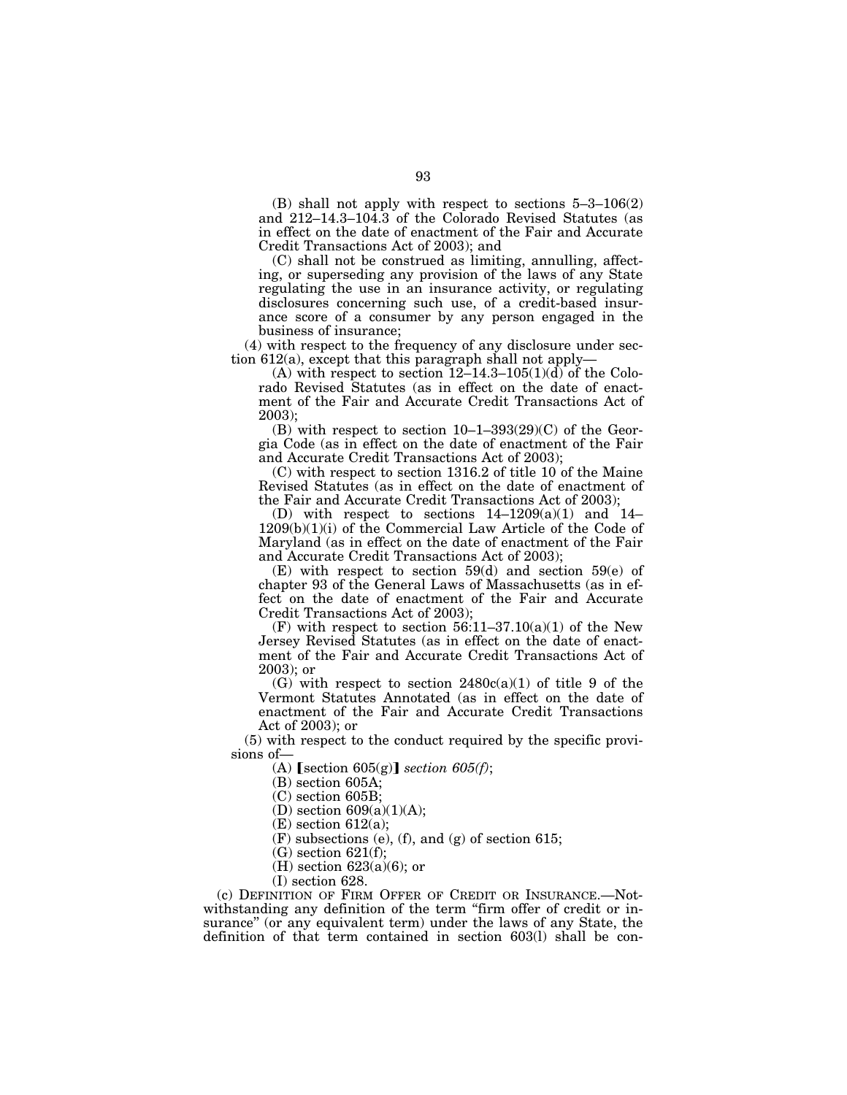(B) shall not apply with respect to sections 5–3–106(2) and 212–14.3–104.3 of the Colorado Revised Statutes (as in effect on the date of enactment of the Fair and Accurate Credit Transactions Act of 2003); and

(C) shall not be construed as limiting, annulling, affecting, or superseding any provision of the laws of any State regulating the use in an insurance activity, or regulating disclosures concerning such use, of a credit-based insurance score of a consumer by any person engaged in the business of insurance;

(4) with respect to the frequency of any disclosure under section 612(a), except that this paragraph shall not apply—

(A) with respect to section  $12-14.3-105(1)(d)$  of the Colorado Revised Statutes (as in effect on the date of enactment of the Fair and Accurate Credit Transactions Act of 2003);

(B) with respect to section  $10-1-393(29)(C)$  of the Georgia Code (as in effect on the date of enactment of the Fair and Accurate Credit Transactions Act of 2003);

(C) with respect to section 1316.2 of title 10 of the Maine Revised Statutes (as in effect on the date of enactment of the Fair and Accurate Credit Transactions Act of 2003);

(D) with respect to sections  $14-1209(a)(1)$  and  $14-$ 1209(b)(1)(i) of the Commercial Law Article of the Code of Maryland (as in effect on the date of enactment of the Fair and Accurate Credit Transactions Act of 2003);

(E) with respect to section 59(d) and section 59(e) of chapter 93 of the General Laws of Massachusetts (as in effect on the date of enactment of the Fair and Accurate Credit Transactions Act of 2003);

 $(F)$  with respect to section 56:11-37.10(a)(1) of the New Jersey Revised Statutes (as in effect on the date of enactment of the Fair and Accurate Credit Transactions Act of 2003); or

(G) with respect to section  $2480c(a)(1)$  of title 9 of the Vermont Statutes Annotated (as in effect on the date of enactment of the Fair and Accurate Credit Transactions Act of 2003); or

(5) with respect to the conduct required by the specific provisions of—

(A)  $[section 605(g)]$  *section 605(f)*;

(B) section 605A;

(C) section 605B;

(D) section  $609(a)(1)(A)$ ;

(E) section 612(a);

(F) subsections (e), (f), and (g) of section 615;

 $(G)$  section 621(f);

(H) section  $623(a)(6)$ ; or

(I) section 628.

(c) DEFINITION OF FIRM OFFER OF CREDIT OR INSURANCE.—Notwithstanding any definition of the term "firm offer of credit or insurance'' (or any equivalent term) under the laws of any State, the definition of that term contained in section 603(l) shall be con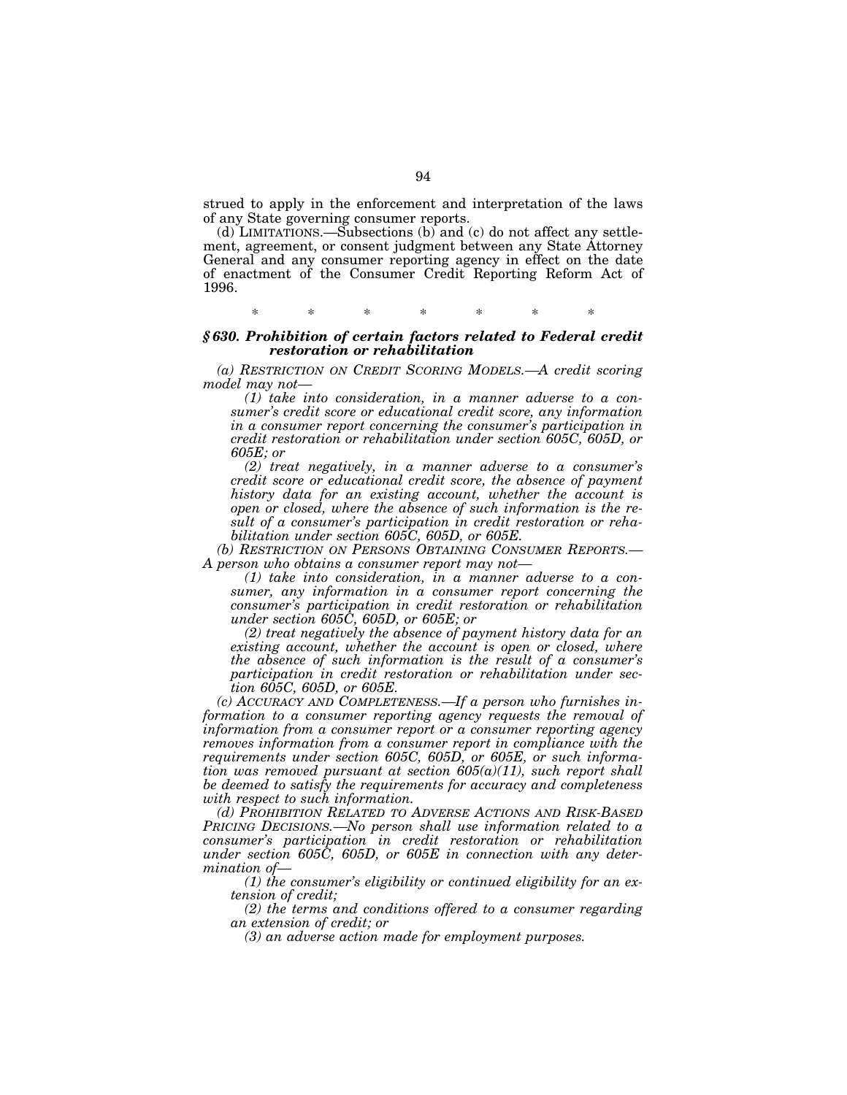strued to apply in the enforcement and interpretation of the laws of any State governing consumer reports.

(d) LIMITATIONS.—Subsections (b) and (c) do not affect any settlement, agreement, or consent judgment between any State Attorney General and any consumer reporting agency in effect on the date of enactment of the Consumer Credit Reporting Reform Act of 1996.

\* \* \* \* \* \* \*

#### *§ 630. Prohibition of certain factors related to Federal credit restoration or rehabilitation*

*(a) RESTRICTION ON CREDIT SCORING MODELS.—A credit scoring model may not—* 

*(1) take into consideration, in a manner adverse to a consumer's credit score or educational credit score, any information in a consumer report concerning the consumer's participation in credit restoration or rehabilitation under section 605C, 605D, or 605E; or* 

*(2) treat negatively, in a manner adverse to a consumer's credit score or educational credit score, the absence of payment history data for an existing account, whether the account is open or closed, where the absence of such information is the result of a consumer's participation in credit restoration or rehabilitation under section 605C, 605D, or 605E.* 

*(b) RESTRICTION ON PERSONS OBTAINING CONSUMER REPORTS.— A person who obtains a consumer report may not—* 

*(1) take into consideration, in a manner adverse to a consumer, any information in a consumer report concerning the consumer's participation in credit restoration or rehabilitation under section 605C, 605D, or 605E; or* 

*(2) treat negatively the absence of payment history data for an existing account, whether the account is open or closed, where the absence of such information is the result of a consumer's participation in credit restoration or rehabilitation under section 605C, 605D, or 605E.* 

*(c) ACCURACY AND COMPLETENESS.—If a person who furnishes information to a consumer reporting agency requests the removal of information from a consumer report or a consumer reporting agency removes information from a consumer report in compliance with the requirements under section 605C, 605D, or 605E, or such information was removed pursuant at section 605(a)(11), such report shall be deemed to satisfy the requirements for accuracy and completeness with respect to such information.* 

*(d) PROHIBITION RELATED TO ADVERSE ACTIONS AND RISK-BASED PRICING DECISIONS.—No person shall use information related to a consumer's participation in credit restoration or rehabilitation under section 605C, 605D, or 605E in connection with any determination of—* 

*(1) the consumer's eligibility or continued eligibility for an extension of credit;* 

*(2) the terms and conditions offered to a consumer regarding an extension of credit; or* 

*(3) an adverse action made for employment purposes.*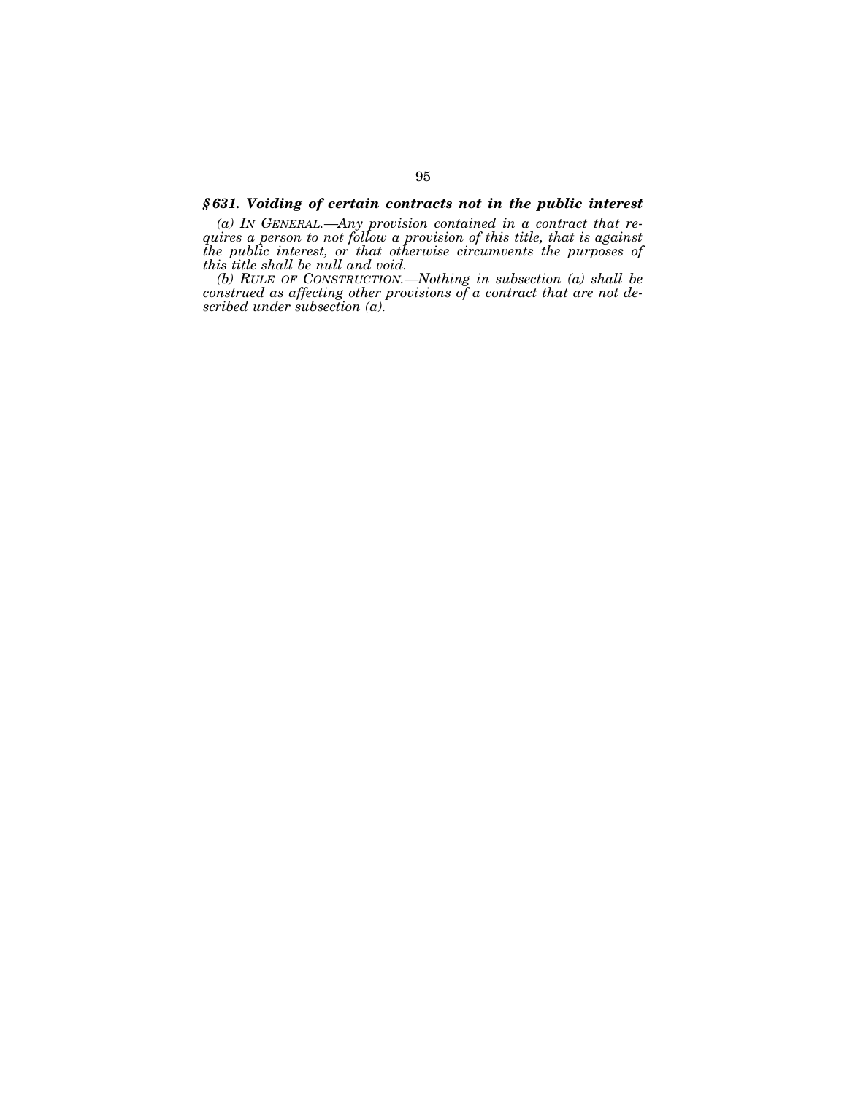# *§ 631. Voiding of certain contracts not in the public interest*

*(a) IN GENERAL.—Any provision contained in a contract that requires a person to not follow a provision of this title, that is against the public interest, or that otherwise circumvents the purposes of this title shall be null and void.* 

*(b) RULE OF CONSTRUCTION.—Nothing in subsection (a) shall be construed as affecting other provisions of a contract that are not described under subsection (a).*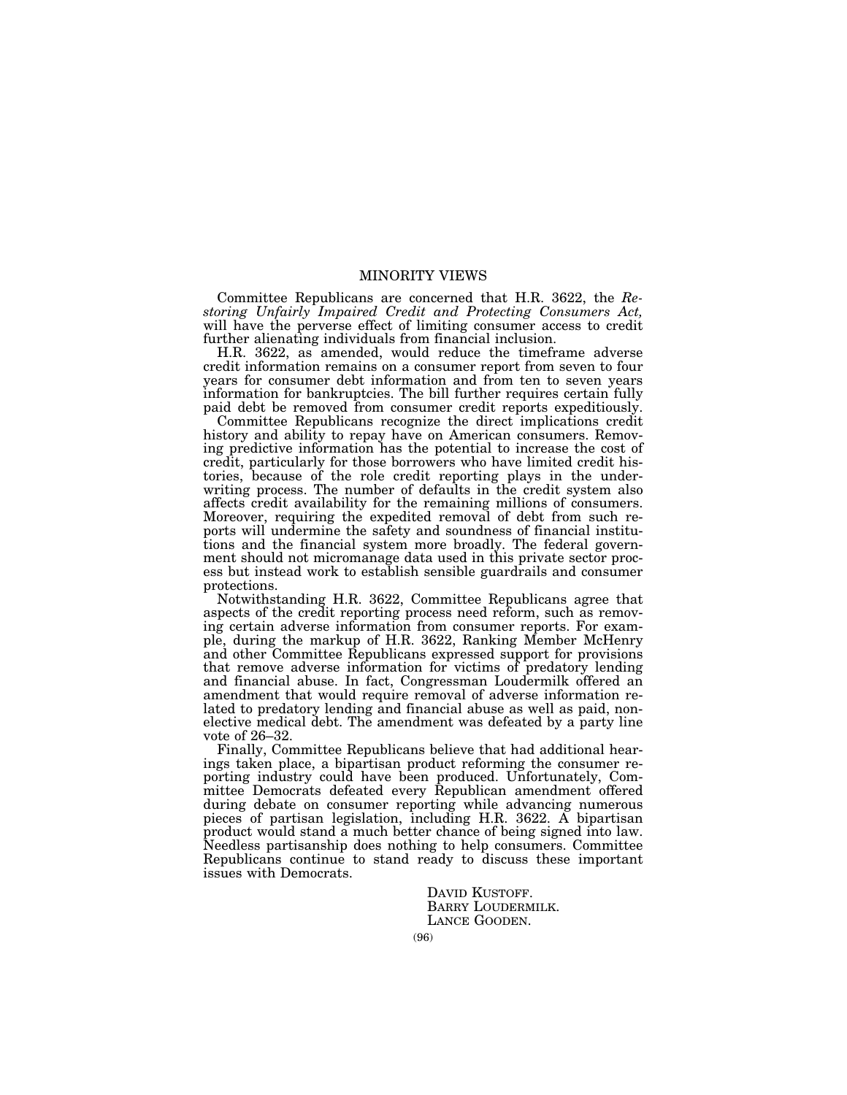## MINORITY VIEWS

Committee Republicans are concerned that H.R. 3622, the *Restoring Unfairly Impaired Credit and Protecting Consumers Act,*  will have the perverse effect of limiting consumer access to credit further alienating individuals from financial inclusion.

H.R. 3622, as amended, would reduce the timeframe adverse credit information remains on a consumer report from seven to four years for consumer debt information and from ten to seven years information for bankruptcies. The bill further requires certain fully paid debt be removed from consumer credit reports expeditiously.

Committee Republicans recognize the direct implications credit history and ability to repay have on American consumers. Removing predictive information has the potential to increase the cost of credit, particularly for those borrowers who have limited credit histories, because of the role credit reporting plays in the underwriting process. The number of defaults in the credit system also affects credit availability for the remaining millions of consumers. Moreover, requiring the expedited removal of debt from such reports will undermine the safety and soundness of financial institutions and the financial system more broadly. The federal government should not micromanage data used in this private sector process but instead work to establish sensible guardrails and consumer protections.

Notwithstanding H.R. 3622, Committee Republicans agree that aspects of the credit reporting process need reform, such as removing certain adverse information from consumer reports. For example, during the markup of H.R. 3622, Ranking Member McHenry and other Committee Republicans expressed support for provisions that remove adverse information for victims of predatory lending and financial abuse. In fact, Congressman Loudermilk offered an amendment that would require removal of adverse information related to predatory lending and financial abuse as well as paid, nonelective medical debt. The amendment was defeated by a party line vote of 26–32.

Finally, Committee Republicans believe that had additional hearings taken place, a bipartisan product reforming the consumer reporting industry could have been produced. Unfortunately, Committee Democrats defeated every Republican amendment offered during debate on consumer reporting while advancing numerous pieces of partisan legislation, including H.R. 3622. A bipartisan product would stand a much better chance of being signed into law. Needless partisanship does nothing to help consumers. Committee Republicans continue to stand ready to discuss these important issues with Democrats.

> DAVID KUSTOFF. BARRY LOUDERMILK. LANCE GOODEN.